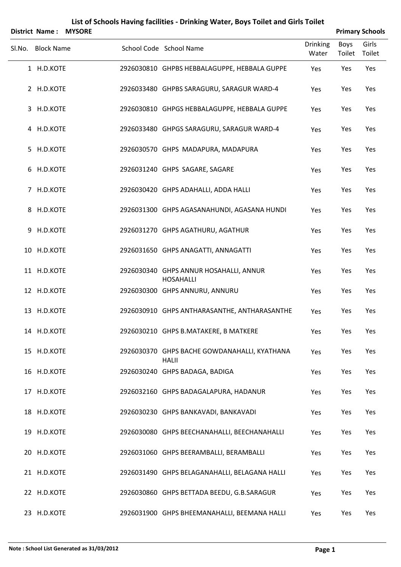|   | <b>District Name:</b> | <b>MYSORE</b> | List of Schools Having facilities - Drinking Water, Boys Toilet and Girls Toilet |                          |                | <b>Primary Schools</b> |
|---|-----------------------|---------------|----------------------------------------------------------------------------------|--------------------------|----------------|------------------------|
|   | Sl.No. Block Name     |               | School Code School Name                                                          | <b>Drinking</b><br>Water | Boys<br>Toilet | Girls<br>Toilet        |
|   | 1 H.D.KOTE            |               | 2926030810 GHPBS HEBBALAGUPPE, HEBBALA GUPPE                                     | Yes                      | Yes            | Yes                    |
|   | 2 H.D.KOTE            |               | 2926033480 GHPBS SARAGURU, SARAGUR WARD-4                                        | Yes                      | Yes            | Yes                    |
|   | 3 H.D.KOTE            |               | 2926030810 GHPGS HEBBALAGUPPE, HEBBALA GUPPE                                     | Yes                      | Yes            | Yes                    |
|   | 4 H.D.KOTE            |               | 2926033480 GHPGS SARAGURU, SARAGUR WARD-4                                        | Yes                      | Yes            | Yes                    |
|   | 5 H.D.KOTE            |               | 2926030570 GHPS MADAPURA, MADAPURA                                               | Yes                      | Yes            | Yes                    |
|   | 6 H.D.KOTE            |               | 2926031240 GHPS SAGARE, SAGARE                                                   | Yes                      | Yes            | Yes                    |
|   | 7 H.D.KOTE            |               | 2926030420 GHPS ADAHALLI, ADDA HALLI                                             | Yes                      | Yes            | Yes                    |
|   | 8 H.D.KOTE            |               | 2926031300 GHPS AGASANAHUNDI, AGASANA HUNDI                                      | Yes                      | Yes            | Yes                    |
| 9 | H.D.KOTE              |               | 2926031270 GHPS AGATHURU, AGATHUR                                                | Yes                      | Yes            | Yes                    |
|   | 10 H.D.KOTE           |               | 2926031650 GHPS ANAGATTI, ANNAGATTI                                              | Yes                      | Yes            | Yes                    |
|   | 11 H.D.KOTE           |               | 2926030340 GHPS ANNUR HOSAHALLI, ANNUR<br><b>HOSAHALLI</b>                       | Yes                      | Yes            | Yes                    |
|   | 12 H.D.KOTE           |               | 2926030300 GHPS ANNURU, ANNURU                                                   | Yes                      | Yes            | Yes                    |
|   | 13 H.D.KOTE           |               | 2926030910 GHPS ANTHARASANTHE, ANTHARASANTHE                                     | Yes                      | Yes            | Yes                    |
|   | 14 H.D.KOTE           |               | 2926030210 GHPS B.MATAKERE, B MATKERE                                            | Yes                      | Yes            | Yes                    |
|   | 15 H.D.KOTE           |               | 2926030370 GHPS BACHE GOWDANAHALLI, KYATHANA<br><b>HALII</b>                     | Yes                      | Yes            | Yes                    |
|   | 16 H.D.KOTE           |               | 2926030240 GHPS BADAGA, BADIGA                                                   | Yes                      | Yes            | Yes                    |
|   | 17 H.D.KOTE           |               | 2926032160 GHPS BADAGALAPURA, HADANUR                                            | Yes                      | Yes            | Yes                    |
|   | 18 H.D.KOTE           |               | 2926030230 GHPS BANKAVADI, BANKAVADI                                             | Yes                      | Yes            | Yes                    |
|   | 19 H.D.KOTE           |               | 2926030080 GHPS BEECHANAHALLI, BEECHANAHALLI                                     | Yes                      | Yes            | Yes                    |
|   | 20 H.D.KOTE           |               | 2926031060 GHPS BEERAMBALLI, BERAMBALLI                                          | Yes                      | Yes            | Yes                    |
|   | 21 H.D.KOTE           |               | 2926031490 GHPS BELAGANAHALLI, BELAGANA HALLI                                    | Yes                      | Yes            | Yes                    |
|   | 22 H.D.KOTE           |               | 2926030860 GHPS BETTADA BEEDU, G.B.SARAGUR                                       | Yes                      | Yes            | Yes                    |
|   | 23 H.D.KOTE           |               | 2926031900 GHPS BHEEMANAHALLI, BEEMANA HALLI                                     | Yes                      | Yes            | Yes                    |

#### **Note : School List Generated as 31/03/2012 Page 1**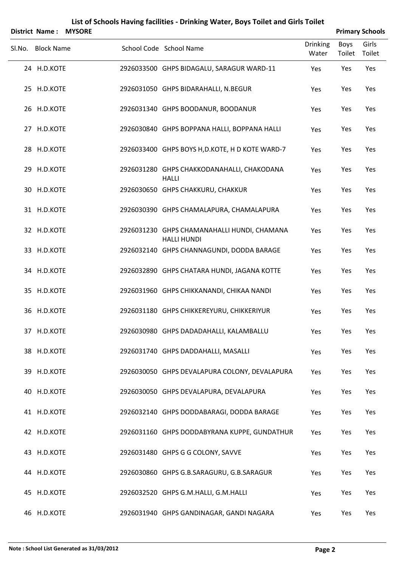|        | List of Schools Having facilities - Drinking Water, Boys Toilet and Girls Toilet<br><b>MYSORE</b><br><b>Primary Schools</b><br><b>District Name:</b> |  |  |                                                                   |                          |                       |                 |  |  |  |  |
|--------|------------------------------------------------------------------------------------------------------------------------------------------------------|--|--|-------------------------------------------------------------------|--------------------------|-----------------------|-----------------|--|--|--|--|
| Sl.No. | <b>Block Name</b>                                                                                                                                    |  |  | School Code School Name                                           | <b>Drinking</b><br>Water | <b>Boys</b><br>Toilet | Girls<br>Toilet |  |  |  |  |
|        | 24 H.D.KOTE                                                                                                                                          |  |  | 2926033500 GHPS BIDAGALU, SARAGUR WARD-11                         | Yes                      | Yes                   | Yes             |  |  |  |  |
|        | 25 H.D.KOTE                                                                                                                                          |  |  | 2926031050 GHPS BIDARAHALLI, N.BEGUR                              | Yes                      | Yes                   | Yes             |  |  |  |  |
|        | 26 H.D.KOTE                                                                                                                                          |  |  | 2926031340 GHPS BOODANUR, BOODANUR                                | Yes                      | Yes                   | Yes             |  |  |  |  |
|        | 27 H.D.KOTE                                                                                                                                          |  |  | 2926030840 GHPS BOPPANA HALLI, BOPPANA HALLI                      | Yes                      | Yes                   | Yes             |  |  |  |  |
|        | 28 H.D.KOTE                                                                                                                                          |  |  | 2926033400 GHPS BOYS H, D.KOTE, H D KOTE WARD-7                   | Yes                      | Yes                   | Yes             |  |  |  |  |
|        | 29 H.D.KOTE                                                                                                                                          |  |  | 2926031280 GHPS CHAKKODANAHALLI, CHAKODANA<br><b>HALLI</b>        | Yes                      | Yes                   | Yes             |  |  |  |  |
|        | 30 H.D.KOTE                                                                                                                                          |  |  | 2926030650 GHPS CHAKKURU, CHAKKUR                                 | Yes                      | Yes                   | Yes             |  |  |  |  |
|        | 31 H.D.KOTE                                                                                                                                          |  |  | 2926030390 GHPS CHAMALAPURA, CHAMALAPURA                          | Yes                      | Yes                   | Yes             |  |  |  |  |
|        | 32 H.D.KOTE                                                                                                                                          |  |  | 2926031230 GHPS CHAMANAHALLI HUNDI, CHAMANA<br><b>HALLI HUNDI</b> | Yes                      | Yes                   | Yes             |  |  |  |  |
|        | 33 H.D.KOTE                                                                                                                                          |  |  | 2926032140 GHPS CHANNAGUNDI, DODDA BARAGE                         | Yes                      | Yes                   | Yes             |  |  |  |  |
|        | 34 H.D.KOTE                                                                                                                                          |  |  | 2926032890 GHPS CHATARA HUNDI, JAGANA KOTTE                       | Yes                      | Yes                   | Yes             |  |  |  |  |
|        | 35 H.D.KOTE                                                                                                                                          |  |  | 2926031960 GHPS CHIKKANANDI, CHIKAA NANDI                         | Yes                      | Yes                   | Yes             |  |  |  |  |
|        | 36 H.D.KOTE                                                                                                                                          |  |  | 2926031180 GHPS CHIKKEREYURU, CHIKKERIYUR                         | Yes                      | Yes                   | Yes             |  |  |  |  |
|        | 37 H.D.KOTE                                                                                                                                          |  |  | 2926030980 GHPS DADADAHALLI, KALAMBALLU                           | Yes                      | Yes                   | Yes             |  |  |  |  |
|        | 38 H.D.KOTE                                                                                                                                          |  |  | 2926031740 GHPS DADDAHALLI, MASALLI                               | Yes                      | Yes                   | Yes             |  |  |  |  |
|        | 39 H.D.KOTE                                                                                                                                          |  |  | 2926030050 GHPS DEVALAPURA COLONY, DEVALAPURA                     | Yes                      | Yes                   | Yes             |  |  |  |  |
|        | 40 H.D.KOTE                                                                                                                                          |  |  | 2926030050 GHPS DEVALAPURA, DEVALAPURA                            | Yes                      | Yes                   | Yes             |  |  |  |  |
|        | 41 H.D.KOTE                                                                                                                                          |  |  | 2926032140 GHPS DODDABARAGI, DODDA BARAGE                         | Yes                      | Yes                   | Yes             |  |  |  |  |
|        | 42 H.D.KOTE                                                                                                                                          |  |  | 2926031160 GHPS DODDABYRANA KUPPE, GUNDATHUR                      | Yes                      | Yes                   | Yes             |  |  |  |  |
|        | 43 H.D.KOTE                                                                                                                                          |  |  | 2926031480 GHPS G G COLONY, SAVVE                                 | Yes                      | Yes                   | Yes             |  |  |  |  |
|        | 44 H.D.KOTE                                                                                                                                          |  |  | 2926030860 GHPS G.B.SARAGURU, G.B.SARAGUR                         | Yes                      | Yes                   | Yes             |  |  |  |  |
|        | 45 H.D.KOTE                                                                                                                                          |  |  | 2926032520 GHPS G.M.HALLI, G.M.HALLI                              | Yes                      | Yes                   | Yes             |  |  |  |  |
|        | 46 H.D.KOTE                                                                                                                                          |  |  | 2926031940 GHPS GANDINAGAR, GANDI NAGARA                          | Yes                      | Yes                   | Yes             |  |  |  |  |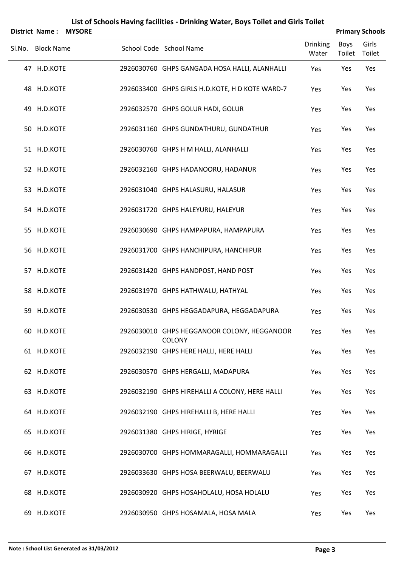|        | <b>District Name:</b> | <b>MYSORE</b> |                                                              |                          |                | <b>Primary Schools</b> |
|--------|-----------------------|---------------|--------------------------------------------------------------|--------------------------|----------------|------------------------|
| Sl.No. | <b>Block Name</b>     |               | School Code School Name                                      | <b>Drinking</b><br>Water | Boys<br>Toilet | Girls<br>Toilet        |
|        | 47 H.D.KOTE           |               | 2926030760 GHPS GANGADA HOSA HALLI, ALANHALLI                | Yes                      | Yes            | Yes                    |
|        | 48 H.D.KOTE           |               | 2926033400 GHPS GIRLS H.D.KOTE, H D KOTE WARD-7              | Yes                      | Yes            | Yes                    |
|        | 49 H.D.KOTE           |               | 2926032570 GHPS GOLUR HADI, GOLUR                            | Yes                      | Yes            | Yes                    |
|        | 50 H.D.KOTE           |               | 2926031160 GHPS GUNDATHURU, GUNDATHUR                        | Yes                      | Yes            | Yes                    |
|        | 51 H.D.KOTE           |               | 2926030760 GHPS H M HALLI, ALANHALLI                         | Yes                      | Yes            | Yes                    |
|        | 52 H.D.KOTE           |               | 2926032160 GHPS HADANOORU, HADANUR                           | Yes                      | Yes            | Yes                    |
|        | 53 H.D.KOTE           |               | 2926031040 GHPS HALASURU, HALASUR                            | Yes                      | Yes            | Yes                    |
|        | 54 H.D.KOTE           |               | 2926031720 GHPS HALEYURU, HALEYUR                            | Yes                      | Yes            | Yes                    |
|        | 55 H.D.KOTE           |               | 2926030690 GHPS HAMPAPURA, HAMPAPURA                         | Yes                      | Yes            | Yes                    |
|        | 56 H.D.KOTE           |               | 2926031700 GHPS HANCHIPURA, HANCHIPUR                        | Yes                      | Yes            | Yes                    |
|        | 57 H.D.KOTE           |               | 2926031420 GHPS HANDPOST, HAND POST                          | Yes                      | Yes            | Yes                    |
|        | 58 H.D.KOTE           |               | 2926031970 GHPS HATHWALU, HATHYAL                            | Yes                      | Yes            | Yes                    |
|        | 59 H.D.KOTE           |               | 2926030530 GHPS HEGGADAPURA, HEGGADAPURA                     | Yes                      | Yes            | Yes                    |
|        | 60 H.D.KOTE           |               | 2926030010 GHPS HEGGANOOR COLONY, HEGGANOOR<br><b>COLONY</b> | Yes                      | Yes            | Yes                    |
|        | 61 H.D.KOTE           |               | 2926032190 GHPS HERE HALLI, HERE HALLI                       | Yes                      | Yes            | Yes                    |
|        | 62 H.D.KOTE           |               | 2926030570 GHPS HERGALLI, MADAPURA                           | Yes                      | Yes            | Yes                    |
|        | 63 H.D.KOTE           |               | 2926032190 GHPS HIREHALLI A COLONY, HERE HALLI               | Yes                      | Yes            | Yes                    |
|        | 64 H.D.KOTE           |               | 2926032190 GHPS HIREHALLI B, HERE HALLI                      | Yes                      | Yes            | Yes                    |
|        | 65 H.D.KOTE           |               | 2926031380 GHPS HIRIGE, HYRIGE                               | Yes                      | Yes            | Yes                    |
|        | 66 H.D.KOTE           |               | 2926030700 GHPS HOMMARAGALLI, HOMMARAGALLI                   | Yes                      | Yes            | Yes                    |
|        | 67 H.D.KOTE           |               | 2926033630 GHPS HOSA BEERWALU, BEERWALU                      | Yes                      | Yes            | Yes                    |
|        | 68 H.D.KOTE           |               | 2926030920 GHPS HOSAHOLALU, HOSA HOLALU                      | Yes                      | Yes            | Yes                    |
|        | 69 H.D.KOTE           |               | 2926030950 GHPS HOSAMALA, HOSA MALA                          | Yes                      | Yes            | Yes                    |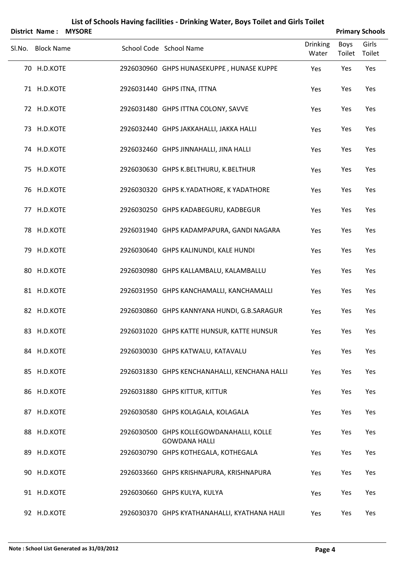|        | District Name:    | <b>MYSORE</b> |                                                                  |                          |                       | <b>Primary Schools</b> |
|--------|-------------------|---------------|------------------------------------------------------------------|--------------------------|-----------------------|------------------------|
| Sl.No. | <b>Block Name</b> |               | School Code School Name                                          | <b>Drinking</b><br>Water | <b>Boys</b><br>Toilet | Girls<br>Toilet        |
|        | 70 H.D.KOTE       |               | 2926030960 GHPS HUNASEKUPPE, HUNASE KUPPE                        | Yes                      | Yes                   | Yes                    |
|        | 71 H.D.KOTE       |               | 2926031440 GHPS ITNA, ITTNA                                      | Yes                      | Yes                   | Yes                    |
|        | 72 H.D.KOTE       |               | 2926031480 GHPS ITTNA COLONY, SAVVE                              | Yes                      | Yes                   | Yes                    |
|        | 73 H.D.KOTE       |               | 2926032440 GHPS JAKKAHALLI, JAKKA HALLI                          | Yes                      | Yes                   | Yes                    |
|        | 74 H.D.KOTE       |               | 2926032460 GHPS JINNAHALLI, JINA HALLI                           | Yes                      | Yes                   | Yes                    |
|        | 75 H.D.KOTE       |               | 2926030630 GHPS K.BELTHURU, K.BELTHUR                            | Yes                      | Yes                   | Yes                    |
|        | 76 H.D.KOTE       |               | 2926030320 GHPS K.YADATHORE, K YADATHORE                         | Yes                      | Yes                   | Yes                    |
|        | 77 H.D.KOTE       |               | 2926030250 GHPS KADABEGURU, KADBEGUR                             | Yes                      | Yes                   | Yes                    |
|        | 78 H.D.KOTE       |               | 2926031940 GHPS KADAMPAPURA, GANDI NAGARA                        | Yes                      | Yes                   | Yes                    |
|        | 79 H.D.KOTE       |               | 2926030640 GHPS KALINUNDI, KALE HUNDI                            | Yes                      | Yes                   | Yes                    |
|        | 80 H.D.KOTE       |               | 2926030980 GHPS KALLAMBALU, KALAMBALLU                           | Yes                      | Yes                   | Yes                    |
|        | 81 H.D.KOTE       |               | 2926031950 GHPS KANCHAMALLI, KANCHAMALLI                         | Yes                      | Yes                   | Yes                    |
|        | 82 H.D.KOTE       |               | 2926030860 GHPS KANNYANA HUNDI, G.B.SARAGUR                      | Yes                      | Yes                   | Yes                    |
|        | 83 H.D.KOTE       |               | 2926031020 GHPS KATTE HUNSUR, KATTE HUNSUR                       | Yes                      | Yes                   | Yes                    |
|        | 84 H.D.KOTE       |               | 2926030030 GHPS KATWALU, KATAVALU                                | Yes                      | Yes                   | Yes                    |
|        | 85 H.D.KOTE       |               | 2926031830 GHPS KENCHANAHALLI, KENCHANA HALLI                    | Yes                      | Yes                   | Yes                    |
|        | 86 H.D.KOTE       |               | 2926031880 GHPS KITTUR, KITTUR                                   | Yes                      | Yes                   | Yes                    |
|        | 87 H.D.KOTE       |               | 2926030580 GHPS KOLAGALA, KOLAGALA                               | Yes                      | Yes                   | Yes                    |
|        | 88 H.D.KOTE       |               | 2926030500 GHPS KOLLEGOWDANAHALLI, KOLLE<br><b>GOWDANA HALLI</b> | Yes                      | Yes                   | Yes                    |
|        | 89 H.D.KOTE       |               | 2926030790 GHPS KOTHEGALA, KOTHEGALA                             | Yes                      | Yes                   | Yes                    |
|        | 90 H.D.KOTE       |               | 2926033660 GHPS KRISHNAPURA, KRISHNAPURA                         | Yes                      | Yes                   | Yes                    |
|        | 91 H.D.KOTE       |               | 2926030660 GHPS KULYA, KULYA                                     | Yes                      | Yes                   | Yes                    |
|        | 92 H.D.KOTE       |               | 2926030370 GHPS KYATHANAHALLI, KYATHANA HALII                    | Yes                      | Yes                   | Yes                    |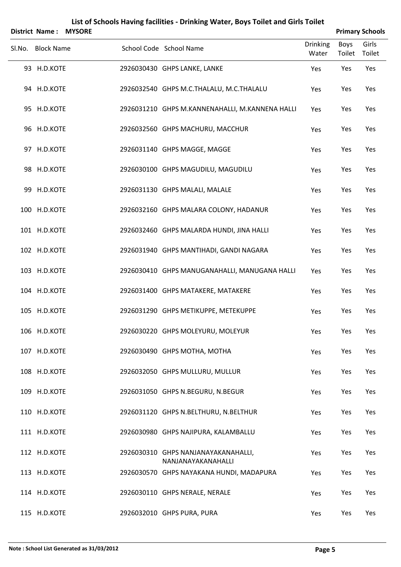|        | <b>District Name:</b> | <b>MYSORE</b> |                                                           |                          |                | <b>Primary Schools</b> |
|--------|-----------------------|---------------|-----------------------------------------------------------|--------------------------|----------------|------------------------|
| SI.No. | <b>Block Name</b>     |               | School Code School Name                                   | <b>Drinking</b><br>Water | Boys<br>Toilet | Girls<br>Toilet        |
|        | 93 H.D.KOTE           |               | 2926030430 GHPS LANKE, LANKE                              | Yes                      | Yes            | Yes                    |
|        | 94 H.D.KOTE           |               | 2926032540 GHPS M.C.THALALU, M.C.THALALU                  | Yes                      | Yes            | Yes                    |
|        | 95 H.D.KOTE           |               | 2926031210 GHPS M.KANNENAHALLI, M.KANNENA HALLI           | Yes                      | Yes            | Yes                    |
|        | 96 H.D.KOTE           |               | 2926032560 GHPS MACHURU, MACCHUR                          | Yes                      | Yes            | Yes                    |
|        | 97 H.D.KOTE           |               | 2926031140 GHPS MAGGE, MAGGE                              | Yes                      | Yes            | Yes                    |
|        | 98 H.D.KOTE           |               | 2926030100 GHPS MAGUDILU, MAGUDILU                        | Yes                      | Yes            | Yes                    |
|        | 99 H.D.KOTE           |               | 2926031130 GHPS MALALI, MALALE                            | Yes                      | Yes            | Yes                    |
|        | 100 H.D.KOTE          |               | 2926032160 GHPS MALARA COLONY, HADANUR                    | Yes                      | Yes            | Yes                    |
|        | 101 H.D.KOTE          |               | 2926032460 GHPS MALARDA HUNDI, JINA HALLI                 | Yes                      | Yes            | Yes                    |
|        | 102 H.D.KOTE          |               | 2926031940 GHPS MANTIHADI, GANDI NAGARA                   | Yes                      | Yes            | Yes                    |
|        | 103 H.D.KOTE          |               | 2926030410 GHPS MANUGANAHALLI, MANUGANA HALLI             | Yes                      | Yes            | Yes                    |
|        | 104 H.D.KOTE          |               | 2926031400 GHPS MATAKERE, MATAKERE                        | Yes                      | Yes            | Yes                    |
|        | 105 H.D.KOTE          |               | 2926031290 GHPS METIKUPPE, METEKUPPE                      | Yes                      | Yes            | Yes                    |
|        | 106 H.D.KOTE          |               | 2926030220 GHPS MOLEYURU, MOLEYUR                         | Yes                      | Yes            | Yes                    |
|        | 107 H.D.KOTE          |               | 2926030490 GHPS MOTHA, MOTHA                              | Yes                      | Yes            | Yes                    |
|        | 108 H.D.KOTE          |               | 2926032050 GHPS MULLURU, MULLUR                           | Yes                      | Yes            | Yes                    |
|        | 109 H.D.KOTE          |               | 2926031050 GHPS N.BEGURU, N.BEGUR                         | Yes                      | Yes            | Yes                    |
|        | 110 H.D.KOTE          |               | 2926031120 GHPS N.BELTHURU, N.BELTHUR                     | Yes                      | Yes            | Yes                    |
|        | 111 H.D.KOTE          |               | 2926030980 GHPS NAJIPURA, KALAMBALLU                      | Yes                      | Yes            | Yes                    |
|        | 112 H.D.KOTE          |               | 2926030310 GHPS NANJANAYAKANAHALLI,<br>NANJANAYAKANAHALLI | Yes                      | Yes            | Yes                    |
|        | 113 H.D.KOTE          |               | 2926030570 GHPS NAYAKANA HUNDI, MADAPURA                  | Yes                      | Yes            | Yes                    |
|        | 114 H.D.KOTE          |               | 2926030110 GHPS NERALE, NERALE                            | Yes                      | Yes            | Yes                    |
|        | 115 H.D.KOTE          |               | 2926032010 GHPS PURA, PURA                                | Yes                      | Yes            | Yes                    |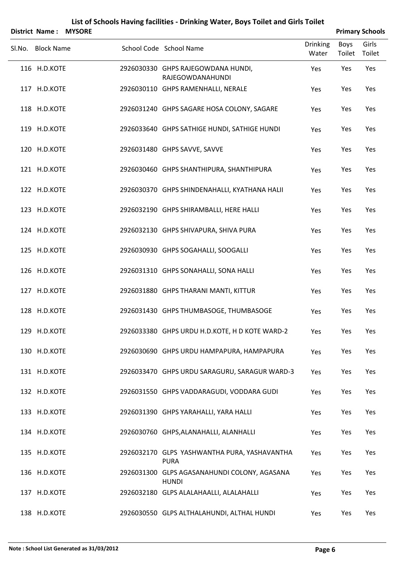|        | <b>District Name:</b> | <b>MYSORE</b> |                                                               |                          | <b>Primary Schools</b> |                 |
|--------|-----------------------|---------------|---------------------------------------------------------------|--------------------------|------------------------|-----------------|
| SI.No. | <b>Block Name</b>     |               | School Code School Name                                       | <b>Drinking</b><br>Water | Boys<br>Toilet         | Girls<br>Toilet |
|        | 116 H.D.KOTE          |               | 2926030330 GHPS RAJEGOWDANA HUNDI,<br><b>RAJEGOWDANAHUNDI</b> | Yes                      | Yes                    | Yes             |
|        | 117 H.D.KOTE          |               | 2926030110 GHPS RAMENHALLI, NERALE                            | Yes                      | Yes                    | Yes             |
|        | 118 H.D.KOTE          |               | 2926031240 GHPS SAGARE HOSA COLONY, SAGARE                    | Yes                      | Yes                    | Yes             |
|        | 119 H.D.KOTE          |               | 2926033640 GHPS SATHIGE HUNDI, SATHIGE HUNDI                  | Yes                      | Yes                    | Yes             |
|        | 120 H.D.KOTE          |               | 2926031480 GHPS SAVVE, SAVVE                                  | Yes                      | Yes                    | Yes             |
|        | 121 H.D.KOTE          |               | 2926030460 GHPS SHANTHIPURA, SHANTHIPURA                      | Yes                      | Yes                    | Yes             |
|        | 122 H.D.KOTE          |               | 2926030370 GHPS SHINDENAHALLI, KYATHANA HALII                 | Yes                      | Yes                    | Yes             |
|        | 123 H.D.KOTE          |               | 2926032190 GHPS SHIRAMBALLI, HERE HALLI                       | Yes                      | Yes                    | Yes             |
|        | 124 H.D.KOTE          |               | 2926032130 GHPS SHIVAPURA, SHIVA PURA                         | Yes                      | Yes                    | Yes             |
|        | 125 H.D.KOTE          |               | 2926030930 GHPS SOGAHALLI, SOOGALLI                           | Yes                      | Yes                    | Yes             |
|        | 126 H.D.KOTE          |               | 2926031310 GHPS SONAHALLI, SONA HALLI                         | Yes                      | Yes                    | Yes             |
|        | 127 H.D.KOTE          |               | 2926031880 GHPS THARANI MANTI, KITTUR                         | Yes                      | Yes                    | Yes             |
|        | 128 H.D.KOTE          |               | 2926031430 GHPS THUMBASOGE, THUMBASOGE                        | Yes                      | Yes                    | Yes             |
|        | 129 H.D.KOTE          |               | 2926033380 GHPS URDU H.D.KOTE, H D KOTE WARD-2                | Yes                      | Yes                    | Yes             |
|        | 130 H.D.KOTE          |               | 2926030690 GHPS URDU HAMPAPURA, HAMPAPURA                     | Yes                      | Yes                    | Yes             |
|        | 131 H.D.KOTE          |               | 2926033470 GHPS URDU SARAGURU, SARAGUR WARD-3                 | Yes                      | Yes                    | Yes             |
|        | 132 H.D.KOTE          |               | 2926031550 GHPS VADDARAGUDI, VODDARA GUDI                     | Yes                      | Yes                    | Yes             |
|        | 133 H.D.KOTE          |               | 2926031390 GHPS YARAHALLI, YARA HALLI                         | Yes                      | Yes                    | Yes             |
|        | 134 H.D.KOTE          |               | 2926030760 GHPS, ALANAHALLI, ALANHALLI                        | Yes                      | Yes                    | Yes             |
|        | 135 H.D.KOTE          |               | 2926032170 GLPS YASHWANTHA PURA, YASHAVANTHA<br><b>PURA</b>   | Yes                      | Yes                    | Yes             |
|        | 136 H.D.KOTE          |               | 2926031300 GLPS AGASANAHUNDI COLONY, AGASANA<br><b>HUNDI</b>  | Yes                      | Yes                    | Yes             |
|        | 137 H.D.KOTE          |               | 2926032180 GLPS ALALAHAALLI, ALALAHALLI                       | Yes                      | Yes                    | Yes             |
|        | 138 H.D.KOTE          |               | 2926030550 GLPS ALTHALAHUNDI, ALTHAL HUNDI                    | Yes                      | Yes                    | Yes             |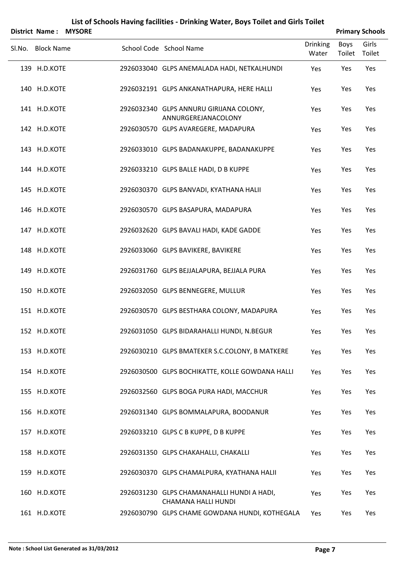|        | District Name:    | <b>MYSORE</b> |                                                                          |                          |                | <b>Primary Schools</b> |
|--------|-------------------|---------------|--------------------------------------------------------------------------|--------------------------|----------------|------------------------|
| Sl.No. | <b>Block Name</b> |               | School Code School Name                                                  | <b>Drinking</b><br>Water | Boys<br>Toilet | Girls<br>Toilet        |
|        | 139 H.D.KOTE      |               | 2926033040 GLPS ANEMALADA HADI, NETKALHUNDI                              | Yes                      | Yes            | Yes                    |
|        | 140 H.D.KOTE      |               | 2926032191 GLPS ANKANATHAPURA, HERE HALLI                                | Yes                      | Yes            | Yes                    |
|        | 141 H.D.KOTE      |               | 2926032340 GLPS ANNURU GIRIJANA COLONY,<br>ANNURGEREJANACOLONY           | Yes                      | Yes            | Yes                    |
|        | 142 H.D.KOTE      |               | 2926030570 GLPS AVAREGERE, MADAPURA                                      | Yes                      | Yes            | Yes                    |
|        | 143 H.D.KOTE      |               | 2926033010 GLPS BADANAKUPPE, BADANAKUPPE                                 | Yes                      | Yes            | Yes                    |
|        | 144 H.D.KOTE      |               | 2926033210 GLPS BALLE HADI, D B KUPPE                                    | Yes                      | Yes            | Yes                    |
|        | 145 H.D.KOTE      |               | 2926030370 GLPS BANVADI, KYATHANA HALII                                  | Yes                      | Yes            | Yes                    |
|        | 146 H.D.KOTE      |               | 2926030570 GLPS BASAPURA, MADAPURA                                       | Yes                      | Yes            | Yes                    |
|        | 147 H.D.KOTE      |               | 2926032620 GLPS BAVALI HADI, KADE GADDE                                  | Yes                      | Yes            | Yes                    |
|        | 148 H.D.KOTE      |               | 2926033060 GLPS BAVIKERE, BAVIKERE                                       | Yes                      | Yes            | Yes                    |
|        | 149 H.D.KOTE      |               | 2926031760 GLPS BEJJALAPURA, BEJJALA PURA                                | Yes                      | Yes            | Yes                    |
|        | 150 H.D.KOTE      |               | 2926032050 GLPS BENNEGERE, MULLUR                                        | Yes                      | Yes            | Yes                    |
|        | 151 H.D.KOTE      |               | 2926030570 GLPS BESTHARA COLONY, MADAPURA                                | Yes                      | Yes            | Yes                    |
|        | 152 H.D.KOTE      |               | 2926031050 GLPS BIDARAHALLI HUNDI, N.BEGUR                               | Yes                      | Yes            | Yes                    |
|        | 153 H.D.KOTE      |               | 2926030210 GLPS BMATEKER S.C.COLONY, B MATKERE                           | Yes                      | Yes            | Yes                    |
|        | 154 H.D.KOTE      |               | 2926030500 GLPS BOCHIKATTE, KOLLE GOWDANA HALLI                          | Yes                      | Yes            | Yes                    |
|        | 155 H.D.KOTE      |               | 2926032560 GLPS BOGA PURA HADI, MACCHUR                                  | Yes                      | Yes            | Yes                    |
|        | 156 H.D.KOTE      |               | 2926031340 GLPS BOMMALAPURA, BOODANUR                                    | Yes                      | Yes            | Yes                    |
|        | 157 H.D.KOTE      |               | 2926033210 GLPS C B KUPPE, D B KUPPE                                     | Yes                      | Yes            | Yes                    |
|        | 158 H.D.KOTE      |               | 2926031350 GLPS CHAKAHALLI, CHAKALLI                                     | Yes                      | Yes            | Yes                    |
|        | 159 H.D.KOTE      |               | 2926030370 GLPS CHAMALPURA, KYATHANA HALII                               | Yes                      | Yes            | Yes                    |
|        | 160 H.D.KOTE      |               | 2926031230 GLPS CHAMANAHALLI HUNDI A HADI,<br><b>CHAMANA HALLI HUNDI</b> | Yes                      | Yes            | Yes                    |
|        | 161 H.D.KOTE      |               | 2926030790 GLPS CHAME GOWDANA HUNDI, KOTHEGALA                           | Yes                      | Yes            | Yes                    |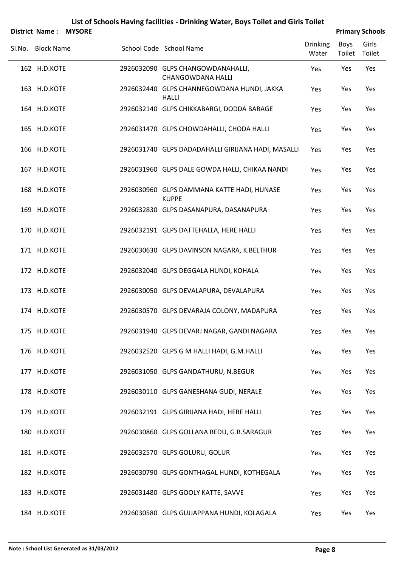| <b>District Name:</b> | <b>MYSORE</b> |                                                               |                          |                | <b>Primary Schools</b> |
|-----------------------|---------------|---------------------------------------------------------------|--------------------------|----------------|------------------------|
| Sl.No. Block Name     |               | School Code School Name                                       | <b>Drinking</b><br>Water | Boys<br>Toilet | Girls<br>Toilet        |
| 162 H.D.KOTE          |               | 2926032090 GLPS CHANGOWDANAHALLI,<br><b>CHANGOWDANA HALLI</b> | Yes                      | Yes            | Yes                    |
| 163 H.D.KOTE          |               | 2926032440 GLPS CHANNEGOWDANA HUNDI, JAKKA<br><b>HALLI</b>    | Yes                      | Yes            | Yes                    |
| 164 H.D.KOTE          |               | 2926032140 GLPS CHIKKABARGI, DODDA BARAGE                     | Yes                      | Yes            | Yes                    |
| 165 H.D.KOTE          |               | 2926031470 GLPS CHOWDAHALLI, CHODA HALLI                      | Yes                      | Yes            | Yes                    |
| 166 H.D.KOTE          |               | 2926031740 GLPS DADADAHALLI GIRIJANA HADI, MASALLI            | Yes                      | Yes            | Yes                    |
| 167 H.D.KOTE          |               | 2926031960 GLPS DALE GOWDA HALLI, CHIKAA NANDI                | Yes                      | Yes            | Yes                    |
| 168 H.D.KOTE          |               | 2926030960 GLPS DAMMANA KATTE HADI, HUNASE<br><b>KUPPE</b>    | Yes                      | Yes            | Yes                    |
| 169 H.D.KOTE          |               | 2926032830 GLPS DASANAPURA, DASANAPURA                        | Yes                      | Yes            | Yes                    |
| 170 H.D.KOTE          |               | 2926032191 GLPS DATTEHALLA, HERE HALLI                        | Yes                      | Yes            | Yes                    |
| 171 H.D.KOTE          |               | 2926030630 GLPS DAVINSON NAGARA, K.BELTHUR                    | Yes                      | Yes            | Yes                    |
| 172 H.D.KOTE          |               | 2926032040 GLPS DEGGALA HUNDI, KOHALA                         | Yes                      | Yes            | Yes                    |
| 173 H.D.KOTE          |               | 2926030050 GLPS DEVALAPURA, DEVALAPURA                        | Yes                      | Yes            | Yes                    |
| 174 H.D.KOTE          |               | 2926030570 GLPS DEVARAJA COLONY, MADAPURA                     | Yes                      | Yes            | Yes                    |
| 175 H.D.KOTE          |               | 2926031940 GLPS DEVARJ NAGAR, GANDI NAGARA                    | Yes                      | Yes            | Yes                    |
| 176 H.D.KOTE          |               | 2926032520 GLPS G M HALLI HADI, G.M.HALLI                     | Yes                      | Yes            | Yes                    |
| 177 H.D.KOTE          |               | 2926031050 GLPS GANDATHURU, N.BEGUR                           | Yes                      | Yes            | Yes                    |
| 178 H.D.KOTE          |               | 2926030110 GLPS GANESHANA GUDI, NERALE                        | Yes                      | Yes            | Yes                    |
| 179 H.D.KOTE          |               | 2926032191 GLPS GIRIJANA HADI, HERE HALLI                     | Yes                      | Yes            | Yes                    |
| 180 H.D.KOTE          |               | 2926030860 GLPS GOLLANA BEDU, G.B.SARAGUR                     | Yes                      | Yes            | Yes                    |
| 181 H.D.KOTE          |               | 2926032570 GLPS GOLURU, GOLUR                                 | Yes                      | Yes            | Yes                    |
| 182 H.D.KOTE          |               | 2926030790 GLPS GONTHAGAL HUNDI, KOTHEGALA                    | Yes                      | Yes            | Yes                    |
| 183 H.D.KOTE          |               | 2926031480 GLPS GOOLY KATTE, SAVVE                            | Yes                      | Yes            | Yes                    |
| 184 H.D.KOTE          |               | 2926030580 GLPS GUJJAPPANA HUNDI, KOLAGALA                    | Yes                      | Yes            | Yes                    |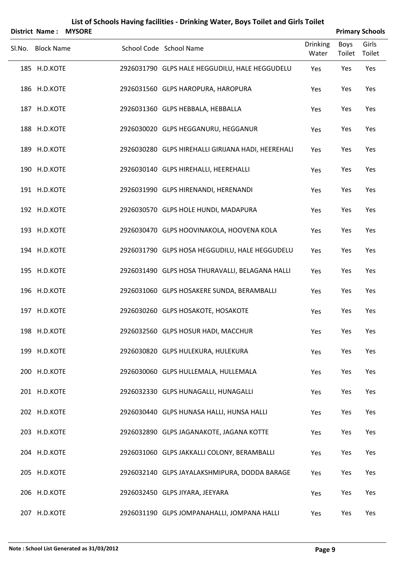|        | <b>District Name:</b> | <b>MYSORE</b> |                                                    |                          |                       | <b>Primary Schools</b> |
|--------|-----------------------|---------------|----------------------------------------------------|--------------------------|-----------------------|------------------------|
| Sl.No. | <b>Block Name</b>     |               | School Code School Name                            | <b>Drinking</b><br>Water | Boys<br>Toilet Toilet | Girls                  |
|        | 185 H.D.KOTE          |               | 2926031790 GLPS HALE HEGGUDILU, HALE HEGGUDELU     | Yes                      | Yes                   | Yes                    |
|        | 186 H.D.KOTE          |               | 2926031560 GLPS HAROPURA, HAROPURA                 | Yes                      | Yes                   | Yes                    |
|        | 187 H.D.KOTE          |               | 2926031360 GLPS HEBBALA, HEBBALLA                  | Yes                      | Yes                   | Yes                    |
|        | 188 H.D.KOTE          |               | 2926030020 GLPS HEGGANURU, HEGGANUR                | Yes                      | Yes                   | Yes                    |
|        | 189 H.D.KOTE          |               | 2926030280 GLPS HIREHALLI GIRIJANA HADI, HEEREHALI | Yes                      | Yes                   | Yes                    |
|        | 190 H.D.KOTE          |               | 2926030140 GLPS HIREHALLI, HEEREHALLI              | Yes                      | Yes                   | Yes                    |
|        | 191 H.D.KOTE          |               | 2926031990 GLPS HIRENANDI, HERENANDI               | Yes                      | Yes                   | Yes                    |
|        | 192 H.D.KOTE          |               | 2926030570 GLPS HOLE HUNDI, MADAPURA               | Yes                      | Yes                   | Yes                    |
|        | 193 H.D.KOTE          |               | 2926030470 GLPS HOOVINAKOLA, HOOVENA KOLA          | Yes                      | Yes                   | Yes                    |
|        | 194 H.D.KOTE          |               | 2926031790 GLPS HOSA HEGGUDILU, HALE HEGGUDELU     | Yes                      | Yes                   | Yes                    |
|        | 195 H.D.KOTE          |               | 2926031490 GLPS HOSA THURAVALLI, BELAGANA HALLI    | Yes                      | Yes                   | Yes                    |
|        | 196 H.D.KOTE          |               | 2926031060 GLPS HOSAKERE SUNDA, BERAMBALLI         | Yes                      | Yes                   | Yes                    |
|        | 197 H.D.KOTE          |               | 2926030260 GLPS HOSAKOTE, HOSAKOTE                 | Yes                      | Yes                   | Yes                    |
|        | 198 H.D.KOTE          |               | 2926032560 GLPS HOSUR HADI, MACCHUR                | Yes                      | Yes                   | Yes                    |
|        | 199 H.D.KOTE          |               | 2926030820 GLPS HULEKURA, HULEKURA                 | Yes                      | Yes                   | Yes                    |
|        | 200 H.D.KOTE          |               | 2926030060 GLPS HULLEMALA, HULLEMALA               | Yes                      | Yes                   | Yes                    |
|        | 201 H.D.KOTE          |               | 2926032330 GLPS HUNAGALLI, HUNAGALLI               | Yes                      | Yes                   | Yes                    |
|        | 202 H.D.KOTE          |               | 2926030440 GLPS HUNASA HALLI, HUNSA HALLI          | Yes                      | Yes                   | Yes                    |
|        | 203 H.D.KOTE          |               | 2926032890 GLPS JAGANAKOTE, JAGANA KOTTE           | Yes                      | Yes                   | Yes                    |
|        | 204 H.D.KOTE          |               | 2926031060 GLPS JAKKALLI COLONY, BERAMBALLI        | Yes                      | Yes                   | Yes                    |
|        | 205 H.D.KOTE          |               | 2926032140 GLPS JAYALAKSHMIPURA, DODDA BARAGE      | Yes                      | Yes                   | Yes                    |
|        | 206 H.D.KOTE          |               | 2926032450 GLPS JIYARA, JEEYARA                    | Yes                      | Yes                   | Yes                    |
|        | 207 H.D.KOTE          |               | 2926031190 GLPS JOMPANAHALLI, JOMPANA HALLI        | Yes                      | Yes                   | Yes                    |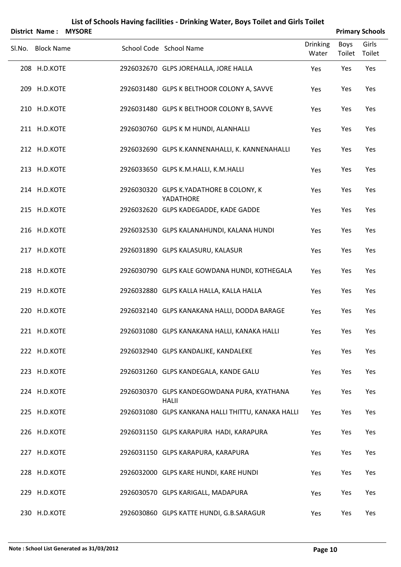| <b>District Name:</b> | <b>MYSORE</b> |                                                             |                          |                | <b>Primary Schools</b> |
|-----------------------|---------------|-------------------------------------------------------------|--------------------------|----------------|------------------------|
| Sl.No. Block Name     |               | School Code School Name                                     | <b>Drinking</b><br>Water | Boys<br>Toilet | Girls<br>Toilet        |
| 208 H.D.KOTE          |               | 2926032670 GLPS JOREHALLA, JORE HALLA                       | Yes                      | Yes            | Yes                    |
| 209 H.D.KOTE          |               | 2926031480 GLPS K BELTHOOR COLONY A, SAVVE                  | Yes                      | Yes            | Yes                    |
| 210 H.D.KOTE          |               | 2926031480 GLPS K BELTHOOR COLONY B, SAVVE                  | Yes                      | Yes            | Yes                    |
| 211 H.D.KOTE          |               | 2926030760 GLPS K M HUNDI, ALANHALLI                        | Yes                      | Yes            | Yes                    |
| 212 H.D.KOTE          |               | 2926032690 GLPS K.KANNENAHALLI, K. KANNENAHALLI             | Yes                      | Yes            | Yes                    |
| 213 H.D.KOTE          |               | 2926033650 GLPS K.M.HALLI, K.M.HALLI                        | Yes                      | Yes            | Yes                    |
| 214 H.D.KOTE          |               | 2926030320 GLPS K.YADATHORE B COLONY, K<br>YADATHORE        | Yes                      | Yes            | Yes                    |
| 215 H.D.KOTE          |               | 2926032620 GLPS KADEGADDE, KADE GADDE                       | Yes                      | Yes            | Yes                    |
| 216 H.D.KOTE          |               | 2926032530 GLPS KALANAHUNDI, KALANA HUNDI                   | Yes                      | Yes            | Yes                    |
| 217 H.D.KOTE          |               | 2926031890 GLPS KALASURU, KALASUR                           | Yes                      | Yes            | Yes                    |
| 218 H.D.KOTE          |               | 2926030790 GLPS KALE GOWDANA HUNDI, KOTHEGALA               | Yes                      | Yes            | Yes                    |
| 219 H.D.KOTE          |               | 2926032880 GLPS KALLA HALLA, KALLA HALLA                    | Yes                      | Yes            | Yes                    |
| 220 H.D.KOTE          |               | 2926032140 GLPS KANAKANA HALLI, DODDA BARAGE                | Yes                      | Yes            | Yes                    |
| 221 H.D.KOTE          |               | 2926031080 GLPS KANAKANA HALLI, KANAKA HALLI                | Yes                      | Yes            | Yes                    |
| 222 H.D.KOTE          |               | 2926032940 GLPS KANDALIKE, KANDALEKE                        | Yes                      | Yes            | Yes                    |
| 223 H.D.KOTE          |               | 2926031260 GLPS KANDEGALA, KANDE GALU                       | Yes                      | Yes            | Yes                    |
| 224 H.D.KOTE          |               | 2926030370 GLPS KANDEGOWDANA PURA, KYATHANA<br><b>HALII</b> | Yes                      | Yes            | Yes                    |
| 225 H.D.KOTE          |               | 2926031080 GLPS KANKANA HALLI THITTU, KANAKA HALLI          | Yes                      | Yes            | Yes                    |
| 226 H.D.KOTE          |               | 2926031150 GLPS KARAPURA HADI, KARAPURA                     | Yes                      | Yes            | Yes                    |
| 227 H.D.KOTE          |               | 2926031150 GLPS KARAPURA, KARAPURA                          | Yes                      | Yes            | Yes                    |
| 228 H.D.KOTE          |               | 2926032000 GLPS KARE HUNDI, KARE HUNDI                      | Yes                      | Yes            | Yes                    |
| 229 H.D.KOTE          |               | 2926030570 GLPS KARIGALL, MADAPURA                          | Yes                      | Yes            | Yes                    |
| 230 H.D.KOTE          |               | 2926030860 GLPS KATTE HUNDI, G.B.SARAGUR                    | Yes                      | Yes            | Yes                    |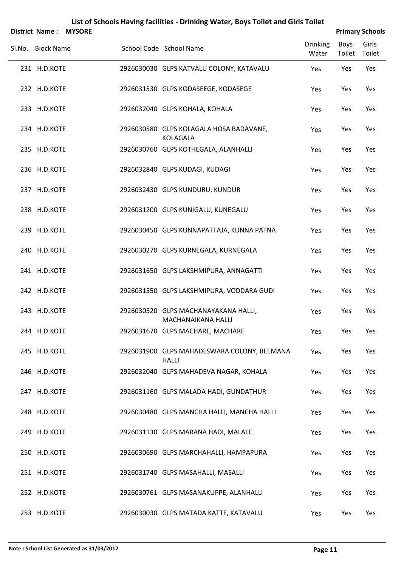| <b>District Name:</b> | <b>MYSORE</b> |                                                             |                          |                | <b>Primary Schools</b> |
|-----------------------|---------------|-------------------------------------------------------------|--------------------------|----------------|------------------------|
| Sl.No. Block Name     |               | School Code School Name                                     | <b>Drinking</b><br>Water | Boys<br>Toilet | Girls<br>Toilet        |
| 231 H.D.KOTE          |               | 2926030030 GLPS KATVALU COLONY, KATAVALU                    | Yes                      | Yes            | Yes                    |
| 232 H.D.KOTE          |               | 2926031530 GLPS KODASEEGE, KODASEGE                         | Yes                      | Yes            | Yes                    |
| 233 H.D.KOTE          |               | 2926032040 GLPS KOHALA, KOHALA                              | Yes                      | Yes            | Yes                    |
| 234 H.D.KOTE          |               | 2926030580 GLPS KOLAGALA HOSA BADAVANE,<br>KOLAGALA         | Yes                      | Yes            | Yes                    |
| 235 H.D.KOTE          |               | 2926030760 GLPS KOTHEGALA, ALANHALLI                        | Yes                      | Yes            | Yes                    |
| 236 H.D.KOTE          |               | 2926032840 GLPS KUDAGI, KUDAGI                              | Yes                      | Yes            | Yes                    |
| 237 H.D.KOTE          |               | 2926032430 GLPS KUNDURU, KUNDUR                             | Yes                      | Yes            | Yes                    |
| 238 H.D.KOTE          |               | 2926031200 GLPS KUNIGALU, KUNEGALU                          | Yes                      | Yes            | Yes                    |
| 239 H.D.KOTE          |               | 2926030450 GLPS KUNNAPATTAJA, KUNNA PATNA                   | Yes                      | Yes            | Yes                    |
| 240 H.D.KOTE          |               | 2926030270 GLPS KURNEGALA, KURNEGALA                        | Yes                      | Yes            | Yes                    |
| 241 H.D.KOTE          |               | 2926031650 GLPS LAKSHMIPURA, ANNAGATTI                      | Yes                      | Yes            | Yes                    |
| 242 H.D.KOTE          |               | 2926031550 GLPS LAKSHMIPURA, VODDARA GUDI                   | Yes                      | Yes            | Yes                    |
| 243 H.D.KOTE          |               | 2926030520 GLPS MACHANAYAKANA HALLI,<br>MACHANAIKANA HALLI  | Yes                      | Yes            | Yes                    |
| 244 H.D.KOTE          |               | 2926031670 GLPS MACHARE, MACHARE                            | Yes                      | Yes            | Yes                    |
| 245 H.D.KOTE          |               | 2926031900 GLPS MAHADESWARA COLONY, BEEMANA<br><b>HALLI</b> | Yes                      | Yes            | Yes                    |
| 246 H.D.KOTE          |               | 2926032040 GLPS MAHADEVA NAGAR, KOHALA                      | Yes                      | Yes            | Yes                    |
| 247 H.D.KOTE          |               | 2926031160 GLPS MALADA HADI, GUNDATHUR                      | Yes                      | Yes            | Yes                    |
| 248 H.D.KOTE          |               | 2926030480 GLPS MANCHA HALLI, MANCHA HALLI                  | Yes                      | Yes            | Yes                    |
| 249 H.D.KOTE          |               | 2926031130 GLPS MARANA HADI, MALALE                         | Yes                      | Yes            | Yes                    |
| 250 H.D.KOTE          |               | 2926030690 GLPS MARCHAHALLI, HAMPAPURA                      | Yes                      | Yes            | Yes                    |
| 251 H.D.KOTE          |               | 2926031740 GLPS MASAHALLI, MASALLI                          | Yes                      | Yes            | Yes                    |
| 252 H.D.KOTE          |               | 2926030761 GLPS MASANAKUPPE, ALANHALLI                      | Yes                      | Yes            | Yes                    |
| 253 H.D.KOTE          |               | 2926030030 GLPS MATADA KATTE, KATAVALU                      | Yes                      | Yes            | Yes                    |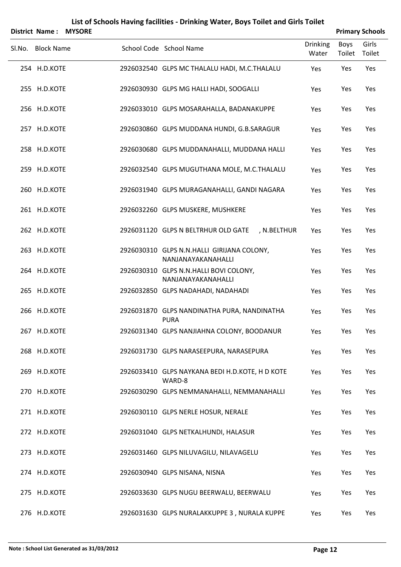|        | <b>District Name:</b> | <b>MYSORE</b> |                                                              |                          |                | <b>Primary Schools</b> |
|--------|-----------------------|---------------|--------------------------------------------------------------|--------------------------|----------------|------------------------|
| Sl.No. | <b>Block Name</b>     |               | School Code School Name                                      | <b>Drinking</b><br>Water | Boys<br>Toilet | Girls<br>Toilet        |
|        | 254 H.D.KOTE          |               | 2926032540 GLPS MC THALALU HADI, M.C.THALALU                 | Yes                      | Yes            | Yes                    |
|        | 255 H.D.KOTE          |               | 2926030930 GLPS MG HALLI HADI, SOOGALLI                      | Yes                      | Yes            | Yes                    |
|        | 256 H.D.KOTE          |               | 2926033010 GLPS MOSARAHALLA, BADANAKUPPE                     | Yes                      | Yes            | Yes                    |
|        | 257 H.D.KOTE          |               | 2926030860 GLPS MUDDANA HUNDI, G.B.SARAGUR                   | Yes                      | Yes            | Yes                    |
|        | 258 H.D.KOTE          |               | 2926030680 GLPS MUDDANAHALLI, MUDDANA HALLI                  | Yes                      | Yes            | Yes                    |
|        | 259 H.D.KOTE          |               | 2926032540 GLPS MUGUTHANA MOLE, M.C.THALALU                  | Yes                      | Yes            | Yes                    |
|        | 260 H.D.KOTE          |               | 2926031940 GLPS MURAGANAHALLI, GANDI NAGARA                  | Yes                      | Yes            | Yes                    |
|        | 261 H.D.KOTE          |               | 2926032260 GLPS MUSKERE, MUSHKERE                            | Yes                      | Yes            | Yes                    |
|        | 262 H.D.KOTE          |               | 2926031120 GLPS N BELTRHUR OLD GATE<br>, N.BELTHUR           | Yes                      | Yes            | Yes                    |
|        | 263 H.D.KOTE          |               | 2926030310 GLPS N.N.HALLI GIRIJANA COLONY,                   | Yes                      | Yes            | Yes                    |
|        | 264 H.D.KOTE          |               | NANJANAYAKANAHALLI<br>2926030310 GLPS N.N.HALLI BOVI COLONY, | Yes                      | Yes            | Yes                    |
|        | 265 H.D.KOTE          |               | NANJANAYAKANAHALLI<br>2926032850 GLPS NADAHADI, NADAHADI     | Yes                      | Yes            | Yes                    |
|        | 266 H.D.KOTE          |               | 2926031870 GLPS NANDINATHA PURA, NANDINATHA<br><b>PURA</b>   | Yes                      | Yes            | Yes                    |
|        | 267 H.D.KOTE          |               | 2926031340 GLPS NANJIAHNA COLONY, BOODANUR                   | Yes                      | Yes            | Yes                    |
|        | 268 H.D.KOTE          |               | 2926031730 GLPS NARASEEPURA, NARASEPURA                      | Yes                      | Yes            | Yes                    |
|        | 269 H.D.KOTE          |               | 2926033410 GLPS NAYKANA BEDI H.D.KOTE, H D KOTE<br>WARD-8    | Yes                      | Yes            | Yes                    |
|        | 270 H.D.KOTE          |               | 2926030290 GLPS NEMMANAHALLI, NEMMANAHALLI                   | Yes                      | Yes            | Yes                    |
|        | 271 H.D.KOTE          |               | 2926030110 GLPS NERLE HOSUR, NERALE                          | Yes                      | Yes            | Yes                    |
|        | 272 H.D.KOTE          |               | 2926031040 GLPS NETKALHUNDI, HALASUR                         | Yes                      | Yes            | Yes                    |
|        | 273 H.D.KOTE          |               | 2926031460 GLPS NILUVAGILU, NILAVAGELU                       | Yes                      | Yes            | Yes                    |
|        | 274 H.D.KOTE          |               | 2926030940 GLPS NISANA, NISNA                                | Yes                      | Yes            | Yes                    |
|        | 275 H.D.KOTE          |               | 2926033630 GLPS NUGU BEERWALU, BEERWALU                      | Yes                      | Yes            | Yes                    |
|        | 276 H.D.KOTE          |               | 2926031630 GLPS NURALAKKUPPE 3, NURALA KUPPE                 | Yes                      | Yes            | Yes                    |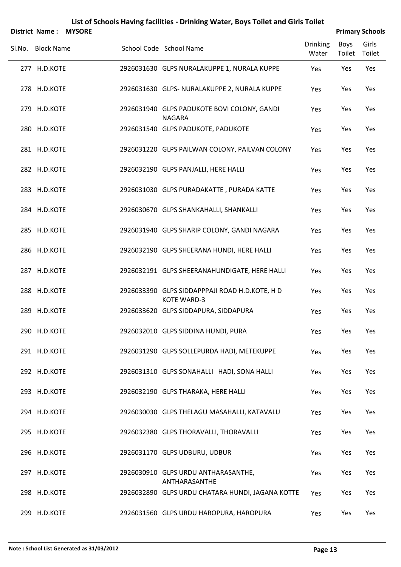| <b>District Name:</b> | <b>MYSORE</b> |                                                                      |                          |                | <b>Primary Schools</b> |
|-----------------------|---------------|----------------------------------------------------------------------|--------------------------|----------------|------------------------|
| Sl.No. Block Name     |               | School Code School Name                                              | <b>Drinking</b><br>Water | Boys<br>Toilet | Girls<br>Toilet        |
| 277 H.D.KOTE          |               | 2926031630 GLPS NURALAKUPPE 1, NURALA KUPPE                          | Yes                      | Yes            | Yes                    |
| 278 H.D.KOTE          |               | 2926031630 GLPS- NURALAKUPPE 2, NURALA KUPPE                         | Yes                      | Yes            | Yes                    |
| 279 H.D.KOTE          |               | 2926031940 GLPS PADUKOTE BOVI COLONY, GANDI<br><b>NAGARA</b>         | Yes                      | Yes            | Yes                    |
| 280 H.D.KOTE          |               | 2926031540 GLPS PADUKOTE, PADUKOTE                                   | Yes                      | Yes            | Yes                    |
| 281 H.D.KOTE          |               | 2926031220 GLPS PAILWAN COLONY, PAILVAN COLONY                       | Yes                      | Yes            | Yes                    |
| 282 H.D.KOTE          |               | 2926032190 GLPS PANJALLI, HERE HALLI                                 | Yes                      | Yes            | Yes                    |
| 283 H.D.KOTE          |               | 2926031030 GLPS PURADAKATTE, PURADA KATTE                            | Yes                      | Yes            | Yes                    |
| 284 H.D.KOTE          |               | 2926030670 GLPS SHANKAHALLI, SHANKALLI                               | Yes                      | Yes            | Yes                    |
| 285 H.D.KOTE          |               | 2926031940 GLPS SHARIP COLONY, GANDI NAGARA                          | Yes                      | Yes            | Yes                    |
| 286 H.D.KOTE          |               | 2926032190 GLPS SHEERANA HUNDI, HERE HALLI                           | Yes                      | Yes            | Yes                    |
| 287 H.D.KOTE          |               | 2926032191 GLPS SHEERANAHUNDIGATE, HERE HALLI                        | Yes                      | Yes            | Yes                    |
| 288 H.D.KOTE          |               | 2926033390 GLPS SIDDAPPPAJI ROAD H.D.KOTE, H D<br><b>KOTE WARD-3</b> | Yes                      | Yes            | Yes                    |
| 289 H.D.KOTE          |               | 2926033620 GLPS SIDDAPURA, SIDDAPURA                                 | Yes                      | Yes            | Yes                    |
| 290 H.D.KOTE          |               | 2926032010 GLPS SIDDINA HUNDI, PURA                                  | Yes                      | Yes            | Yes                    |
| 291 H.D.KOTE          |               | 2926031290 GLPS SOLLEPURDA HADI, METEKUPPE                           | Yes                      | Yes            | Yes                    |
| 292 H.D.KOTE          |               | 2926031310 GLPS SONAHALLI HADI, SONA HALLI                           | Yes                      | Yes            | Yes                    |
| 293 H.D.KOTE          |               | 2926032190 GLPS THARAKA, HERE HALLI                                  | Yes                      | Yes            | Yes                    |
| 294 H.D.KOTE          |               | 2926030030 GLPS THELAGU MASAHALLI, KATAVALU                          | Yes                      | Yes            | Yes                    |
| 295 H.D.KOTE          |               | 2926032380 GLPS THORAVALLI, THORAVALLI                               | Yes                      | Yes            | Yes                    |
| 296 H.D.KOTE          |               | 2926031170 GLPS UDBURU, UDBUR                                        | Yes                      | Yes            | Yes                    |
| 297 H.D.KOTE          |               | 2926030910 GLPS URDU ANTHARASANTHE,<br>ANTHARASANTHE                 | Yes                      | Yes            | Yes                    |
| 298 H.D.KOTE          |               | 2926032890 GLPS URDU CHATARA HUNDI, JAGANA KOTTE                     | Yes                      | Yes            | Yes                    |
| 299 H.D.KOTE          |               | 2926031560 GLPS URDU HAROPURA, HAROPURA                              | Yes                      | Yes            | Yes                    |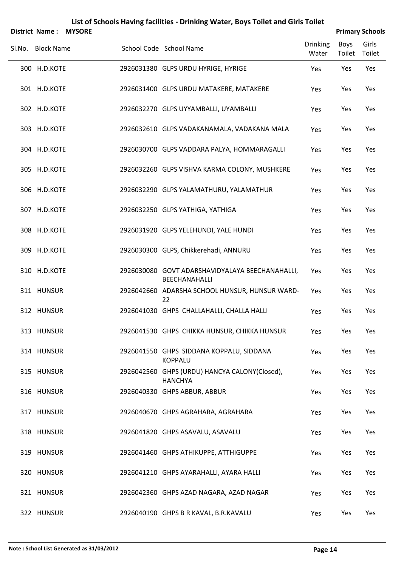| <b>District Name:</b> | <b>MYSORE</b> |                                                                  |                          |                | <b>Primary Schools</b> |
|-----------------------|---------------|------------------------------------------------------------------|--------------------------|----------------|------------------------|
| Sl.No. Block Name     |               | School Code School Name                                          | <b>Drinking</b><br>Water | Boys<br>Toilet | Girls<br>Toilet        |
| 300 H.D.KOTE          |               | 2926031380 GLPS URDU HYRIGE, HYRIGE                              | Yes                      | Yes            | Yes                    |
| 301 H.D.KOTE          |               | 2926031400 GLPS URDU MATAKERE, MATAKERE                          | Yes                      | Yes            | Yes                    |
| 302 H.D.KOTE          |               | 2926032270 GLPS UYYAMBALLI, UYAMBALLI                            | Yes                      | Yes            | Yes                    |
| 303 H.D.KOTE          |               | 2926032610 GLPS VADAKANAMALA, VADAKANA MALA                      | Yes                      | Yes            | Yes                    |
| 304 H.D.KOTE          |               | 2926030700 GLPS VADDARA PALYA, HOMMARAGALLI                      | Yes                      | Yes            | Yes                    |
| 305 H.D.KOTE          |               | 2926032260 GLPS VISHVA KARMA COLONY, MUSHKERE                    | Yes                      | Yes            | Yes                    |
| 306 H.D.KOTE          |               | 2926032290 GLPS YALAMATHURU, YALAMATHUR                          | Yes                      | Yes            | Yes                    |
| 307 H.D.KOTE          |               | 2926032250 GLPS YATHIGA, YATHIGA                                 | Yes                      | Yes            | Yes                    |
| 308 H.D.KOTE          |               | 2926031920 GLPS YELEHUNDI, YALE HUNDI                            | Yes                      | Yes            | Yes                    |
| 309 H.D.KOTE          |               | 2926030300 GLPS, Chikkerehadi, ANNURU                            | Yes                      | Yes            | Yes                    |
| 310 H.D.KOTE          |               | 2926030080 GOVT ADARSHAVIDYALAYA BEECHANAHALLI,<br>BEECHANAHALLI | Yes                      | Yes            | Yes                    |
| 311 HUNSUR            |               | 2926042660 ADARSHA SCHOOL HUNSUR, HUNSUR WARD-<br>22             | Yes                      | Yes            | Yes                    |
| 312 HUNSUR            |               | 2926041030 GHPS CHALLAHALLI, CHALLA HALLI                        | Yes                      | Yes            | Yes                    |
| 313 HUNSUR            |               | 2926041530 GHPS CHIKKA HUNSUR, CHIKKA HUNSUR                     | Yes                      | Yes            | Yes                    |
| 314 HUNSUR            |               | 2926041550 GHPS SIDDANA KOPPALU, SIDDANA<br><b>KOPPALU</b>       | Yes                      | Yes            | Yes                    |
| 315 HUNSUR            |               | 2926042560 GHPS (URDU) HANCYA CALONY(Closed),<br><b>HANCHYA</b>  | Yes                      | Yes            | Yes                    |
| 316 HUNSUR            |               | 2926040330 GHPS ABBUR, ABBUR                                     | Yes                      | Yes            | Yes                    |
| 317 HUNSUR            |               | 2926040670 GHPS AGRAHARA, AGRAHARA                               | Yes                      | Yes            | Yes                    |
| 318 HUNSUR            |               | 2926041820 GHPS ASAVALU, ASAVALU                                 | Yes                      | Yes            | Yes                    |
| 319 HUNSUR            |               | 2926041460 GHPS ATHIKUPPE, ATTHIGUPPE                            | Yes                      | Yes            | Yes                    |
| 320 HUNSUR            |               | 2926041210 GHPS AYARAHALLI, AYARA HALLI                          | Yes                      | Yes            | Yes                    |
| 321 HUNSUR            |               | 2926042360 GHPS AZAD NAGARA, AZAD NAGAR                          | Yes                      | Yes            | Yes                    |
| 322 HUNSUR            |               | 2926040190 GHPS B R KAVAL, B.R.KAVALU                            | Yes                      | Yes            | Yes                    |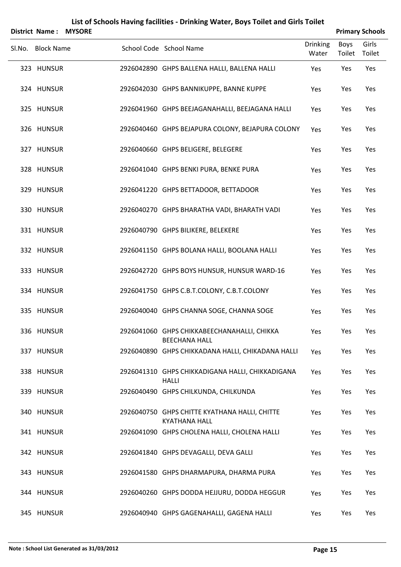| <b>District Name:</b> | <b>MYSORE</b> |                                                                      |                          |                | <b>Primary Schools</b> |
|-----------------------|---------------|----------------------------------------------------------------------|--------------------------|----------------|------------------------|
| Sl.No. Block Name     |               | School Code School Name                                              | <b>Drinking</b><br>Water | Boys<br>Toilet | Girls<br>Toilet        |
| 323 HUNSUR            |               | 2926042890 GHPS BALLENA HALLI, BALLENA HALLI                         | Yes                      | Yes            | Yes                    |
| 324 HUNSUR            |               | 2926042030 GHPS BANNIKUPPE, BANNE KUPPE                              | Yes                      | Yes            | Yes                    |
| 325 HUNSUR            |               | 2926041960 GHPS BEEJAGANAHALLI, BEEJAGANA HALLI                      | Yes                      | Yes            | Yes                    |
| 326 HUNSUR            |               | 2926040460 GHPS BEJAPURA COLONY, BEJAPURA COLONY                     | Yes                      | Yes            | Yes                    |
| 327 HUNSUR            |               | 2926040660 GHPS BELIGERE, BELEGERE                                   | Yes                      | Yes            | Yes                    |
| 328 HUNSUR            |               | 2926041040 GHPS BENKI PURA, BENKE PURA                               | Yes                      | Yes            | Yes                    |
| 329 HUNSUR            |               | 2926041220 GHPS BETTADOOR, BETTADOOR                                 | Yes                      | Yes            | Yes                    |
| 330 HUNSUR            |               | 2926040270 GHPS BHARATHA VADI, BHARATH VADI                          | Yes                      | Yes            | Yes                    |
| 331 HUNSUR            |               | 2926040790 GHPS BILIKERE, BELEKERE                                   | Yes                      | Yes            | Yes                    |
| 332 HUNSUR            |               | 2926041150 GHPS BOLANA HALLI, BOOLANA HALLI                          | Yes                      | Yes            | Yes                    |
| 333 HUNSUR            |               | 2926042720 GHPS BOYS HUNSUR, HUNSUR WARD-16                          | Yes                      | Yes            | Yes                    |
| 334 HUNSUR            |               | 2926041750 GHPS C.B.T.COLONY, C.B.T.COLONY                           | Yes                      | Yes            | Yes                    |
| 335 HUNSUR            |               | 2926040040 GHPS CHANNA SOGE, CHANNA SOGE                             | Yes                      | Yes            | Yes                    |
| 336 HUNSUR            |               | 2926041060 GHPS CHIKKABEECHANAHALLI, CHIKKA<br><b>BEECHANA HALL</b>  | Yes                      | Yes            | Yes                    |
| 337 HUNSUR            |               | 2926040890 GHPS CHIKKADANA HALLI, CHIKADANA HALLI                    | Yes                      | Yes            | Yes                    |
| 338 HUNSUR            |               | 2926041310 GHPS CHIKKADIGANA HALLI, CHIKKADIGANA<br><b>HALLI</b>     | Yes                      | Yes            | Yes                    |
| 339 HUNSUR            |               | 2926040490 GHPS CHILKUNDA, CHILKUNDA                                 | Yes                      | Yes            | Yes                    |
| 340 HUNSUR            |               | 2926040750 GHPS CHITTE KYATHANA HALLI, CHITTE                        | Yes                      | Yes            | Yes                    |
| 341 HUNSUR            |               | <b>KYATHANA HALL</b><br>2926041090 GHPS CHOLENA HALLI, CHOLENA HALLI | Yes                      | Yes            | Yes                    |
| 342 HUNSUR            |               | 2926041840 GHPS DEVAGALLI, DEVA GALLI                                | Yes                      | Yes            | Yes                    |
| 343 HUNSUR            |               | 2926041580 GHPS DHARMAPURA, DHARMA PURA                              | Yes                      | Yes            | Yes                    |
| 344 HUNSUR            |               | 2926040260 GHPS DODDA HEJJURU, DODDA HEGGUR                          | Yes                      | Yes            | Yes                    |
| 345 HUNSUR            |               | 2926040940 GHPS GAGENAHALLI, GAGENA HALLI                            | Yes                      | Yes            | Yes                    |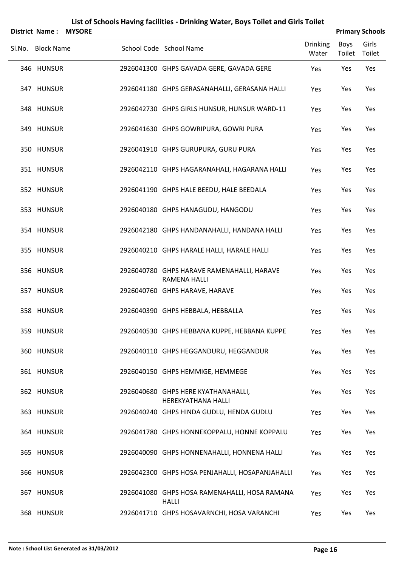|        | <b>District Name:</b> | <b>MYSORE</b> |                                                                   |                          |                | <b>Primary Schools</b> |
|--------|-----------------------|---------------|-------------------------------------------------------------------|--------------------------|----------------|------------------------|
| Sl.No. | <b>Block Name</b>     |               | School Code School Name                                           | <b>Drinking</b><br>Water | Boys<br>Toilet | Girls<br>Toilet        |
|        | 346 HUNSUR            |               | 2926041300 GHPS GAVADA GERE, GAVADA GERE                          | Yes                      | Yes            | Yes                    |
|        | 347 HUNSUR            |               | 2926041180 GHPS GERASANAHALLI, GERASANA HALLI                     | Yes                      | Yes            | Yes                    |
|        | 348 HUNSUR            |               | 2926042730 GHPS GIRLS HUNSUR, HUNSUR WARD-11                      | Yes                      | Yes            | Yes                    |
|        | 349 HUNSUR            |               | 2926041630 GHPS GOWRIPURA, GOWRI PURA                             | Yes                      | Yes            | Yes                    |
|        | 350 HUNSUR            |               | 2926041910 GHPS GURUPURA, GURU PURA                               | Yes                      | Yes            | Yes                    |
|        | 351 HUNSUR            |               | 2926042110 GHPS HAGARANAHALI, HAGARANA HALLI                      | Yes                      | Yes            | Yes                    |
|        | 352 HUNSUR            |               | 2926041190 GHPS HALE BEEDU, HALE BEEDALA                          | Yes                      | Yes            | Yes                    |
|        | 353 HUNSUR            |               | 2926040180 GHPS HANAGUDU, HANGODU                                 | Yes                      | Yes            | Yes                    |
|        | 354 HUNSUR            |               | 2926042180 GHPS HANDANAHALLI, HANDANA HALLI                       | Yes                      | Yes            | Yes                    |
|        | 355 HUNSUR            |               | 2926040210 GHPS HARALE HALLI, HARALE HALLI                        | Yes                      | Yes            | Yes                    |
|        | 356 HUNSUR            |               | 2926040780 GHPS HARAVE RAMENAHALLI, HARAVE<br><b>RAMENA HALLI</b> | Yes                      | Yes            | Yes                    |
|        | 357 HUNSUR            |               | 2926040760 GHPS HARAVE, HARAVE                                    | Yes                      | Yes            | Yes                    |
|        | 358 HUNSUR            |               | 2926040390 GHPS HEBBALA, HEBBALLA                                 | Yes                      | Yes            | Yes                    |
|        | 359 HUNSUR            |               | 2926040530 GHPS HEBBANA KUPPE, HEBBANA KUPPE                      | Yes                      | Yes            | Yes                    |
|        | 360 HUNSUR            |               | 2926040110 GHPS HEGGANDURU, HEGGANDUR                             | Yes                      | Yes            | Yes                    |
|        | 361 HUNSUR            |               | 2926040150 GHPS HEMMIGE, HEMMEGE                                  | Yes                      | Yes            | Yes                    |
|        | 362 HUNSUR            |               | 2926040680 GHPS HERE KYATHANAHALLI,<br><b>HEREKYATHANA HALLI</b>  | Yes                      | Yes            | Yes                    |
|        | 363 HUNSUR            |               | 2926040240 GHPS HINDA GUDLU, HENDA GUDLU                          | Yes                      | Yes            | Yes                    |
|        | 364 HUNSUR            |               | 2926041780 GHPS HONNEKOPPALU, HONNE KOPPALU                       | Yes                      | Yes            | Yes                    |
|        | 365 HUNSUR            |               | 2926040090 GHPS HONNENAHALLI, HONNENA HALLI                       | Yes                      | Yes            | Yes                    |
|        | 366 HUNSUR            |               | 2926042300 GHPS HOSA PENJAHALLI, HOSAPANJAHALLI                   | Yes                      | Yes            | Yes                    |
|        | 367 HUNSUR            |               | 2926041080 GHPS HOSA RAMENAHALLI, HOSA RAMANA                     | Yes                      | Yes            | Yes                    |
|        | 368 HUNSUR            |               | <b>HALLI</b><br>2926041710 GHPS HOSAVARNCHI, HOSA VARANCHI        | Yes                      | Yes            | Yes                    |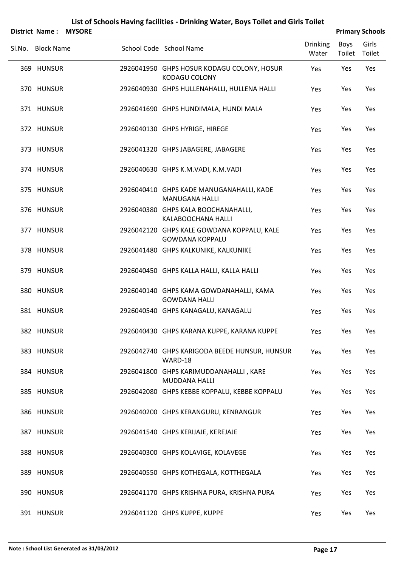|        | District Name:    | <b>MYSORE</b> |                                                                      |                          |                | <b>Primary Schools</b> |
|--------|-------------------|---------------|----------------------------------------------------------------------|--------------------------|----------------|------------------------|
| Sl.No. | <b>Block Name</b> |               | School Code School Name                                              | <b>Drinking</b><br>Water | Boys<br>Toilet | Girls<br>Toilet        |
|        | 369 HUNSUR        |               | 2926041950 GHPS HOSUR KODAGU COLONY, HOSUR<br><b>KODAGU COLONY</b>   | Yes                      | Yes            | Yes                    |
|        | 370 HUNSUR        |               | 2926040930 GHPS HULLENAHALLI, HULLENA HALLI                          | Yes                      | Yes            | Yes                    |
|        | 371 HUNSUR        |               | 2926041690 GHPS HUNDIMALA, HUNDI MALA                                | Yes                      | Yes            | Yes                    |
|        | 372 HUNSUR        |               | 2926040130 GHPS HYRIGE, HIREGE                                       | Yes                      | Yes            | Yes                    |
|        | 373 HUNSUR        |               | 2926041320 GHPS JABAGERE, JABAGERE                                   | Yes                      | Yes            | Yes                    |
|        | 374 HUNSUR        |               | 2926040630 GHPS K.M.VADI, K.M.VADI                                   | Yes                      | Yes            | Yes                    |
|        | 375 HUNSUR        |               | 2926040410 GHPS KADE MANUGANAHALLI, KADE<br><b>MANUGANA HALLI</b>    | Yes                      | Yes            | Yes                    |
|        | 376 HUNSUR        |               | 2926040380 GHPS KALA BOOCHANAHALLI,<br>KALABOOCHANA HALLI            | Yes                      | Yes            | Yes                    |
|        | 377 HUNSUR        |               | 2926042120 GHPS KALE GOWDANA KOPPALU, KALE<br><b>GOWDANA KOPPALU</b> | Yes                      | Yes            | Yes                    |
|        | 378 HUNSUR        |               | 2926041480 GHPS KALKUNIKE, KALKUNIKE                                 | Yes                      | Yes            | Yes                    |
|        | 379 HUNSUR        |               | 2926040450 GHPS KALLA HALLI, KALLA HALLI                             | Yes                      | Yes            | Yes                    |
|        | 380 HUNSUR        |               | 2926040140 GHPS KAMA GOWDANAHALLI, KAMA<br><b>GOWDANA HALLI</b>      | Yes                      | Yes            | Yes                    |
|        | 381 HUNSUR        |               | 2926040540 GHPS KANAGALU, KANAGALU                                   | Yes                      | Yes            | Yes                    |
|        | 382 HUNSUR        |               | 2926040430 GHPS KARANA KUPPE, KARANA KUPPE                           | Yes                      | Yes            | Yes                    |
|        | 383 HUNSUR        |               | 2926042740 GHPS KARIGODA BEEDE HUNSUR, HUNSUR<br>WARD-18             | Yes                      | Yes            | Yes                    |
|        | 384 HUNSUR        |               | 2926041800 GHPS KARIMUDDANAHALLI, KARE<br><b>MUDDANA HALLI</b>       | Yes                      | Yes            | Yes                    |
|        | 385 HUNSUR        |               | 2926042080 GHPS KEBBE KOPPALU, KEBBE KOPPALU                         | Yes                      | Yes            | Yes                    |
|        | 386 HUNSUR        |               | 2926040200 GHPS KERANGURU, KENRANGUR                                 | Yes                      | Yes            | Yes                    |
|        | 387 HUNSUR        |               | 2926041540 GHPS KERIJAJE, KEREJAJE                                   | Yes                      | Yes            | Yes                    |
|        | 388 HUNSUR        |               | 2926040300 GHPS KOLAVIGE, KOLAVEGE                                   | Yes                      | Yes            | Yes                    |
|        | 389 HUNSUR        |               | 2926040550 GHPS KOTHEGALA, KOTTHEGALA                                | Yes                      | Yes            | Yes                    |
|        | 390 HUNSUR        |               | 2926041170 GHPS KRISHNA PURA, KRISHNA PURA                           | Yes                      | Yes            | Yes                    |
|        | 391 HUNSUR        |               | 2926041120 GHPS KUPPE, KUPPE                                         | Yes                      | Yes            | Yes                    |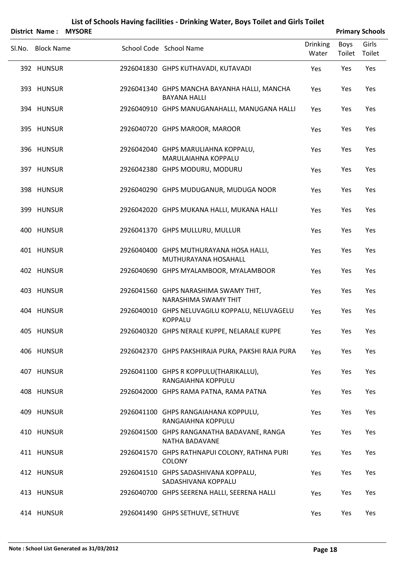| <b>District Name:</b> | <b>MYSORE</b> |                                                                     |                          |                | <b>Primary Schools</b> |
|-----------------------|---------------|---------------------------------------------------------------------|--------------------------|----------------|------------------------|
| Sl.No. Block Name     |               | School Code School Name                                             | <b>Drinking</b><br>Water | Boys<br>Toilet | Girls<br>Toilet        |
| 392 HUNSUR            |               | 2926041830 GHPS KUTHAVADI, KUTAVADI                                 | Yes                      | Yes            | Yes                    |
| 393 HUNSUR            |               | 2926041340 GHPS MANCHA BAYANHA HALLI, MANCHA<br><b>BAYANA HALLI</b> | Yes                      | Yes            | Yes                    |
| 394 HUNSUR            |               | 2926040910 GHPS MANUGANAHALLI, MANUGANA HALLI                       | Yes                      | Yes            | Yes                    |
| 395 HUNSUR            |               | 2926040720 GHPS MAROOR, MAROOR                                      | Yes                      | Yes            | Yes                    |
| 396 HUNSUR            |               | 2926042040 GHPS MARULIAHNA KOPPALU,<br>MARULAIAHNA KOPPALU          | Yes                      | Yes            | Yes                    |
| 397 HUNSUR            |               | 2926042380 GHPS MODURU, MODURU                                      | Yes                      | Yes            | Yes                    |
| 398 HUNSUR            |               | 2926040290 GHPS MUDUGANUR, MUDUGA NOOR                              | Yes                      | Yes            | Yes                    |
| 399 HUNSUR            |               | 2926042020 GHPS MUKANA HALLI, MUKANA HALLI                          | Yes                      | Yes            | Yes                    |
| 400 HUNSUR            |               | 2926041370 GHPS MULLURU, MULLUR                                     | Yes                      | Yes            | Yes                    |
| 401 HUNSUR            |               | 2926040400 GHPS MUTHURAYANA HOSA HALLI,<br>MUTHURAYANA HOSAHALL     | Yes                      | Yes            | Yes                    |
| 402 HUNSUR            |               | 2926040690 GHPS MYALAMBOOR, MYALAMBOOR                              | Yes                      | Yes            | Yes                    |
| 403 HUNSUR            |               | 2926041560 GHPS NARASHIMA SWAMY THIT,<br>NARASHIMA SWAMY THIT       | Yes                      | Yes            | Yes                    |
| 404 HUNSUR            |               | 2926040010 GHPS NELUVAGILU KOPPALU, NELUVAGELU<br><b>KOPPALU</b>    | Yes                      | Yes            | Yes                    |
| 405 HUNSUR            |               | 2926040320 GHPS NERALE KUPPE, NELARALE KUPPE                        | Yes                      | Yes            | Yes                    |
| 406 HUNSUR            |               | 2926042370 GHPS PAKSHIRAJA PURA, PAKSHI RAJA PURA                   | Yes                      | Yes            | Yes                    |
| 407 HUNSUR            |               | 2926041100 GHPS R KOPPULU(THARIKALLU),<br>RANGAIAHNA KOPPULU        | Yes                      | Yes            | Yes                    |
| 408 HUNSUR            |               | 2926042000 GHPS RAMA PATNA, RAMA PATNA                              | Yes                      | Yes            | Yes                    |
| 409 HUNSUR            |               | 2926041100 GHPS RANGAIAHANA KOPPULU,<br>RANGAIAHNA KOPPULU          | Yes                      | Yes            | Yes                    |
| 410 HUNSUR            |               | 2926041500 GHPS RANGANATHA BADAVANE, RANGA<br>NATHA BADAVANE        | Yes                      | Yes            | Yes                    |
| 411 HUNSUR            |               | 2926041570 GHPS RATHNAPUI COLONY, RATHNA PURI<br><b>COLONY</b>      | Yes                      | Yes            | Yes                    |
| 412 HUNSUR            |               | 2926041510 GHPS SADASHIVANA KOPPALU,<br>SADASHIVANA KOPPALU         | Yes                      | Yes            | Yes                    |
| 413 HUNSUR            |               | 2926040700 GHPS SEERENA HALLI, SEERENA HALLI                        | Yes                      | Yes            | Yes                    |
| 414 HUNSUR            |               | 2926041490 GHPS SETHUVE, SETHUVE                                    | Yes                      | Yes            | Yes                    |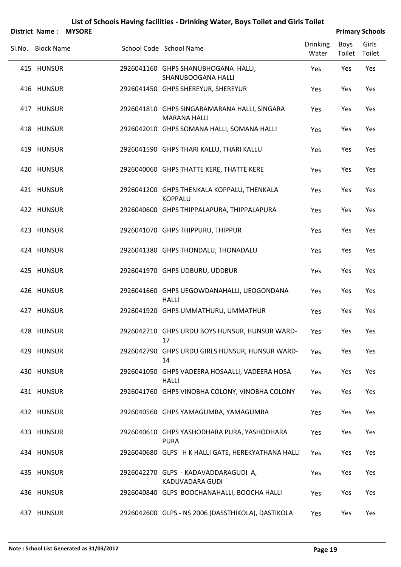|        | <b>District Name:</b> | <b>MYSORE</b> |                                                                     |                          |                | <b>Primary Schools</b> |
|--------|-----------------------|---------------|---------------------------------------------------------------------|--------------------------|----------------|------------------------|
| SI.No. | <b>Block Name</b>     |               | School Code School Name                                             | <b>Drinking</b><br>Water | Boys<br>Toilet | Girls<br>Toilet        |
|        | 415 HUNSUR            |               | 2926041160 GHPS SHANUBHOGANA HALLI,<br><b>SHANUBOOGANA HALLI</b>    | Yes                      | Yes            | Yes                    |
|        | 416 HUNSUR            |               | 2926041450 GHPS SHEREYUR, SHEREYUR                                  | Yes                      | Yes            | Yes                    |
|        | 417 HUNSUR            |               | 2926041810 GHPS SINGARAMARANA HALLI, SINGARA<br><b>MARANA HALLI</b> | Yes                      | Yes            | Yes                    |
|        | 418 HUNSUR            |               | 2926042010 GHPS SOMANA HALLI, SOMANA HALLI                          | Yes                      | Yes            | Yes                    |
|        | 419 HUNSUR            |               | 2926041590 GHPS THARI KALLU, THARI KALLU                            | Yes                      | Yes            | Yes                    |
|        | 420 HUNSUR            |               | 2926040060 GHPS THATTE KERE, THATTE KERE                            | Yes                      | Yes            | Yes                    |
|        | 421 HUNSUR            |               | 2926041200 GHPS THENKALA KOPPALU, THENKALA<br><b>KOPPALU</b>        | Yes                      | Yes            | Yes                    |
|        | 422 HUNSUR            |               | 2926040600 GHPS THIPPALAPURA, THIPPALAPURA                          | Yes                      | Yes            | Yes                    |
|        | 423 HUNSUR            |               | 2926041070 GHPS THIPPURU, THIPPUR                                   | Yes                      | Yes            | Yes                    |
|        | 424 HUNSUR            |               | 2926041380 GHPS THONDALU, THONADALU                                 | Yes                      | Yes            | Yes                    |
|        | 425 HUNSUR            |               | 2926041970 GHPS UDBURU, UDDBUR                                      | Yes                      | Yes            | Yes                    |
|        | 426 HUNSUR            |               | 2926041660 GHPS UEGOWDANAHALLI, UEOGONDANA<br><b>HALLI</b>          | Yes                      | Yes            | Yes                    |
|        | 427 HUNSUR            |               | 2926041920 GHPS UMMATHURU, UMMATHUR                                 | Yes                      | Yes            | Yes                    |
|        | 428 HUNSUR            |               | 2926042710 GHPS URDU BOYS HUNSUR, HUNSUR WARD-<br>17                | Yes                      | Yes            | Yes                    |
|        | 429 HUNSUR            |               | 2926042790 GHPS URDU GIRLS HUNSUR, HUNSUR WARD-<br>14               | Yes                      | Yes            | Yes                    |
|        | 430 HUNSUR            |               | 2926041050 GHPS VADEERA HOSAALLI, VADEERA HOSA<br><b>HALLI</b>      | Yes                      | Yes            | Yes                    |
|        | 431 HUNSUR            |               | 2926041760 GHPS VINOBHA COLONY, VINOBHA COLONY                      | Yes                      | Yes            | Yes                    |
|        | 432 HUNSUR            |               | 2926040560 GHPS YAMAGUMBA, YAMAGUMBA                                | Yes                      | Yes            | Yes                    |
|        | 433 HUNSUR            |               | 2926040610 GHPS YASHODHARA PURA, YASHODHARA<br><b>PURA</b>          | Yes                      | Yes            | Yes                    |
|        | 434 HUNSUR            |               | 2926040680 GLPS H K HALLI GATE, HEREKYATHANA HALLI                  | Yes                      | Yes            | Yes                    |
|        | 435 HUNSUR            |               | 2926042270 GLPS - KADAVADDARAGUDI A,<br>KADUVADARA GUDI             | Yes                      | Yes            | Yes                    |
|        | 436 HUNSUR            |               | 2926040840 GLPS BOOCHANAHALLI, BOOCHA HALLI                         | Yes                      | Yes            | Yes                    |
|        | 437 HUNSUR            |               | 2926042600 GLPS - NS 2006 (DASSTHIKOLA), DASTIKOLA                  | Yes                      | Yes            | Yes                    |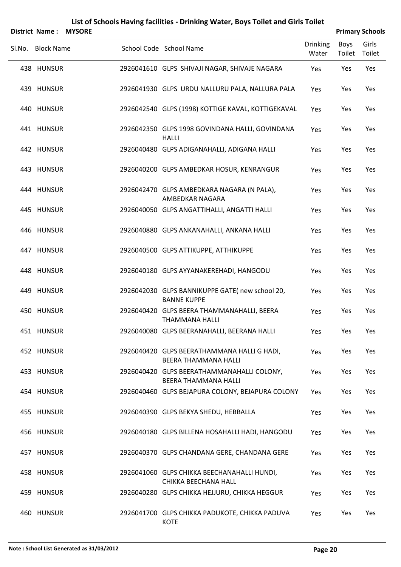|        | <b>District Name:</b> | <b>MYSORE</b> |                                                                      |                          |                       | <b>Primary Schools</b> |
|--------|-----------------------|---------------|----------------------------------------------------------------------|--------------------------|-----------------------|------------------------|
| SI.No. | <b>Block Name</b>     |               | School Code School Name                                              | <b>Drinking</b><br>Water | Boys<br>Toilet Toilet | Girls                  |
|        | 438 HUNSUR            |               | 2926041610 GLPS SHIVAJI NAGAR, SHIVAJE NAGARA                        | Yes                      | Yes                   | Yes                    |
|        | 439 HUNSUR            |               | 2926041930 GLPS URDU NALLURU PALA, NALLURA PALA                      | Yes                      | Yes                   | Yes                    |
|        | 440 HUNSUR            |               | 2926042540 GLPS (1998) KOTTIGE KAVAL, KOTTIGEKAVAL                   | Yes                      | Yes                   | Yes                    |
|        | 441 HUNSUR            |               | 2926042350 GLPS 1998 GOVINDANA HALLI, GOVINDANA<br><b>HALLI</b>      | Yes                      | Yes                   | Yes                    |
|        | 442 HUNSUR            |               | 2926040480 GLPS ADIGANAHALLI, ADIGANA HALLI                          | Yes                      | Yes                   | Yes                    |
|        | 443 HUNSUR            |               | 2926040200 GLPS AMBEDKAR HOSUR, KENRANGUR                            | Yes                      | Yes                   | Yes                    |
|        | 444 HUNSUR            |               | 2926042470 GLPS AMBEDKARA NAGARA (N PALA),<br>AMBEDKAR NAGARA        | Yes                      | Yes                   | Yes                    |
|        | 445 HUNSUR            |               | 2926040050 GLPS ANGATTIHALLI, ANGATTI HALLI                          | Yes                      | Yes                   | Yes                    |
|        | 446 HUNSUR            |               | 2926040880 GLPS ANKANAHALLI, ANKANA HALLI                            | Yes                      | Yes                   | Yes                    |
|        | 447 HUNSUR            |               | 2926040500 GLPS ATTIKUPPE, ATTHIKUPPE                                | Yes                      | Yes                   | Yes                    |
|        | 448 HUNSUR            |               | 2926040180 GLPS AYYANAKEREHADI, HANGODU                              | Yes                      | Yes                   | Yes                    |
|        | 449 HUNSUR            |               | 2926042030 GLPS BANNIKUPPE GATE(new school 20,<br><b>BANNE KUPPE</b> | Yes                      | Yes                   | Yes                    |
|        | 450 HUNSUR            |               | 2926040420 GLPS BEERA THAMMANAHALLI, BEERA<br><b>THAMMANA HALLI</b>  | Yes                      | Yes                   | Yes                    |
|        | 451 HUNSUR            |               | 2926040080 GLPS BEERANAHALLI, BEERANA HALLI                          | Yes                      | Yes                   | Yes                    |
|        | 452 HUNSUR            |               | 2926040420 GLPS BEERATHAMMANA HALLI G HADI,<br>BEERA THAMMANA HALLI  | Yes                      | Yes                   | Yes                    |
|        | 453 HUNSUR            |               | 2926040420 GLPS BEERATHAMMANAHALLI COLONY,<br>BEERA THAMMANA HALLI   | Yes                      | Yes                   | Yes                    |
|        | 454 HUNSUR            |               | 2926040460 GLPS BEJAPURA COLONY, BEJAPURA COLONY                     | Yes                      | Yes                   | Yes                    |
|        | 455 HUNSUR            |               | 2926040390 GLPS BEKYA SHEDU, HEBBALLA                                | Yes                      | Yes                   | Yes                    |
|        | 456 HUNSUR            |               | 2926040180 GLPS BILLENA HOSAHALLI HADI, HANGODU                      | Yes                      | Yes                   | Yes                    |
|        | 457 HUNSUR            |               | 2926040370 GLPS CHANDANA GERE, CHANDANA GERE                         | Yes                      | Yes                   | Yes                    |
|        | 458 HUNSUR            |               | 2926041060 GLPS CHIKKA BEECHANAHALLI HUNDI,<br>CHIKKA BEECHANA HALL  | Yes                      | Yes                   | Yes                    |
|        | 459 HUNSUR            |               | 2926040280 GLPS CHIKKA HEJJURU, CHIKKA HEGGUR                        | Yes                      | Yes                   | Yes                    |
|        | 460 HUNSUR            |               | 2926041700 GLPS CHIKKA PADUKOTE, CHIKKA PADUVA<br>KOTE               | Yes                      | Yes                   | Yes                    |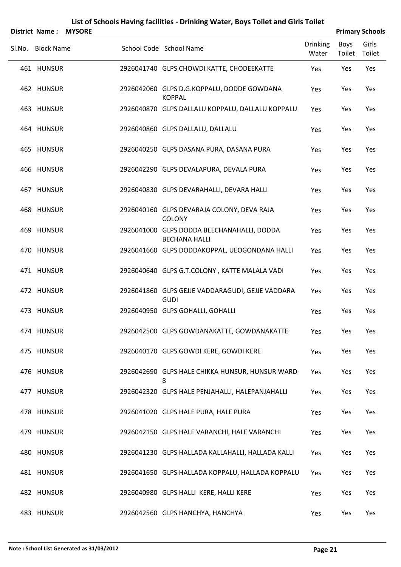| List of Schools Having facilities - Drinking Water, Boys Toilet and Girls Toilet<br><b>Primary Schools</b><br><b>District Name:</b><br><b>MYSORE</b> |                   |  |  |                                                                    |                          |                |                 |  |  |
|------------------------------------------------------------------------------------------------------------------------------------------------------|-------------------|--|--|--------------------------------------------------------------------|--------------------------|----------------|-----------------|--|--|
|                                                                                                                                                      | Sl.No. Block Name |  |  | School Code School Name                                            | <b>Drinking</b><br>Water | Boys<br>Toilet | Girls<br>Toilet |  |  |
|                                                                                                                                                      | 461 HUNSUR        |  |  | 2926041740 GLPS CHOWDI KATTE, CHODEEKATTE                          | Yes                      | Yes            | Yes             |  |  |
|                                                                                                                                                      | 462 HUNSUR        |  |  | 2926042060 GLPS D.G.KOPPALU, DODDE GOWDANA<br><b>KOPPAL</b>        | Yes                      | Yes            | Yes             |  |  |
|                                                                                                                                                      | 463 HUNSUR        |  |  | 2926040870 GLPS DALLALU KOPPALU, DALLALU KOPPALU                   | Yes                      | Yes            | Yes             |  |  |
|                                                                                                                                                      | 464 HUNSUR        |  |  | 2926040860 GLPS DALLALU, DALLALU                                   | Yes                      | Yes            | Yes             |  |  |
|                                                                                                                                                      | 465 HUNSUR        |  |  | 2926040250 GLPS DASANA PURA, DASANA PURA                           | Yes                      | Yes            | Yes             |  |  |
|                                                                                                                                                      | 466 HUNSUR        |  |  | 2926042290 GLPS DEVALAPURA, DEVALA PURA                            | Yes                      | Yes            | Yes             |  |  |
|                                                                                                                                                      | 467 HUNSUR        |  |  | 2926040830 GLPS DEVARAHALLI, DEVARA HALLI                          | Yes                      | Yes            | Yes             |  |  |
|                                                                                                                                                      | 468 HUNSUR        |  |  | 2926040160 GLPS DEVARAJA COLONY, DEVA RAJA<br>COLONY               | Yes                      | Yes            | Yes             |  |  |
|                                                                                                                                                      | 469 HUNSUR        |  |  | 2926041000 GLPS DODDA BEECHANAHALLI, DODDA<br><b>BECHANA HALLI</b> | Yes                      | Yes            | Yes             |  |  |
|                                                                                                                                                      | 470 HUNSUR        |  |  | 2926041660 GLPS DODDAKOPPAL, UEOGONDANA HALLI                      | Yes                      | Yes            | Yes             |  |  |
|                                                                                                                                                      | 471 HUNSUR        |  |  | 2926040640 GLPS G.T.COLONY, KATTE MALALA VADI                      | Yes                      | Yes            | Yes             |  |  |
|                                                                                                                                                      | 472 HUNSUR        |  |  | 2926041860 GLPS GEJJE VADDARAGUDI, GEJJE VADDARA<br><b>GUDI</b>    | Yes                      | Yes            | Yes             |  |  |
|                                                                                                                                                      | 473 HUNSUR        |  |  | 2926040950 GLPS GOHALLI, GOHALLI                                   | Yes                      | Yes            | Yes             |  |  |
|                                                                                                                                                      | 474 HUNSUR        |  |  | 2926042500 GLPS GOWDANAKATTE, GOWDANAKATTE                         | Yes                      | Yes            | Yes             |  |  |
|                                                                                                                                                      | 475 HUNSUR        |  |  | 2926040170 GLPS GOWDI KERE, GOWDI KERE                             | Yes                      | Yes            | Yes             |  |  |
|                                                                                                                                                      | 476 HUNSUR        |  |  | 2926042690 GLPS HALE CHIKKA HUNSUR, HUNSUR WARD-<br>8              | Yes                      | Yes            | Yes             |  |  |
|                                                                                                                                                      | 477 HUNSUR        |  |  | 2926042320 GLPS HALE PENJAHALLI, HALEPANJAHALLI                    | Yes                      | Yes            | Yes             |  |  |
|                                                                                                                                                      | 478 HUNSUR        |  |  | 2926041020 GLPS HALE PURA, HALE PURA                               | Yes                      | Yes            | Yes             |  |  |
|                                                                                                                                                      | 479 HUNSUR        |  |  | 2926042150 GLPS HALE VARANCHI, HALE VARANCHI                       | Yes                      | Yes            | Yes             |  |  |
|                                                                                                                                                      | 480 HUNSUR        |  |  | 2926041230 GLPS HALLADA KALLAHALLI, HALLADA KALLI                  | Yes                      | Yes            | Yes             |  |  |
|                                                                                                                                                      | 481 HUNSUR        |  |  | 2926041650 GLPS HALLADA KOPPALU, HALLADA KOPPALU                   | Yes                      | Yes            | Yes             |  |  |
|                                                                                                                                                      | 482 HUNSUR        |  |  | 2926040980 GLPS HALLI KERE, HALLI KERE                             | Yes                      | Yes            | Yes             |  |  |
|                                                                                                                                                      | 483 HUNSUR        |  |  | 2926042560 GLPS HANCHYA, HANCHYA                                   | Yes                      | Yes            | Yes             |  |  |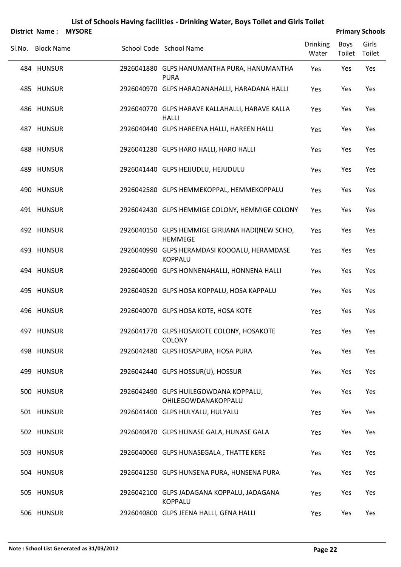|        | <b>District Name:</b> | <b>MYSORE</b> |                                                                   |                          |                | <b>Primary Schools</b> |
|--------|-----------------------|---------------|-------------------------------------------------------------------|--------------------------|----------------|------------------------|
| SI.No. | <b>Block Name</b>     |               | School Code School Name                                           | <b>Drinking</b><br>Water | Boys<br>Toilet | Girls<br>Toilet        |
|        | 484 HUNSUR            |               | 2926041880 GLPS HANUMANTHA PURA, HANUMANTHA<br><b>PURA</b>        | Yes                      | Yes            | Yes                    |
|        | 485 HUNSUR            |               | 2926040970 GLPS HARADANAHALLI, HARADANA HALLI                     | Yes                      | Yes            | Yes                    |
|        | 486 HUNSUR            |               | 2926040770 GLPS HARAVE KALLAHALLI, HARAVE KALLA<br><b>HALLI</b>   | Yes                      | Yes            | Yes                    |
|        | 487 HUNSUR            |               | 2926040440 GLPS HAREENA HALLI, HAREEN HALLI                       | Yes                      | Yes            | Yes                    |
|        | 488 HUNSUR            |               | 2926041280 GLPS HARO HALLI, HARO HALLI                            | Yes                      | Yes            | Yes                    |
|        | 489 HUNSUR            |               | 2926041440 GLPS HEJJUDLU, HEJUDULU                                | Yes                      | Yes            | Yes                    |
|        | 490 HUNSUR            |               | 2926042580 GLPS HEMMEKOPPAL, HEMMEKOPPALU                         | Yes                      | Yes            | Yes                    |
|        | 491 HUNSUR            |               | 2926042430 GLPS HEMMIGE COLONY, HEMMIGE COLONY                    | Yes                      | Yes            | Yes                    |
|        | 492 HUNSUR            |               | 2926040150 GLPS HEMMIGE GIRIJANA HADI(NEW SCHO,<br><b>HEMMEGE</b> | Yes                      | Yes            | Yes                    |
|        | 493 HUNSUR            |               | 2926040990 GLPS HERAMDASI KOOOALU, HERAMDASE<br><b>KOPPALU</b>    | Yes                      | Yes            | Yes                    |
|        | 494 HUNSUR            |               | 2926040090 GLPS HONNENAHALLI, HONNENA HALLI                       | Yes                      | Yes            | Yes                    |
|        | 495 HUNSUR            |               | 2926040520 GLPS HOSA KOPPALU, HOSA KAPPALU                        | Yes                      | Yes            | Yes                    |
|        | 496 HUNSUR            |               | 2926040070 GLPS HOSA KOTE, HOSA KOTE                              | Yes                      | Yes            | Yes                    |
|        | 497 HUNSUR            |               | 2926041770 GLPS HOSAKOTE COLONY, HOSAKOTE<br><b>COLONY</b>        | Yes                      | Yes            | Yes                    |
|        | 498 HUNSUR            |               | 2926042480 GLPS HOSAPURA, HOSA PURA                               | Yes                      | Yes            | Yes                    |
|        | 499 HUNSUR            |               | 2926042440 GLPS HOSSUR(U), HOSSUR                                 | Yes                      | Yes            | Yes                    |
|        | 500 HUNSUR            |               | 2926042490 GLPS HUILEGOWDANA KOPPALU,<br>OHILEGOWDANAKOPPALU      | Yes                      | Yes            | Yes                    |
|        | 501 HUNSUR            |               | 2926041400 GLPS HULYALU, HULYALU                                  | Yes                      | Yes            | Yes                    |
|        | 502 HUNSUR            |               | 2926040470 GLPS HUNASE GALA, HUNASE GALA                          | Yes                      | Yes            | Yes                    |
|        | 503 HUNSUR            |               | 2926040060 GLPS HUNASEGALA, THATTE KERE                           | Yes                      | Yes            | Yes                    |
|        | 504 HUNSUR            |               | 2926041250 GLPS HUNSENA PURA, HUNSENA PURA                        | Yes                      | Yes            | Yes                    |
|        | 505 HUNSUR            |               | 2926042100 GLPS JADAGANA KOPPALU, JADAGANA<br><b>KOPPALU</b>      | Yes                      | Yes            | Yes                    |
|        | 506 HUNSUR            |               | 2926040800 GLPS JEENA HALLI, GENA HALLI                           | Yes                      | Yes            | Yes                    |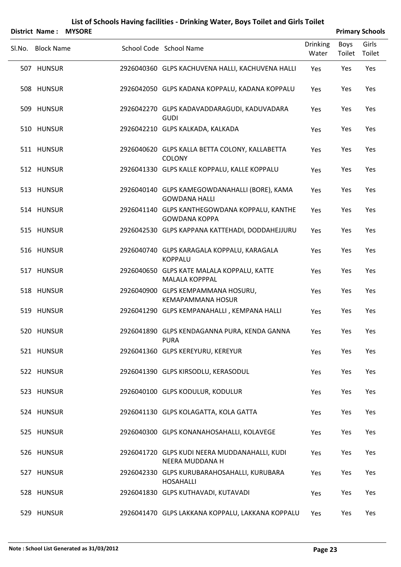|        |                   | District Name: MYSORE |                                                                       |                          |                       | <b>Primary Schools</b> |
|--------|-------------------|-----------------------|-----------------------------------------------------------------------|--------------------------|-----------------------|------------------------|
| Sl.No. | <b>Block Name</b> |                       | School Code School Name                                               | <b>Drinking</b><br>Water | <b>Boys</b><br>Toilet | Girls<br>Toilet        |
|        | 507 HUNSUR        |                       | 2926040360 GLPS KACHUVENA HALLI, KACHUVENA HALLI                      | Yes                      | Yes                   | Yes                    |
|        | 508 HUNSUR        |                       | 2926042050 GLPS KADANA KOPPALU, KADANA KOPPALU                        | Yes                      | Yes                   | Yes                    |
|        | 509 HUNSUR        |                       | 2926042270 GLPS KADAVADDARAGUDI, KADUVADARA<br><b>GUDI</b>            | Yes                      | Yes                   | Yes                    |
|        | 510 HUNSUR        |                       | 2926042210 GLPS KALKADA, KALKADA                                      | Yes                      | Yes                   | Yes                    |
|        | 511 HUNSUR        |                       | 2926040620 GLPS KALLA BETTA COLONY, KALLABETTA<br><b>COLONY</b>       | Yes                      | Yes                   | Yes                    |
|        | 512 HUNSUR        |                       | 2926041330 GLPS KALLE KOPPALU, KALLE KOPPALU                          | Yes                      | Yes                   | Yes                    |
|        | 513 HUNSUR        |                       | 2926040140 GLPS KAMEGOWDANAHALLI (BORE), KAMA<br><b>GOWDANA HALLI</b> | Yes                      | Yes                   | Yes                    |
|        | 514 HUNSUR        |                       | 2926041140 GLPS KANTHEGOWDANA KOPPALU, KANTHE<br><b>GOWDANA KOPPA</b> | Yes                      | Yes                   | Yes                    |
|        | 515 HUNSUR        |                       | 2926042530 GLPS KAPPANA KATTEHADI, DODDAHEJJURU                       | Yes                      | Yes                   | Yes                    |
|        | 516 HUNSUR        |                       | 2926040740 GLPS KARAGALA KOPPALU, KARAGALA<br><b>KOPPALU</b>          | Yes                      | Yes                   | Yes                    |
|        | 517 HUNSUR        |                       | 2926040650 GLPS KATE MALALA KOPPALU, KATTE<br><b>MALALA KOPPPAL</b>   | Yes                      | Yes                   | Yes                    |
|        | 518 HUNSUR        |                       | 2926040900 GLPS KEMPAMMANA HOSURU,<br><b>KEMAPAMMANA HOSUR</b>        | Yes                      | Yes                   | Yes                    |
|        | 519 HUNSUR        |                       | 2926041290 GLPS KEMPANAHALLI, KEMPANA HALLI                           | Yes                      | Yes                   | Yes                    |
|        | 520 HUNSUR        |                       | 2926041890 GLPS KENDAGANNA PURA, KENDA GANNA<br><b>PURA</b>           | Yes                      | Yes                   | Yes                    |
|        | 521 HUNSUR        |                       | 2926041360 GLPS KEREYURU, KEREYUR                                     | Yes                      | Yes                   | Yes                    |
|        | 522 HUNSUR        |                       | 2926041390 GLPS KIRSODLU, KERASODUL                                   | Yes                      | Yes                   | Yes                    |
|        | 523 HUNSUR        |                       | 2926040100 GLPS KODULUR, KODULUR                                      | Yes                      | Yes                   | Yes                    |
|        | 524 HUNSUR        |                       | 2926041130 GLPS KOLAGATTA, KOLA GATTA                                 | Yes                      | Yes                   | Yes                    |
|        | 525 HUNSUR        |                       | 2926040300 GLPS KONANAHOSAHALLI, KOLAVEGE                             | Yes                      | Yes                   | Yes                    |
|        | 526 HUNSUR        |                       | 2926041720 GLPS KUDI NEERA MUDDANAHALLI, KUDI<br>NEERA MUDDANA H      | Yes                      | Yes                   | Yes                    |
|        | 527 HUNSUR        |                       | 2926042330 GLPS KURUBARAHOSAHALLI, KURUBARA<br><b>HOSAHALLI</b>       | Yes                      | Yes                   | Yes                    |
|        | 528 HUNSUR        |                       | 2926041830 GLPS KUTHAVADI, KUTAVADI                                   | Yes                      | Yes                   | Yes                    |
|        | 529 HUNSUR        |                       | 2926041470 GLPS LAKKANA KOPPALU, LAKKANA KOPPALU                      | Yes                      | Yes                   | Yes                    |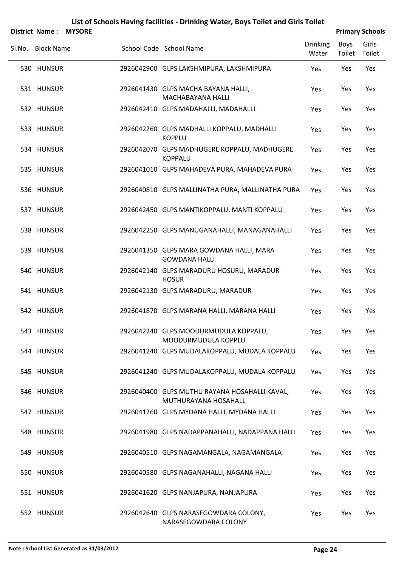|        | <b>District Name:</b> | <b>MYSORE</b> |                                                                       |                          |                | <b>Primary Schools</b> |
|--------|-----------------------|---------------|-----------------------------------------------------------------------|--------------------------|----------------|------------------------|
| SI.No. | <b>Block Name</b>     |               | School Code School Name                                               | <b>Drinking</b><br>Water | Boys<br>Toilet | Girls<br>Toilet        |
|        | 530 HUNSUR            |               | 2926042900 GLPS LAKSHMIPURA, LAKSHMIPURA                              | Yes                      | Yes            | Yes                    |
|        | 531 HUNSUR            |               | 2926041430 GLPS MACHA BAYANA HALLI,<br>MACHABAYANA HALLI              | Yes                      | Yes            | Yes                    |
|        | 532 HUNSUR            |               | 2926042410 GLPS MADAHALLI, MADAHALLI                                  | Yes                      | Yes            | Yes                    |
|        | 533 HUNSUR            |               | 2926042260 GLPS MADHALLI KOPPALU, MADHALLI<br><b>KOPPLU</b>           | Yes                      | Yes            | Yes                    |
|        | 534 HUNSUR            |               | 2926042070 GLPS MADHUGERE KOPPALU, MADHUGERE<br><b>KOPPALU</b>        | Yes                      | Yes            | Yes                    |
|        | 535 HUNSUR            |               | 2926041010 GLPS MAHADEVA PURA, MAHADEVA PURA                          | Yes                      | Yes            | Yes                    |
|        | 536 HUNSUR            |               | 2926040810 GLPS MALLINATHA PURA, MALLINATHA PURA                      | Yes                      | Yes            | Yes                    |
|        | 537 HUNSUR            |               | 2926042450 GLPS MANTIKOPPALU, MANTI KOPPALU                           | Yes                      | Yes            | Yes                    |
|        | 538 HUNSUR            |               | 2926042250 GLPS MANUGANAHALLI, MANAGANAHALLI                          | Yes                      | Yes            | Yes                    |
|        | 539 HUNSUR            |               | 2926041350 GLPS MARA GOWDANA HALLI, MARA<br><b>GOWDANA HALLI</b>      | Yes                      | Yes            | Yes                    |
|        | 540 HUNSUR            |               | 2926042140 GLPS MARADURU HOSURU, MARADUR<br><b>HOSUR</b>              | Yes                      | Yes            | Yes                    |
|        | 541 HUNSUR            |               | 2926042130 GLPS MARADURU, MARADUR                                     | Yes                      | Yes            | Yes                    |
|        | 542 HUNSUR            |               | 2926041870 GLPS MARANA HALLI, MARANA HALLI                            | Yes                      | Yes            | Yes                    |
|        | 543 HUNSUR            |               | 2926042240 GLPS MOODURMUDULA KOPPALU,<br>MOODURMUDULA KOPPLU          | Yes                      | Yes            | Yes                    |
|        | 544 HUNSUR            |               | 2926041240 GLPS MUDALAKOPPALU, MUDALA KOPPALU                         | Yes                      | Yes            | Yes                    |
|        | 545 HUNSUR            |               | 2926041240 GLPS MUDALAKOPPALU, MUDALA KOPPALU                         | Yes                      | Yes            | Yes                    |
|        | 546 HUNSUR            |               | 2926040400 GLPS MUTHU RAYANA HOSAHALLI KAVAL,<br>MUTHURAYANA HOSAHALL | Yes                      | Yes            | Yes                    |
|        | 547 HUNSUR            |               | 2926041260 GLPS MYDANA HALLI, MYDANA HALLI                            | Yes                      | Yes            | Yes                    |
|        | 548 HUNSUR            |               | 2926041980 GLPS NADAPPANAHALLI, NADAPPANA HALLI                       | Yes                      | Yes            | Yes                    |
|        | 549 HUNSUR            |               | 2926040510 GLPS NAGAMANGALA, NAGAMANGALA                              | Yes                      | Yes            | Yes                    |
|        | 550 HUNSUR            |               | 2926040580 GLPS NAGANAHALLI, NAGANA HALLI                             | Yes                      | Yes            | Yes                    |
|        | 551 HUNSUR            |               | 2926041620 GLPS NANJAPURA, NANJAPURA                                  | Yes                      | Yes            | Yes                    |
|        | 552 HUNSUR            |               | 2926042640 GLPS NARASEGOWDARA COLONY,<br>NARASEGOWDARA COLONY         | Yes                      | Yes            | Yes                    |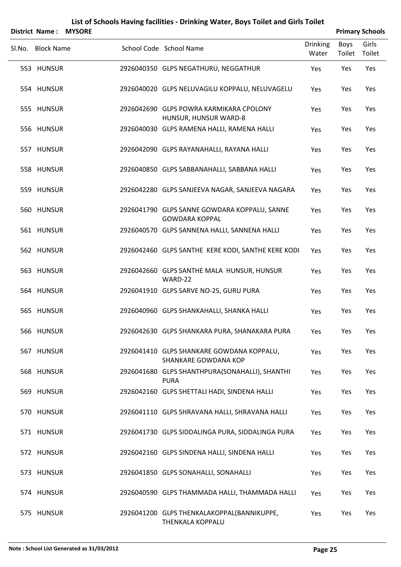|        | District Name:    | <b>MYSORE</b> |                                                                       |                          |                | <b>Primary Schools</b> |
|--------|-------------------|---------------|-----------------------------------------------------------------------|--------------------------|----------------|------------------------|
| Sl.No. | <b>Block Name</b> |               | School Code School Name                                               | <b>Drinking</b><br>Water | Boys<br>Toilet | Girls<br>Toilet        |
|        | 553 HUNSUR        |               | 2926040350 GLPS NEGATHURU, NEGGATHUR                                  | Yes                      | Yes            | Yes                    |
|        | 554 HUNSUR        |               | 2926040020 GLPS NELUVAGILU KOPPALU, NELUVAGELU                        | Yes                      | Yes            | Yes                    |
|        | 555 HUNSUR        |               | 2926042690 GLPS POWRA KARMIKARA CPOLONY<br>HUNSUR, HUNSUR WARD-8      | Yes                      | Yes            | Yes                    |
|        | 556 HUNSUR        |               | 2926040030 GLPS RAMENA HALLI, RAMENA HALLI                            | Yes                      | Yes            | Yes                    |
|        | 557 HUNSUR        |               | 2926042090 GLPS RAYANAHALLI, RAYANA HALLI                             | Yes                      | Yes            | Yes                    |
|        | 558 HUNSUR        |               | 2926040850 GLPS SABBANAHALLI, SABBANA HALLI                           | Yes                      | Yes            | Yes                    |
|        | 559 HUNSUR        |               | 2926042280 GLPS SANJEEVA NAGAR, SANJEEVA NAGARA                       | Yes                      | Yes            | Yes                    |
|        | 560 HUNSUR        |               | 2926041790 GLPS SANNE GOWDARA KOPPALU, SANNE<br><b>GOWDARA KOPPAL</b> | Yes                      | Yes            | Yes                    |
|        | 561 HUNSUR        |               | 2926040570 GLPS SANNENA HALLI, SANNENA HALLI                          | Yes                      | Yes            | Yes                    |
|        | 562 HUNSUR        |               | 2926042460 GLPS SANTHE KERE KODI, SANTHE KERE KODI                    | Yes                      | Yes            | Yes                    |
|        | 563 HUNSUR        |               | 2926042660 GLPS SANTHE MALA HUNSUR, HUNSUR<br>WARD-22                 | Yes                      | Yes            | Yes                    |
|        | 564 HUNSUR        |               | 2926041910 GLPS SARVE NO-25, GURU PURA                                | Yes                      | Yes            | Yes                    |
|        | 565 HUNSUR        |               | 2926040960 GLPS SHANKAHALLI, SHANKA HALLI                             | Yes                      | Yes            | Yes                    |
|        | 566 HUNSUR        |               | 2926042630 GLPS SHANKARA PURA, SHANAKARA PURA                         | Yes                      | Yes            | Yes                    |
|        | 567 HUNSUR        |               | 2926041410 GLPS SHANKARE GOWDANA KOPPALU,<br>SHANKARE GOWDANA KOP     | Yes                      | Yes            | Yes                    |
|        | 568 HUNSUR        |               | 2926041680 GLPS SHANTHPURA(SONAHALLI), SHANTHI<br><b>PURA</b>         | Yes                      | Yes            | Yes                    |
|        | 569 HUNSUR        |               | 2926042160 GLPS SHETTALI HADI, SINDENA HALLI                          | Yes                      | Yes            | Yes                    |
|        | 570 HUNSUR        |               | 2926041110 GLPS SHRAVANA HALLI, SHRAVANA HALLI                        | Yes                      | Yes            | Yes                    |
|        | 571 HUNSUR        |               | 2926041730 GLPS SIDDALINGA PURA, SIDDALINGA PURA                      | Yes                      | Yes            | Yes                    |
|        | 572 HUNSUR        |               | 2926042160 GLPS SINDENA HALLI, SINDENA HALLI                          | Yes                      | Yes            | Yes                    |
|        | 573 HUNSUR        |               | 2926041850 GLPS SONAHALLI, SONAHALLI                                  | Yes                      | Yes            | Yes                    |
|        | 574 HUNSUR        |               | 2926040590 GLPS THAMMADA HALLI, THAMMADA HALLI                        | Yes                      | Yes            | Yes                    |
|        | 575 HUNSUR        |               | 2926041200 GLPS THENKALAKOPPAL(BANNIKUPPE,<br>THENKALA KOPPALU        | Yes                      | Yes            | Yes                    |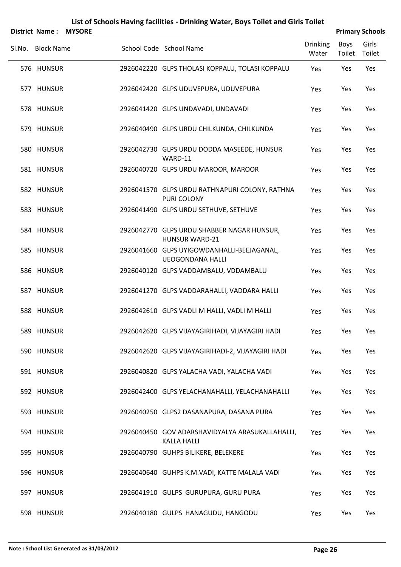|                   | District Name: MYSORE |                                                                       |                          |                | <b>Primary Schools</b> |
|-------------------|-----------------------|-----------------------------------------------------------------------|--------------------------|----------------|------------------------|
| Sl.No. Block Name |                       | School Code School Name                                               | <b>Drinking</b><br>Water | Boys<br>Toilet | Girls<br>Toilet        |
| 576 HUNSUR        |                       | 2926042220 GLPS THOLASI KOPPALU, TOLASI KOPPALU                       | Yes                      | Yes            | Yes                    |
| 577 HUNSUR        |                       | 2926042420 GLPS UDUVEPURA, UDUVEPURA                                  | Yes                      | Yes            | Yes                    |
| 578 HUNSUR        |                       | 2926041420 GLPS UNDAVADI, UNDAVADI                                    | Yes                      | Yes            | Yes                    |
| 579 HUNSUR        |                       | 2926040490 GLPS URDU CHILKUNDA, CHILKUNDA                             | Yes                      | Yes            | Yes                    |
| 580 HUNSUR        |                       | 2926042730 GLPS URDU DODDA MASEEDE, HUNSUR<br>WARD-11                 | Yes                      | Yes            | Yes                    |
| 581 HUNSUR        |                       | 2926040720 GLPS URDU MAROOR, MAROOR                                   | Yes                      | Yes            | Yes                    |
| 582 HUNSUR        |                       | 2926041570 GLPS URDU RATHNAPURI COLONY, RATHNA<br>PURI COLONY         | Yes                      | Yes            | Yes                    |
| 583 HUNSUR        |                       | 2926041490 GLPS URDU SETHUVE, SETHUVE                                 | Yes                      | Yes            | Yes                    |
| 584 HUNSUR        |                       | 2926042770 GLPS URDU SHABBER NAGAR HUNSUR,<br><b>HUNSUR WARD-21</b>   | Yes                      | Yes            | Yes                    |
| 585 HUNSUR        |                       | 2926041660 GLPS UYIGOWDANHALLI-BEEJAGANAL,<br><b>UEOGONDANA HALLI</b> | Yes                      | Yes            | Yes                    |
| 586 HUNSUR        |                       | 2926040120 GLPS VADDAMBALU, VDDAMBALU                                 | Yes                      | Yes            | Yes                    |
| 587 HUNSUR        |                       | 2926041270 GLPS VADDARAHALLI, VADDARA HALLI                           | Yes                      | Yes            | Yes                    |
| 588 HUNSUR        |                       | 2926042610 GLPS VADLI M HALLI, VADLI M HALLI                          | Yes                      | Yes            | Yes                    |
| 589 HUNSUR        |                       | 2926042620 GLPS VIJAYAGIRIHADI, VIJAYAGIRI HADI                       | Yes                      | Yes            | Yes                    |
| 590 HUNSUR        |                       | 2926042620 GLPS VIJAYAGIRIHADI-2, VIJAYAGIRI HADI                     | Yes                      | Yes            | Yes                    |
| 591 HUNSUR        |                       | 2926040820 GLPS YALACHA VADI, YALACHA VADI                            | Yes                      | Yes            | Yes                    |
| 592 HUNSUR        |                       | 2926042400 GLPS YELACHANAHALLI, YELACHANAHALLI                        | Yes                      | Yes            | Yes                    |
| 593 HUNSUR        |                       | 2926040250 GLPS2 DASANAPURA, DASANA PURA                              | Yes                      | Yes            | Yes                    |
| 594 HUNSUR        |                       | 2926040450 GOV ADARSHAVIDYALYA ARASUKALLAHALLI,<br><b>KALLA HALLI</b> | Yes                      | Yes            | Yes                    |
| 595 HUNSUR        |                       | 2926040790 GUHPS BILIKERE, BELEKERE                                   | Yes                      | Yes            | Yes                    |
| 596 HUNSUR        |                       | 2926040640 GUHPS K.M.VADI, KATTE MALALA VADI                          | Yes                      | Yes            | Yes                    |
| 597 HUNSUR        |                       | 2926041910 GULPS GURUPURA, GURU PURA                                  | Yes                      | Yes            | Yes                    |
| 598 HUNSUR        |                       | 2926040180 GULPS HANAGUDU, HANGODU                                    | Yes                      | Yes            | Yes                    |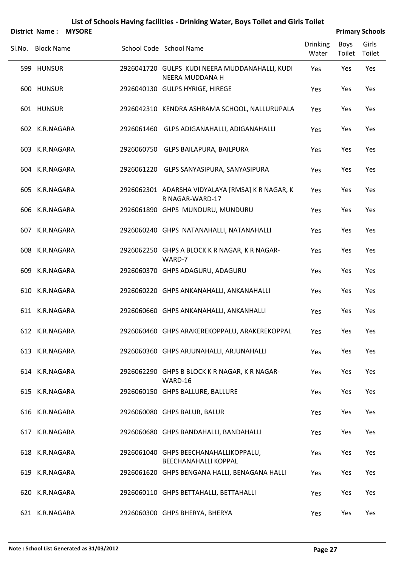|        | <b>District Name:</b> | <b>MYSORE</b> |                                                                      |                          |                | <b>Primary Schools</b> |
|--------|-----------------------|---------------|----------------------------------------------------------------------|--------------------------|----------------|------------------------|
| SI.No. | <b>Block Name</b>     |               | School Code School Name                                              | <b>Drinking</b><br>Water | Boys<br>Toilet | Girls<br>Toilet        |
|        | 599 HUNSUR            |               | 2926041720 GULPS KUDI NEERA MUDDANAHALLI, KUDI<br>NEERA MUDDANA H    | Yes                      | Yes            | Yes                    |
|        | 600 HUNSUR            |               | 2926040130 GULPS HYRIGE, HIREGE                                      | Yes                      | Yes            | Yes                    |
|        | 601 HUNSUR            |               | 2926042310 KENDRA ASHRAMA SCHOOL, NALLURUPALA                        | Yes                      | Yes            | Yes                    |
|        | 602 K.R.NAGARA        |               | 2926061460 GLPS ADIGANAHALLI, ADIGANAHALLI                           | Yes                      | Yes            | Yes                    |
|        | 603 K.R.NAGARA        |               | 2926060750 GLPS BAILAPURA, BAILPURA                                  | Yes                      | Yes            | Yes                    |
|        | 604 K.R.NAGARA        |               | 2926061220 GLPS SANYASIPURA, SANYASIPURA                             | Yes                      | Yes            | Yes                    |
|        | 605 K.R.NAGARA        |               | 2926062301 ADARSHA VIDYALAYA [RMSA] K R NAGAR, K<br>R NAGAR-WARD-17  | Yes                      | Yes            | Yes                    |
|        | 606 K.R.NAGARA        |               | 2926061890 GHPS MUNDURU, MUNDURU                                     | Yes                      | Yes            | Yes                    |
|        | 607 K.R.NAGARA        |               | 2926060240 GHPS NATANAHALLI, NATANAHALLI                             | Yes                      | Yes            | Yes                    |
|        | 608 K.R.NAGARA        |               | 2926062250 GHPS A BLOCK K R NAGAR, K R NAGAR-<br>WARD-7              | Yes                      | Yes            | Yes                    |
|        | 609 K.R.NAGARA        |               | 2926060370 GHPS ADAGURU, ADAGURU                                     | Yes                      | Yes            | Yes                    |
|        | 610 K.R.NAGARA        |               | 2926060220 GHPS ANKANAHALLI, ANKANAHALLI                             | Yes                      | Yes            | Yes                    |
|        | 611 K.R.NAGARA        |               | 2926060660 GHPS ANKANAHALLI, ANKANHALLI                              | Yes                      | Yes            | Yes                    |
|        | 612 K.R.NAGARA        |               | 2926060460 GHPS ARAKEREKOPPALU, ARAKEREKOPPAL                        | Yes                      | Yes            | Yes                    |
|        | 613 K.R.NAGARA        |               | 2926060360 GHPS ARJUNAHALLI, ARJUNAHALLI                             | Yes                      | Yes            | Yes                    |
|        | 614 K.R.NAGARA        |               | 2926062290 GHPS B BLOCK K R NAGAR, K R NAGAR-<br>WARD-16             | Yes                      | Yes            | Yes                    |
|        | 615 K.R.NAGARA        |               | 2926060150 GHPS BALLURE, BALLURE                                     | Yes                      | Yes            | Yes                    |
|        | 616 K.R.NAGARA        |               | 2926060080 GHPS BALUR, BALUR                                         | Yes                      | Yes            | Yes                    |
|        | 617 K.R.NAGARA        |               | 2926060680 GHPS BANDAHALLI, BANDAHALLI                               | Yes                      | Yes            | Yes                    |
|        | 618 K.R.NAGARA        |               | 2926061040 GHPS BEECHANAHALLIKOPPALU,<br><b>BEECHANAHALLI KOPPAL</b> | Yes                      | Yes            | Yes                    |
|        | 619 K.R.NAGARA        |               | 2926061620 GHPS BENGANA HALLI, BENAGANA HALLI                        | Yes                      | Yes            | Yes                    |
|        | 620 K.R.NAGARA        |               | 2926060110 GHPS BETTAHALLI, BETTAHALLI                               | Yes                      | Yes            | Yes                    |
|        | 621 K.R.NAGARA        |               | 2926060300 GHPS BHERYA, BHERYA                                       | Yes                      | Yes            | Yes                    |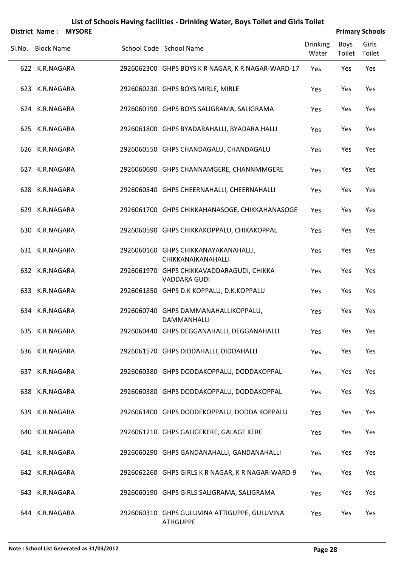|        |                       |               | List of Schools Having facilities - Drinking Water, Boys Toilet and Girls Toilet |                          |                |                        |
|--------|-----------------------|---------------|----------------------------------------------------------------------------------|--------------------------|----------------|------------------------|
|        | <b>District Name:</b> | <b>MYSORE</b> |                                                                                  |                          |                | <b>Primary Schools</b> |
| Sl.No. | <b>Block Name</b>     |               | School Code School Name                                                          | <b>Drinking</b><br>Water | Boys<br>Toilet | Girls<br>Toilet        |
|        | 622 K.R.NAGARA        |               | 2926062300 GHPS BOYS K R NAGAR, K R NAGAR-WARD-17                                | Yes                      | Yes            | Yes                    |
|        | 623 K.R.NAGARA        |               | 2926060230 GHPS BOYS MIRLE, MIRLE                                                | Yes                      | Yes            | Yes                    |
|        | 624 K.R.NAGARA        |               | 2926060190 GHPS BOYS SALIGRAMA, SALIGRAMA                                        | Yes                      | Yes            | Yes                    |
|        | 625 K.R.NAGARA        |               | 2926061800 GHPS BYADARAHALLI, BYADARA HALLI                                      | Yes                      | Yes            | Yes                    |
|        | 626 K.R.NAGARA        |               | 2926060550 GHPS CHANDAGALU, CHANDAGALU                                           | Yes                      | Yes            | Yes                    |
|        | 627 K.R.NAGARA        |               | 2926060690 GHPS CHANNAMGERE, CHANNMMGERE                                         | Yes                      | Yes            | Yes                    |
|        | 628 K.R.NAGARA        |               | 2926060540 GHPS CHEERNAHALLI, CHEERNAHALLI                                       | Yes                      | Yes            | Yes                    |
|        | 629 K.R.NAGARA        |               | 2926061700 GHPS CHIKKAHANASOGE, CHIKKAHANASOGE                                   | Yes                      | Yes            | Yes                    |
|        | 630 K.R.NAGARA        |               | 2926060590 GHPS CHIKKAKOPPALU, CHIKAKOPPAL                                       | Yes                      | Yes            | Yes                    |
|        | 631 K.R.NAGARA        |               | 2926060160 GHPS CHIKKANAYAKANAHALLI,<br>CHIKKANAIKANAHALLI                       | Yes                      | Yes            | Yes                    |
|        | 632 K.R.NAGARA        |               | 2926061970 GHPS CHIKKAVADDARAGUDI, CHIKKA<br><b>VADDARA GUDI</b>                 | Yes                      | Yes            | Yes                    |
|        | 633 K.R.NAGARA        |               | 2926061850 GHPS D.K KOPPALU, D.K.KOPPALU                                         | Yes                      | Yes            | Yes                    |
|        | 634 K.R.NAGARA        |               | 2926060740 GHPS DAMMANAHALLIKOPPALU,<br>DAMMANHALLI                              | Yes                      | Yes            | Yes                    |
|        | 635 K.R.NAGARA        |               | 2926060440 GHPS DEGGANAHALLI, DEGGANAHALLI                                       | Yes                      | Yes            | Yes                    |
|        | 636 K.R.NAGARA        |               | 2926061570 GHPS DIDDAHALLI, DIDDAHALLI                                           | Yes                      | Yes            | Yes                    |
|        | 637 K.R.NAGARA        |               | 2926060380 GHPS DODDAKOPPALU, DODDAKOPPAL                                        | Yes                      | Yes            | Yes                    |
|        | 638 K.R.NAGARA        |               | 2926060380 GHPS DODDAKOPPALU, DODDAKOPPAL                                        | Yes                      | Yes            | Yes                    |
|        | 639 K.R.NAGARA        |               | 2926061400 GHPS DODDEKOPPALU, DODDA KOPPALU                                      | Yes                      | Yes            | Yes                    |
|        | 640 K.R.NAGARA        |               | 2926061210 GHPS GALIGEKERE, GALAGE KERE                                          | Yes                      | Yes            | Yes                    |
|        | 641 K.R.NAGARA        |               | 2926060290 GHPS GANDANAHALLI, GANDANAHALLI                                       | Yes                      | Yes            | Yes                    |
|        | 642 K.R.NAGARA        |               | 2926062260 GHPS GIRLS K R NAGAR, K R NAGAR-WARD-9                                | Yes                      | Yes            | Yes                    |
|        | 643 K.R.NAGARA        |               | 2926060190 GHPS GIRLS SALIGRAMA, SALIGRAMA                                       | Yes                      | Yes            | Yes                    |
|        | 644 K.R.NAGARA        |               | 2926060310 GHPS GULUVINA ATTIGUPPE, GULUVINA<br><b>ATHGUPPE</b>                  | Yes                      | Yes            | Yes                    |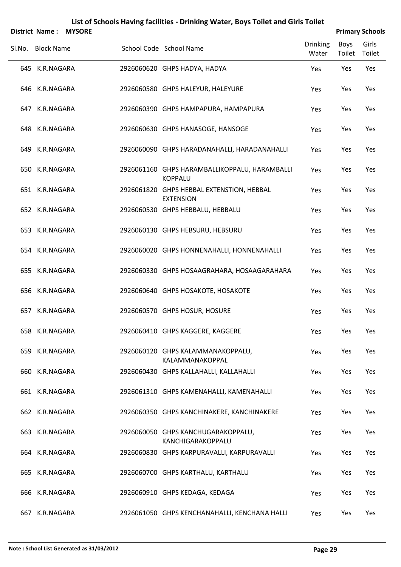|        | <b>District Name:</b> | <b>MYSORE</b> |                                                                 |                          |                | <b>Primary Schools</b> |
|--------|-----------------------|---------------|-----------------------------------------------------------------|--------------------------|----------------|------------------------|
| Sl.No. | <b>Block Name</b>     |               | School Code School Name                                         | <b>Drinking</b><br>Water | Boys<br>Toilet | Girls<br>Toilet        |
|        | 645 K.R.NAGARA        |               | 2926060620 GHPS HADYA, HADYA                                    | Yes                      | Yes            | Yes                    |
|        | 646 K.R.NAGARA        |               | 2926060580 GHPS HALEYUR, HALEYURE                               | Yes                      | Yes            | Yes                    |
|        | 647 K.R.NAGARA        |               | 2926060390 GHPS HAMPAPURA, HAMPAPURA                            | Yes                      | Yes            | Yes                    |
|        | 648 K.R.NAGARA        |               | 2926060630 GHPS HANASOGE, HANSOGE                               | Yes                      | Yes            | Yes                    |
|        | 649 K.R.NAGARA        |               | 2926060090 GHPS HARADANAHALLI, HARADANAHALLI                    | Yes                      | Yes            | Yes                    |
|        | 650 K.R.NAGARA        |               | 2926061160 GHPS HARAMBALLIKOPPALU, HARAMBALLI<br><b>KOPPALU</b> | Yes                      | Yes            | Yes                    |
|        | 651 K.R.NAGARA        |               | 2926061820 GHPS HEBBAL EXTENSTION, HEBBAL<br><b>EXTENSION</b>   | Yes                      | Yes            | Yes                    |
|        | 652 K.R.NAGARA        |               | 2926060530 GHPS HEBBALU, HEBBALU                                | Yes                      | Yes            | Yes                    |
|        | 653 K.R.NAGARA        |               | 2926060130 GHPS HEBSURU, HEBSURU                                | Yes                      | Yes            | Yes                    |
|        | 654 K.R.NAGARA        |               | 2926060020 GHPS HONNENAHALLI, HONNENAHALLI                      | Yes                      | Yes            | Yes                    |
|        | 655 K.R.NAGARA        |               | 2926060330 GHPS HOSAAGRAHARA, HOSAAGARAHARA                     | Yes                      | Yes            | Yes                    |
|        | 656 K.R.NAGARA        |               | 2926060640 GHPS HOSAKOTE, HOSAKOTE                              | Yes                      | Yes            | Yes                    |
|        | 657 K.R.NAGARA        |               | 2926060570 GHPS HOSUR, HOSURE                                   | Yes                      | Yes            | Yes                    |
|        | 658 K.R.NAGARA        |               | 2926060410 GHPS KAGGERE, KAGGERE                                | Yes                      | Yes            | Yes                    |
|        | 659 K.R.NAGARA        |               | 2926060120 GHPS KALAMMANAKOPPALU,<br>KALAMMANAKOPPAL            | Yes                      | Yes            | Yes                    |
|        | 660 K.R.NAGARA        |               | 2926060430 GHPS KALLAHALLI, KALLAHALLI                          | Yes                      | Yes            | Yes                    |
|        | 661 K.R.NAGARA        |               | 2926061310 GHPS KAMENAHALLI, KAMENAHALLI                        | Yes                      | Yes            | Yes                    |
|        | 662 K.R.NAGARA        |               | 2926060350 GHPS KANCHINAKERE, KANCHINAKERE                      | Yes                      | Yes            | Yes                    |
|        | 663 K.R.NAGARA        |               | 2926060050 GHPS KANCHUGARAKOPPALU,<br>KANCHIGARAKOPPALU         | Yes                      | Yes            | Yes                    |
|        | 664 K.R.NAGARA        |               | 2926060830 GHPS KARPURAVALLI, KARPURAVALLI                      | Yes                      | Yes            | Yes                    |
|        | 665 K.R.NAGARA        |               | 2926060700 GHPS KARTHALU, KARTHALU                              | Yes                      | Yes            | Yes                    |
|        | 666 K.R.NAGARA        |               | 2926060910 GHPS KEDAGA, KEDAGA                                  | Yes                      | Yes            | Yes                    |
|        | 667 K.R.NAGARA        |               | 2926061050 GHPS KENCHANAHALLI, KENCHANA HALLI                   | Yes                      | Yes            | Yes                    |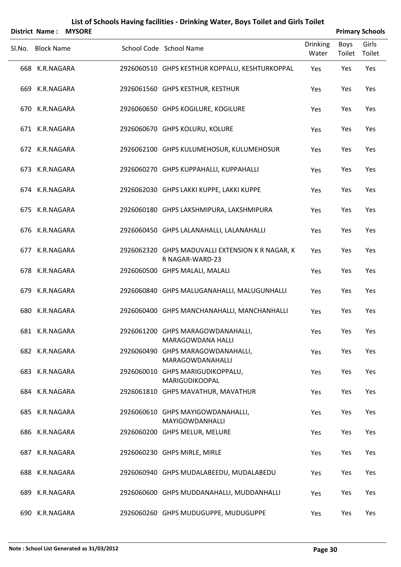|        | <b>District Name:</b> | <b>MYSORE</b> |                                                                     |                          |                              | <b>Primary Schools</b> |
|--------|-----------------------|---------------|---------------------------------------------------------------------|--------------------------|------------------------------|------------------------|
| SI.No. | <b>Block Name</b>     |               | School Code School Name                                             | <b>Drinking</b><br>Water | <b>Boys</b><br>Toilet Toilet | Girls                  |
|        | 668 K.R.NAGARA        |               | 2926060510 GHPS KESTHUR KOPPALU, KESHTURKOPPAL                      | Yes                      | Yes                          | Yes                    |
|        | 669 K.R.NAGARA        |               | 2926061560 GHPS KESTHUR, KESTHUR                                    | Yes                      | Yes                          | Yes                    |
|        | 670 K.R.NAGARA        |               | 2926060650 GHPS KOGILURE, KOGILURE                                  | Yes                      | Yes                          | Yes                    |
|        | 671 K.R.NAGARA        |               | 2926060670 GHPS KOLURU, KOLURE                                      | Yes                      | Yes                          | Yes                    |
|        | 672 K.R.NAGARA        |               | 2926062100 GHPS KULUMEHOSUR, KULUMEHOSUR                            | Yes                      | Yes                          | Yes                    |
|        | 673 K.R.NAGARA        |               | 2926060270 GHPS KUPPAHALLI, KUPPAHALLI                              | Yes                      | Yes                          | Yes                    |
|        | 674 K.R.NAGARA        |               | 2926062030 GHPS LAKKI KUPPE, LAKKI KUPPE                            | Yes                      | Yes                          | Yes                    |
|        | 675 K.R.NAGARA        |               | 2926060180 GHPS LAKSHMIPURA, LAKSHMIPURA                            | Yes                      | Yes                          | Yes                    |
|        | 676 K.R.NAGARA        |               | 2926060450 GHPS LALANAHALLI, LALANAHALLI                            | Yes                      | Yes                          | Yes                    |
|        | 677 K.R.NAGARA        |               | 2926062320 GHPS MADUVALLI EXTENSION K R NAGAR, K<br>R NAGAR-WARD-23 | Yes                      | Yes                          | Yes                    |
|        | 678 K.R.NAGARA        |               | 2926060500 GHPS MALALI, MALALI                                      | Yes                      | Yes                          | Yes                    |
|        | 679 K.R.NAGARA        |               | 2926060840 GHPS MALUGANAHALLI, MALUGUNHALLI                         | Yes                      | Yes                          | Yes                    |
|        | 680 K.R.NAGARA        |               | 2926060400 GHPS MANCHANAHALLI, MANCHANHALLI                         | Yes                      | Yes                          | Yes                    |
|        | 681 K.R.NAGARA        |               | 2926061200 GHPS MARAGOWDANAHALLI,<br><b>MARAGOWDANA HALLI</b>       | Yes                      | Yes                          | Yes                    |
|        | 682 K.R.NAGARA        |               | 2926060490 GHPS MARAGOWDANAHALLI,<br>MARAGOWDANAHALLI               | Yes                      | Yes                          | Yes                    |
|        | 683 K.R.NAGARA        |               | 2926060010 GHPS MARIGUDIKOPPALU,<br>MARIGUDIKOOPAL                  | Yes                      | Yes                          | Yes                    |
|        | 684 K.R.NAGARA        |               | 2926061810 GHPS MAVATHUR, MAVATHUR                                  | Yes                      | Yes                          | Yes                    |
|        | 685 K.R.NAGARA        |               | 2926060610 GHPS MAYIGOWDANAHALLI,<br>MAYIGOWDANHALLI                | Yes                      | Yes                          | Yes                    |
|        | 686 K.R.NAGARA        |               | 2926060200 GHPS MELUR, MELURE                                       | Yes                      | Yes                          | Yes                    |
|        | 687 K.R.NAGARA        |               | 2926060230 GHPS MIRLE, MIRLE                                        | Yes                      | Yes                          | Yes                    |
|        | 688 K.R.NAGARA        |               | 2926060940 GHPS MUDALABEEDU, MUDALABEDU                             | Yes                      | Yes                          | Yes                    |
|        | 689 K.R.NAGARA        |               | 2926060600 GHPS MUDDANAHALLI, MUDDANHALLI                           | Yes                      | Yes                          | Yes                    |
|        | 690 K.R.NAGARA        |               | 2926060260 GHPS MUDUGUPPE, MUDUGUPPE                                | Yes                      | Yes                          | Yes                    |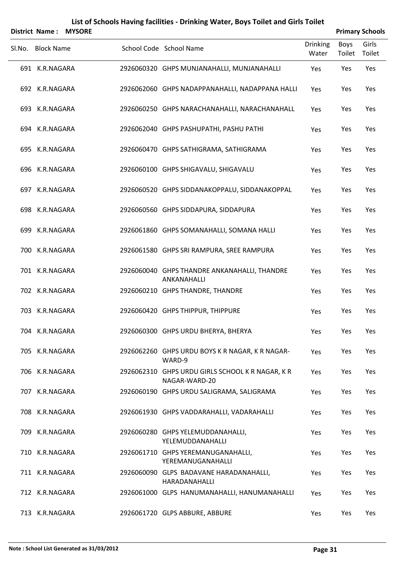|        | <b>District Name:</b> | <b>MYSORE</b> |                                                                   |                          |                       | <b>Primary Schools</b> |
|--------|-----------------------|---------------|-------------------------------------------------------------------|--------------------------|-----------------------|------------------------|
| Sl.No. | <b>Block Name</b>     |               | School Code School Name                                           | <b>Drinking</b><br>Water | <b>Boys</b><br>Toilet | Girls<br>Toilet        |
|        | 691 K.R.NAGARA        |               | 2926060320 GHPS MUNJANAHALLI, MUNJANAHALLI                        | Yes                      | Yes                   | Yes                    |
|        | 692 K.R.NAGARA        |               | 2926062060 GHPS NADAPPANAHALLI, NADAPPANA HALLI                   | Yes                      | Yes                   | Yes                    |
|        | 693 K.R.NAGARA        |               | 2926060250 GHPS NARACHANAHALLI, NARACHANAHALL                     | Yes                      | Yes                   | Yes                    |
|        | 694 K.R.NAGARA        |               | 2926062040 GHPS PASHUPATHI, PASHU PATHI                           | Yes                      | Yes                   | Yes                    |
|        | 695 K.R.NAGARA        |               | 2926060470 GHPS SATHIGRAMA, SATHIGRAMA                            | Yes                      | Yes                   | Yes                    |
|        | 696 K.R.NAGARA        |               | 2926060100 GHPS SHIGAVALU, SHIGAVALU                              | Yes                      | Yes                   | Yes                    |
|        | 697 K.R.NAGARA        |               | 2926060520 GHPS SIDDANAKOPPALU, SIDDANAKOPPAL                     | Yes                      | Yes                   | Yes                    |
|        | 698 K.R.NAGARA        |               | 2926060560 GHPS SIDDAPURA, SIDDAPURA                              | Yes                      | Yes                   | Yes                    |
| 699    | K.R.NAGARA            |               | 2926061860 GHPS SOMANAHALLI, SOMANA HALLI                         | Yes                      | Yes                   | Yes                    |
|        | 700 K.R.NAGARA        |               | 2926061580 GHPS SRI RAMPURA, SREE RAMPURA                         | Yes                      | Yes                   | Yes                    |
|        | 701 K.R.NAGARA        |               | 2926060040 GHPS THANDRE ANKANAHALLI, THANDRE<br>ANKANAHALLI       | Yes                      | Yes                   | Yes                    |
|        | 702 K.R.NAGARA        |               | 2926060210 GHPS THANDRE, THANDRE                                  | Yes                      | Yes                   | Yes                    |
|        | 703 K.R.NAGARA        |               | 2926060420 GHPS THIPPUR, THIPPURE                                 | Yes                      | Yes                   | Yes                    |
|        | 704 K.R.NAGARA        |               | 2926060300 GHPS URDU BHERYA, BHERYA                               | Yes                      | Yes                   | Yes                    |
|        | 705 K.R.NAGARA        |               | 2926062260 GHPS URDU BOYS K R NAGAR, K R NAGAR-<br>WARD-9         | Yes                      | Yes                   | Yes                    |
|        | 706 K.R.NAGARA        |               | 2926062310 GHPS URDU GIRLS SCHOOL K R NAGAR, K R<br>NAGAR-WARD-20 | Yes                      | Yes                   | Yes                    |
|        | 707 K.R.NAGARA        |               | 2926060190 GHPS URDU SALIGRAMA, SALIGRAMA                         | Yes                      | Yes                   | Yes                    |
|        | 708 K.R.NAGARA        |               | 2926061930 GHPS VADDARAHALLI, VADARAHALLI                         | Yes                      | Yes                   | Yes                    |
|        | 709 K.R.NAGARA        |               | 2926060280 GHPS YELEMUDDANAHALLI,<br>YELEMUDDANAHALLI             | Yes                      | Yes                   | Yes                    |
|        | 710 K.R.NAGARA        |               | 2926061710 GHPS YEREMANUGANAHALLI,<br>YEREMANUGANAHALLI           | Yes                      | Yes                   | Yes                    |
|        | 711 K.R.NAGARA        |               | 2926060090 GLPS BADAVANE HARADANAHALLI,<br>HARADANAHALLI          | Yes                      | Yes                   | Yes                    |
|        | 712 K.R.NAGARA        |               | 2926061000 GLPS HANUMANAHALLI, HANUMANAHALLI                      | Yes                      | Yes                   | Yes                    |
|        | 713 K.R.NAGARA        |               | 2926061720 GLPS ABBURE, ABBURE                                    | Yes                      | Yes                   | Yes                    |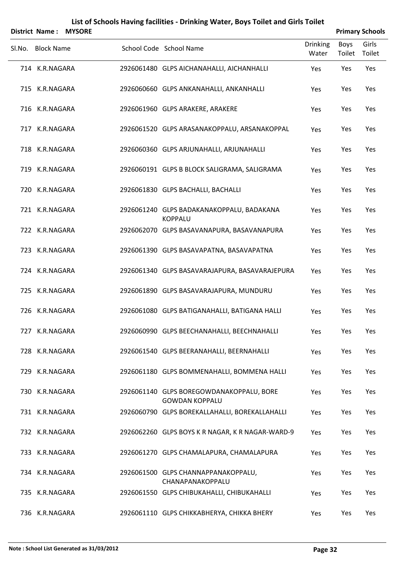|        | <b>District Name:</b> | <b>MYSORE</b> |                                                                   |                          |                | <b>Primary Schools</b> |
|--------|-----------------------|---------------|-------------------------------------------------------------------|--------------------------|----------------|------------------------|
| Sl.No. | <b>Block Name</b>     |               | School Code School Name                                           | <b>Drinking</b><br>Water | Boys<br>Toilet | Girls<br>Toilet        |
|        | 714 K.R.NAGARA        |               | 2926061480 GLPS AICHANAHALLI, AICHANHALLI                         | Yes                      | Yes            | Yes                    |
|        | 715 K.R.NAGARA        |               | 2926060660 GLPS ANKANAHALLI, ANKANHALLI                           | Yes                      | Yes            | Yes                    |
|        | 716 K.R.NAGARA        |               | 2926061960 GLPS ARAKERE, ARAKERE                                  | Yes                      | Yes            | Yes                    |
|        | 717 K.R.NAGARA        |               | 2926061520 GLPS ARASANAKOPPALU, ARSANAKOPPAL                      | Yes                      | Yes            | Yes                    |
|        | 718 K.R.NAGARA        |               | 2926060360 GLPS ARJUNAHALLI, ARJUNAHALLI                          | Yes                      | Yes            | Yes                    |
|        | 719 K.R.NAGARA        |               | 2926060191 GLPS B BLOCK SALIGRAMA, SALIGRAMA                      | Yes                      | Yes            | Yes                    |
| 720    | K.R.NAGARA            |               | 2926061830 GLPS BACHALLI, BACHALLI                                | Yes                      | Yes            | Yes                    |
|        | 721 K.R.NAGARA        |               | 2926061240 GLPS BADAKANAKOPPALU, BADAKANA<br><b>KOPPALU</b>       | Yes                      | Yes            | Yes                    |
|        | 722 K.R.NAGARA        |               | 2926062070 GLPS BASAVANAPURA, BASAVANAPURA                        | Yes                      | Yes            | Yes                    |
|        | 723 K.R.NAGARA        |               | 2926061390 GLPS BASAVAPATNA, BASAVAPATNA                          | Yes                      | Yes            | Yes                    |
|        | 724 K.R.NAGARA        |               | 2926061340 GLPS BASAVARAJAPURA, BASAVARAJEPURA                    | Yes                      | Yes            | Yes                    |
|        | 725 K.R.NAGARA        |               | 2926061890 GLPS BASAVARAJAPURA, MUNDURU                           | Yes                      | Yes            | Yes                    |
|        | 726 K.R.NAGARA        |               | 2926061080 GLPS BATIGANAHALLI, BATIGANA HALLI                     | Yes                      | Yes            | Yes                    |
|        | 727 K.R.NAGARA        |               | 2926060990 GLPS BEECHANAHALLI, BEECHNAHALLI                       | Yes                      | Yes            | Yes                    |
|        | 728 K.R.NAGARA        |               | 2926061540 GLPS BEERANAHALLI, BEERNAHALLI                         | Yes                      | Yes            | Yes                    |
|        | 729 K.R.NAGARA        |               | 2926061180 GLPS BOMMENAHALLI, BOMMENA HALLI                       | Yes                      | Yes            | Yes                    |
|        | 730 K.R.NAGARA        |               | 2926061140 GLPS BOREGOWDANAKOPPALU, BORE<br><b>GOWDAN KOPPALU</b> | Yes                      | Yes            | Yes                    |
|        | 731 K.R.NAGARA        |               | 2926060790 GLPS BOREKALLAHALLI, BOREKALLAHALLI                    | Yes                      | Yes            | Yes                    |
|        | 732 K.R.NAGARA        |               | 2926062260 GLPS BOYS K R NAGAR, K R NAGAR-WARD-9                  | Yes                      | Yes            | Yes                    |
|        | 733 K.R.NAGARA        |               | 2926061270 GLPS CHAMALAPURA, CHAMALAPURA                          | Yes                      | Yes            | Yes                    |
|        | 734 K.R.NAGARA        |               | 2926061500 GLPS CHANNAPPANAKOPPALU,<br>CHANAPANAKOPPALU           | Yes                      | Yes            | Yes                    |
|        | 735 K.R.NAGARA        |               | 2926061550 GLPS CHIBUKAHALLI, CHIBUKAHALLI                        | Yes                      | Yes            | Yes                    |
|        | 736 K.R.NAGARA        |               | 2926061110 GLPS CHIKKABHERYA, CHIKKA BHERY                        | Yes                      | Yes            | Yes                    |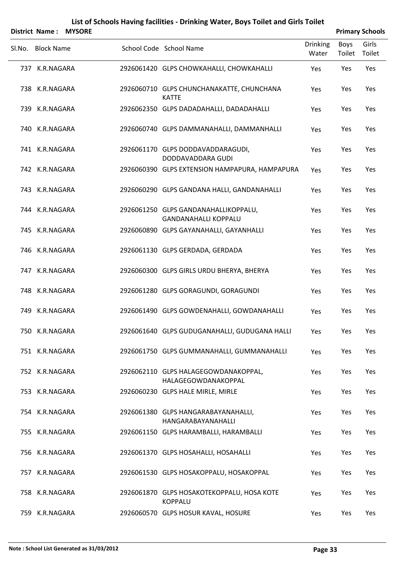|        | District Name:    | <b>MYSORE</b> |                                                                     |                          |                | <b>Primary Schools</b> |
|--------|-------------------|---------------|---------------------------------------------------------------------|--------------------------|----------------|------------------------|
| SI.No. | <b>Block Name</b> |               | School Code School Name                                             | <b>Drinking</b><br>Water | Boys<br>Toilet | Girls<br>Toilet        |
|        | 737 K.R.NAGARA    |               | 2926061420 GLPS CHOWKAHALLI, CHOWKAHALLI                            | Yes                      | Yes            | Yes                    |
|        | 738 K.R.NAGARA    |               | 2926060710 GLPS CHUNCHANAKATTE, CHUNCHANA<br><b>KATTE</b>           | Yes                      | Yes            | Yes                    |
|        | 739 K.R.NAGARA    |               | 2926062350 GLPS DADADAHALLI, DADADAHALLI                            | Yes                      | Yes            | Yes                    |
|        | 740 K.R.NAGARA    |               | 2926060740 GLPS DAMMANAHALLI, DAMMANHALLI                           | Yes                      | Yes            | Yes                    |
|        | 741 K.R.NAGARA    |               | 2926061170 GLPS DODDAVADDARAGUDI,<br>DODDAVADDARA GUDI              | Yes                      | Yes            | Yes                    |
|        | 742 K.R.NAGARA    |               | 2926060390 GLPS EXTENSION HAMPAPURA, HAMPAPURA                      | Yes                      | Yes            | Yes                    |
|        | 743 K.R.NAGARA    |               | 2926060290 GLPS GANDANA HALLI, GANDANAHALLI                         | Yes                      | Yes            | Yes                    |
|        | 744 K.R.NAGARA    |               | 2926061250 GLPS GANDANAHALLIKOPPALU,<br><b>GANDANAHALLI KOPPALU</b> | Yes                      | Yes            | Yes                    |
|        | 745 K.R.NAGARA    |               | 2926060890 GLPS GAYANAHALLI, GAYANHALLI                             | Yes                      | Yes            | Yes                    |
|        | 746 K.R.NAGARA    |               | 2926061130 GLPS GERDADA, GERDADA                                    | Yes                      | Yes            | Yes                    |
|        | 747 K.R.NAGARA    |               | 2926060300 GLPS GIRLS URDU BHERYA, BHERYA                           | Yes                      | Yes            | Yes                    |
|        | 748 K.R.NAGARA    |               | 2926061280 GLPS GORAGUNDI, GORAGUNDI                                | Yes                      | Yes            | Yes                    |
|        | 749 K.R.NAGARA    |               | 2926061490 GLPS GOWDENAHALLI, GOWDANAHALLI                          | Yes                      | Yes            | Yes                    |
|        | 750 K.R.NAGARA    |               | 2926061640 GLPS GUDUGANAHALLI, GUDUGANA HALLI                       | Yes                      | Yes            | Yes                    |
|        | 751 K.R.NAGARA    |               | 2926061750 GLPS GUMMANAHALLI, GUMMANAHALLI                          | Yes                      | Yes            | Yes                    |
|        | 752 K.R.NAGARA    |               | 2926062110 GLPS HALAGEGOWDANAKOPPAL,<br>HALAGEGOWDANAKOPPAL         | Yes                      | Yes            | Yes                    |
|        | 753 K.R.NAGARA    |               | 2926060230 GLPS HALE MIRLE, MIRLE                                   | Yes                      | Yes            | Yes                    |
|        | 754 K.R.NAGARA    |               | 2926061380 GLPS HANGARABAYANAHALLI,<br>HANGARABAYANAHALLI           | Yes                      | Yes            | Yes                    |
|        | 755 K.R.NAGARA    |               | 2926061150 GLPS HARAMBALLI, HARAMBALLI                              | Yes                      | Yes            | Yes                    |
|        | 756 K.R.NAGARA    |               | 2926061370 GLPS HOSAHALLI, HOSAHALLI                                | Yes                      | Yes            | Yes                    |
|        | 757 K.R.NAGARA    |               | 2926061530 GLPS HOSAKOPPALU, HOSAKOPPAL                             | Yes                      | Yes            | Yes                    |
|        | 758 K.R.NAGARA    |               | 2926061870 GLPS HOSAKOTEKOPPALU, HOSA KOTE<br><b>KOPPALU</b>        | Yes                      | Yes            | Yes                    |
|        | 759 K.R.NAGARA    |               | 2926060570 GLPS HOSUR KAVAL, HOSURE                                 | Yes                      | Yes            | Yes                    |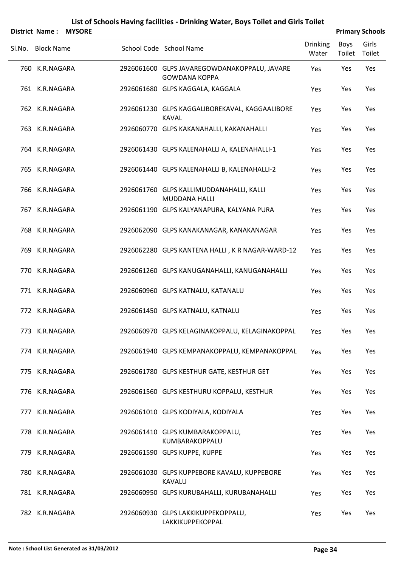|        | <b>District Name:</b> | <b>MYSORE</b> |                                                                      |                          |                | <b>Primary Schools</b> |
|--------|-----------------------|---------------|----------------------------------------------------------------------|--------------------------|----------------|------------------------|
| Sl.No. | <b>Block Name</b>     |               | School Code School Name                                              | <b>Drinking</b><br>Water | Boys<br>Toilet | Girls<br>Toilet        |
|        | 760 K.R.NAGARA        |               | 2926061600 GLPS JAVAREGOWDANAKOPPALU, JAVARE<br><b>GOWDANA KOPPA</b> | Yes                      | Yes            | Yes                    |
|        | 761 K.R.NAGARA        |               | 2926061680 GLPS KAGGALA, KAGGALA                                     | Yes                      | Yes            | Yes                    |
|        | 762 K.R.NAGARA        |               | 2926061230 GLPS KAGGALIBOREKAVAL, KAGGAALIBORE<br><b>KAVAL</b>       | Yes                      | Yes            | Yes                    |
|        | 763 K.R.NAGARA        |               | 2926060770 GLPS KAKANAHALLI, KAKANAHALLI                             | Yes                      | Yes            | Yes                    |
|        | 764 K.R.NAGARA        |               | 2926061430 GLPS KALENAHALLI A, KALENAHALLI-1                         | Yes                      | Yes            | Yes                    |
|        | 765 K.R.NAGARA        |               | 2926061440 GLPS KALENAHALLI B, KALENAHALLI-2                         | Yes                      | Yes            | Yes                    |
|        | 766 K.R.NAGARA        |               | 2926061760 GLPS KALLIMUDDANAHALLI, KALLI<br><b>MUDDANA HALLI</b>     | Yes                      | Yes            | Yes                    |
|        | 767 K.R.NAGARA        |               | 2926061190 GLPS KALYANAPURA, KALYANA PURA                            | Yes                      | Yes            | Yes                    |
|        | 768 K.R.NAGARA        |               | 2926062090 GLPS KANAKANAGAR, KANAKANAGAR                             | Yes                      | Yes            | Yes                    |
|        | 769 K.R.NAGARA        |               | 2926062280 GLPS KANTENA HALLI, K R NAGAR-WARD-12                     | Yes                      | Yes            | Yes                    |
|        | 770 K.R.NAGARA        |               | 2926061260 GLPS KANUGANAHALLI, KANUGANAHALLI                         | Yes                      | Yes            | Yes                    |
|        | 771 K.R.NAGARA        |               | 2926060960 GLPS KATNALU, KATANALU                                    | Yes                      | Yes            | Yes                    |
|        | 772 K.R.NAGARA        |               | 2926061450 GLPS KATNALU, KATNALU                                     | Yes                      | Yes            | Yes                    |
|        | 773 K.R.NAGARA        |               | 2926060970 GLPS KELAGINAKOPPALU, KELAGINAKOPPAL                      | Yes                      | Yes            | Yes                    |
|        | 774 K.R.NAGARA        |               | 2926061940 GLPS KEMPANAKOPPALU, KEMPANAKOPPAL                        | Yes                      | Yes            | Yes                    |
|        | 775 K.R.NAGARA        |               | 2926061780 GLPS KESTHUR GATE, KESTHUR GET                            | Yes                      | Yes            | Yes                    |
|        | 776 K.R.NAGARA        |               | 2926061560 GLPS KESTHURU KOPPALU, KESTHUR                            | Yes                      | Yes            | Yes                    |
|        | 777 K.R.NAGARA        |               | 2926061010 GLPS KODIYALA, KODIYALA                                   | Yes                      | Yes            | Yes                    |
|        | 778 K.R.NAGARA        |               | 2926061410 GLPS KUMBARAKOPPALU,<br>KUMBARAKOPPALU                    | Yes                      | Yes            | Yes                    |
|        | 779 K.R.NAGARA        |               | 2926061590 GLPS KUPPE, KUPPE                                         | Yes                      | Yes            | Yes                    |
|        | 780 K.R.NAGARA        |               | 2926061030 GLPS KUPPEBORE KAVALU, KUPPEBORE<br><b>KAVALU</b>         | Yes                      | Yes            | Yes                    |
|        | 781 K.R.NAGARA        |               | 2926060950 GLPS KURUBAHALLI, KURUBANAHALLI                           | Yes                      | Yes            | Yes                    |
|        | 782 K.R.NAGARA        |               | 2926060930 GLPS LAKKIKUPPEKOPPALU,<br>LAKKIKUPPEKOPPAL               | Yes                      | Yes            | Yes                    |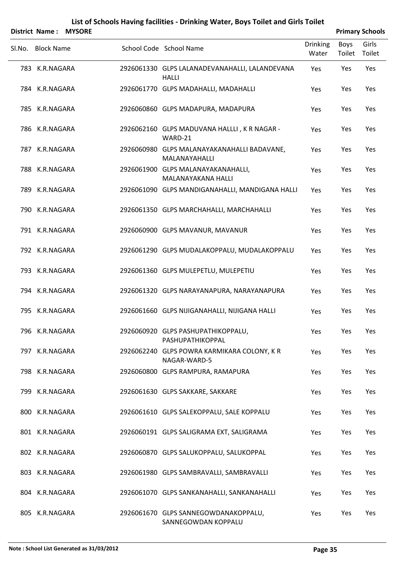|        | <b>District Name:</b> | <b>MYSORE</b> |                                                                |                          |                | <b>Primary Schools</b> |
|--------|-----------------------|---------------|----------------------------------------------------------------|--------------------------|----------------|------------------------|
| SI.No. | <b>Block Name</b>     |               | School Code School Name                                        | <b>Drinking</b><br>Water | Boys<br>Toilet | Girls<br>Toilet        |
|        | 783 K.R.NAGARA        |               | 2926061330 GLPS LALANADEVANAHALLI, LALANDEVANA<br><b>HALLI</b> | Yes                      | Yes            | Yes                    |
|        | 784 K.R.NAGARA        |               | 2926061770 GLPS MADAHALLI, MADAHALLI                           | Yes                      | Yes            | Yes                    |
|        | 785 K.R.NAGARA        |               | 2926060860 GLPS MADAPURA, MADAPURA                             | Yes                      | Yes            | Yes                    |
|        | 786 K.R.NAGARA        |               | 2926062160 GLPS MADUVANA HALLLI, K R NAGAR -<br>WARD-21        | Yes                      | Yes            | Yes                    |
|        | 787 K.R.NAGARA        |               | 2926060980 GLPS MALANAYAKANAHALLI BADAVANE,<br>MALANAYAHALLI   | Yes                      | Yes            | Yes                    |
|        | 788 K.R.NAGARA        |               | 2926061900 GLPS MALANAYAKANAHALLI,<br>MALANAYAKANA HALLI       | Yes                      | Yes            | Yes                    |
|        | 789 K.R.NAGARA        |               | 2926061090 GLPS MANDIGANAHALLI, MANDIGANA HALLI                | Yes                      | Yes            | Yes                    |
|        | 790 K.R.NAGARA        |               | 2926061350 GLPS MARCHAHALLI, MARCHAHALLI                       | Yes                      | Yes            | Yes                    |
|        | 791 K.R.NAGARA        |               | 2926060900 GLPS MAVANUR, MAVANUR                               | Yes                      | Yes            | Yes                    |
|        | 792 K.R.NAGARA        |               | 2926061290 GLPS MUDALAKOPPALU, MUDALAKOPPALU                   | Yes                      | Yes            | Yes                    |
|        | 793 K.R.NAGARA        |               | 2926061360 GLPS MULEPETLU, MULEPETIU                           | Yes                      | Yes            | Yes                    |
|        | 794 K.R.NAGARA        |               | 2926061320 GLPS NARAYANAPURA, NARAYANAPURA                     | Yes                      | Yes            | Yes                    |
|        | 795 K.R.NAGARA        |               | 2926061660 GLPS NIJIGANAHALLI, NIJIGANA HALLI                  | Yes                      | Yes            | Yes                    |
|        | 796 K.R.NAGARA        |               | 2926060920 GLPS PASHUPATHIKOPPALU,<br>PASHUPATHIKOPPAL         | Yes                      | Yes            | Yes                    |
|        | 797 K.R.NAGARA        |               | 2926062240 GLPS POWRA KARMIKARA COLONY, KR<br>NAGAR-WARD-5     | Yes                      | Yes            | Yes                    |
|        | 798 K.R.NAGARA        |               | 2926060800 GLPS RAMPURA, RAMAPURA                              | Yes                      | Yes            | Yes                    |
|        | 799 K.R.NAGARA        |               | 2926061630 GLPS SAKKARE, SAKKARE                               | Yes                      | Yes            | Yes                    |
|        | 800 K.R.NAGARA        |               | 2926061610 GLPS SALEKOPPALU, SALE KOPPALU                      | Yes                      | Yes            | Yes                    |
|        | 801 K.R.NAGARA        |               | 2926060191 GLPS SALIGRAMA EXT, SALIGRAMA                       | Yes                      | Yes            | Yes                    |
|        | 802 K.R.NAGARA        |               | 2926060870 GLPS SALUKOPPALU, SALUKOPPAL                        | Yes                      | Yes            | Yes                    |
|        | 803 K.R.NAGARA        |               | 2926061980 GLPS SAMBRAVALLI, SAMBRAVALLI                       | Yes                      | Yes            | Yes                    |
|        | 804 K.R.NAGARA        |               | 2926061070 GLPS SANKANAHALLI, SANKANAHALLI                     | Yes                      | Yes            | Yes                    |
|        | 805 K.R.NAGARA        |               | 2926061670 GLPS SANNEGOWDANAKOPPALU,<br>SANNEGOWDAN KOPPALU    | Yes                      | Yes            | Yes                    |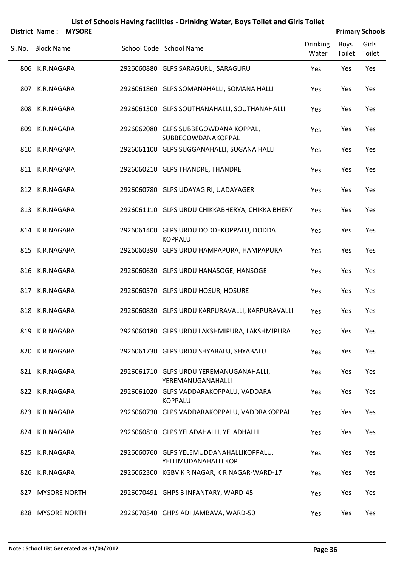|        | District Name:    | <b>MYSORE</b> |                                                                  |                          |                | <b>Primary Schools</b> |
|--------|-------------------|---------------|------------------------------------------------------------------|--------------------------|----------------|------------------------|
| SI.No. | <b>Block Name</b> |               | School Code School Name                                          | <b>Drinking</b><br>Water | Boys<br>Toilet | Girls<br>Toilet        |
|        | 806 K.R.NAGARA    |               | 2926060880 GLPS SARAGURU, SARAGURU                               | Yes                      | Yes            | Yes                    |
|        | 807 K.R.NAGARA    |               | 2926061860 GLPS SOMANAHALLI, SOMANA HALLI                        | Yes                      | Yes            | Yes                    |
|        | 808 K.R.NAGARA    |               | 2926061300 GLPS SOUTHANAHALLI, SOUTHANAHALLI                     | Yes                      | Yes            | Yes                    |
|        | 809 K.R.NAGARA    |               | 2926062080 GLPS SUBBEGOWDANA KOPPAL,<br>SUBBEGOWDANAKOPPAL       | Yes                      | Yes            | Yes                    |
|        | 810 K.R.NAGARA    |               | 2926061100 GLPS SUGGANAHALLI, SUGANA HALLI                       | Yes                      | Yes            | Yes                    |
|        | 811 K.R.NAGARA    |               | 2926060210 GLPS THANDRE, THANDRE                                 | Yes                      | Yes            | Yes                    |
|        | 812 K.R.NAGARA    |               | 2926060780 GLPS UDAYAGIRI, UADAYAGERI                            | Yes                      | Yes            | Yes                    |
|        | 813 K.R.NAGARA    |               | 2926061110 GLPS URDU CHIKKABHERYA, CHIKKA BHERY                  | Yes                      | Yes            | Yes                    |
|        | 814 K.R.NAGARA    |               | 2926061400 GLPS URDU DODDEKOPPALU, DODDA<br><b>KOPPALU</b>       | Yes                      | Yes            | Yes                    |
|        | 815 K.R.NAGARA    |               | 2926060390 GLPS URDU HAMPAPURA, HAMPAPURA                        | Yes                      | Yes            | Yes                    |
|        | 816 K.R.NAGARA    |               | 2926060630 GLPS URDU HANASOGE, HANSOGE                           | Yes                      | Yes            | Yes                    |
|        | 817 K.R.NAGARA    |               | 2926060570 GLPS URDU HOSUR, HOSURE                               | Yes                      | Yes            | Yes                    |
|        | 818 K.R.NAGARA    |               | 2926060830 GLPS URDU KARPURAVALLI, KARPURAVALLI                  | Yes                      | Yes            | Yes                    |
|        | 819 K.R.NAGARA    |               | 2926060180 GLPS URDU LAKSHMIPURA, LAKSHMIPURA                    | Yes                      | Yes            | Yes                    |
|        | 820 K.R.NAGARA    |               | 2926061730 GLPS URDU SHYABALU, SHYABALU                          | Yes                      | Yes            | Yes                    |
|        | 821 K.R.NAGARA    |               | 2926061710 GLPS URDU YEREMANUGANAHALLI,<br>YEREMANUGANAHALLI     | Yes                      | Yes            | Yes                    |
|        | 822 K.R.NAGARA    |               | 2926061020 GLPS VADDARAKOPPALU, VADDARA<br><b>KOPPALU</b>        | Yes                      | Yes            | Yes                    |
|        | 823 K.R.NAGARA    |               | 2926060730 GLPS VADDARAKOPPALU, VADDRAKOPPAL                     | Yes                      | Yes            | Yes                    |
|        | 824 K.R.NAGARA    |               | 2926060810 GLPS YELADAHALLI, YELADHALLI                          | Yes                      | Yes            | Yes                    |
|        | 825 K.R.NAGARA    |               | 2926060760 GLPS YELEMUDDANAHALLIKOPPALU,<br>YELLIMUDANAHALLI KOP | Yes                      | Yes            | Yes                    |
|        | 826 K.R.NAGARA    |               | 2926062300 KGBV KR NAGAR, KR NAGAR-WARD-17                       | Yes                      | Yes            | Yes                    |
|        | 827 MYSORE NORTH  |               | 2926070491 GHPS 3 INFANTARY, WARD-45                             | Yes                      | Yes            | Yes                    |
|        | 828 MYSORE NORTH  |               | 2926070540 GHPS ADI JAMBAVA, WARD-50                             | Yes                      | Yes            | Yes                    |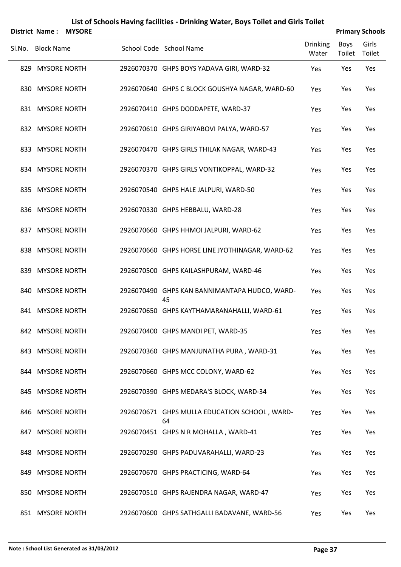|        | District Name:    | <b>MYSORE</b> |                                                     |                          | <b>Primary Schools</b> |                 |
|--------|-------------------|---------------|-----------------------------------------------------|--------------------------|------------------------|-----------------|
| Sl.No. | <b>Block Name</b> |               | School Code School Name                             | <b>Drinking</b><br>Water | <b>Boys</b><br>Toilet  | Girls<br>Toilet |
|        | 829 MYSORE NORTH  |               | 2926070370 GHPS BOYS YADAVA GIRI, WARD-32           | Yes                      | Yes                    | Yes             |
|        | 830 MYSORE NORTH  |               | 2926070640 GHPS C BLOCK GOUSHYA NAGAR, WARD-60      | Yes                      | Yes                    | Yes             |
|        | 831 MYSORE NORTH  |               | 2926070410 GHPS DODDAPETE, WARD-37                  | Yes                      | Yes                    | Yes             |
|        | 832 MYSORE NORTH  |               | 2926070610 GHPS GIRIYABOVI PALYA, WARD-57           | Yes                      | Yes                    | Yes             |
|        | 833 MYSORE NORTH  |               | 2926070470 GHPS GIRLS THILAK NAGAR, WARD-43         | Yes                      | Yes                    | Yes             |
|        | 834 MYSORE NORTH  |               | 2926070370 GHPS GIRLS VONTIKOPPAL, WARD-32          | Yes                      | Yes                    | Yes             |
|        | 835 MYSORE NORTH  |               | 2926070540 GHPS HALE JALPURI, WARD-50               | Yes                      | Yes                    | Yes             |
|        | 836 MYSORE NORTH  |               | 2926070330 GHPS HEBBALU, WARD-28                    | Yes                      | Yes                    | Yes             |
|        | 837 MYSORE NORTH  |               | 2926070660 GHPS HHMOI JALPURI, WARD-62              | Yes                      | Yes                    | Yes             |
|        | 838 MYSORE NORTH  |               | 2926070660 GHPS HORSE LINE JYOTHINAGAR, WARD-62     | Yes                      | Yes                    | Yes             |
|        | 839 MYSORE NORTH  |               | 2926070500 GHPS KAILASHPURAM, WARD-46               | Yes                      | Yes                    | Yes             |
|        | 840 MYSORE NORTH  |               | 2926070490 GHPS KAN BANNIMANTAPA HUDCO, WARD-<br>45 | Yes                      | Yes                    | Yes             |
|        | 841 MYSORE NORTH  |               | 2926070650 GHPS KAYTHAMARANAHALLI, WARD-61          | Yes                      | Yes                    | Yes             |
|        | 842 MYSORE NORTH  |               | 2926070400 GHPS MANDI PET, WARD-35                  | Yes                      | Yes                    | Yes             |
|        | 843 MYSORE NORTH  |               | 2926070360 GHPS MANJUNATHA PURA, WARD-31            | Yes                      | Yes                    | Yes             |
|        | 844 MYSORE NORTH  |               | 2926070660 GHPS MCC COLONY, WARD-62                 | Yes                      | Yes                    | Yes             |
|        | 845 MYSORE NORTH  |               | 2926070390 GHPS MEDARA'S BLOCK, WARD-34             | Yes                      | Yes                    | Yes             |
|        | 846 MYSORE NORTH  |               | 2926070671 GHPS MULLA EDUCATION SCHOOL, WARD-<br>64 | Yes                      | Yes                    | Yes             |
|        | 847 MYSORE NORTH  |               | 2926070451 GHPS N R MOHALLA, WARD-41                | Yes                      | Yes                    | Yes             |
|        | 848 MYSORE NORTH  |               | 2926070290 GHPS PADUVARAHALLI, WARD-23              | Yes                      | Yes                    | Yes             |
|        | 849 MYSORE NORTH  |               | 2926070670 GHPS PRACTICING, WARD-64                 | Yes                      | Yes                    | Yes             |
|        | 850 MYSORE NORTH  |               | 2926070510 GHPS RAJENDRA NAGAR, WARD-47             | Yes                      | Yes                    | Yes             |

851 MYSORE NORTH 2926070600 GHPS SATHGALLI BADAVANE, WARD-56 Yes Yes Yes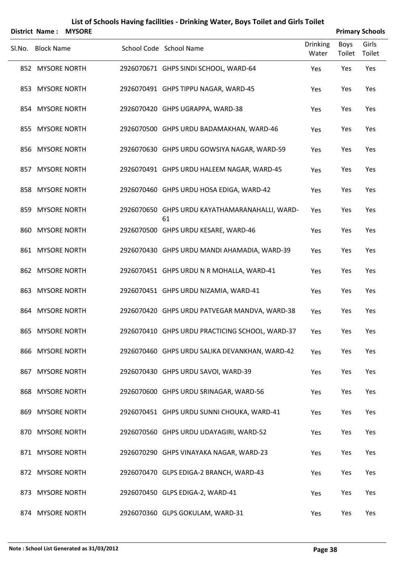| List of Schools Having facilities - Drinking Water, Boys Toilet and Girls Toilet |
|----------------------------------------------------------------------------------|
|----------------------------------------------------------------------------------|

|        |                   | <b>District Name: MYSORE</b> |                                                      |                          |                | <b>Primary Schools</b> |
|--------|-------------------|------------------------------|------------------------------------------------------|--------------------------|----------------|------------------------|
| Sl.No. | <b>Block Name</b> |                              | School Code School Name                              | <b>Drinking</b><br>Water | Boys<br>Toilet | Girls<br>Toilet        |
|        | 852 MYSORE NORTH  |                              | 2926070671 GHPS SINDI SCHOOL, WARD-64                | Yes                      | Yes            | Yes                    |
|        | 853 MYSORE NORTH  |                              | 2926070491 GHPS TIPPU NAGAR, WARD-45                 | Yes                      | Yes            | Yes                    |
|        | 854 MYSORE NORTH  |                              | 2926070420 GHPS UGRAPPA, WARD-38                     | Yes                      | Yes            | Yes                    |
|        | 855 MYSORE NORTH  |                              | 2926070500 GHPS URDU BADAMAKHAN, WARD-46             | Yes                      | Yes            | Yes                    |
|        | 856 MYSORE NORTH  |                              | 2926070630 GHPS URDU GOWSIYA NAGAR, WARD-59          | Yes                      | Yes            | Yes                    |
|        | 857 MYSORE NORTH  |                              | 2926070491 GHPS URDU HALEEM NAGAR, WARD-45           | Yes                      | Yes            | Yes                    |
|        | 858 MYSORE NORTH  |                              | 2926070460 GHPS URDU HOSA EDIGA, WARD-42             | Yes                      | Yes            | Yes                    |
|        | 859 MYSORE NORTH  |                              | 2926070650 GHPS URDU KAYATHAMARANAHALLI, WARD-<br>61 | Yes                      | Yes            | Yes                    |
|        | 860 MYSORE NORTH  |                              | 2926070500 GHPS URDU KESARE, WARD-46                 | Yes                      | Yes            | Yes                    |
|        | 861 MYSORE NORTH  |                              | 2926070430 GHPS URDU MANDI AHAMADIA, WARD-39         | Yes                      | Yes            | Yes                    |
|        | 862 MYSORE NORTH  |                              | 2926070451 GHPS URDU N R MOHALLA, WARD-41            | Yes                      | Yes            | Yes                    |
|        | 863 MYSORE NORTH  |                              | 2926070451 GHPS URDU NIZAMIA, WARD-41                | Yes                      | Yes            | Yes                    |
|        | 864 MYSORE NORTH  |                              | 2926070420 GHPS URDU PATVEGAR MANDVA, WARD-38        | Yes                      | Yes            | Yes                    |
|        | 865 MYSORE NORTH  |                              | 2926070410 GHPS URDU PRACTICING SCHOOL, WARD-37      | Yes                      | Yes            | Yes                    |
|        | 866 MYSORE NORTH  |                              | 2926070460 GHPS URDU SALIKA DEVANKHAN, WARD-42       | Yes                      | Yes            | Yes                    |
|        | 867 MYSORE NORTH  |                              | 2926070430 GHPS URDU SAVOI, WARD-39                  | Yes                      | Yes            | Yes                    |
|        | 868 MYSORE NORTH  |                              | 2926070600 GHPS URDU SRINAGAR, WARD-56               | Yes                      | Yes            | Yes                    |
|        | 869 MYSORE NORTH  |                              | 2926070451 GHPS URDU SUNNI CHOUKA, WARD-41           | Yes                      | Yes            | Yes                    |
|        | 870 MYSORE NORTH  |                              | 2926070560 GHPS URDU UDAYAGIRI, WARD-52              | Yes                      | Yes            | Yes                    |
|        | 871 MYSORE NORTH  |                              | 2926070290 GHPS VINAYAKA NAGAR, WARD-23              | Yes                      | Yes            | Yes                    |
|        | 872 MYSORE NORTH  |                              | 2926070470 GLPS EDIGA-2 BRANCH, WARD-43              | Yes                      | Yes            | Yes                    |
|        | 873 MYSORE NORTH  |                              | 2926070450 GLPS EDIGA-2, WARD-41                     | Yes                      | Yes            | Yes                    |
|        | 874 MYSORE NORTH  |                              | 2926070360 GLPS GOKULAM, WARD-31                     | Yes                      | Yes            | Yes                    |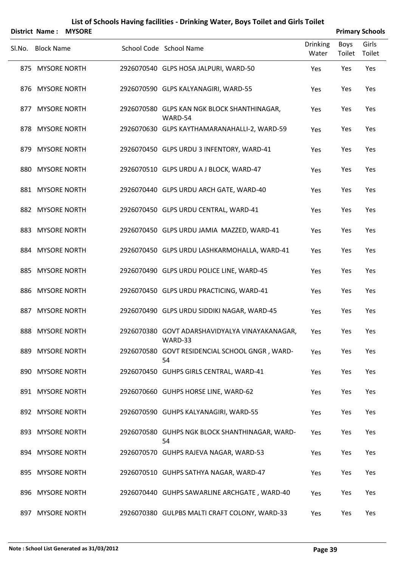|                   | <b>District Name: MYSORE</b> |                                                           |                          |                | <b>Primary Schools</b> |
|-------------------|------------------------------|-----------------------------------------------------------|--------------------------|----------------|------------------------|
| SI.No. Block Name |                              | School Code School Name                                   | <b>Drinking</b><br>Water | Boys<br>Toilet | Girls<br>Toilet        |
| 875 MYSORE NORTH  |                              | 2926070540 GLPS HOSA JALPURI, WARD-50                     | Yes                      | Yes            | Yes                    |
| 876 MYSORE NORTH  |                              | 2926070590 GLPS KALYANAGIRI, WARD-55                      | Yes                      | Yes            | Yes                    |
| 877 MYSORE NORTH  |                              | 2926070580 GLPS KAN NGK BLOCK SHANTHINAGAR,<br>WARD-54    | Yes                      | Yes            | Yes                    |
| 878 MYSORE NORTH  |                              | 2926070630 GLPS KAYTHAMARANAHALLI-2, WARD-59              | Yes                      | Yes            | Yes                    |
| 879 MYSORE NORTH  |                              | 2926070450 GLPS URDU 3 INFENTORY, WARD-41                 | Yes                      | Yes            | Yes                    |
| 880 MYSORE NORTH  |                              | 2926070510 GLPS URDU A J BLOCK, WARD-47                   | Yes                      | Yes            | Yes                    |
| 881 MYSORE NORTH  |                              | 2926070440 GLPS URDU ARCH GATE, WARD-40                   | Yes                      | Yes            | Yes                    |
| 882 MYSORE NORTH  |                              | 2926070450 GLPS URDU CENTRAL, WARD-41                     | Yes                      | Yes            | Yes                    |
| 883 MYSORE NORTH  |                              | 2926070450 GLPS URDU JAMIA MAZZED, WARD-41                | Yes                      | Yes            | Yes                    |
| 884 MYSORE NORTH  |                              | 2926070450 GLPS URDU LASHKARMOHALLA, WARD-41              | Yes                      | Yes            | Yes                    |
| 885 MYSORE NORTH  |                              | 2926070490 GLPS URDU POLICE LINE, WARD-45                 | Yes                      | Yes            | Yes                    |
| 886 MYSORE NORTH  |                              | 2926070450 GLPS URDU PRACTICING, WARD-41                  | Yes                      | Yes            | Yes                    |
| 887 MYSORE NORTH  |                              | 2926070490 GLPS URDU SIDDIKI NAGAR, WARD-45               | Yes                      | Yes            | Yes                    |
| 888 MYSORE NORTH  |                              | 2926070380 GOVT ADARSHAVIDYALYA VINAYAKANAGAR,<br>WARD-33 | Yes                      | Yes            | Yes                    |
| 889 MYSORE NORTH  |                              | 2926070580 GOVT RESIDENCIAL SCHOOL GNGR, WARD-<br>54      | Yes                      | Yes            | Yes                    |
| 890 MYSORE NORTH  |                              | 2926070450 GUHPS GIRLS CENTRAL, WARD-41                   | Yes                      | Yes            | Yes                    |
| 891 MYSORE NORTH  |                              | 2926070660 GUHPS HORSE LINE, WARD-62                      | Yes                      | Yes            | Yes                    |
| 892 MYSORE NORTH  |                              | 2926070590 GUHPS KALYANAGIRI, WARD-55                     | Yes                      | Yes            | Yes                    |
| 893 MYSORE NORTH  |                              | 2926070580 GUHPS NGK BLOCK SHANTHINAGAR, WARD-<br>54      | Yes                      | Yes            | Yes                    |
| 894 MYSORE NORTH  |                              | 2926070570 GUHPS RAJEVA NAGAR, WARD-53                    | Yes                      | Yes            | Yes                    |
| 895 MYSORE NORTH  |                              | 2926070510 GUHPS SATHYA NAGAR, WARD-47                    | Yes                      | Yes            | Yes                    |
| 896 MYSORE NORTH  |                              | 2926070440 GUHPS SAWARLINE ARCHGATE, WARD-40              | Yes                      | Yes            | Yes                    |
| 897 MYSORE NORTH  |                              | 2926070380 GULPBS MALTI CRAFT COLONY, WARD-33             | Yes                      | Yes            | Yes                    |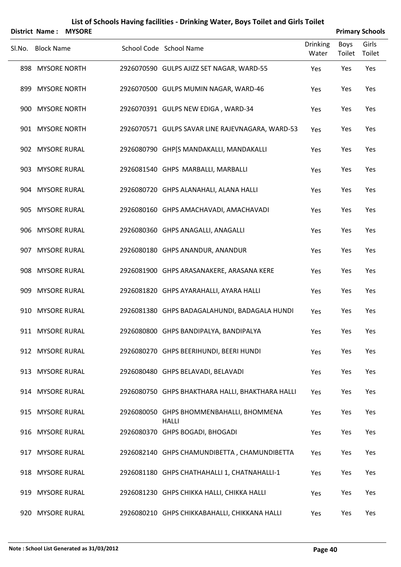| List of Schools Having facilities - Drinking Water, Boys Toilet and Girls Toilet<br><b>MYSORE</b><br><b>Primary Schools</b><br><b>District Name:</b> |                     |  |  |                                                          |                 |        |        |  |  |
|------------------------------------------------------------------------------------------------------------------------------------------------------|---------------------|--|--|----------------------------------------------------------|-----------------|--------|--------|--|--|
|                                                                                                                                                      |                     |  |  | School Code School Name                                  | <b>Drinking</b> | Boys   | Girls  |  |  |
| SI.No.                                                                                                                                               | <b>Block Name</b>   |  |  |                                                          | Water           | Toilet | Toilet |  |  |
| 898                                                                                                                                                  | <b>MYSORE NORTH</b> |  |  | 2926070590 GULPS AJIZZ SET NAGAR, WARD-55                | Yes             | Yes    | Yes    |  |  |
| 899                                                                                                                                                  | <b>MYSORE NORTH</b> |  |  | 2926070500 GULPS MUMIN NAGAR, WARD-46                    | Yes             | Yes    | Yes    |  |  |
| 900                                                                                                                                                  | <b>MYSORE NORTH</b> |  |  | 2926070391 GULPS NEW EDIGA, WARD-34                      | Yes             | Yes    | Yes    |  |  |
|                                                                                                                                                      | 901 MYSORE NORTH    |  |  | 2926070571 GULPS SAVAR LINE RAJEVNAGARA, WARD-53         | Yes             | Yes    | Yes    |  |  |
|                                                                                                                                                      | 902 MYSORE RURAL    |  |  | 2926080790 GHP[S MANDAKALLI, MANDAKALLI                  | Yes             | Yes    | Yes    |  |  |
|                                                                                                                                                      | 903 MYSORE RURAL    |  |  | 2926081540 GHPS MARBALLI, MARBALLI                       | Yes             | Yes    | Yes    |  |  |
|                                                                                                                                                      | 904 MYSORE RURAL    |  |  | 2926080720 GHPS ALANAHALI, ALANA HALLI                   | Yes             | Yes    | Yes    |  |  |
|                                                                                                                                                      | 905 MYSORE RURAL    |  |  | 2926080160 GHPS AMACHAVADI, AMACHAVADI                   | Yes             | Yes    | Yes    |  |  |
|                                                                                                                                                      | 906 MYSORE RURAL    |  |  | 2926080360 GHPS ANAGALLI, ANAGALLI                       | Yes             | Yes    | Yes    |  |  |
|                                                                                                                                                      | 907 MYSORE RURAL    |  |  | 2926080180 GHPS ANANDUR, ANANDUR                         | Yes             | Yes    | Yes    |  |  |
|                                                                                                                                                      | 908 MYSORE RURAL    |  |  | 2926081900 GHPS ARASANAKERE, ARASANA KERE                | Yes             | Yes    | Yes    |  |  |
| 909                                                                                                                                                  | <b>MYSORE RURAL</b> |  |  | 2926081820 GHPS AYARAHALLI, AYARA HALLI                  | Yes             | Yes    | Yes    |  |  |
|                                                                                                                                                      | 910 MYSORE RURAL    |  |  | 2926081380 GHPS BADAGALAHUNDI, BADAGALA HUNDI            | Yes             | Yes    | Yes    |  |  |
|                                                                                                                                                      | 911 MYSORE RURAL    |  |  | 2926080800 GHPS BANDIPALYA, BANDIPALYA                   | Yes             | Yes    | Yes    |  |  |
|                                                                                                                                                      | 912 MYSORE RURAL    |  |  | 2926080270 GHPS BEERIHUNDI, BEERI HUNDI                  | Yes             | Yes    | Yes    |  |  |
|                                                                                                                                                      | 913 MYSORE RURAL    |  |  | 2926080480 GHPS BELAVADI, BELAVADI                       | Yes             | Yes    | Yes    |  |  |
|                                                                                                                                                      | 914 MYSORE RURAL    |  |  | 2926080750 GHPS BHAKTHARA HALLI, BHAKTHARA HALLI         | Yes             | Yes    | Yes    |  |  |
|                                                                                                                                                      | 915 MYSORE RURAL    |  |  | 2926080050 GHPS BHOMMENBAHALLI, BHOMMENA<br><b>HALLI</b> | Yes             | Yes    | Yes    |  |  |
|                                                                                                                                                      | 916 MYSORE RURAL    |  |  | 2926080370 GHPS BOGADI, BHOGADI                          | Yes             | Yes    | Yes    |  |  |
|                                                                                                                                                      | 917 MYSORE RURAL    |  |  | 2926082140 GHPS CHAMUNDIBETTA, CHAMUNDIBETTA             | Yes             | Yes    | Yes    |  |  |
|                                                                                                                                                      | 918 MYSORE RURAL    |  |  | 2926081180 GHPS CHATHAHALLI 1, CHATNAHALLI-1             | Yes             | Yes    | Yes    |  |  |
| 919                                                                                                                                                  | <b>MYSORE RURAL</b> |  |  | 2926081230 GHPS CHIKKA HALLI, CHIKKA HALLI               | Yes             | Yes    | Yes    |  |  |
|                                                                                                                                                      | 920 MYSORE RURAL    |  |  | 2926080210 GHPS CHIKKABAHALLI, CHIKKANA HALLI            | Yes             | Yes    | Yes    |  |  |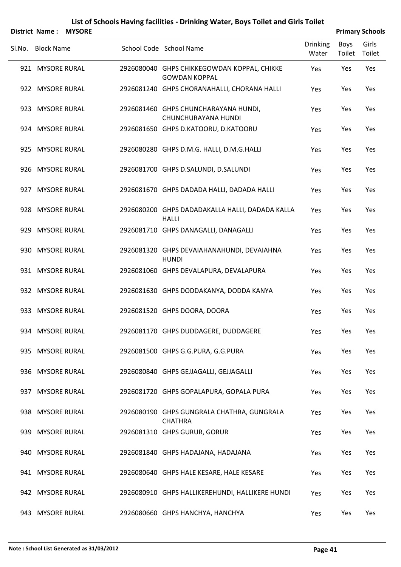|        |                   | District Name: MYSORE |                                                                     | <b>Primary Schools</b>   |                |                 |  |
|--------|-------------------|-----------------------|---------------------------------------------------------------------|--------------------------|----------------|-----------------|--|
| Sl.No. | <b>Block Name</b> |                       | School Code School Name                                             | <b>Drinking</b><br>Water | Boys<br>Toilet | Girls<br>Toilet |  |
|        | 921 MYSORE RURAL  |                       | 2926080040 GHPS CHIKKEGOWDAN KOPPAL, CHIKKE<br><b>GOWDAN KOPPAL</b> | Yes                      | Yes            | Yes             |  |
|        | 922 MYSORE RURAL  |                       | 2926081240 GHPS CHORANAHALLI, CHORANA HALLI                         | Yes                      | Yes            | Yes             |  |
|        | 923 MYSORE RURAL  |                       | 2926081460 GHPS CHUNCHARAYANA HUNDI,<br>CHUNCHURAYANA HUNDI         | Yes                      | Yes            | Yes             |  |
|        | 924 MYSORE RURAL  |                       | 2926081650 GHPS D.KATOORU, D.KATOORU                                | Yes                      | Yes            | Yes             |  |
|        | 925 MYSORE RURAL  |                       | 2926080280 GHPS D.M.G. HALLI, D.M.G.HALLI                           | Yes                      | Yes            | Yes             |  |
|        | 926 MYSORE RURAL  |                       | 2926081700 GHPS D.SALUNDI, D.SALUNDI                                | Yes                      | Yes            | Yes             |  |
|        | 927 MYSORE RURAL  |                       | 2926081670 GHPS DADADA HALLI, DADADA HALLI                          | Yes                      | Yes            | Yes             |  |
|        | 928 MYSORE RURAL  |                       | 2926080200 GHPS DADADAKALLA HALLI, DADADA KALLA<br><b>HALLI</b>     | Yes                      | Yes            | Yes             |  |
|        | 929 MYSORE RURAL  |                       | 2926081710 GHPS DANAGALLI, DANAGALLI                                | Yes                      | Yes            | Yes             |  |
|        | 930 MYSORE RURAL  |                       | 2926081320 GHPS DEVAIAHANAHUNDI, DEVAIAHNA<br><b>HUNDI</b>          | Yes                      | Yes            | Yes             |  |
|        | 931 MYSORE RURAL  |                       | 2926081060 GHPS DEVALAPURA, DEVALAPURA                              | Yes                      | Yes            | Yes             |  |
|        | 932 MYSORE RURAL  |                       | 2926081630 GHPS DODDAKANYA, DODDA KANYA                             | Yes                      | Yes            | Yes             |  |
|        | 933 MYSORE RURAL  |                       | 2926081520 GHPS DOORA, DOORA                                        | Yes                      | Yes            | Yes             |  |
|        | 934 MYSORE RURAL  |                       | 2926081170 GHPS DUDDAGERE, DUDDAGERE                                | Yes                      | Yes            | Yes             |  |
|        | 935 MYSORE RURAL  |                       | 2926081500 GHPS G.G.PURA, G.G.PURA                                  | Yes                      | Yes            | Yes             |  |
|        | 936 MYSORE RURAL  |                       | 2926080840 GHPS GEJJAGALLI, GEJJAGALLI                              | Yes                      | Yes            | Yes             |  |
|        | 937 MYSORE RURAL  |                       | 2926081720 GHPS GOPALAPURA, GOPALA PURA                             | Yes                      | Yes            | Yes             |  |
|        | 938 MYSORE RURAL  |                       | 2926080190 GHPS GUNGRALA CHATHRA, GUNGRALA<br><b>CHATHRA</b>        | Yes                      | Yes            | Yes             |  |
|        | 939 MYSORE RURAL  |                       | 2926081310 GHPS GURUR, GORUR                                        | Yes                      | Yes            | Yes             |  |
|        | 940 MYSORE RURAL  |                       | 2926081840 GHPS HADAJANA, HADAJANA                                  | Yes                      | Yes            | Yes             |  |
|        | 941 MYSORE RURAL  |                       | 2926080640 GHPS HALE KESARE, HALE KESARE                            | Yes                      | Yes            | Yes             |  |
|        | 942 MYSORE RURAL  |                       | 2926080910 GHPS HALLIKEREHUNDI, HALLIKERE HUNDI                     | Yes                      | Yes            | Yes             |  |
|        | 943 MYSORE RURAL  |                       | 2926080660 GHPS HANCHYA, HANCHYA                                    | Yes                      | Yes            | Yes             |  |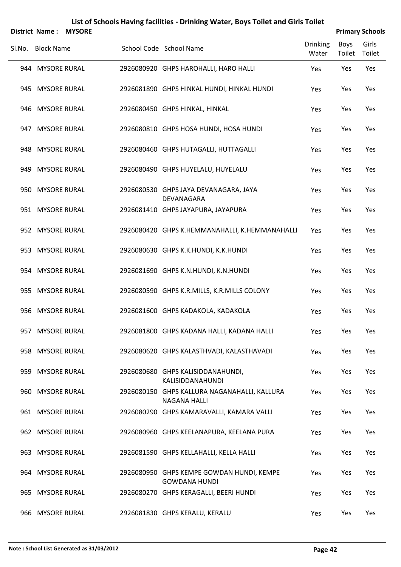|        | <b>District Name:</b> | <b>MYSORE</b> |                                                                     |                          |                | <b>Primary Schools</b> |
|--------|-----------------------|---------------|---------------------------------------------------------------------|--------------------------|----------------|------------------------|
| Sl.No. | <b>Block Name</b>     |               | School Code School Name                                             | <b>Drinking</b><br>Water | Boys<br>Toilet | Girls<br>Toilet        |
|        | 944 MYSORE RURAL      |               | 2926080920 GHPS HAROHALLI, HARO HALLI                               | Yes                      | Yes            | Yes                    |
|        | 945 MYSORE RURAL      |               | 2926081890 GHPS HINKAL HUNDI, HINKAL HUNDI                          | Yes                      | Yes            | Yes                    |
|        | 946 MYSORE RURAL      |               | 2926080450 GHPS HINKAL, HINKAL                                      | Yes                      | Yes            | Yes                    |
|        | 947 MYSORE RURAL      |               | 2926080810 GHPS HOSA HUNDI, HOSA HUNDI                              | Yes                      | Yes            | Yes                    |
|        | 948 MYSORE RURAL      |               | 2926080460 GHPS HUTAGALLI, HUTTAGALLI                               | Yes                      | Yes            | Yes                    |
|        | 949 MYSORE RURAL      |               | 2926080490 GHPS HUYELALU, HUYELALU                                  | Yes                      | Yes            | Yes                    |
|        | 950 MYSORE RURAL      |               | 2926080530 GHPS JAYA DEVANAGARA, JAYA<br>DEVANAGARA                 | Yes                      | Yes            | Yes                    |
|        | 951 MYSORE RURAL      |               | 2926081410 GHPS JAYAPURA, JAYAPURA                                  | Yes                      | Yes            | Yes                    |
|        | 952 MYSORE RURAL      |               | 2926080420 GHPS K.HEMMANAHALLI, K.HEMMANAHALLI                      | Yes                      | Yes            | Yes                    |
|        | 953 MYSORE RURAL      |               | 2926080630 GHPS K.K.HUNDI, K.K.HUNDI                                | Yes                      | Yes            | Yes                    |
|        | 954 MYSORE RURAL      |               | 2926081690 GHPS K.N.HUNDI, K.N.HUNDI                                | Yes                      | Yes            | Yes                    |
|        | 955 MYSORE RURAL      |               | 2926080590 GHPS K.R.MILLS, K.R.MILLS COLONY                         | Yes                      | Yes            | Yes                    |
|        | 956 MYSORE RURAL      |               | 2926081600 GHPS KADAKOLA, KADAKOLA                                  | Yes                      | Yes            | Yes                    |
|        | 957 MYSORE RURAL      |               | 2926081800 GHPS KADANA HALLI, KADANA HALLI                          | Yes                      | Yes            | Yes                    |
|        | 958 MYSORE RURAL      |               | 2926080620 GHPS KALASTHVADI, KALASTHAVADI                           | Yes                      | Yes            | Yes                    |
|        | 959 MYSORE RURAL      |               | 2926080680 GHPS KALISIDDANAHUNDI,<br><b>KALISIDDANAHUNDI</b>        | Yes                      | Yes            | Yes                    |
|        | 960 MYSORE RURAL      |               | 2926080150 GHPS KALLURA NAGANAHALLI, KALLURA<br><b>NAGANA HALLI</b> | Yes                      | Yes            | Yes                    |
|        | 961 MYSORE RURAL      |               | 2926080290 GHPS KAMARAVALLI, KAMARA VALLI                           | Yes                      | Yes            | Yes                    |
|        | 962 MYSORE RURAL      |               | 2926080960 GHPS KEELANAPURA, KEELANA PURA                           | Yes                      | Yes            | Yes                    |
|        | 963 MYSORE RURAL      |               | 2926081590 GHPS KELLAHALLI, KELLA HALLI                             | Yes                      | Yes            | Yes                    |
|        | 964 MYSORE RURAL      |               | 2926080950 GHPS KEMPE GOWDAN HUNDI, KEMPE<br><b>GOWDANA HUNDI</b>   | Yes                      | Yes            | Yes                    |
|        | 965 MYSORE RURAL      |               | 2926080270 GHPS KERAGALLI, BEERI HUNDI                              | Yes                      | Yes            | Yes                    |
|        | 966 MYSORE RURAL      |               | 2926081830 GHPS KERALU, KERALU                                      | Yes                      | Yes            | Yes                    |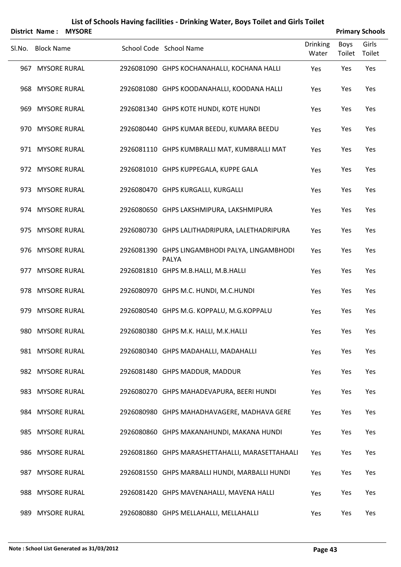|        | List of Schools Having facilities - Drinking Water, Boys Toilet and Girls Toilet<br>District Name: MYSORE<br><b>Primary Schools</b> |  |  |                                                         |                 |             |        |  |  |  |
|--------|-------------------------------------------------------------------------------------------------------------------------------------|--|--|---------------------------------------------------------|-----------------|-------------|--------|--|--|--|
| Sl.No. | <b>Block Name</b>                                                                                                                   |  |  | School Code School Name                                 | <b>Drinking</b> | <b>Boys</b> | Girls  |  |  |  |
|        |                                                                                                                                     |  |  |                                                         | Water           | Toilet      | Toilet |  |  |  |
|        | 967 MYSORE RURAL                                                                                                                    |  |  | 2926081090 GHPS KOCHANAHALLI, KOCHANA HALLI             | Yes             | Yes         | Yes    |  |  |  |
|        | 968 MYSORE RURAL                                                                                                                    |  |  | 2926081080 GHPS KOODANAHALLI, KOODANA HALLI             | Yes             | Yes         | Yes    |  |  |  |
|        | 969 MYSORE RURAL                                                                                                                    |  |  | 2926081340 GHPS KOTE HUNDI, KOTE HUNDI                  | Yes             | Yes         | Yes    |  |  |  |
|        | 970 MYSORE RURAL                                                                                                                    |  |  | 2926080440 GHPS KUMAR BEEDU, KUMARA BEEDU               | Yes             | Yes         | Yes    |  |  |  |
|        | 971 MYSORE RURAL                                                                                                                    |  |  | 2926081110 GHPS KUMBRALLI MAT, KUMBRALLI MAT            | Yes             | Yes         | Yes    |  |  |  |
|        | 972 MYSORE RURAL                                                                                                                    |  |  | 2926081010 GHPS KUPPEGALA, KUPPE GALA                   | Yes             | Yes         | Yes    |  |  |  |
|        | 973 MYSORE RURAL                                                                                                                    |  |  | 2926080470 GHPS KURGALLI, KURGALLI                      | Yes             | Yes         | Yes    |  |  |  |
|        | 974 MYSORE RURAL                                                                                                                    |  |  | 2926080650 GHPS LAKSHMIPURA, LAKSHMIPURA                | Yes             | Yes         | Yes    |  |  |  |
|        | 975 MYSORE RURAL                                                                                                                    |  |  | 2926080730 GHPS LALITHADRIPURA, LALETHADRIPURA          | Yes             | Yes         | Yes    |  |  |  |
|        | 976 MYSORE RURAL                                                                                                                    |  |  | 2926081390 GHPS LINGAMBHODI PALYA, LINGAMBHODI<br>PALYA | Yes             | Yes         | Yes    |  |  |  |
|        | 977 MYSORE RURAL                                                                                                                    |  |  | 2926081810 GHPS M.B.HALLI, M.B.HALLI                    | Yes             | Yes         | Yes    |  |  |  |
|        | 978 MYSORE RURAL                                                                                                                    |  |  | 2926080970 GHPS M.C. HUNDI, M.C.HUNDI                   | Yes             | Yes         | Yes    |  |  |  |
|        | 979 MYSORE RURAL                                                                                                                    |  |  | 2926080540 GHPS M.G. KOPPALU, M.G.KOPPALU               | Yes             | Yes         | Yes    |  |  |  |
|        | 980 MYSORE RURAL                                                                                                                    |  |  | 2926080380 GHPS M.K. HALLI, M.K.HALLI                   | Yes             | Yes         | Yes    |  |  |  |
|        | 981 MYSORE RURAL                                                                                                                    |  |  | 2926080340 GHPS MADAHALLI, MADAHALLI                    | Yes             | Yes         | Yes    |  |  |  |
|        | 982 MYSORE RURAL                                                                                                                    |  |  | 2926081480 GHPS MADDUR, MADDUR                          | Yes             | Yes         | Yes    |  |  |  |
|        | 983 MYSORE RURAL                                                                                                                    |  |  | 2926080270 GHPS MAHADEVAPURA, BEERI HUNDI               | Yes             | Yes         | Yes    |  |  |  |
|        | 984 MYSORE RURAL                                                                                                                    |  |  | 2926080980 GHPS MAHADHAVAGERE, MADHAVA GERE             | Yes             | Yes         | Yes    |  |  |  |
|        | 985 MYSORE RURAL                                                                                                                    |  |  | 2926080860 GHPS MAKANAHUNDI, MAKANA HUNDI               | Yes             | Yes         | Yes    |  |  |  |
|        | 986 MYSORE RURAL                                                                                                                    |  |  | 2926081860 GHPS MARASHETTAHALLI, MARASETTAHAALI         | Yes             | Yes         | Yes    |  |  |  |
|        | 987 MYSORE RURAL                                                                                                                    |  |  | 2926081550 GHPS MARBALLI HUNDI, MARBALLI HUNDI          | Yes             | Yes         | Yes    |  |  |  |
|        | 988 MYSORE RURAL                                                                                                                    |  |  | 2926081420 GHPS MAVENAHALLI, MAVENA HALLI               | Yes             | Yes         | Yes    |  |  |  |
|        | 989 MYSORE RURAL                                                                                                                    |  |  | 2926080880 GHPS MELLAHALLI, MELLAHALLI                  | Yes             | Yes         | Yes    |  |  |  |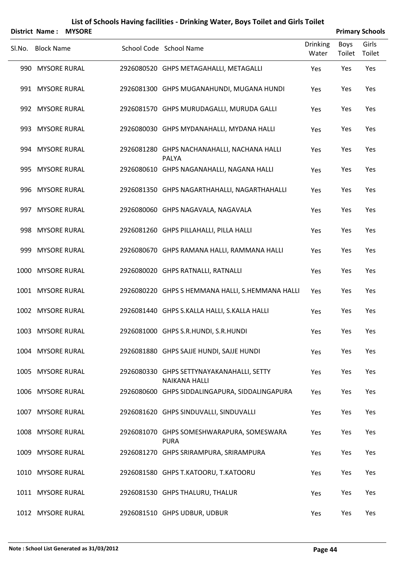|        | <b>District Name:</b> | <b>MYSORE</b> |                                                                   |                   |                       | <b>Primary Schools</b> |
|--------|-----------------------|---------------|-------------------------------------------------------------------|-------------------|-----------------------|------------------------|
| SI.No. | <b>Block Name</b>     |               | School Code School Name                                           | Drinking<br>Water | <b>Boys</b><br>Toilet | Girls<br>Toilet        |
|        | 990 MYSORE RURAL      |               | 2926080520 GHPS METAGAHALLI, METAGALLI                            | Yes               | Yes                   | Yes                    |
|        | 991 MYSORE RURAL      |               | 2926081300 GHPS MUGANAHUNDI, MUGANA HUNDI                         | Yes               | Yes                   | Yes                    |
|        | 992 MYSORE RURAL      |               | 2926081570 GHPS MURUDAGALLI, MURUDA GALLI                         | Yes               | Yes                   | Yes                    |
|        | 993 MYSORE RURAL      |               | 2926080030 GHPS MYDANAHALLI, MYDANA HALLI                         | Yes               | Yes                   | Yes                    |
|        | 994 MYSORE RURAL      |               | 2926081280 GHPS NACHANAHALLI, NACHANA HALLI<br>PALYA              | Yes               | Yes                   | Yes                    |
|        | 995 MYSORE RURAL      |               | 2926080610 GHPS NAGANAHALLI, NAGANA HALLI                         | Yes               | Yes                   | Yes                    |
|        | 996 MYSORE RURAL      |               | 2926081350 GHPS NAGARTHAHALLI, NAGARTHAHALLI                      | Yes               | Yes                   | Yes                    |
|        | 997 MYSORE RURAL      |               | 2926080060 GHPS NAGAVALA, NAGAVALA                                | Yes               | Yes                   | Yes                    |
|        | 998 MYSORE RURAL      |               | 2926081260 GHPS PILLAHALLI, PILLA HALLI                           | Yes               | Yes                   | Yes                    |
|        | 999 MYSORE RURAL      |               | 2926080670 GHPS RAMANA HALLI, RAMMANA HALLI                       | Yes               | Yes                   | Yes                    |
|        | 1000 MYSORE RURAL     |               | 2926080020 GHPS RATNALLI, RATNALLI                                | Yes               | Yes                   | Yes                    |
|        | 1001 MYSORE RURAL     |               | 2926080220 GHPS S HEMMANA HALLI, S.HEMMANA HALLI                  | Yes               | Yes                   | Yes                    |
|        | 1002 MYSORE RURAL     |               | 2926081440 GHPS S.KALLA HALLI, S.KALLA HALLI                      | Yes               | Yes                   | Yes                    |
|        | 1003 MYSORE RURAL     |               | 2926081000 GHPS S.R.HUNDI, S.R.HUNDI                              | Yes               | Yes                   | Yes                    |
|        | 1004 MYSORE RURAL     |               | 2926081880 GHPS SAJJE HUNDI, SAJJE HUNDI                          | Yes               | Yes                   | Yes                    |
|        | 1005 MYSORE RURAL     |               | 2926080330 GHPS SETTYNAYAKANAHALLI, SETTY<br><b>NAIKANA HALLI</b> | Yes               | Yes                   | Yes                    |
|        | 1006 MYSORE RURAL     |               | 2926080600 GHPS SIDDALINGAPURA, SIDDALINGAPURA                    | Yes               | Yes                   | Yes                    |
|        | 1007 MYSORE RURAL     |               | 2926081620 GHPS SINDUVALLI, SINDUVALLI                            | Yes               | Yes                   | Yes                    |
|        | 1008 MYSORE RURAL     |               | 2926081070 GHPS SOMESHWARAPURA, SOMESWARA<br><b>PURA</b>          | Yes               | Yes                   | Yes                    |
|        | 1009 MYSORE RURAL     |               | 2926081270 GHPS SRIRAMPURA, SRIRAMPURA                            | Yes               | Yes                   | Yes                    |
|        | 1010 MYSORE RURAL     |               | 2926081580 GHPS T.KATOORU, T.KATOORU                              | Yes               | Yes                   | Yes                    |
|        | 1011 MYSORE RURAL     |               | 2926081530 GHPS THALURU, THALUR                                   | Yes               | Yes                   | Yes                    |
|        | 1012 MYSORE RURAL     |               | 2926081510 GHPS UDBUR, UDBUR                                      | Yes               | Yes                   | Yes                    |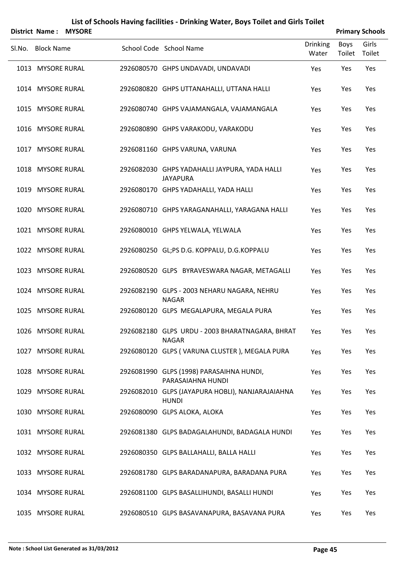| List of Schools Having facilities - Drinking Water, Boys Toilet and Girls Toilet |  |
|----------------------------------------------------------------------------------|--|
|----------------------------------------------------------------------------------|--|

|        |                   | District Name: MYSORE |                                                                  |                          |                | <b>Primary Schools</b> |
|--------|-------------------|-----------------------|------------------------------------------------------------------|--------------------------|----------------|------------------------|
| SI.No. | <b>Block Name</b> |                       | School Code School Name                                          | <b>Drinking</b><br>Water | Boys<br>Toilet | Girls<br>Toilet        |
|        | 1013 MYSORE RURAL |                       | 2926080570 GHPS UNDAVADI, UNDAVADI                               | Yes                      | Yes            | Yes                    |
|        | 1014 MYSORE RURAL |                       | 2926080820 GHPS UTTANAHALLI, UTTANA HALLI                        | Yes                      | Yes            | Yes                    |
|        | 1015 MYSORE RURAL |                       | 2926080740 GHPS VAJAMANGALA, VAJAMANGALA                         | Yes                      | Yes            | Yes                    |
|        | 1016 MYSORE RURAL |                       | 2926080890 GHPS VARAKODU, VARAKODU                               | Yes                      | Yes            | Yes                    |
|        | 1017 MYSORE RURAL |                       | 2926081160 GHPS VARUNA, VARUNA                                   | Yes                      | Yes            | Yes                    |
|        | 1018 MYSORE RURAL |                       | 2926082030 GHPS YADAHALLI JAYPURA, YADA HALLI<br><b>JAYAPURA</b> | Yes                      | Yes            | Yes                    |
|        | 1019 MYSORE RURAL |                       | 2926080170 GHPS YADAHALLI, YADA HALLI                            | Yes                      | Yes            | Yes                    |
|        | 1020 MYSORE RURAL |                       | 2926080710 GHPS YARAGANAHALLI, YARAGANA HALLI                    | Yes                      | Yes            | Yes                    |
|        | 1021 MYSORE RURAL |                       | 2926080010 GHPS YELWALA, YELWALA                                 | Yes                      | Yes            | Yes                    |
|        | 1022 MYSORE RURAL |                       | 2926080250 GL;PS D.G. KOPPALU, D.G.KOPPALU                       | Yes                      | Yes            | Yes                    |
|        | 1023 MYSORE RURAL |                       | 2926080520 GLPS BYRAVESWARA NAGAR, METAGALLI                     | Yes                      | Yes            | Yes                    |
|        | 1024 MYSORE RURAL |                       | 2926082190 GLPS - 2003 NEHARU NAGARA, NEHRU<br><b>NAGAR</b>      | Yes                      | Yes            | Yes                    |
|        | 1025 MYSORE RURAL |                       | 2926080120 GLPS MEGALAPURA, MEGALA PURA                          | Yes                      | Yes            | Yes                    |
|        | 1026 MYSORE RURAL |                       | 2926082180 GLPS URDU - 2003 BHARATNAGARA, BHRAT<br><b>NAGAR</b>  | Yes                      | Yes            | Yes                    |
|        | 1027 MYSORE RURAL |                       | 2926080120 GLPS (VARUNA CLUSTER), MEGALA PURA                    | Yes                      | Yes            | Yes                    |
|        | 1028 MYSORE RURAL |                       | 2926081990 GLPS (1998) PARASAIHNA HUNDI,<br>PARASAIAHNA HUNDI    | Yes                      | Yes            | Yes                    |
|        | 1029 MYSORE RURAL |                       | 2926082010 GLPS (JAYAPURA HOBLI), NANJARAJAIAHNA<br><b>HUNDI</b> | Yes                      | Yes            | Yes                    |
|        | 1030 MYSORE RURAL |                       | 2926080090 GLPS ALOKA, ALOKA                                     | Yes                      | Yes            | Yes                    |
|        | 1031 MYSORE RURAL |                       | 2926081380 GLPS BADAGALAHUNDI, BADAGALA HUNDI                    | Yes                      | Yes            | Yes                    |
|        | 1032 MYSORE RURAL |                       | 2926080350 GLPS BALLAHALLI, BALLA HALLI                          | Yes                      | Yes            | Yes                    |
|        | 1033 MYSORE RURAL |                       | 2926081780 GLPS BARADANAPURA, BARADANA PURA                      | Yes                      | Yes            | Yes                    |
|        | 1034 MYSORE RURAL |                       | 2926081100 GLPS BASALLIHUNDI, BASALLI HUNDI                      | Yes                      | Yes            | Yes                    |
|        | 1035 MYSORE RURAL |                       | 2926080510 GLPS BASAVANAPURA, BASAVANA PURA                      | Yes                      | Yes            | Yes                    |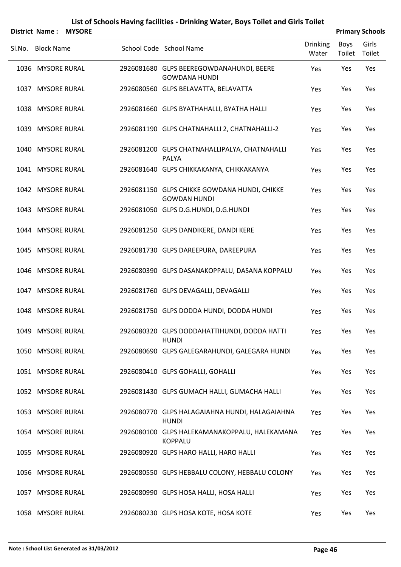|        | District Name:    | <b>MYSORE</b> |                                                                     |                          |                | <b>Primary Schools</b> |
|--------|-------------------|---------------|---------------------------------------------------------------------|--------------------------|----------------|------------------------|
| Sl.No. | <b>Block Name</b> |               | School Code School Name                                             | <b>Drinking</b><br>Water | Boys<br>Toilet | Girls<br>Toilet        |
|        | 1036 MYSORE RURAL |               | 2926081680 GLPS BEEREGOWDANAHUNDI, BEERE<br><b>GOWDANA HUNDI</b>    | Yes                      | Yes            | Yes                    |
|        | 1037 MYSORE RURAL |               | 2926080560 GLPS BELAVATTA, BELAVATTA                                | Yes                      | Yes            | Yes                    |
|        | 1038 MYSORE RURAL |               | 2926081660 GLPS BYATHAHALLI, BYATHA HALLI                           | Yes                      | Yes            | Yes                    |
|        | 1039 MYSORE RURAL |               | 2926081190 GLPS CHATNAHALLI 2, CHATNAHALLI-2                        | Yes                      | Yes            | Yes                    |
|        | 1040 MYSORE RURAL |               | 2926081200 GLPS CHATNAHALLIPALYA, CHATNAHALLI<br>PALYA              | Yes                      | Yes            | Yes                    |
|        | 1041 MYSORE RURAL |               | 2926081640 GLPS CHIKKAKANYA, CHIKKAKANYA                            | Yes                      | Yes            | Yes                    |
|        | 1042 MYSORE RURAL |               | 2926081150 GLPS CHIKKE GOWDANA HUNDI, CHIKKE<br><b>GOWDAN HUNDI</b> | Yes                      | Yes            | Yes                    |
|        | 1043 MYSORE RURAL |               | 2926081050 GLPS D.G.HUNDI, D.G.HUNDI                                | Yes                      | Yes            | Yes                    |
|        | 1044 MYSORE RURAL |               | 2926081250 GLPS DANDIKERE, DANDI KERE                               | Yes                      | Yes            | Yes                    |
|        | 1045 MYSORE RURAL |               | 2926081730 GLPS DAREEPURA, DAREEPURA                                | Yes                      | Yes            | Yes                    |
|        | 1046 MYSORE RURAL |               | 2926080390 GLPS DASANAKOPPALU, DASANA KOPPALU                       | Yes                      | Yes            | Yes                    |
|        | 1047 MYSORE RURAL |               | 2926081760 GLPS DEVAGALLI, DEVAGALLI                                | Yes                      | Yes            | Yes                    |
|        | 1048 MYSORE RURAL |               | 2926081750 GLPS DODDA HUNDI, DODDA HUNDI                            | Yes                      | Yes            | Yes                    |
|        | 1049 MYSORE RURAL |               | 2926080320 GLPS DODDAHATTIHUNDI, DODDA HATTI<br><b>HUNDI</b>        | Yes                      | Yes            | Yes                    |
|        | 1050 MYSORE RURAL |               | 2926080690 GLPS GALEGARAHUNDI, GALEGARA HUNDI                       | Yes                      | Yes            | Yes                    |
|        | 1051 MYSORE RURAL |               | 2926080410 GLPS GOHALLI, GOHALLI                                    | Yes                      | Yes            | Yes                    |
|        | 1052 MYSORE RURAL |               | 2926081430 GLPS GUMACH HALLI, GUMACHA HALLI                         | Yes                      | Yes            | Yes                    |
|        | 1053 MYSORE RURAL |               | 2926080770 GLPS HALAGAIAHNA HUNDI, HALAGAIAHNA<br><b>HUNDI</b>      | Yes                      | Yes            | Yes                    |
|        | 1054 MYSORE RURAL |               | 2926080100 GLPS HALEKAMANAKOPPALU, HALEKAMANA<br><b>KOPPALU</b>     | Yes                      | Yes            | Yes                    |
|        | 1055 MYSORE RURAL |               | 2926080920 GLPS HARO HALLI, HARO HALLI                              | Yes                      | Yes            | Yes                    |
|        | 1056 MYSORE RURAL |               | 2926080550 GLPS HEBBALU COLONY, HEBBALU COLONY                      | Yes                      | Yes            | Yes                    |
|        | 1057 MYSORE RURAL |               | 2926080990 GLPS HOSA HALLI, HOSA HALLI                              | Yes                      | Yes            | Yes                    |
|        | 1058 MYSORE RURAL |               | 2926080230 GLPS HOSA KOTE, HOSA KOTE                                | Yes                      | Yes            | Yes                    |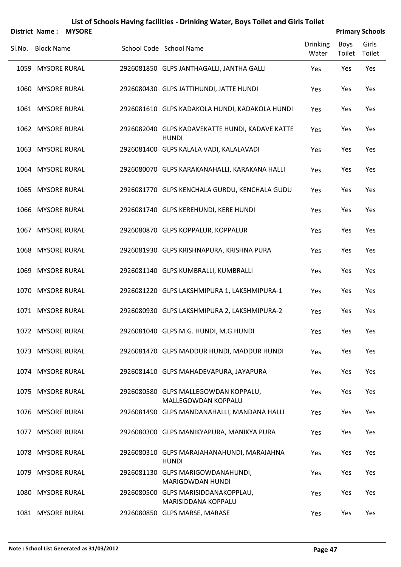|        | District Name:    | <b>MYSORE</b> |                                                                 |                          |                | <b>Primary Schools</b> |
|--------|-------------------|---------------|-----------------------------------------------------------------|--------------------------|----------------|------------------------|
| Sl.No. | <b>Block Name</b> |               | School Code School Name                                         | <b>Drinking</b><br>Water | Boys<br>Toilet | Girls<br>Toilet        |
|        | 1059 MYSORE RURAL |               | 2926081850 GLPS JANTHAGALLI, JANTHA GALLI                       | Yes                      | Yes            | Yes                    |
|        | 1060 MYSORE RURAL |               | 2926080430 GLPS JATTIHUNDI, JATTE HUNDI                         | Yes                      | Yes            | Yes                    |
|        | 1061 MYSORE RURAL |               | 2926081610 GLPS KADAKOLA HUNDI, KADAKOLA HUNDI                  | Yes                      | Yes            | Yes                    |
|        | 1062 MYSORE RURAL |               | 2926082040 GLPS KADAVEKATTE HUNDI, KADAVE KATTE<br><b>HUNDI</b> | Yes                      | Yes            | Yes                    |
|        | 1063 MYSORE RURAL |               | 2926081400 GLPS KALALA VADI, KALALAVADI                         | Yes                      | Yes            | Yes                    |
|        | 1064 MYSORE RURAL |               | 2926080070 GLPS KARAKANAHALLI, KARAKANA HALLI                   | Yes                      | Yes            | Yes                    |
|        | 1065 MYSORE RURAL |               | 2926081770 GLPS KENCHALA GURDU, KENCHALA GUDU                   | Yes                      | Yes            | Yes                    |
|        | 1066 MYSORE RURAL |               | 2926081740 GLPS KEREHUNDI, KERE HUNDI                           | Yes                      | Yes            | Yes                    |
|        | 1067 MYSORE RURAL |               | 2926080870 GLPS KOPPALUR, KOPPALUR                              | Yes                      | Yes            | Yes                    |
|        | 1068 MYSORE RURAL |               | 2926081930 GLPS KRISHNAPURA, KRISHNA PURA                       | Yes                      | Yes            | Yes                    |
|        | 1069 MYSORE RURAL |               | 2926081140 GLPS KUMBRALLI, KUMBRALLI                            | Yes                      | Yes            | Yes                    |
|        | 1070 MYSORE RURAL |               | 2926081220 GLPS LAKSHMIPURA 1, LAKSHMIPURA-1                    | Yes                      | Yes            | Yes                    |
|        | 1071 MYSORE RURAL |               | 2926080930 GLPS LAKSHMIPURA 2, LAKSHMIPURA-2                    | Yes                      | Yes            | Yes                    |
|        | 1072 MYSORE RURAL |               | 2926081040 GLPS M.G. HUNDI, M.G.HUNDI                           | Yes                      | Yes            | Yes                    |
|        | 1073 MYSORE RURAL |               | 2926081470 GLPS MADDUR HUNDI, MADDUR HUNDI                      | Yes                      | Yes            | Yes                    |
|        | 1074 MYSORE RURAL |               | 2926081410 GLPS MAHADEVAPURA, JAYAPURA                          | Yes                      | Yes            | Yes                    |
|        | 1075 MYSORE RURAL |               | 2926080580 GLPS MALLEGOWDAN KOPPALU,<br>MALLEGOWDAN KOPPALU     | Yes                      | Yes            | Yes                    |
|        | 1076 MYSORE RURAL |               | 2926081490 GLPS MANDANAHALLI, MANDANA HALLI                     | Yes                      | Yes            | Yes                    |
|        | 1077 MYSORE RURAL |               | 2926080300 GLPS MANIKYAPURA, MANIKYA PURA                       | Yes                      | Yes            | Yes                    |
|        | 1078 MYSORE RURAL |               | 2926080310 GLPS MARAIAHANAHUNDI, MARAIAHNA<br><b>HUNDI</b>      | Yes                      | Yes            | Yes                    |
|        | 1079 MYSORE RURAL |               | 2926081130 GLPS MARIGOWDANAHUNDI,<br>MARIGOWDAN HUNDI           | Yes                      | Yes            | Yes                    |
|        | 1080 MYSORE RURAL |               | 2926080500 GLPS MARISIDDANAKOPPLAU,<br>MARISIDDANA KOPPALU      | Yes                      | Yes            | Yes                    |
|        | 1081 MYSORE RURAL |               | 2926080850 GLPS MARSE, MARASE                                   | Yes                      | Yes            | Yes                    |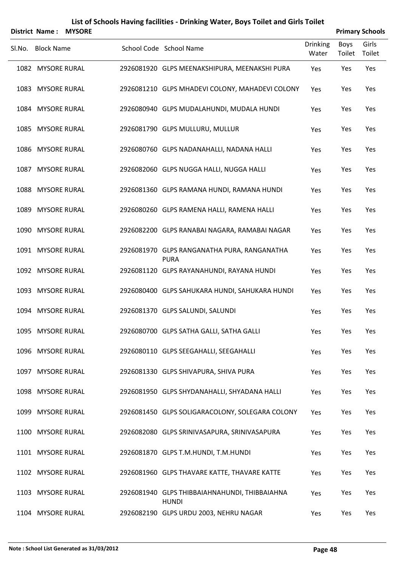|        |                   | <b>District Name: MYSORE</b> |                                                               |                          |                | <b>Primary Schools</b> |
|--------|-------------------|------------------------------|---------------------------------------------------------------|--------------------------|----------------|------------------------|
| SI.No. | <b>Block Name</b> |                              | School Code School Name                                       | <b>Drinking</b><br>Water | Boys<br>Toilet | Girls<br>Toilet        |
|        | 1082 MYSORE RURAL |                              | 2926081920 GLPS MEENAKSHIPURA, MEENAKSHI PURA                 | Yes                      | Yes            | Yes                    |
|        | 1083 MYSORE RURAL |                              | 2926081210 GLPS MHADEVI COLONY, MAHADEVI COLONY               | Yes                      | Yes            | Yes                    |
|        | 1084 MYSORE RURAL |                              | 2926080940 GLPS MUDALAHUNDI, MUDALA HUNDI                     | Yes                      | Yes            | Yes                    |
|        | 1085 MYSORE RURAL |                              | 2926081790 GLPS MULLURU, MULLUR                               | Yes                      | Yes            | Yes                    |
|        | 1086 MYSORE RURAL |                              | 2926080760 GLPS NADANAHALLI, NADANA HALLI                     | Yes                      | Yes            | Yes                    |
|        | 1087 MYSORE RURAL |                              | 2926082060 GLPS NUGGA HALLI, NUGGA HALLI                      | Yes                      | Yes            | Yes                    |
|        | 1088 MYSORE RURAL |                              | 2926081360 GLPS RAMANA HUNDI, RAMANA HUNDI                    | Yes                      | Yes            | Yes                    |
|        | 1089 MYSORE RURAL |                              | 2926080260 GLPS RAMENA HALLI, RAMENA HALLI                    | Yes                      | Yes            | Yes                    |
|        | 1090 MYSORE RURAL |                              | 2926082200 GLPS RANABAI NAGARA, RAMABAI NAGAR                 | Yes                      | Yes            | Yes                    |
|        | 1091 MYSORE RURAL |                              | 2926081970 GLPS RANGANATHA PURA, RANGANATHA<br><b>PURA</b>    | Yes                      | Yes            | Yes                    |
|        | 1092 MYSORE RURAL |                              | 2926081120 GLPS RAYANAHUNDI, RAYANA HUNDI                     | Yes                      | Yes            | Yes                    |
|        | 1093 MYSORE RURAL |                              | 2926080400 GLPS SAHUKARA HUNDI, SAHUKARA HUNDI                | Yes                      | Yes            | Yes                    |
|        | 1094 MYSORE RURAL |                              | 2926081370 GLPS SALUNDI, SALUNDI                              | Yes                      | Yes            | Yes                    |
|        | 1095 MYSORE RURAL |                              | 2926080700 GLPS SATHA GALLI, SATHA GALLI                      | Yes                      | Yes            | Yes                    |
|        | 1096 MYSORE RURAL |                              | 2926080110 GLPS SEEGAHALLI, SEEGAHALLI                        | Yes                      | Yes            | Yes                    |
|        | 1097 MYSORE RURAL |                              | 2926081330 GLPS SHIVAPURA, SHIVA PURA                         | Yes                      | Yes            | Yes                    |
|        | 1098 MYSORE RURAL |                              | 2926081950 GLPS SHYDANAHALLI, SHYADANA HALLI                  | Yes                      | Yes            | Yes                    |
|        | 1099 MYSORE RURAL |                              | 2926081450 GLPS SOLIGARACOLONY, SOLEGARA COLONY               | Yes                      | Yes            | Yes                    |
|        | 1100 MYSORE RURAL |                              | 2926082080 GLPS SRINIVASAPURA, SRINIVASAPURA                  | Yes                      | Yes            | Yes                    |
|        | 1101 MYSORE RURAL |                              | 2926081870 GLPS T.M.HUNDI, T.M.HUNDI                          | Yes                      | Yes            | Yes                    |
|        | 1102 MYSORE RURAL |                              | 2926081960 GLPS THAVARE KATTE, THAVARE KATTE                  | Yes                      | Yes            | Yes                    |
|        | 1103 MYSORE RURAL |                              | 2926081940 GLPS THIBBAIAHNAHUNDI, THIBBAIAHNA<br><b>HUNDI</b> | Yes                      | Yes            | Yes                    |
|        | 1104 MYSORE RURAL |                              | 2926082190 GLPS URDU 2003, NEHRU NAGAR                        | Yes                      | Yes            | Yes                    |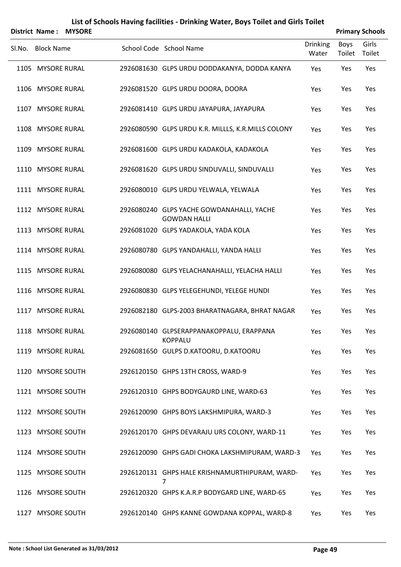|        |                   | <b>District Name: MYSORE</b> |                                                                  |                          |                | <b>Primary Schools</b> |
|--------|-------------------|------------------------------|------------------------------------------------------------------|--------------------------|----------------|------------------------|
| SI.No. | <b>Block Name</b> |                              | School Code School Name                                          | <b>Drinking</b><br>Water | Boys<br>Toilet | Girls<br>Toilet        |
|        | 1105 MYSORE RURAL |                              | 2926081630 GLPS URDU DODDAKANYA, DODDA KANYA                     | Yes                      | Yes            | Yes                    |
|        | 1106 MYSORE RURAL |                              | 2926081520 GLPS URDU DOORA, DOORA                                | Yes                      | Yes            | Yes                    |
|        | 1107 MYSORE RURAL |                              | 2926081410 GLPS URDU JAYAPURA, JAYAPURA                          | Yes                      | Yes            | Yes                    |
|        | 1108 MYSORE RURAL |                              | 2926080590 GLPS URDU K.R. MILLLS, K.R.MILLS COLONY               | Yes                      | Yes            | Yes                    |
|        | 1109 MYSORE RURAL |                              | 2926081600 GLPS URDU KADAKOLA, KADAKOLA                          | Yes                      | Yes            | Yes                    |
|        | 1110 MYSORE RURAL |                              | 2926081620 GLPS URDU SINDUVALLI, SINDUVALLI                      | Yes                      | Yes            | Yes                    |
|        | 1111 MYSORE RURAL |                              | 2926080010 GLPS URDU YELWALA, YELWALA                            | Yes                      | Yes            | Yes                    |
|        | 1112 MYSORE RURAL |                              | 2926080240 GLPS YACHE GOWDANAHALLI, YACHE<br><b>GOWDAN HALLI</b> | Yes                      | Yes            | Yes                    |
|        | 1113 MYSORE RURAL |                              | 2926081020 GLPS YADAKOLA, YADA KOLA                              | Yes                      | Yes            | Yes                    |
|        | 1114 MYSORE RURAL |                              | 2926080780 GLPS YANDAHALLI, YANDA HALLI                          | Yes                      | Yes            | Yes                    |
|        | 1115 MYSORE RURAL |                              | 2926080080 GLPS YELACHANAHALLI, YELACHA HALLI                    | Yes                      | Yes            | Yes                    |
|        | 1116 MYSORE RURAL |                              | 2926080830 GLPS YELEGEHUNDI, YELEGE HUNDI                        | Yes                      | Yes            | Yes                    |
|        | 1117 MYSORE RURAL |                              | 2926082180 GLPS-2003 BHARATNAGARA, BHRAT NAGAR                   | Yes                      | Yes            | Yes                    |
|        | 1118 MYSORE RURAL |                              | 2926080140 GLPSERAPPANAKOPPALU, ERAPPANA<br><b>KOPPALU</b>       | Yes                      | Yes            | Yes                    |
|        | 1119 MYSORE RURAL |                              | 2926081650 GULPS D.KATOORU, D.KATOORU                            | Yes                      | Yes            | Yes                    |
|        | 1120 MYSORE SOUTH |                              | 2926120150 GHPS 13TH CROSS, WARD-9                               | Yes                      | Yes            | Yes                    |
|        | 1121 MYSORE SOUTH |                              | 2926120310 GHPS BODYGAURD LINE, WARD-63                          | Yes                      | Yes            | Yes                    |
|        | 1122 MYSORE SOUTH |                              | 2926120090 GHPS BOYS LAKSHMIPURA, WARD-3                         | Yes                      | Yes            | Yes                    |
|        | 1123 MYSORE SOUTH |                              | 2926120170 GHPS DEVARAJU URS COLONY, WARD-11                     | Yes                      | Yes            | Yes                    |
|        | 1124 MYSORE SOUTH |                              | 2926120090 GHPS GADI CHOKA LAKSHMIPURAM, WARD-3                  | Yes                      | Yes            | Yes                    |
|        | 1125 MYSORE SOUTH |                              | 2926120131 GHPS HALE KRISHNAMURTHIPURAM, WARD-<br>7              | Yes                      | Yes            | Yes                    |
|        | 1126 MYSORE SOUTH |                              | 2926120320 GHPS K.A.R.P BODYGARD LINE, WARD-65                   | Yes                      | Yes            | Yes                    |
|        | 1127 MYSORE SOUTH |                              | 2926120140 GHPS KANNE GOWDANA KOPPAL, WARD-8                     | Yes                      | Yes            | Yes                    |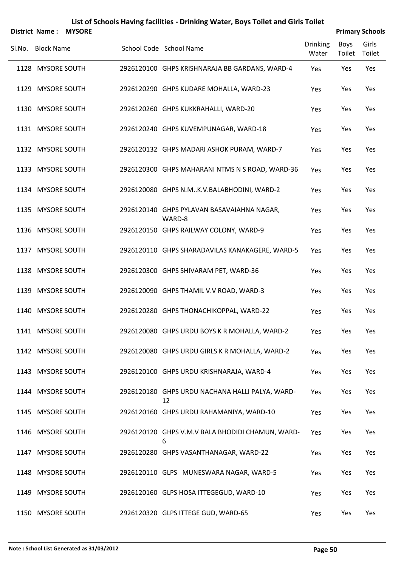|        |                   | <b>District Name: MYSORE</b> |                                                       |                          |                | <b>Primary Schools</b> |
|--------|-------------------|------------------------------|-------------------------------------------------------|--------------------------|----------------|------------------------|
| SI.No. | <b>Block Name</b> |                              | School Code School Name                               | <b>Drinking</b><br>Water | Boys<br>Toilet | Girls<br>Toilet        |
|        | 1128 MYSORE SOUTH |                              | 2926120100 GHPS KRISHNARAJA BB GARDANS, WARD-4        | Yes                      | Yes            | Yes                    |
|        | 1129 MYSORE SOUTH |                              | 2926120290 GHPS KUDARE MOHALLA, WARD-23               | Yes                      | Yes            | Yes                    |
|        | 1130 MYSORE SOUTH |                              | 2926120260 GHPS KUKKRAHALLI, WARD-20                  | Yes                      | Yes            | Yes                    |
|        | 1131 MYSORE SOUTH |                              | 2926120240 GHPS KUVEMPUNAGAR, WARD-18                 | Yes                      | Yes            | Yes                    |
|        | 1132 MYSORE SOUTH |                              | 2926120132 GHPS MADARI ASHOK PURAM, WARD-7            | Yes                      | Yes            | Yes                    |
|        | 1133 MYSORE SOUTH |                              | 2926120300 GHPS MAHARANI NTMS N S ROAD, WARD-36       | Yes                      | Yes            | Yes                    |
|        | 1134 MYSORE SOUTH |                              | 2926120080 GHPS N.MK.V.BALABHODINI, WARD-2            | Yes                      | Yes            | Yes                    |
|        | 1135 MYSORE SOUTH |                              | 2926120140 GHPS PYLAVAN BASAVAIAHNA NAGAR,<br>WARD-8  | Yes                      | Yes            | Yes                    |
|        | 1136 MYSORE SOUTH |                              | 2926120150 GHPS RAILWAY COLONY, WARD-9                | Yes                      | Yes            | Yes                    |
|        | 1137 MYSORE SOUTH |                              | 2926120110 GHPS SHARADAVILAS KANAKAGERE, WARD-5       | Yes                      | Yes            | Yes                    |
|        | 1138 MYSORE SOUTH |                              | 2926120300 GHPS SHIVARAM PET, WARD-36                 | Yes                      | Yes            | Yes                    |
|        | 1139 MYSORE SOUTH |                              | 2926120090 GHPS THAMIL V.V ROAD, WARD-3               | Yes                      | Yes            | Yes                    |
|        | 1140 MYSORE SOUTH |                              | 2926120280 GHPS THONACHIKOPPAL, WARD-22               | Yes                      | Yes            | Yes                    |
|        | 1141 MYSORE SOUTH |                              | 2926120080 GHPS URDU BOYS K R MOHALLA, WARD-2         | Yes                      | Yes            | Yes                    |
|        | 1142 MYSORE SOUTH |                              | 2926120080 GHPS URDU GIRLS K R MOHALLA, WARD-2        | Yes                      | Yes            | Yes                    |
|        | 1143 MYSORE SOUTH |                              | 2926120100 GHPS URDU KRISHNARAJA, WARD-4              | Yes                      | Yes            | Yes                    |
|        | 1144 MYSORE SOUTH |                              | 2926120180 GHPS URDU NACHANA HALLI PALYA, WARD-<br>12 | Yes                      | Yes            | Yes                    |
|        | 1145 MYSORE SOUTH |                              | 2926120160 GHPS URDU RAHAMANIYA, WARD-10              | Yes                      | Yes            | Yes                    |
|        | 1146 MYSORE SOUTH |                              | 2926120120 GHPS V.M.V BALA BHODIDI CHAMUN, WARD-<br>6 | Yes                      | Yes            | Yes                    |
|        | 1147 MYSORE SOUTH |                              | 2926120280 GHPS VASANTHANAGAR, WARD-22                | Yes                      | Yes            | Yes                    |
|        | 1148 MYSORE SOUTH |                              | 2926120110 GLPS MUNESWARA NAGAR, WARD-5               | Yes                      | Yes            | Yes                    |
|        | 1149 MYSORE SOUTH |                              | 2926120160 GLPS HOSA ITTEGEGUD, WARD-10               | Yes                      | Yes            | Yes                    |
|        | 1150 MYSORE SOUTH |                              | 2926120320 GLPS ITTEGE GUD, WARD-65                   | Yes                      | Yes            | Yes                    |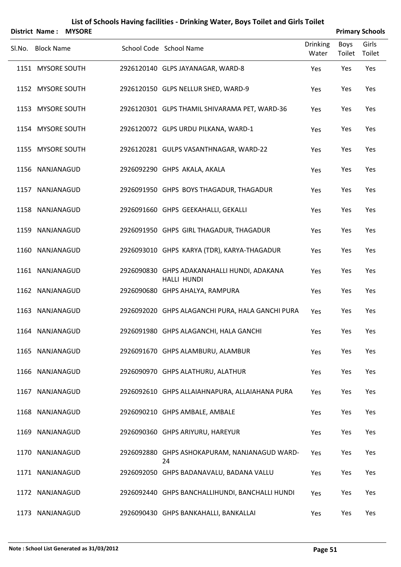|      | District Name: MYSORE |  |                                                                   |                          | <b>Primary Schools</b> |                 |
|------|-----------------------|--|-------------------------------------------------------------------|--------------------------|------------------------|-----------------|
|      | Sl.No. Block Name     |  | School Code School Name                                           | <b>Drinking</b><br>Water | <b>Boys</b><br>Toilet  | Girls<br>Toilet |
|      | 1151 MYSORE SOUTH     |  | 2926120140 GLPS JAYANAGAR, WARD-8                                 | Yes                      | Yes                    | Yes             |
|      | 1152 MYSORE SOUTH     |  | 2926120150 GLPS NELLUR SHED, WARD-9                               | Yes                      | Yes                    | Yes             |
|      | 1153 MYSORE SOUTH     |  | 2926120301 GLPS THAMIL SHIVARAMA PET, WARD-36                     | Yes                      | Yes                    | Yes             |
|      | 1154 MYSORE SOUTH     |  | 2926120072 GLPS URDU PILKANA, WARD-1                              | Yes                      | Yes                    | Yes             |
|      | 1155 MYSORE SOUTH     |  | 2926120281 GULPS VASANTHNAGAR, WARD-22                            | Yes                      | Yes                    | Yes             |
|      | 1156 NANJANAGUD       |  | 2926092290 GHPS AKALA, AKALA                                      | Yes                      | Yes                    | Yes             |
|      | 1157 NANJANAGUD       |  | 2926091950 GHPS BOYS THAGADUR, THAGADUR                           | Yes                      | Yes                    | Yes             |
|      | 1158 NANJANAGUD       |  | 2926091660 GHPS GEEKAHALLI, GEKALLI                               | Yes                      | Yes                    | Yes             |
|      | 1159 NANJANAGUD       |  | 2926091950 GHPS GIRL THAGADUR, THAGADUR                           | Yes                      | Yes                    | Yes             |
|      | 1160 NANJANAGUD       |  | 2926093010 GHPS KARYA (TDR), KARYA-THAGADUR                       | Yes                      | Yes                    | Yes             |
|      | 1161 NANJANAGUD       |  | 2926090830 GHPS ADAKANAHALLI HUNDI, ADAKANA<br><b>HALLI HUNDI</b> | Yes                      | Yes                    | Yes             |
|      | 1162 NANJANAGUD       |  | 2926090680 GHPS AHALYA, RAMPURA                                   | Yes                      | Yes                    | Yes             |
|      | 1163 NANJANAGUD       |  | 2926092020 GHPS ALAGANCHI PURA, HALA GANCHI PURA                  | Yes                      | Yes                    | Yes             |
|      | 1164 NANJANAGUD       |  | 2926091980 GHPS ALAGANCHI, HALA GANCHI                            | Yes                      | Yes                    | Yes             |
|      | 1165 NANJANAGUD       |  | 2926091670 GHPS ALAMBURU, ALAMBUR                                 | Yes                      | Yes                    | Yes             |
| 1166 | NANJANAGUD            |  | 2926090970 GHPS ALATHURU, ALATHUR                                 | Yes                      | Yes                    | Yes             |
|      | 1167 NANJANAGUD       |  | 2926092610 GHPS ALLAIAHNAPURA, ALLAIAHANA PURA                    | Yes                      | Yes                    | Yes             |
|      | 1168 NANJANAGUD       |  | 2926090210 GHPS AMBALE, AMBALE                                    | Yes                      | Yes                    | Yes             |
|      | 1169 NANJANAGUD       |  | 2926090360 GHPS ARIYURU, HAREYUR                                  | Yes                      | Yes                    | Yes             |
|      | 1170 NANJANAGUD       |  | 2926092880 GHPS ASHOKAPURAM, NANJANAGUD WARD-<br>24               | Yes                      | Yes                    | Yes             |
|      | 1171 NANJANAGUD       |  | 2926092050 GHPS BADANAVALU, BADANA VALLU                          | Yes                      | Yes                    | Yes             |
|      | 1172 NANJANAGUD       |  | 2926092440 GHPS BANCHALLIHUNDI, BANCHALLI HUNDI                   | Yes                      | Yes                    | Yes             |
|      |                       |  |                                                                   |                          |                        |                 |

NANJANAGUD 2926090430 GHPS BANKAHALLI, BANKALLAI Yes Yes Yes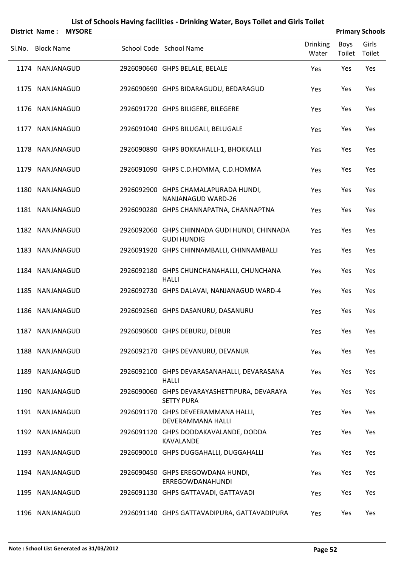|        | <b>District Name:</b> | <b>MYSORE</b> |                                                                     |                          |                       | <b>Primary Schools</b> |
|--------|-----------------------|---------------|---------------------------------------------------------------------|--------------------------|-----------------------|------------------------|
| Sl.No. | <b>Block Name</b>     |               | School Code School Name                                             | <b>Drinking</b><br>Water | <b>Boys</b><br>Toilet | Girls<br>Toilet        |
|        | 1174 NANJANAGUD       |               | 2926090660 GHPS BELALE, BELALE                                      | Yes                      | Yes                   | Yes                    |
|        | 1175 NANJANAGUD       |               | 2926090690 GHPS BIDARAGUDU, BEDARAGUD                               | Yes                      | Yes                   | Yes                    |
|        | 1176 NANJANAGUD       |               | 2926091720 GHPS BILIGERE, BILEGERE                                  | Yes                      | Yes                   | Yes                    |
|        | 1177 NANJANAGUD       |               | 2926091040 GHPS BILUGALI, BELUGALE                                  | Yes                      | Yes                   | Yes                    |
|        | 1178 NANJANAGUD       |               | 2926090890 GHPS BOKKAHALLI-1, BHOKKALLI                             | Yes                      | Yes                   | Yes                    |
|        | 1179 NANJANAGUD       |               | 2926091090 GHPS C.D.HOMMA, C.D.HOMMA                                | Yes                      | Yes                   | Yes                    |
|        | 1180 NANJANAGUD       |               | 2926092900 GHPS CHAMALAPURADA HUNDI,<br>NANJANAGUD WARD-26          | Yes                      | Yes                   | Yes                    |
|        | 1181 NANJANAGUD       |               | 2926090280 GHPS CHANNAPATNA, CHANNAPTNA                             | Yes                      | Yes                   | Yes                    |
|        | 1182 NANJANAGUD       |               | 2926092060 GHPS CHINNADA GUDI HUNDI, CHINNADA<br><b>GUDI HUNDIG</b> | Yes                      | Yes                   | Yes                    |
|        | 1183 NANJANAGUD       |               | 2926091920 GHPS CHINNAMBALLI, CHINNAMBALLI                          | Yes                      | Yes                   | Yes                    |
| 1184   | NANJANAGUD            |               | 2926092180 GHPS CHUNCHANAHALLI, CHUNCHANA<br><b>HALLI</b>           | Yes                      | Yes                   | Yes                    |
|        | 1185 NANJANAGUD       |               | 2926092730 GHPS DALAVAI, NANJANAGUD WARD-4                          | Yes                      | Yes                   | Yes                    |
|        | 1186 NANJANAGUD       |               | 2926092560 GHPS DASANURU, DASANURU                                  | Yes                      | Yes                   | Yes                    |
|        | 1187 NANJANAGUD       |               | 2926090600 GHPS DEBURU, DEBUR                                       | Yes                      | Yes                   | Yes                    |
|        | 1188 NANJANAGUD       |               | 2926092170 GHPS DEVANURU, DEVANUR                                   | Yes                      | Yes                   | Yes                    |
|        | 1189 NANJANAGUD       |               | 2926092100 GHPS DEVARASANAHALLI, DEVARASANA<br><b>HALLI</b>         | Yes                      | Yes                   | Yes                    |
|        | 1190 NANJANAGUD       |               | 2926090060 GHPS DEVARAYASHETTIPURA, DEVARAYA<br><b>SETTY PURA</b>   | Yes                      | Yes                   | Yes                    |
|        | 1191 NANJANAGUD       |               | 2926091170 GHPS DEVEERAMMANA HALLI,<br>DEVERAMMANA HALLI            | Yes                      | Yes                   | Yes                    |
|        | 1192 NANJANAGUD       |               | 2926091120 GHPS DODDAKAVALANDE, DODDA<br>KAVALANDE                  | Yes                      | Yes                   | Yes                    |
|        | 1193 NANJANAGUD       |               | 2926090010 GHPS DUGGAHALLI, DUGGAHALLI                              | Yes                      | Yes                   | Yes                    |
|        | 1194 NANJANAGUD       |               | 2926090450 GHPS EREGOWDANA HUNDI,<br>ERREGOWDANAHUNDI               | Yes                      | Yes                   | Yes                    |
|        | 1195 NANJANAGUD       |               | 2926091130 GHPS GATTAVADI, GATTAVADI                                | Yes                      | Yes                   | Yes                    |
|        | 1196 NANJANAGUD       |               | 2926091140 GHPS GATTAVADIPURA, GATTAVADIPURA                        | Yes                      | Yes                   | Yes                    |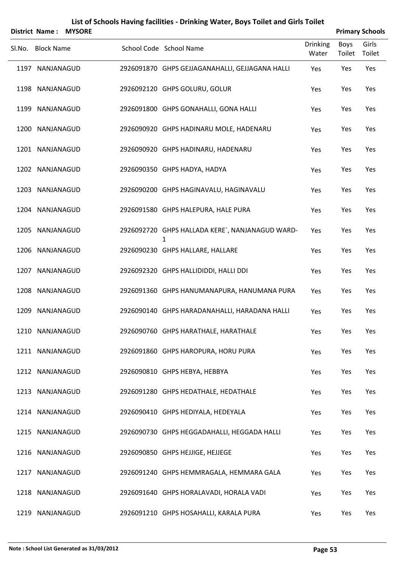|        | <b>District Name:</b> | <b>MYSORE</b> |                                                      |                          |                       | <b>Primary Schools</b> |
|--------|-----------------------|---------------|------------------------------------------------------|--------------------------|-----------------------|------------------------|
| Sl.No. | <b>Block Name</b>     |               | School Code School Name                              | <b>Drinking</b><br>Water | <b>Boys</b><br>Toilet | Girls<br>Toilet        |
|        | 1197 NANJANAGUD       |               | 2926091870 GHPS GEJJAGANAHALLI, GEJJAGANA HALLI      | Yes                      | Yes                   | Yes                    |
|        | 1198 NANJANAGUD       |               | 2926092120 GHPS GOLURU, GOLUR                        | Yes                      | Yes                   | Yes                    |
|        | 1199 NANJANAGUD       |               | 2926091800 GHPS GONAHALLI, GONA HALLI                | Yes                      | Yes                   | Yes                    |
|        | 1200 NANJANAGUD       |               | 2926090920 GHPS HADINARU MOLE, HADENARU              | Yes                      | Yes                   | Yes                    |
|        | 1201 NANJANAGUD       |               | 2926090920 GHPS HADINARU, HADENARU                   | Yes                      | Yes                   | Yes                    |
|        | 1202 NANJANAGUD       |               | 2926090350 GHPS HADYA, HADYA                         | Yes                      | Yes                   | Yes                    |
|        | 1203 NANJANAGUD       |               | 2926090200 GHPS HAGINAVALU, HAGINAVALU               | Yes                      | Yes                   | Yes                    |
|        | 1204 NANJANAGUD       |               | 2926091580 GHPS HALEPURA, HALE PURA                  | Yes                      | Yes                   | Yes                    |
|        | 1205 NANJANAGUD       |               | 2926092720 GHPS HALLADA KERE`, NANJANAGUD WARD-<br>1 | Yes                      | Yes                   | Yes                    |
|        | 1206 NANJANAGUD       |               | 2926090230 GHPS HALLARE, HALLARE                     | Yes                      | Yes                   | Yes                    |
|        | 1207 NANJANAGUD       |               | 2926092320 GHPS HALLIDIDDI, HALLI DDI                | Yes                      | Yes                   | Yes                    |
|        | 1208 NANJANAGUD       |               | 2926091360 GHPS HANUMANAPURA, HANUMANA PURA          | Yes                      | Yes                   | Yes                    |
|        | 1209 NANJANAGUD       |               | 2926090140 GHPS HARADANAHALLI, HARADANA HALLI        | Yes                      | Yes                   | Yes                    |
|        | 1210 NANJANAGUD       |               | 2926090760 GHPS HARATHALE, HARATHALE                 | Yes                      | Yes                   | Yes                    |
|        | 1211 NANJANAGUD       |               | 2926091860 GHPS HAROPURA, HORU PURA                  | Yes                      | Yes                   | Yes                    |
|        | 1212 NANJANAGUD       |               | 2926090810 GHPS HEBYA, HEBBYA                        | Yes                      | Yes                   | Yes                    |
|        | 1213 NANJANAGUD       |               | 2926091280 GHPS HEDATHALE, HEDATHALE                 | Yes                      | Yes                   | Yes                    |
|        | 1214 NANJANAGUD       |               | 2926090410 GHPS HEDIYALA, HEDEYALA                   | Yes                      | Yes                   | Yes                    |
|        | 1215 NANJANAGUD       |               | 2926090730 GHPS HEGGADAHALLI, HEGGADA HALLI          | Yes                      | Yes                   | Yes                    |
|        | 1216 NANJANAGUD       |               | 2926090850 GHPS HEJJIGE, HEJJEGE                     | Yes                      | Yes                   | Yes                    |
|        | 1217 NANJANAGUD       |               | 2926091240 GHPS HEMMRAGALA, HEMMARA GALA             | Yes                      | Yes                   | Yes                    |
|        | 1218 NANJANAGUD       |               | 2926091640 GHPS HORALAVADI, HORALA VADI              | Yes                      | Yes                   | Yes                    |
|        | 1219 NANJANAGUD       |               | 2926091210 GHPS HOSAHALLI, KARALA PURA               | Yes                      | Yes                   | Yes                    |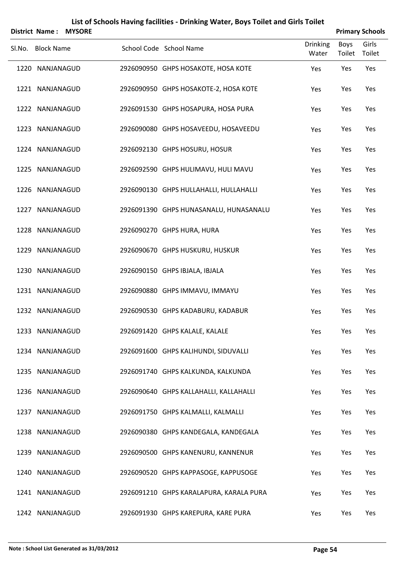| <b>District Name:</b> | <b>MYSORE</b> | List of Schools Having facilities - Drinking Water, Boys Toilet and Girls Toilet |                          |                       | <b>Primary Schools</b> |
|-----------------------|---------------|----------------------------------------------------------------------------------|--------------------------|-----------------------|------------------------|
| Sl.No. Block Name     |               | School Code School Name                                                          | <b>Drinking</b><br>Water | <b>Boys</b><br>Toilet | Girls<br>Toilet        |
| 1220 NANJANAGUD       |               | 2926090950 GHPS HOSAKOTE, HOSA KOTE                                              | Yes                      | Yes                   | Yes                    |
| 1221 NANJANAGUD       |               | 2926090950 GHPS HOSAKOTE-2, HOSA KOTE                                            | Yes                      | Yes                   | Yes                    |
| 1222 NANJANAGUD       |               | 2926091530 GHPS HOSAPURA, HOSA PURA                                              | Yes                      | Yes                   | Yes                    |
| 1223 NANJANAGUD       |               | 2926090080 GHPS HOSAVEEDU, HOSAVEEDU                                             | Yes                      | Yes                   | Yes                    |
| 1224 NANJANAGUD       |               | 2926092130 GHPS HOSURU, HOSUR                                                    | Yes                      | Yes                   | Yes                    |
| 1225 NANJANAGUD       |               | 2926092590 GHPS HULIMAVU, HULI MAVU                                              | Yes                      | Yes                   | Yes                    |
| 1226 NANJANAGUD       |               | 2926090130 GHPS HULLAHALLI, HULLAHALLI                                           | Yes                      | Yes                   | Yes                    |
| 1227 NANJANAGUD       |               | 2926091390 GHPS HUNASANALU, HUNASANALU                                           | Yes                      | Yes                   | Yes                    |
| 1228 NANJANAGUD       |               | 2926090270 GHPS HURA, HURA                                                       | Yes                      | Yes                   | Yes                    |
| 1229 NANJANAGUD       |               | 2926090670 GHPS HUSKURU, HUSKUR                                                  | Yes                      | Yes                   | Yes                    |
| 1230 NANJANAGUD       |               | 2926090150 GHPS IBJALA, IBJALA                                                   | Yes                      | Yes                   | Yes                    |
| 1231 NANJANAGUD       |               | 2926090880 GHPS IMMAVU, IMMAYU                                                   | Yes                      | Yes                   | Yes                    |
| 1232 NANJANAGUD       |               | 2926090530 GHPS KADABURU, KADABUR                                                | Yes                      | Yes                   | Yes                    |
| 1233 NANJANAGUD       |               | 2926091420 GHPS KALALE, KALALE                                                   | Yes                      | Yes                   | Yes                    |
| 1234 NANJANAGUD       |               | 2926091600 GHPS KALIHUNDI, SIDUVALLI                                             | Yes                      | Yes                   | Yes                    |
| 1235 NANJANAGUD       |               | 2926091740 GHPS KALKUNDA, KALKUNDA                                               | Yes                      | Yes                   | Yes                    |
| 1236 NANJANAGUD       |               | 2926090640 GHPS KALLAHALLI, KALLAHALLI                                           | Yes                      | Yes                   | Yes                    |
| 1237 NANJANAGUD       |               | 2926091750 GHPS KALMALLI, KALMALLI                                               | Yes                      | Yes                   | Yes                    |
| 1238 NANJANAGUD       |               | 2926090380 GHPS KANDEGALA, KANDEGALA                                             | Yes                      | Yes                   | Yes                    |
| 1239 NANJANAGUD       |               | 2926090500 GHPS KANENURU, KANNENUR                                               | Yes                      | Yes                   | Yes                    |
| 1240 NANJANAGUD       |               | 2926090520 GHPS KAPPASOGE, KAPPUSOGE                                             | Yes                      | Yes                   | Yes                    |
| 1241 NANJANAGUD       |               | 2926091210 GHPS KARALAPURA, KARALA PURA                                          | Yes                      | Yes                   | Yes                    |
| 1242 NANJANAGUD       |               | 2926091930 GHPS KAREPURA, KARE PURA                                              | Yes                      | Yes                   | Yes                    |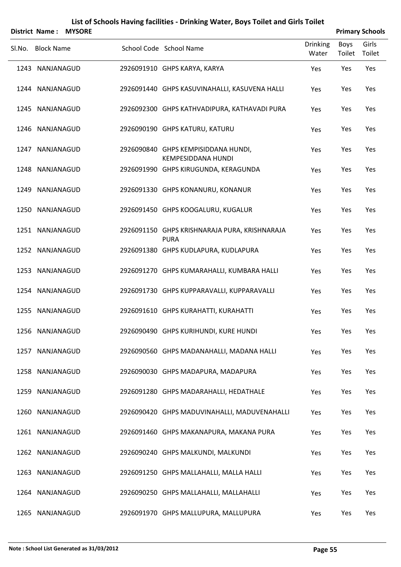|                   | District Name: MYSORE |                                                                  |                          |                       | <b>Primary Schools</b> |
|-------------------|-----------------------|------------------------------------------------------------------|--------------------------|-----------------------|------------------------|
| Sl.No. Block Name |                       | School Code School Name                                          | <b>Drinking</b><br>Water | <b>Boys</b><br>Toilet | Girls<br>Toilet        |
| 1243 NANJANAGUD   |                       | 2926091910 GHPS KARYA, KARYA                                     | Yes                      | Yes                   | Yes                    |
| 1244 NANJANAGUD   |                       | 2926091440 GHPS KASUVINAHALLI, KASUVENA HALLI                    | Yes                      | Yes                   | Yes                    |
| 1245 NANJANAGUD   |                       | 2926092300 GHPS KATHVADIPURA, KATHAVADI PURA                     | Yes                      | Yes                   | Yes                    |
| 1246 NANJANAGUD   |                       | 2926090190 GHPS KATURU, KATURU                                   | Yes                      | Yes                   | Yes                    |
| 1247 NANJANAGUD   |                       | 2926090840 GHPS KEMPISIDDANA HUNDI,<br><b>KEMPESIDDANA HUNDI</b> | Yes                      | Yes                   | Yes                    |
| 1248 NANJANAGUD   |                       | 2926091990 GHPS KIRUGUNDA, KERAGUNDA                             | Yes                      | Yes                   | Yes                    |
| 1249 NANJANAGUD   |                       | 2926091330 GHPS KONANURU, KONANUR                                | Yes                      | Yes                   | Yes                    |
| 1250 NANJANAGUD   |                       | 2926091450 GHPS KOOGALURU, KUGALUR                               | Yes                      | Yes                   | Yes                    |
| 1251 NANJANAGUD   |                       | 2926091150 GHPS KRISHNARAJA PURA, KRISHNARAJA<br><b>PURA</b>     | Yes                      | Yes                   | Yes                    |
| 1252 NANJANAGUD   |                       | 2926091380 GHPS KUDLAPURA, KUDLAPURA                             | Yes                      | Yes                   | Yes                    |
| 1253 NANJANAGUD   |                       | 2926091270 GHPS KUMARAHALLI, KUMBARA HALLI                       | Yes                      | Yes                   | Yes                    |
| 1254 NANJANAGUD   |                       | 2926091730 GHPS KUPPARAVALLI, KUPPARAVALLI                       | Yes                      | Yes                   | Yes                    |
| 1255 NANJANAGUD   |                       | 2926091610 GHPS KURAHATTI, KURAHATTI                             | Yes                      | Yes                   | Yes                    |
| 1256 NANJANAGUD   |                       | 2926090490 GHPS KURIHUNDI, KURE HUNDI                            | Yes                      | Yes                   | Yes                    |
| 1257 NANJANAGUD   |                       | 2926090560 GHPS MADANAHALLI, MADANA HALLI                        | Yes                      | Yes                   | Yes                    |
| 1258 NANJANAGUD   |                       | 2926090030 GHPS MADAPURA, MADAPURA                               | Yes                      | Yes                   | Yes                    |
| 1259 NANJANAGUD   |                       | 2926091280 GHPS MADARAHALLI, HEDATHALE                           | Yes                      | Yes                   | Yes                    |
| 1260 NANJANAGUD   |                       | 2926090420 GHPS MADUVINAHALLI, MADUVENAHALLI                     | Yes                      | Yes                   | Yes                    |
| 1261 NANJANAGUD   |                       | 2926091460 GHPS MAKANAPURA, MAKANA PURA                          | Yes                      | Yes                   | Yes                    |
| 1262 NANJANAGUD   |                       | 2926090240 GHPS MALKUNDI, MALKUNDI                               | Yes                      | Yes                   | Yes                    |
| 1263 NANJANAGUD   |                       | 2926091250 GHPS MALLAHALLI, MALLA HALLI                          | Yes                      | Yes                   | Yes                    |
| 1264 NANJANAGUD   |                       | 2926090250 GHPS MALLAHALLI, MALLAHALLI                           | Yes                      | Yes                   | Yes                    |
| 1265 NANJANAGUD   |                       | 2926091970 GHPS MALLUPURA, MALLUPURA                             | Yes                      | Yes                   | Yes                    |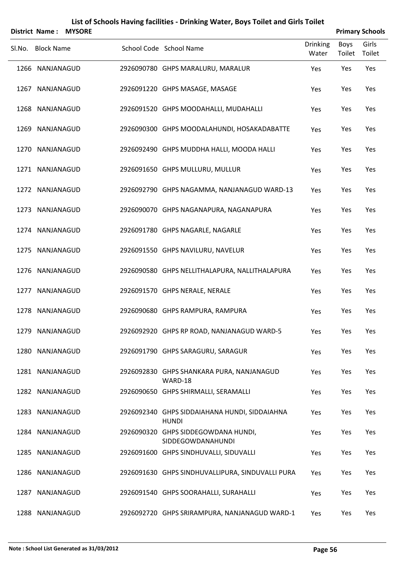|      | <b>District Name:</b> | <b>MYSORE</b> |                                                               |                          |                | <b>Primary Schools</b> |
|------|-----------------------|---------------|---------------------------------------------------------------|--------------------------|----------------|------------------------|
|      | Sl.No. Block Name     |               | School Code School Name                                       | <b>Drinking</b><br>Water | Boys<br>Toilet | Girls<br>Toilet        |
|      | 1266 NANJANAGUD       |               | 2926090780 GHPS MARALURU, MARALUR                             | Yes                      | Yes            | Yes                    |
|      | 1267 NANJANAGUD       |               | 2926091220 GHPS MASAGE, MASAGE                                | Yes                      | Yes            | Yes                    |
| 1268 | NANJANAGUD            |               | 2926091520 GHPS MOODAHALLI, MUDAHALLI                         | Yes                      | Yes            | Yes                    |
|      | 1269 NANJANAGUD       |               | 2926090300 GHPS MOODALAHUNDI, HOSAKADABATTE                   | Yes                      | Yes            | Yes                    |
| 1270 | NANJANAGUD            |               | 2926092490 GHPS MUDDHA HALLI, MOODA HALLI                     | Yes                      | Yes            | Yes                    |
|      | 1271 NANJANAGUD       |               | 2926091650 GHPS MULLURU, MULLUR                               | Yes                      | Yes            | Yes                    |
| 1272 | NANJANAGUD            |               | 2926092790 GHPS NAGAMMA, NANJANAGUD WARD-13                   | Yes                      | Yes            | Yes                    |
|      | 1273 NANJANAGUD       |               | 2926090070 GHPS NAGANAPURA, NAGANAPURA                        | Yes                      | Yes            | Yes                    |
|      | 1274 NANJANAGUD       |               | 2926091780 GHPS NAGARLE, NAGARLE                              | Yes                      | Yes            | Yes                    |
|      | 1275 NANJANAGUD       |               | 2926091550 GHPS NAVILURU, NAVELUR                             | Yes                      | Yes            | Yes                    |
| 1276 | NANJANAGUD            |               | 2926090580 GHPS NELLITHALAPURA, NALLITHALAPURA                | Yes                      | Yes            | Yes                    |
|      | 1277 NANJANAGUD       |               | 2926091570 GHPS NERALE, NERALE                                | Yes                      | Yes            | Yes                    |
|      | 1278 NANJANAGUD       |               | 2926090680 GHPS RAMPURA, RAMPURA                              | Yes                      | Yes            | Yes                    |
|      | 1279 NANJANAGUD       |               | 2926092920 GHPS RP ROAD, NANJANAGUD WARD-5                    | Yes                      | Yes            | Yes                    |
|      | 1280 NANJANAGUD       |               | 2926091790 GHPS SARAGURU, SARAGUR                             | Yes                      | Yes            | Yes                    |
|      | 1281 NANJANAGUD       |               | 2926092830 GHPS SHANKARA PURA, NANJANAGUD<br>WARD-18          | Yes                      | Yes            | Yes                    |
|      | 1282 NANJANAGUD       |               | 2926090650 GHPS SHIRMALLI, SERAMALLI                          | Yes                      | Yes            | Yes                    |
|      | 1283 NANJANAGUD       |               | 2926092340 GHPS SIDDAIAHANA HUNDI, SIDDAIAHNA<br><b>HUNDI</b> | Yes                      | Yes            | Yes                    |
|      | 1284 NANJANAGUD       |               | 2926090320 GHPS SIDDEGOWDANA HUNDI,<br>SIDDEGOWDANAHUNDI      | Yes                      | Yes            | Yes                    |
|      | 1285 NANJANAGUD       |               | 2926091600 GHPS SINDHUVALLI, SIDUVALLI                        | Yes                      | Yes            | Yes                    |
|      | 1286 NANJANAGUD       |               | 2926091630 GHPS SINDHUVALLIPURA, SINDUVALLI PURA              | Yes                      | Yes            | Yes                    |
| 1287 | NANJANAGUD            |               | 2926091540 GHPS SOORAHALLI, SURAHALLI                         | Yes                      | Yes            | Yes                    |
|      | 1288 NANJANAGUD       |               | 2926092720 GHPS SRIRAMPURA, NANJANAGUD WARD-1                 | Yes                      | Yes            | Yes                    |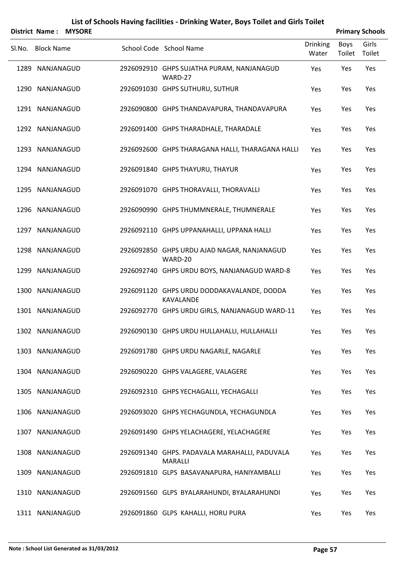|        | <b>District Name:</b> | <b>MYSORE</b> |                                                                 |                          |                | <b>Primary Schools</b> |
|--------|-----------------------|---------------|-----------------------------------------------------------------|--------------------------|----------------|------------------------|
| Sl.No. | <b>Block Name</b>     |               | School Code School Name                                         | <b>Drinking</b><br>Water | Boys<br>Toilet | Girls<br>Toilet        |
|        | 1289 NANJANAGUD       |               | 2926092910 GHPS SUJATHA PURAM, NANJANAGUD<br>WARD-27            | Yes                      | Yes            | Yes                    |
|        | 1290 NANJANAGUD       |               | 2926091030 GHPS SUTHURU, SUTHUR                                 | Yes                      | Yes            | Yes                    |
|        | 1291 NANJANAGUD       |               | 2926090800 GHPS THANDAVAPURA, THANDAVAPURA                      | Yes                      | Yes            | Yes                    |
|        | 1292 NANJANAGUD       |               | 2926091400 GHPS THARADHALE, THARADALE                           | Yes                      | Yes            | Yes                    |
|        | 1293 NANJANAGUD       |               | 2926092600 GHPS THARAGANA HALLI, THARAGANA HALLI                | Yes                      | Yes            | Yes                    |
|        | 1294 NANJANAGUD       |               | 2926091840 GHPS THAYURU, THAYUR                                 | Yes                      | Yes            | Yes                    |
|        | 1295 NANJANAGUD       |               | 2926091070 GHPS THORAVALLI, THORAVALLI                          | Yes                      | Yes            | Yes                    |
|        | 1296 NANJANAGUD       |               | 2926090990 GHPS THUMMNERALE, THUMNERALE                         | Yes                      | Yes            | Yes                    |
|        | 1297 NANJANAGUD       |               | 2926092110 GHPS UPPANAHALLI, UPPANA HALLI                       | Yes                      | Yes            | Yes                    |
|        | 1298 NANJANAGUD       |               | 2926092850 GHPS URDU AJAD NAGAR, NANJANAGUD<br>WARD-20          | Yes                      | Yes            | Yes                    |
|        | 1299 NANJANAGUD       |               | 2926092740 GHPS URDU BOYS, NANJANAGUD WARD-8                    | Yes                      | Yes            | Yes                    |
|        | 1300 NANJANAGUD       |               | 2926091120 GHPS URDU DODDAKAVALANDE, DODDA<br>KAVALANDE         | Yes                      | Yes            | Yes                    |
|        | 1301 NANJANAGUD       |               | 2926092770 GHPS URDU GIRLS, NANJANAGUD WARD-11                  | Yes                      | Yes            | Yes                    |
|        | 1302 NANJANAGUD       |               | 2926090130 GHPS URDU HULLAHALLI, HULLAHALLI                     | Yes                      | Yes            | Yes                    |
|        | 1303 NANJANAGUD       |               | 2926091780 GHPS URDU NAGARLE, NAGARLE                           | Yes                      | Yes            | Yes                    |
|        | 1304 NANJANAGUD       |               | 2926090220 GHPS VALAGERE, VALAGERE                              | Yes                      | Yes            | Yes                    |
|        | 1305 NANJANAGUD       |               | 2926092310 GHPS YECHAGALLI, YECHAGALLI                          | Yes                      | Yes            | Yes                    |
|        | 1306 NANJANAGUD       |               | 2926093020 GHPS YECHAGUNDLA, YECHAGUNDLA                        | Yes                      | Yes            | Yes                    |
|        | 1307 NANJANAGUD       |               | 2926091490 GHPS YELACHAGERE, YELACHAGERE                        | Yes                      | Yes            | Yes                    |
|        | 1308 NANJANAGUD       |               | 2926091340 GHPS. PADAVALA MARAHALLI, PADUVALA<br><b>MARALLI</b> | Yes                      | Yes            | Yes                    |
|        | 1309 NANJANAGUD       |               | 2926091810 GLPS BASAVANAPURA, HANIYAMBALLI                      | Yes                      | Yes            | Yes                    |
|        | 1310 NANJANAGUD       |               | 2926091560 GLPS BYALARAHUNDI, BYALARAHUNDI                      | Yes                      | Yes            | Yes                    |
|        | 1311 NANJANAGUD       |               | 2926091860 GLPS KAHALLI, HORU PURA                              | Yes                      | Yes            | Yes                    |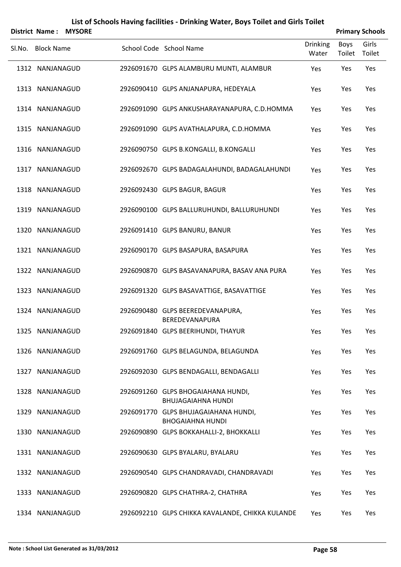|        | <b>District Name:</b> | <b>MYSORE</b> |                                                                 |                          |                       | <b>Primary Schools</b> |
|--------|-----------------------|---------------|-----------------------------------------------------------------|--------------------------|-----------------------|------------------------|
| SI.No. | <b>Block Name</b>     |               | School Code School Name                                         | <b>Drinking</b><br>Water | <b>Boys</b><br>Toilet | Girls<br>Toilet        |
|        | 1312 NANJANAGUD       |               | 2926091670 GLPS ALAMBURU MUNTI, ALAMBUR                         | Yes                      | Yes                   | Yes                    |
|        | 1313 NANJANAGUD       |               | 2926090410 GLPS ANJANAPURA, HEDEYALA                            | Yes                      | Yes                   | Yes                    |
|        | 1314 NANJANAGUD       |               | 2926091090 GLPS ANKUSHARAYANAPURA, C.D.HOMMA                    | Yes                      | Yes                   | Yes                    |
|        | 1315 NANJANAGUD       |               | 2926091090 GLPS AVATHALAPURA, C.D.HOMMA                         | Yes                      | Yes                   | Yes                    |
|        | 1316 NANJANAGUD       |               | 2926090750 GLPS B.KONGALLI, B.KONGALLI                          | Yes                      | Yes                   | Yes                    |
|        | 1317 NANJANAGUD       |               | 2926092670 GLPS BADAGALAHUNDI, BADAGALAHUNDI                    | Yes                      | Yes                   | Yes                    |
|        | 1318 NANJANAGUD       |               | 2926092430 GLPS BAGUR, BAGUR                                    | Yes                      | Yes                   | Yes                    |
|        | 1319 NANJANAGUD       |               | 2926090100 GLPS BALLURUHUNDI, BALLURUHUNDI                      | Yes                      | Yes                   | Yes                    |
|        | 1320 NANJANAGUD       |               | 2926091410 GLPS BANURU, BANUR                                   | Yes                      | Yes                   | Yes                    |
|        | 1321 NANJANAGUD       |               | 2926090170 GLPS BASAPURA, BASAPURA                              | Yes                      | Yes                   | Yes                    |
|        | 1322 NANJANAGUD       |               | 2926090870 GLPS BASAVANAPURA, BASAV ANA PURA                    | Yes                      | Yes                   | Yes                    |
|        | 1323 NANJANAGUD       |               | 2926091320 GLPS BASAVATTIGE, BASAVATTIGE                        | Yes                      | Yes                   | Yes                    |
|        | 1324 NANJANAGUD       |               | 2926090480 GLPS BEEREDEVANAPURA,<br><b>BEREDEVANAPURA</b>       | Yes                      | Yes                   | Yes                    |
|        | 1325 NANJANAGUD       |               | 2926091840 GLPS BEERIHUNDI, THAYUR                              | Yes                      | Yes                   | Yes                    |
|        | 1326 NANJANAGUD       |               | 2926091760 GLPS BELAGUNDA, BELAGUNDA                            | Yes                      | Yes                   | Yes                    |
|        | 1327 NANJANAGUD       |               | 2926092030 GLPS BENDAGALLI, BENDAGALLI                          | Yes                      | Yes                   | Yes                    |
|        | 1328 NANJANAGUD       |               | 2926091260 GLPS BHOGAIAHANA HUNDI,<br>BHUJAGAIAHNA HUNDI        | Yes                      | Yes                   | Yes                    |
|        | 1329 NANJANAGUD       |               | 2926091770 GLPS BHUJAGAIAHANA HUNDI,<br><b>BHOGAIAHNA HUNDI</b> | Yes                      | Yes                   | Yes                    |
|        | 1330 NANJANAGUD       |               | 2926090890 GLPS BOKKAHALLI-2, BHOKKALLI                         | Yes                      | Yes                   | Yes                    |
|        | 1331 NANJANAGUD       |               | 2926090630 GLPS BYALARU, BYALARU                                | Yes                      | Yes                   | Yes                    |
|        | 1332 NANJANAGUD       |               | 2926090540 GLPS CHANDRAVADI, CHANDRAVADI                        | Yes                      | Yes                   | Yes                    |
|        | 1333 NANJANAGUD       |               | 2926090820 GLPS CHATHRA-2, CHATHRA                              | Yes                      | Yes                   | Yes                    |
|        | 1334 NANJANAGUD       |               | 2926092210 GLPS CHIKKA KAVALANDE, CHIKKA KULANDE                | Yes                      | Yes                   | Yes                    |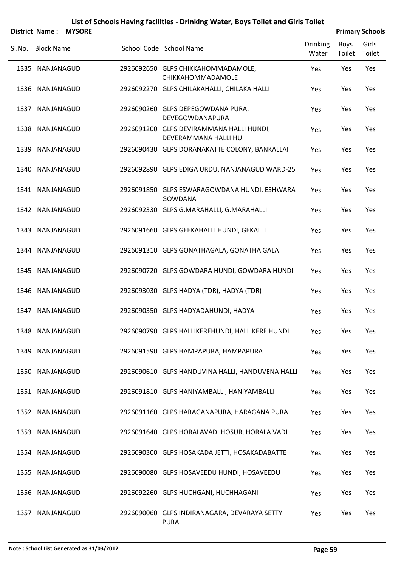|        | <b>District Name:</b> | <b>MYSORE</b> |                                                                  |                          |                | <b>Primary Schools</b> |
|--------|-----------------------|---------------|------------------------------------------------------------------|--------------------------|----------------|------------------------|
| Sl.No. | <b>Block Name</b>     |               | School Code School Name                                          | <b>Drinking</b><br>Water | Boys<br>Toilet | Girls<br>Toilet        |
|        | 1335 NANJANAGUD       |               | 2926092650 GLPS CHIKKAHOMMADAMOLE,<br>CHIKKAHOMMADAMOLE          | Yes                      | Yes            | Yes                    |
|        | 1336 NANJANAGUD       |               | 2926092270 GLPS CHILAKAHALLI, CHILAKA HALLI                      | Yes                      | Yes            | Yes                    |
|        | 1337 NANJANAGUD       |               | 2926090260 GLPS DEPEGOWDANA PURA,<br>DEVEGOWDANAPURA             | Yes                      | Yes            | Yes                    |
|        | 1338 NANJANAGUD       |               | 2926091200 GLPS DEVIRAMMANA HALLI HUNDI,<br>DEVERAMMANA HALLI HU | Yes                      | Yes            | Yes                    |
|        | 1339 NANJANAGUD       |               | 2926090430 GLPS DORANAKATTE COLONY, BANKALLAI                    | Yes                      | Yes            | Yes                    |
|        | 1340 NANJANAGUD       |               | 2926092890 GLPS EDIGA URDU, NANJANAGUD WARD-25                   | Yes                      | Yes            | Yes                    |
|        | 1341 NANJANAGUD       |               | 2926091850 GLPS ESWARAGOWDANA HUNDI, ESHWARA<br><b>GOWDANA</b>   | Yes                      | Yes            | Yes                    |
|        | 1342 NANJANAGUD       |               | 2926092330 GLPS G.MARAHALLI, G.MARAHALLI                         | Yes                      | Yes            | Yes                    |
|        | 1343 NANJANAGUD       |               | 2926091660 GLPS GEEKAHALLI HUNDI, GEKALLI                        | Yes                      | Yes            | Yes                    |
|        | 1344 NANJANAGUD       |               | 2926091310 GLPS GONATHAGALA, GONATHA GALA                        | Yes                      | Yes            | Yes                    |
|        | 1345 NANJANAGUD       |               | 2926090720 GLPS GOWDARA HUNDI, GOWDARA HUNDI                     | Yes                      | Yes            | Yes                    |
|        | 1346 NANJANAGUD       |               | 2926093030 GLPS HADYA (TDR), HADYA (TDR)                         | Yes                      | Yes            | Yes                    |
|        | 1347 NANJANAGUD       |               | 2926090350 GLPS HADYADAHUNDI, HADYA                              | Yes                      | Yes            | Yes                    |
|        | 1348 NANJANAGUD       |               | 2926090790 GLPS HALLIKEREHUNDI, HALLIKERE HUNDI                  | Yes                      | Yes            | Yes                    |
|        | 1349 NANJANAGUD       |               | 2926091590 GLPS HAMPAPURA, HAMPAPURA                             | Yes                      | Yes            | Yes                    |
|        | 1350 NANJANAGUD       |               | 2926090610 GLPS HANDUVINA HALLI, HANDUVENA HALLI                 | Yes                      | Yes            | Yes                    |
|        | 1351 NANJANAGUD       |               | 2926091810 GLPS HANIYAMBALLI, HANIYAMBALLI                       | Yes                      | Yes            | Yes                    |
|        | 1352 NANJANAGUD       |               | 2926091160 GLPS HARAGANAPURA, HARAGANA PURA                      | Yes                      | Yes            | Yes                    |
|        | 1353 NANJANAGUD       |               | 2926091640 GLPS HORALAVADI HOSUR, HORALA VADI                    | Yes                      | Yes            | Yes                    |
|        | 1354 NANJANAGUD       |               | 2926090300 GLPS HOSAKADA JETTI, HOSAKADABATTE                    | Yes                      | Yes            | Yes                    |
|        | 1355 NANJANAGUD       |               | 2926090080 GLPS HOSAVEEDU HUNDI, HOSAVEEDU                       | Yes                      | Yes            | Yes                    |
|        | 1356 NANJANAGUD       |               | 2926092260 GLPS HUCHGANI, HUCHHAGANI                             | Yes                      | Yes            | Yes                    |
|        | 1357 NANJANAGUD       |               | 2926090060 GLPS INDIRANAGARA, DEVARAYA SETTY<br><b>PURA</b>      | Yes                      | Yes            | Yes                    |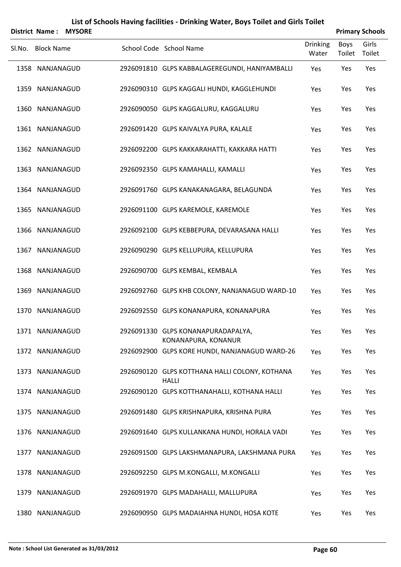| <b>District Name:</b> | <b>MYSORE</b> | List of Schools Having facilities - Drinking Water, Boys Toilet and Girls Toilet |                          |                       | <b>Primary Schools</b> |
|-----------------------|---------------|----------------------------------------------------------------------------------|--------------------------|-----------------------|------------------------|
| Sl.No. Block Name     |               | School Code School Name                                                          | <b>Drinking</b><br>Water | <b>Boys</b><br>Toilet | Girls<br>Toilet        |
| 1358 NANJANAGUD       |               | 2926091810 GLPS KABBALAGEREGUNDI, HANIYAMBALLI                                   | Yes                      | Yes                   | Yes                    |
| 1359 NANJANAGUD       |               | 2926090310 GLPS KAGGALI HUNDI, KAGGLEHUNDI                                       | Yes                      | Yes                   | Yes                    |
| 1360 NANJANAGUD       |               | 2926090050 GLPS KAGGALURU, KAGGALURU                                             | Yes                      | Yes                   | Yes                    |
| 1361 NANJANAGUD       |               | 2926091420 GLPS KAIVALYA PURA, KALALE                                            | Yes                      | Yes                   | Yes                    |
| 1362 NANJANAGUD       |               | 2926092200 GLPS KAKKARAHATTI, KAKKARA HATTI                                      | Yes                      | Yes                   | Yes                    |
| 1363 NANJANAGUD       |               | 2926092350 GLPS KAMAHALLI, KAMALLI                                               | Yes                      | Yes                   | Yes                    |
| 1364 NANJANAGUD       |               | 2926091760 GLPS KANAKANAGARA, BELAGUNDA                                          | Yes                      | Yes                   | Yes                    |
| 1365 NANJANAGUD       |               | 2926091100 GLPS KAREMOLE, KAREMOLE                                               | Yes                      | Yes                   | Yes                    |
| 1366 NANJANAGUD       |               | 2926092100 GLPS KEBBEPURA, DEVARASANA HALLI                                      | Yes                      | Yes                   | Yes                    |
| 1367 NANJANAGUD       |               | 2926090290 GLPS KELLUPURA, KELLUPURA                                             | Yes                      | Yes                   | Yes                    |
| 1368 NANJANAGUD       |               | 2926090700 GLPS KEMBAL, KEMBALA                                                  | Yes                      | Yes                   | Yes                    |
| 1369 NANJANAGUD       |               | 2926092760 GLPS KHB COLONY, NANJANAGUD WARD-10                                   | Yes                      | Yes                   | Yes                    |
| 1370 NANJANAGUD       |               | 2926092550 GLPS KONANAPURA, KONANAPURA                                           | Yes                      | Yes                   | Yes                    |
| 1371 NANJANAGUD       |               | 2926091330 GLPS KONANAPURADAPALYA,<br>KONANAPURA, KONANUR                        | Yes                      | Yes                   | Yes                    |
| 1372 NANJANAGUD       |               | 2926092900 GLPS KORE HUNDI, NANJANAGUD WARD-26                                   | Yes                      | Yes                   | Yes                    |
| 1373 NANJANAGUD       |               | 2926090120 GLPS KOTTHANA HALLI COLONY, KOTHANA<br><b>HALLI</b>                   | Yes                      | Yes                   | Yes                    |
| 1374 NANJANAGUD       |               | 2926090120 GLPS KOTTHANAHALLI, KOTHANA HALLI                                     | Yes                      | Yes                   | Yes                    |
| 1375 NANJANAGUD       |               | 2926091480 GLPS KRISHNAPURA, KRISHNA PURA                                        | Yes                      | Yes                   | Yes                    |
| 1376 NANJANAGUD       |               | 2926091640 GLPS KULLANKANA HUNDI, HORALA VADI                                    | Yes                      | Yes                   | Yes                    |
| 1377 NANJANAGUD       |               | 2926091500 GLPS LAKSHMANAPURA, LAKSHMANA PURA                                    | Yes                      | Yes                   | Yes                    |
| 1378 NANJANAGUD       |               | 2926092250 GLPS M.KONGALLI, M.KONGALLI                                           | Yes                      | Yes                   | Yes                    |
| 1379 NANJANAGUD       |               | 2926091970 GLPS MADAHALLI, MALLUPURA                                             | Yes                      | Yes                   | Yes                    |
| 1380 NANJANAGUD       |               | 2926090950 GLPS MADAIAHNA HUNDI, HOSA KOTE                                       | Yes                      | Yes                   | Yes                    |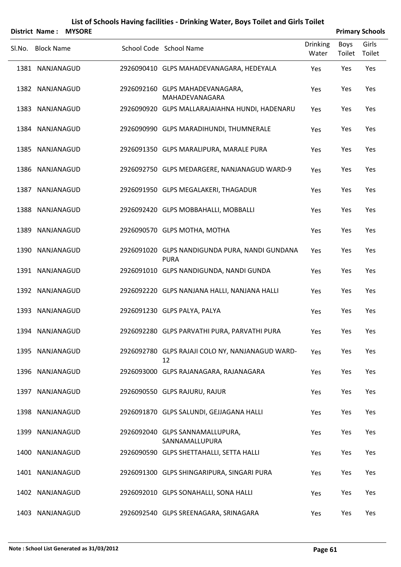|        | <b>District Name:</b> | <b>MYSORE</b> |                                                               |                          |                       | <b>Primary Schools</b> |
|--------|-----------------------|---------------|---------------------------------------------------------------|--------------------------|-----------------------|------------------------|
| SI.No. | <b>Block Name</b>     |               | School Code School Name                                       | <b>Drinking</b><br>Water | <b>Boys</b><br>Toilet | Girls<br>Toilet        |
|        | 1381 NANJANAGUD       |               | 2926090410 GLPS MAHADEVANAGARA, HEDEYALA                      | Yes                      | Yes                   | Yes                    |
|        | 1382 NANJANAGUD       |               | 2926092160 GLPS MAHADEVANAGARA,<br>MAHADEVANAGARA             | Yes                      | Yes                   | Yes                    |
| 1383   | NANJANAGUD            |               | 2926090920 GLPS MALLARAJAIAHNA HUNDI, HADENARU                | Yes                      | Yes                   | Yes                    |
|        | 1384 NANJANAGUD       |               | 2926090990 GLPS MARADIHUNDI, THUMNERALE                       | Yes                      | Yes                   | Yes                    |
| 1385   | NANJANAGUD            |               | 2926091350 GLPS MARALIPURA, MARALE PURA                       | Yes                      | Yes                   | Yes                    |
|        | 1386 NANJANAGUD       |               | 2926092750 GLPS MEDARGERE, NANJANAGUD WARD-9                  | Yes                      | Yes                   | Yes                    |
| 1387   | NANJANAGUD            |               | 2926091950 GLPS MEGALAKERI, THAGADUR                          | Yes                      | Yes                   | Yes                    |
|        | 1388 NANJANAGUD       |               | 2926092420 GLPS MOBBAHALLI, MOBBALLI                          | Yes                      | Yes                   | Yes                    |
| 1389   | NANJANAGUD            |               | 2926090570 GLPS MOTHA, MOTHA                                  | Yes                      | Yes                   | Yes                    |
|        | 1390 NANJANAGUD       |               | 2926091020 GLPS NANDIGUNDA PURA, NANDI GUNDANA<br><b>PURA</b> | Yes                      | Yes                   | Yes                    |
|        | 1391 NANJANAGUD       |               | 2926091010 GLPS NANDIGUNDA, NANDI GUNDA                       | Yes                      | Yes                   | Yes                    |
|        | 1392 NANJANAGUD       |               | 2926092220 GLPS NANJANA HALLI, NANJANA HALLI                  | Yes                      | Yes                   | Yes                    |
|        | 1393 NANJANAGUD       |               | 2926091230 GLPS PALYA, PALYA                                  | Yes                      | Yes                   | Yes                    |
|        | 1394 NANJANAGUD       |               | 2926092280 GLPS PARVATHI PURA, PARVATHI PURA                  | Yes                      | Yes                   | Yes                    |
|        | 1395 NANJANAGUD       |               | 2926092780 GLPS RAJAJI COLO NY, NANJANAGUD WARD-<br>12        | Yes                      | Yes                   | Yes                    |
|        | 1396 NANJANAGUD       |               | 2926093000 GLPS RAJANAGARA, RAJANAGARA                        | Yes                      | Yes                   | Yes                    |
|        | 1397 NANJANAGUD       |               | 2926090550 GLPS RAJURU, RAJUR                                 | Yes                      | Yes                   | Yes                    |
|        | 1398 NANJANAGUD       |               | 2926091870 GLPS SALUNDI, GEJJAGANA HALLI                      | Yes                      | Yes                   | Yes                    |
|        | 1399 NANJANAGUD       |               | 2926092040 GLPS SANNAMALLUPURA,<br>SANNAMALLUPURA             | Yes                      | Yes                   | Yes                    |
| 1400   | NANJANAGUD            |               | 2926090590 GLPS SHETTAHALLI, SETTA HALLI                      | Yes                      | Yes                   | Yes                    |
|        | 1401 NANJANAGUD       |               | 2926091300 GLPS SHINGARIPURA, SINGARI PURA                    | Yes                      | Yes                   | Yes                    |
|        | 1402 NANJANAGUD       |               | 2926092010 GLPS SONAHALLI, SONA HALLI                         | Yes                      | Yes                   | Yes                    |
|        | 1403 NANJANAGUD       |               | 2926092540 GLPS SREENAGARA, SRINAGARA                         | Yes                      | Yes                   | Yes                    |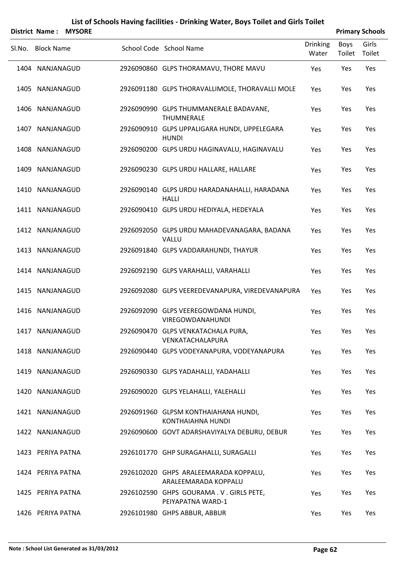|        |                   | District Name: MYSORE |                                                               |                          |                | <b>Primary Schools</b> |
|--------|-------------------|-----------------------|---------------------------------------------------------------|--------------------------|----------------|------------------------|
| SI.No. | <b>Block Name</b> |                       | School Code School Name                                       | <b>Drinking</b><br>Water | Boys<br>Toilet | Girls<br>Toilet        |
|        | 1404 NANJANAGUD   |                       | 2926090860 GLPS THORAMAVU, THORE MAVU                         | Yes                      | Yes            | Yes                    |
|        | 1405 NANJANAGUD   |                       | 2926091180 GLPS THORAVALLIMOLE, THORAVALLI MOLE               | Yes                      | Yes            | Yes                    |
|        | 1406 NANJANAGUD   |                       | 2926090990 GLPS THUMMANERALE BADAVANE,<br>THUMNERALE          | Yes                      | Yes            | Yes                    |
|        | 1407 NANJANAGUD   |                       | 2926090910 GLPS UPPALIGARA HUNDI, UPPELEGARA<br><b>HUNDI</b>  | Yes                      | Yes            | Yes                    |
|        | 1408 NANJANAGUD   |                       | 2926090200 GLPS URDU HAGINAVALU, HAGINAVALU                   | Yes                      | Yes            | Yes                    |
|        | 1409 NANJANAGUD   |                       | 2926090230 GLPS URDU HALLARE, HALLARE                         | Yes                      | Yes            | Yes                    |
|        | 1410 NANJANAGUD   |                       | 2926090140 GLPS URDU HARADANAHALLI, HARADANA<br><b>HALLI</b>  | Yes                      | Yes            | Yes                    |
|        | 1411 NANJANAGUD   |                       | 2926090410 GLPS URDU HEDIYALA, HEDEYALA                       | Yes                      | Yes            | Yes                    |
|        | 1412 NANJANAGUD   |                       | 2926092050 GLPS URDU MAHADEVANAGARA, BADANA<br>VALLU          | Yes                      | Yes            | Yes                    |
|        | 1413 NANJANAGUD   |                       | 2926091840 GLPS VADDARAHUNDI, THAYUR                          | Yes                      | Yes            | Yes                    |
|        | 1414 NANJANAGUD   |                       | 2926092190 GLPS VARAHALLI, VARAHALLI                          | Yes                      | Yes            | Yes                    |
|        | 1415 NANJANAGUD   |                       | 2926092080 GLPS VEEREDEVANAPURA, VIREDEVANAPURA               | Yes                      | Yes            | Yes                    |
|        | 1416 NANJANAGUD   |                       | 2926092090 GLPS VEEREGOWDANA HUNDI,<br>VIREGOWDANAHUNDI       | Yes                      | Yes            | Yes                    |
|        | 1417 NANJANAGUD   |                       | 2926090470 GLPS VENKATACHALA PURA,<br>VENKATACHALAPURA        | Yes                      | Yes            | Yes                    |
|        | 1418 NANJANAGUD   |                       | 2926090440 GLPS VODEYANAPURA, VODEYANAPURA                    | Yes                      | Yes            | Yes                    |
|        | 1419 NANJANAGUD   |                       | 2926090330 GLPS YADAHALLI, YADAHALLI                          | Yes                      | Yes            | Yes                    |
|        | 1420 NANJANAGUD   |                       | 2926090020 GLPS YELAHALLI, YALEHALLI                          | Yes                      | Yes            | Yes                    |
|        | 1421 NANJANAGUD   |                       | 2926091960 GLPSM KONTHAIAHANA HUNDI,<br>KONTHAIAHNA HUNDI     | Yes                      | Yes            | Yes                    |
|        | 1422 NANJANAGUD   |                       | 2926090600 GOVT ADARSHAVIYALYA DEBURU, DEBUR                  | Yes                      | Yes            | Yes                    |
|        | 1423 PERIYA PATNA |                       | 2926101770 GHP SURAGAHALLI, SURAGALLI                         | Yes                      | Yes            | Yes                    |
|        | 1424 PERIYA PATNA |                       | 2926102020 GHPS ARALEEMARADA KOPPALU,<br>ARALEEMARADA KOPPALU | Yes                      | Yes            | Yes                    |
|        | 1425 PERIYA PATNA |                       | 2926102590 GHPS GOURAMA. V. GIRLS PETE,<br>PEIYAPATNA WARD-1  | Yes                      | Yes            | Yes                    |
|        | 1426 PERIYA PATNA |                       | 2926101980 GHPS ABBUR, ABBUR                                  | Yes                      | Yes            | Yes                    |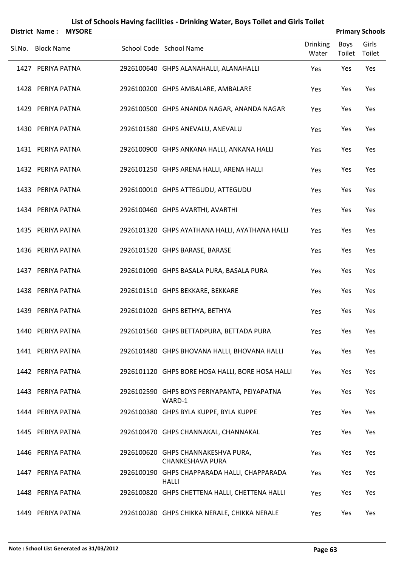| <b>District Name:</b> | <b>MYSORE</b> | List of Schools Having facilities - Drinking Water, Boys Toilet and Girls Toilet |                          |                       | <b>Primary Schools</b> |
|-----------------------|---------------|----------------------------------------------------------------------------------|--------------------------|-----------------------|------------------------|
| Sl.No. Block Name     |               | School Code School Name                                                          | <b>Drinking</b><br>Water | <b>Boys</b><br>Toilet | Girls<br>Toilet        |
| 1427 PERIYA PATNA     |               | 2926100640 GHPS ALANAHALLI, ALANAHALLI                                           | Yes                      | Yes                   | Yes                    |
| 1428 PERIYA PATNA     |               | 2926100200 GHPS AMBALARE, AMBALARE                                               | Yes                      | Yes                   | Yes                    |
| 1429 PERIYA PATNA     |               | 2926100500 GHPS ANANDA NAGAR, ANANDA NAGAR                                       | Yes                      | Yes                   | Yes                    |
| 1430 PERIYA PATNA     |               | 2926101580 GHPS ANEVALU, ANEVALU                                                 | Yes                      | Yes                   | Yes                    |
| 1431 PERIYA PATNA     |               | 2926100900 GHPS ANKANA HALLI, ANKANA HALLI                                       | Yes                      | Yes                   | Yes                    |
| 1432 PERIYA PATNA     |               | 2926101250 GHPS ARENA HALLI, ARENA HALLI                                         | Yes                      | Yes                   | Yes                    |
| 1433 PERIYA PATNA     |               | 2926100010 GHPS ATTEGUDU, ATTEGUDU                                               | Yes                      | Yes                   | Yes                    |
| 1434 PERIYA PATNA     |               | 2926100460 GHPS AVARTHI, AVARTHI                                                 | Yes                      | Yes                   | Yes                    |
| 1435 PERIYA PATNA     |               | 2926101320 GHPS AYATHANA HALLI, AYATHANA HALLI                                   | Yes                      | Yes                   | Yes                    |
| 1436 PERIYA PATNA     |               | 2926101520 GHPS BARASE, BARASE                                                   | Yes                      | Yes                   | Yes                    |
| 1437 PERIYA PATNA     |               | 2926101090 GHPS BASALA PURA, BASALA PURA                                         | Yes                      | Yes                   | Yes                    |
| 1438 PERIYA PATNA     |               | 2926101510 GHPS BEKKARE, BEKKARE                                                 | Yes                      | Yes                   | Yes                    |
| 1439 PERIYA PATNA     |               | 2926101020 GHPS BETHYA, BETHYA                                                   | Yes                      | Yes                   | Yes                    |
| 1440 PERIYA PATNA     |               | 2926101560 GHPS BETTADPURA, BETTADA PURA                                         | Yes                      | Yes                   | Yes                    |
| 1441 PERIYA PATNA     |               | 2926101480 GHPS BHOVANA HALLI, BHOVANA HALLI                                     | Yes                      | Yes                   | Yes                    |
| 1442 PERIYA PATNA     |               | 2926101120 GHPS BORE HOSA HALLI, BORE HOSA HALLI                                 | Yes                      | Yes                   | Yes                    |
| 1443 PERIYA PATNA     |               | 2926102590 GHPS BOYS PERIYAPANTA, PEIYAPATNA<br>WARD-1                           | Yes                      | Yes                   | Yes                    |
| 1444 PERIYA PATNA     |               | 2926100380 GHPS BYLA KUPPE, BYLA KUPPE                                           | Yes                      | Yes                   | Yes                    |
| 1445 PERIYA PATNA     |               | 2926100470 GHPS CHANNAKAL, CHANNAKAL                                             | Yes                      | Yes                   | Yes                    |
| 1446 PERIYA PATNA     |               | 2926100620 GHPS CHANNAKESHVA PURA,<br><b>CHANKESHAVA PURA</b>                    | Yes                      | Yes                   | Yes                    |
| 1447 PERIYA PATNA     |               | 2926100190 GHPS CHAPPARADA HALLI, CHAPPARADA<br><b>HALLI</b>                     | Yes                      | Yes                   | Yes                    |
| 1448 PERIYA PATNA     |               | 2926100820 GHPS CHETTENA HALLI, CHETTENA HALLI                                   | Yes                      | Yes                   | Yes                    |
| 1449 PERIYA PATNA     |               | 2926100280 GHPS CHIKKA NERALE, CHIKKA NERALE                                     | Yes                      | Yes                   | Yes                    |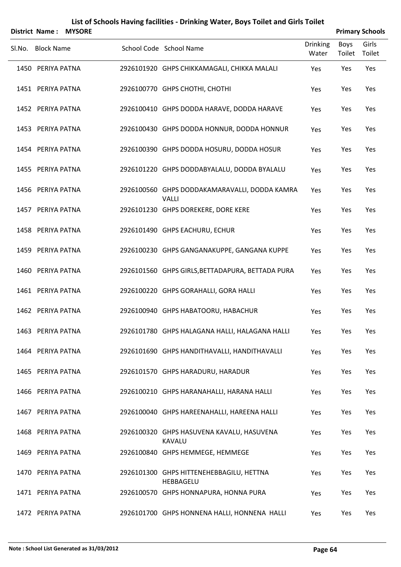|        |                   | District Name: MYSORE |                                                               |                   |                       | <b>Primary Schools</b> |
|--------|-------------------|-----------------------|---------------------------------------------------------------|-------------------|-----------------------|------------------------|
| Sl.No. | <b>Block Name</b> |                       | School Code School Name                                       | Drinking<br>Water | <b>Boys</b><br>Toilet | Girls<br>Toilet        |
|        | 1450 PERIYA PATNA |                       | 2926101920 GHPS CHIKKAMAGALI, CHIKKA MALALI                   | Yes               | Yes                   | Yes                    |
|        | 1451 PERIYA PATNA |                       | 2926100770 GHPS CHOTHI, CHOTHI                                | Yes               | Yes                   | Yes                    |
|        | 1452 PERIYA PATNA |                       | 2926100410 GHPS DODDA HARAVE, DODDA HARAVE                    | Yes               | Yes                   | Yes                    |
|        | 1453 PERIYA PATNA |                       | 2926100430 GHPS DODDA HONNUR, DODDA HONNUR                    | Yes               | Yes                   | Yes                    |
|        | 1454 PERIYA PATNA |                       | 2926100390 GHPS DODDA HOSURU, DODDA HOSUR                     | Yes               | Yes                   | Yes                    |
|        | 1455 PERIYA PATNA |                       | 2926101220 GHPS DODDABYALALU, DODDA BYALALU                   | Yes               | Yes                   | Yes                    |
|        | 1456 PERIYA PATNA |                       | 2926100560 GHPS DODDAKAMARAVALLI, DODDA KAMRA<br><b>VALLI</b> | Yes               | Yes                   | Yes                    |
|        | 1457 PERIYA PATNA |                       | 2926101230 GHPS DOREKERE, DORE KERE                           | Yes               | Yes                   | Yes                    |
|        | 1458 PERIYA PATNA |                       | 2926101490 GHPS EACHURU, ECHUR                                | Yes               | Yes                   | Yes                    |
|        | 1459 PERIYA PATNA |                       | 2926100230 GHPS GANGANAKUPPE, GANGANA KUPPE                   | Yes               | Yes                   | Yes                    |
|        | 1460 PERIYA PATNA |                       | 2926101560 GHPS GIRLS, BETTADAPURA, BETTADA PURA              | Yes               | Yes                   | Yes                    |
|        | 1461 PERIYA PATNA |                       | 2926100220 GHPS GORAHALLI, GORA HALLI                         | Yes               | Yes                   | Yes                    |
|        | 1462 PERIYA PATNA |                       | 2926100940 GHPS HABATOORU, HABACHUR                           | Yes               | Yes                   | Yes                    |
|        | 1463 PERIYA PATNA |                       | 2926101780 GHPS HALAGANA HALLI, HALAGANA HALLI                | Yes               | Yes                   | Yes                    |
|        | 1464 PERIYA PATNA |                       | 2926101690 GHPS HANDITHAVALLI, HANDITHAVALLI                  | Yes               | Yes                   | Yes                    |
|        | 1465 PERIYA PATNA |                       | 2926101570 GHPS HARADURU, HARADUR                             | Yes               | Yes                   | Yes                    |
|        | 1466 PERIYA PATNA |                       | 2926100210 GHPS HARANAHALLI, HARANA HALLI                     | Yes               | Yes                   | Yes                    |
|        | 1467 PERIYA PATNA |                       | 2926100040 GHPS HAREENAHALLI, HAREENA HALLI                   | Yes               | Yes                   | Yes                    |
|        | 1468 PERIYA PATNA |                       | 2926100320 GHPS HASUVENA KAVALU, HASUVENA<br><b>KAVALU</b>    | Yes               | Yes                   | Yes                    |
|        | 1469 PERIYA PATNA |                       | 2926100840 GHPS HEMMEGE, HEMMEGE                              | Yes               | Yes                   | Yes                    |
|        | 1470 PERIYA PATNA |                       | 2926101300 GHPS HITTENEHEBBAGILU, HETTNA<br>HEBBAGELU         | Yes               | Yes                   | Yes                    |
|        | 1471 PERIYA PATNA |                       | 2926100570 GHPS HONNAPURA, HONNA PURA                         | Yes               | Yes                   | Yes                    |
|        | 1472 PERIYA PATNA |                       | 2926101700 GHPS HONNENA HALLI, HONNENA HALLI                  | Yes               | Yes                   | Yes                    |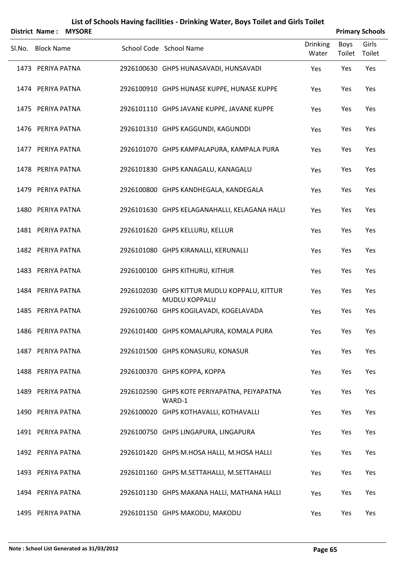| <b>District Name:</b> | <b>MYSORE</b> |                                                                      |                          |                | <b>Primary Schools</b> |
|-----------------------|---------------|----------------------------------------------------------------------|--------------------------|----------------|------------------------|
| Sl.No. Block Name     |               | School Code School Name                                              | <b>Drinking</b><br>Water | Boys<br>Toilet | Girls<br>Toilet        |
| 1473 PERIYA PATNA     |               | 2926100630 GHPS HUNASAVADI, HUNSAVADI                                | Yes                      | Yes            | Yes                    |
| 1474 PERIYA PATNA     |               | 2926100910 GHPS HUNASE KUPPE, HUNASE KUPPE                           | Yes                      | Yes            | Yes                    |
| 1475 PERIYA PATNA     |               | 2926101110 GHPS JAVANE KUPPE, JAVANE KUPPE                           | Yes                      | Yes            | Yes                    |
| 1476 PERIYA PATNA     |               | 2926101310 GHPS KAGGUNDI, KAGUNDDI                                   | Yes                      | Yes            | Yes                    |
| 1477 PERIYA PATNA     |               | 2926101070 GHPS KAMPALAPURA, KAMPALA PURA                            | Yes                      | Yes            | Yes                    |
| 1478 PERIYA PATNA     |               | 2926101830 GHPS KANAGALU, KANAGALU                                   | Yes                      | Yes            | Yes                    |
| 1479 PERIYA PATNA     |               | 2926100800 GHPS KANDHEGALA, KANDEGALA                                | Yes                      | Yes            | Yes                    |
| 1480 PERIYA PATNA     |               | 2926101630 GHPS KELAGANAHALLI, KELAGANA HALLI                        | Yes                      | Yes            | Yes                    |
| 1481 PERIYA PATNA     |               | 2926101620 GHPS KELLURU, KELLUR                                      | Yes                      | Yes            | Yes                    |
| 1482 PERIYA PATNA     |               | 2926101080 GHPS KIRANALLI, KERUNALLI                                 | Yes                      | Yes            | Yes                    |
| 1483 PERIYA PATNA     |               | 2926100100 GHPS KITHURU, KITHUR                                      | Yes                      | Yes            | Yes                    |
| 1484 PERIYA PATNA     |               | 2926102030 GHPS KITTUR MUDLU KOPPALU, KITTUR<br><b>MUDLU KOPPALU</b> | Yes                      | Yes            | Yes                    |
| 1485 PERIYA PATNA     |               | 2926100760 GHPS KOGILAVADI, KOGELAVADA                               | Yes                      | Yes            | Yes                    |
| 1486 PERIYA PATNA     |               | 2926101400 GHPS KOMALAPURA, KOMALA PURA                              | Yes                      | Yes            | Yes                    |
| 1487 PERIYA PATNA     |               | 2926101500 GHPS KONASURU, KONASUR                                    | Yes                      | Yes            | Yes                    |
| 1488 PERIYA PATNA     |               | 2926100370 GHPS KOPPA, KOPPA                                         | Yes                      | Yes            | Yes                    |
| 1489 PERIYA PATNA     |               | 2926102590 GHPS KOTE PERIYAPATNA, PEIYAPATNA<br>WARD-1               | Yes                      | Yes            | Yes                    |
| 1490 PERIYA PATNA     |               | 2926100020 GHPS KOTHAVALLI, KOTHAVALLI                               | Yes                      | Yes            | Yes                    |
| 1491 PERIYA PATNA     |               | 2926100750 GHPS LINGAPURA, LINGAPURA                                 | Yes                      | Yes            | Yes                    |
| 1492 PERIYA PATNA     |               | 2926101420 GHPS M.HOSA HALLI, M.HOSA HALLI                           | Yes                      | Yes            | Yes                    |
| 1493 PERIYA PATNA     |               | 2926101160 GHPS M.SETTAHALLI, M.SETTAHALLI                           | Yes                      | Yes            | Yes                    |
| 1494 PERIYA PATNA     |               | 2926101130 GHPS MAKANA HALLI, MATHANA HALLI                          | Yes                      | Yes            | Yes                    |
| 1495 PERIYA PATNA     |               | 2926101150 GHPS MAKODU, MAKODU                                       | Yes                      | Yes            | Yes                    |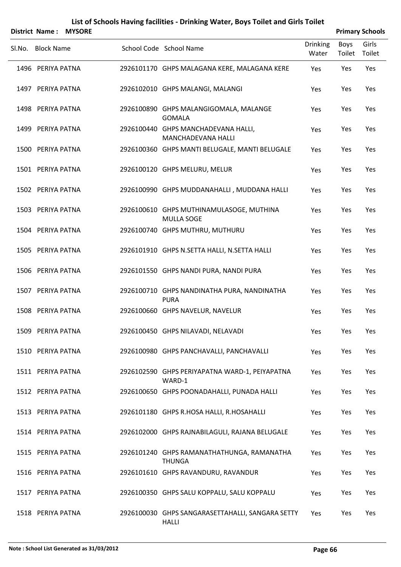|        | <b>District Name:</b> | <b>MYSORE</b> |                                                               |                          |                       | <b>Primary Schools</b> |
|--------|-----------------------|---------------|---------------------------------------------------------------|--------------------------|-----------------------|------------------------|
| Sl.No. | <b>Block Name</b>     |               | School Code School Name                                       | <b>Drinking</b><br>Water | <b>Boys</b><br>Toilet | Girls<br>Toilet        |
|        | 1496 PERIYA PATNA     |               | 2926101170 GHPS MALAGANA KERE, MALAGANA KERE                  | Yes                      | Yes                   | Yes                    |
|        | 1497 PERIYA PATNA     |               | 2926102010 GHPS MALANGI, MALANGI                              | Yes                      | Yes                   | Yes                    |
|        | 1498 PERIYA PATNA     |               | 2926100890 GHPS MALANGIGOMALA, MALANGE<br><b>GOMALA</b>       | Yes                      | Yes                   | Yes                    |
|        | 1499 PERIYA PATNA     |               | 2926100440 GHPS MANCHADEVANA HALLI,<br>MANCHADEVANA HALLI     | Yes                      | Yes                   | Yes                    |
|        | 1500 PERIYA PATNA     |               | 2926100360 GHPS MANTI BELUGALE, MANTI BELUGALE                | Yes                      | Yes                   | Yes                    |
|        | 1501 PERIYA PATNA     |               | 2926100120 GHPS MELURU, MELUR                                 | Yes                      | Yes                   | Yes                    |
|        | 1502 PERIYA PATNA     |               | 2926100990 GHPS MUDDANAHALLI, MUDDANA HALLI                   | Yes                      | Yes                   | Yes                    |
|        | 1503 PERIYA PATNA     |               | 2926100610 GHPS MUTHINAMULASOGE, MUTHINA<br><b>MULLA SOGE</b> | Yes                      | Yes                   | Yes                    |
|        | 1504 PERIYA PATNA     |               | 2926100740 GHPS MUTHRU, MUTHURU                               | Yes                      | Yes                   | Yes                    |
|        | 1505 PERIYA PATNA     |               | 2926101910 GHPS N.SETTA HALLI, N.SETTA HALLI                  | Yes                      | Yes                   | Yes                    |
|        | 1506 PERIYA PATNA     |               | 2926101550 GHPS NANDI PURA, NANDI PURA                        | Yes                      | Yes                   | Yes                    |
|        | 1507 PERIYA PATNA     |               | 2926100710 GHPS NANDINATHA PURA, NANDINATHA<br><b>PURA</b>    | Yes                      | Yes                   | Yes                    |
|        | 1508 PERIYA PATNA     |               | 2926100660 GHPS NAVELUR, NAVELUR                              | Yes                      | Yes                   | Yes                    |
|        | 1509 PERIYA PATNA     |               | 2926100450 GHPS NILAVADI, NELAVADI                            | Yes                      | Yes                   | Yes                    |
|        | 1510 PERIYA PATNA     |               | 2926100980 GHPS PANCHAVALLI, PANCHAVALLI                      | Yes                      | Yes                   | Yes                    |
|        | 1511 PERIYA PATNA     |               | 2926102590 GHPS PERIYAPATNA WARD-1, PEIYAPATNA<br>WARD-1      | Yes                      | Yes                   | Yes                    |
|        | 1512 PERIYA PATNA     |               | 2926100650 GHPS POONADAHALLI, PUNADA HALLI                    | Yes                      | Yes                   | Yes                    |
|        | 1513 PERIYA PATNA     |               | 2926101180 GHPS R.HOSA HALLI, R.HOSAHALLI                     | Yes                      | Yes                   | Yes                    |
|        | 1514 PERIYA PATNA     |               | 2926102000 GHPS RAJNABILAGULI, RAJANA BELUGALE                | Yes                      | Yes                   | Yes                    |
|        | 1515 PERIYA PATNA     |               | 2926101240 GHPS RAMANATHATHUNGA, RAMANATHA<br><b>THUNGA</b>   | Yes                      | Yes                   | Yes                    |
|        | 1516 PERIYA PATNA     |               | 2926101610 GHPS RAVANDURU, RAVANDUR                           | Yes                      | Yes                   | Yes                    |
|        | 1517 PERIYA PATNA     |               | 2926100350 GHPS SALU KOPPALU, SALU KOPPALU                    | Yes                      | Yes                   | Yes                    |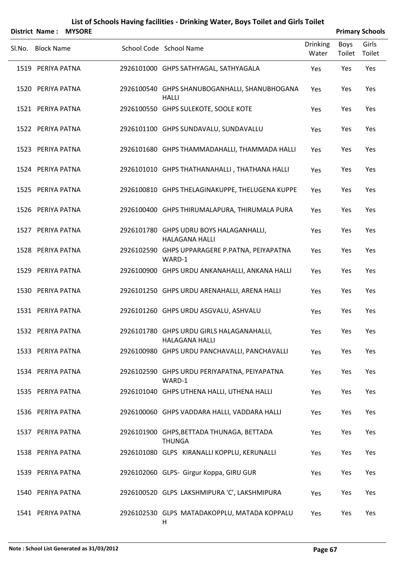|        |                   | <b>District Name: MYSORE</b> |                                                                    |                          |                | <b>Primary Schools</b> |
|--------|-------------------|------------------------------|--------------------------------------------------------------------|--------------------------|----------------|------------------------|
| SI.No. | <b>Block Name</b> |                              | School Code School Name                                            | <b>Drinking</b><br>Water | Boys<br>Toilet | Girls<br>Toilet        |
|        | 1519 PERIYA PATNA |                              | 2926101000 GHPS SATHYAGAL, SATHYAGALA                              | Yes                      | Yes            | Yes                    |
|        | 1520 PERIYA PATNA |                              | 2926100540 GHPS SHANUBOGANHALLI, SHANUBHOGANA<br><b>HALLI</b>      | Yes                      | Yes            | Yes                    |
|        | 1521 PERIYA PATNA |                              | 2926100550 GHPS SULEKOTE, SOOLE KOTE                               | Yes                      | Yes            | Yes                    |
|        | 1522 PERIYA PATNA |                              | 2926101100 GHPS SUNDAVALU, SUNDAVALLU                              | Yes                      | Yes            | Yes                    |
|        | 1523 PERIYA PATNA |                              | 2926101680 GHPS THAMMADAHALLI, THAMMADA HALLI                      | Yes                      | Yes            | Yes                    |
|        | 1524 PERIYA PATNA |                              | 2926101010 GHPS THATHANAHALLI, THATHANA HALLI                      | Yes                      | Yes            | Yes                    |
|        | 1525 PERIYA PATNA |                              | 2926100810 GHPS THELAGINAKUPPE, THELUGENA KUPPE                    | Yes                      | Yes            | Yes                    |
|        | 1526 PERIYA PATNA |                              | 2926100400 GHPS THIRUMALAPURA, THIRUMALA PURA                      | Yes                      | Yes            | Yes                    |
|        | 1527 PERIYA PATNA |                              | 2926101780 GHPS UDRU BOYS HALAGANHALLI,<br><b>HALAGANA HALLI</b>   | Yes                      | Yes            | Yes                    |
|        | 1528 PERIYA PATNA |                              | 2926102590 GHPS UPPARAGERE P.PATNA, PEIYAPATNA<br>WARD-1           | Yes                      | Yes            | Yes                    |
|        | 1529 PERIYA PATNA |                              | 2926100900 GHPS URDU ANKANAHALLI, ANKANA HALLI                     | Yes                      | Yes            | Yes                    |
|        | 1530 PERIYA PATNA |                              | 2926101250 GHPS URDU ARENAHALLI, ARENA HALLI                       | Yes                      | Yes            | Yes                    |
|        | 1531 PERIYA PATNA |                              | 2926101260 GHPS URDU ASGVALU, ASHVALU                              | Yes                      | Yes            | Yes                    |
|        | 1532 PERIYA PATNA |                              | 2926101780 GHPS URDU GIRLS HALAGANAHALLI,<br><b>HALAGANA HALLI</b> | Yes                      | Yes            | Yes                    |
|        | 1533 PERIYA PATNA |                              | 2926100980 GHPS URDU PANCHAVALLI, PANCHAVALLI                      | Yes                      | Yes            | Yes                    |
|        | 1534 PERIYA PATNA |                              | 2926102590 GHPS URDU PERIYAPATNA, PEIYAPATNA<br>WARD-1             | Yes                      | Yes            | Yes                    |
|        | 1535 PERIYA PATNA |                              | 2926101040 GHPS UTHENA HALLI, UTHENA HALLI                         | Yes                      | Yes            | Yes                    |
|        | 1536 PERIYA PATNA |                              | 2926100060 GHPS VADDARA HALLI, VADDARA HALLI                       | Yes                      | Yes            | Yes                    |
|        | 1537 PERIYA PATNA |                              | 2926101900 GHPS, BETTADA THUNAGA, BETTADA<br><b>THUNGA</b>         | Yes                      | Yes            | Yes                    |
|        | 1538 PERIYA PATNA |                              | 2926101080 GLPS KIRANALLI KOPPLU, KERUNALLI                        | Yes                      | Yes            | Yes                    |
|        | 1539 PERIYA PATNA |                              | 2926102060 GLPS- Girgur Koppa, GIRU GUR                            | Yes                      | Yes            | Yes                    |
|        | 1540 PERIYA PATNA |                              | 2926100520 GLPS LAKSHMIPURA 'C', LAKSHMIPURA                       | Yes                      | Yes            | Yes                    |
|        | 1541 PERIYA PATNA |                              | 2926102530 GLPS MATADAKOPPLU, MATADA KOPPALU<br>H                  | Yes                      | Yes            | Yes                    |
|        |                   |                              |                                                                    |                          |                |                        |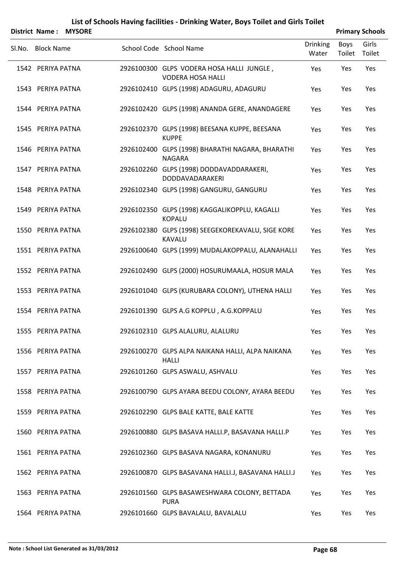| <b>District Name: MYSORE</b> |                                                                       |                          |                | <b>Primary Schools</b> |
|------------------------------|-----------------------------------------------------------------------|--------------------------|----------------|------------------------|
| SI.No. Block Name            | School Code School Name                                               | <b>Drinking</b><br>Water | Boys<br>Toilet | Girls<br>Toilet        |
| 1542 PERIYA PATNA            | 2926100300 GLPS VODERA HOSA HALLI JUNGLE,<br><b>VODERA HOSA HALLI</b> | Yes                      | Yes            | Yes                    |
| 1543 PERIYA PATNA            | 2926102410 GLPS (1998) ADAGURU, ADAGURU                               | Yes                      | Yes            | Yes                    |
| 1544 PERIYA PATNA            | 2926102420 GLPS (1998) ANANDA GERE, ANANDAGERE                        | Yes                      | Yes            | Yes                    |
| 1545 PERIYA PATNA            | 2926102370 GLPS (1998) BEESANA KUPPE, BEESANA<br><b>KUPPE</b>         | Yes                      | Yes            | Yes                    |
| 1546 PERIYA PATNA            | 2926102400 GLPS (1998) BHARATHI NAGARA, BHARATHI<br><b>NAGARA</b>     | Yes                      | Yes            | Yes                    |
| 1547 PERIYA PATNA            | 2926102260 GLPS (1998) DODDAVADDARAKERI,<br><b>DODDAVADARAKERI</b>    | Yes                      | Yes            | Yes                    |
| 1548 PERIYA PATNA            | 2926102340 GLPS (1998) GANGURU, GANGURU                               | Yes                      | Yes            | Yes                    |
| 1549 PERIYA PATNA            | 2926102350 GLPS (1998) KAGGALIKOPPLU, KAGALLI<br><b>KOPALU</b>        | Yes                      | Yes            | Yes                    |
| 1550 PERIYA PATNA            | 2926102380 GLPS (1998) SEEGEKOREKAVALU, SIGE KORE<br><b>KAVALU</b>    | Yes                      | Yes            | Yes                    |
| 1551 PERIYA PATNA            | 2926100640 GLPS (1999) MUDALAKOPPALU, ALANAHALLI                      | Yes                      | Yes            | Yes                    |
| 1552 PERIYA PATNA            | 2926102490 GLPS (2000) HOSURUMAALA, HOSUR MALA                        | Yes                      | Yes            | Yes                    |
| 1553 PERIYA PATNA            | 2926101040 GLPS (KURUBARA COLONY), UTHENA HALLI                       | Yes                      | Yes            | Yes                    |
| 1554 PERIYA PATNA            | 2926101390 GLPS A.G KOPPLU, A.G.KOPPALU                               | Yes                      | Yes            | Yes                    |
| 1555 PERIYA PATNA            | 2926102310 GLPS ALALURU, ALALURU                                      | Yes                      | Yes            | Yes                    |
| 1556 PERIYA PATNA            | 2926100270 GLPS ALPA NAIKANA HALLI, ALPA NAIKANA<br><b>HALLI</b>      | Yes                      | Yes            | Yes                    |
| 1557 PERIYA PATNA            | 2926101260 GLPS ASWALU, ASHVALU                                       | Yes                      | Yes            | Yes                    |
| 1558 PERIYA PATNA            | 2926100790 GLPS AYARA BEEDU COLONY, AYARA BEEDU                       | Yes                      | Yes            | Yes                    |
| 1559 PERIYA PATNA            | 2926102290 GLPS BALE KATTE, BALE KATTE                                | Yes                      | Yes            | Yes                    |
| 1560 PERIYA PATNA            | 2926100880 GLPS BASAVA HALLI.P, BASAVANA HALLI.P                      | Yes                      | Yes            | Yes                    |
| 1561 PERIYA PATNA            | 2926102360 GLPS BASAVA NAGARA, KONANURU                               | Yes                      | Yes            | Yes                    |
| 1562 PERIYA PATNA            | 2926100870 GLPS BASAVANA HALLI.J, BASAVANA HALLI.J                    | Yes                      | Yes            | Yes                    |
| 1563 PERIYA PATNA            | 2926101560 GLPS BASAWESHWARA COLONY, BETTADA<br><b>PURA</b>           | Yes                      | Yes            | Yes                    |
| 1564 PERIYA PATNA            | 2926101660 GLPS BAVALALU, BAVALALU                                    | Yes                      | Yes            | Yes                    |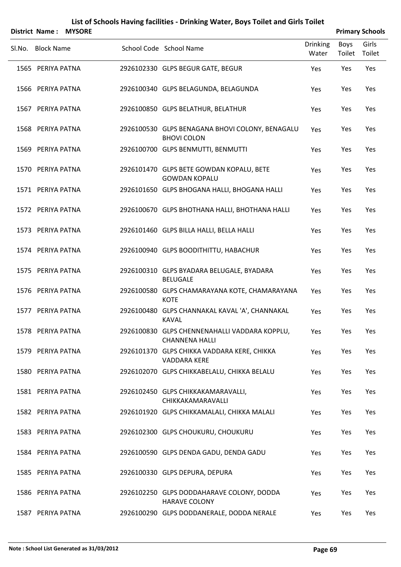|        | District Name:    | <b>MYSORE</b> |                                                                        |                          | <b>Primary Schools</b> |                 |
|--------|-------------------|---------------|------------------------------------------------------------------------|--------------------------|------------------------|-----------------|
| Sl.No. | <b>Block Name</b> |               | School Code School Name                                                | <b>Drinking</b><br>Water | <b>Boys</b><br>Toilet  | Girls<br>Toilet |
|        | 1565 PERIYA PATNA |               | 2926102330 GLPS BEGUR GATE, BEGUR                                      | Yes                      | Yes                    | Yes             |
|        | 1566 PERIYA PATNA |               | 2926100340 GLPS BELAGUNDA, BELAGUNDA                                   | Yes                      | Yes                    | Yes             |
|        | 1567 PERIYA PATNA |               | 2926100850 GLPS BELATHUR, BELATHUR                                     | Yes                      | Yes                    | Yes             |
|        | 1568 PERIYA PATNA |               | 2926100530 GLPS BENAGANA BHOVI COLONY, BENAGALU<br><b>BHOVI COLON</b>  | Yes                      | Yes                    | Yes             |
|        | 1569 PERIYA PATNA |               | 2926100700 GLPS BENMUTTI, BENMUTTI                                     | Yes                      | Yes                    | Yes             |
|        | 1570 PERIYA PATNA |               | 2926101470 GLPS BETE GOWDAN KOPALU, BETE<br><b>GOWDAN KOPALU</b>       | Yes                      | Yes                    | Yes             |
|        | 1571 PERIYA PATNA |               | 2926101650 GLPS BHOGANA HALLI, BHOGANA HALLI                           | Yes                      | Yes                    | Yes             |
|        | 1572 PERIYA PATNA |               | 2926100670 GLPS BHOTHANA HALLI, BHOTHANA HALLI                         | Yes                      | Yes                    | Yes             |
|        | 1573 PERIYA PATNA |               | 2926101460 GLPS BILLA HALLI, BELLA HALLI                               | Yes                      | Yes                    | Yes             |
|        | 1574 PERIYA PATNA |               | 2926100940 GLPS BOODITHITTU, HABACHUR                                  | Yes                      | Yes                    | Yes             |
|        | 1575 PERIYA PATNA |               | 2926100310 GLPS BYADARA BELUGALE, BYADARA<br><b>BELUGALE</b>           | Yes                      | Yes                    | Yes             |
|        | 1576 PERIYA PATNA |               | 2926100580 GLPS CHAMARAYANA KOTE, CHAMARAYANA<br><b>KOTE</b>           | Yes                      | Yes                    | Yes             |
|        | 1577 PERIYA PATNA |               | 2926100480 GLPS CHANNAKAL KAVAL 'A', CHANNAKAL<br><b>KAVAL</b>         | Yes                      | Yes                    | Yes             |
|        | 1578 PERIYA PATNA |               | 2926100830 GLPS CHENNENAHALLI VADDARA KOPPLU,<br><b>CHANNENA HALLI</b> | Yes                      | Yes                    | Yes             |
|        | 1579 PERIYA PATNA |               | 2926101370 GLPS CHIKKA VADDARA KERE, CHIKKA<br>VADDARA KERE            | Yes                      | Yes                    | Yes             |
|        | 1580 PERIYA PATNA |               | 2926102070 GLPS CHIKKABELALU, CHIKKA BELALU                            | Yes                      | Yes                    | Yes             |
|        | 1581 PERIYA PATNA |               | 2926102450 GLPS CHIKKAKAMARAVALLI,<br>CHIKKAKAMARAVALLI                | Yes                      | Yes                    | Yes             |
|        | 1582 PERIYA PATNA |               | 2926101920 GLPS CHIKKAMALALI, CHIKKA MALALI                            | Yes                      | Yes                    | Yes             |
|        | 1583 PERIYA PATNA |               | 2926102300 GLPS CHOUKURU, CHOUKURU                                     | Yes                      | Yes                    | Yes             |
|        | 1584 PERIYA PATNA |               | 2926100590 GLPS DENDA GADU, DENDA GADU                                 | Yes                      | Yes                    | Yes             |
|        | 1585 PERIYA PATNA |               | 2926100330 GLPS DEPURA, DEPURA                                         | Yes                      | Yes                    | Yes             |
|        | 1586 PERIYA PATNA |               | 2926102250 GLPS DODDAHARAVE COLONY, DODDA<br><b>HARAVE COLONY</b>      | Yes                      | Yes                    | Yes             |

1587 PERIYA PATNA 2926100290 GLPS DODDANERALE, DODDA NERALE Yes Yes Yes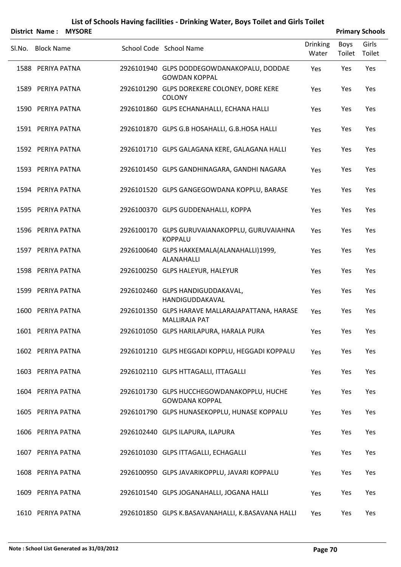|        | District Name:    | <b>MYSORE</b> |                                                                         |                          |                | <b>Primary Schools</b> |
|--------|-------------------|---------------|-------------------------------------------------------------------------|--------------------------|----------------|------------------------|
| SI.No. | <b>Block Name</b> |               | School Code School Name                                                 | <b>Drinking</b><br>Water | Boys<br>Toilet | Girls<br>Toilet        |
|        | 1588 PERIYA PATNA |               | 2926101940 GLPS DODDEGOWDANAKOPALU, DODDAE<br><b>GOWDAN KOPPAL</b>      | Yes                      | Yes            | Yes                    |
|        | 1589 PERIYA PATNA |               | 2926101290 GLPS DOREKERE COLONEY, DORE KERE<br><b>COLONY</b>            | Yes                      | Yes            | Yes                    |
|        | 1590 PERIYA PATNA |               | 2926101860 GLPS ECHANAHALLI, ECHANA HALLI                               | Yes                      | Yes            | Yes                    |
|        | 1591 PERIYA PATNA |               | 2926101870 GLPS G.B HOSAHALLI, G.B.HOSA HALLI                           | Yes                      | Yes            | Yes                    |
|        | 1592 PERIYA PATNA |               | 2926101710 GLPS GALAGANA KERE, GALAGANA HALLI                           | Yes                      | Yes            | Yes                    |
|        | 1593 PERIYA PATNA |               | 2926101450 GLPS GANDHINAGARA, GANDHI NAGARA                             | Yes                      | Yes            | Yes                    |
|        | 1594 PERIYA PATNA |               | 2926101520 GLPS GANGEGOWDANA KOPPLU, BARASE                             | Yes                      | Yes            | Yes                    |
|        | 1595 PERIYA PATNA |               | 2926100370 GLPS GUDDENAHALLI, KOPPA                                     | Yes                      | Yes            | Yes                    |
|        | 1596 PERIYA PATNA |               | 2926100170 GLPS GURUVAIANAKOPPLU, GURUVAIAHNA<br><b>KOPPALU</b>         | Yes                      | Yes            | Yes                    |
|        | 1597 PERIYA PATNA |               | 2926100640 GLPS HAKKEMALA(ALANAHALLI)1999,<br>ALANAHALLI                | Yes                      | Yes            | Yes                    |
|        | 1598 PERIYA PATNA |               | 2926100250 GLPS HALEYUR, HALEYUR                                        | Yes                      | Yes            | Yes                    |
|        | 1599 PERIYA PATNA |               | 2926102460 GLPS HANDIGUDDAKAVAL,<br>HANDIGUDDAKAVAL                     | Yes                      | Yes            | Yes                    |
|        | 1600 PERIYA PATNA |               | 2926101350 GLPS HARAVE MALLARAJAPATTANA, HARASE<br><b>MALLIRAJA PAT</b> | Yes                      | Yes            | Yes                    |
|        | 1601 PERIYA PATNA |               | 2926101050 GLPS HARILAPURA, HARALA PURA                                 | Yes                      | Yes            | Yes                    |
|        | 1602 PERIYA PATNA |               | 2926101210 GLPS HEGGADI KOPPLU, HEGGADI KOPPALU                         | Yes                      | Yes            | Yes                    |
|        | 1603 PERIYA PATNA |               | 2926102110 GLPS HTTAGALLI, ITTAGALLI                                    | Yes                      | Yes            | Yes                    |
|        | 1604 PERIYA PATNA |               | 2926101730 GLPS HUCCHEGOWDANAKOPPLU, HUCHE<br><b>GOWDANA KOPPAL</b>     | Yes                      | Yes            | Yes                    |
|        | 1605 PERIYA PATNA |               | 2926101790 GLPS HUNASEKOPPLU, HUNASE KOPPALU                            | Yes                      | Yes            | Yes                    |
|        | 1606 PERIYA PATNA |               | 2926102440 GLPS ILAPURA, ILAPURA                                        | Yes                      | Yes            | Yes                    |
|        | 1607 PERIYA PATNA |               | 2926101030 GLPS ITTAGALLI, ECHAGALLI                                    | Yes                      | Yes            | Yes                    |
|        | 1608 PERIYA PATNA |               | 2926100950 GLPS JAVARIKOPPLU, JAVARI KOPPALU                            | Yes                      | Yes            | Yes                    |
|        | 1609 PERIYA PATNA |               | 2926101540 GLPS JOGANAHALLI, JOGANA HALLI                               | Yes                      | Yes            | Yes                    |
|        | 1610 PERIYA PATNA |               | 2926101850 GLPS K.BASAVANAHALLI, K.BASAVANA HALLI                       | Yes                      | Yes            | Yes                    |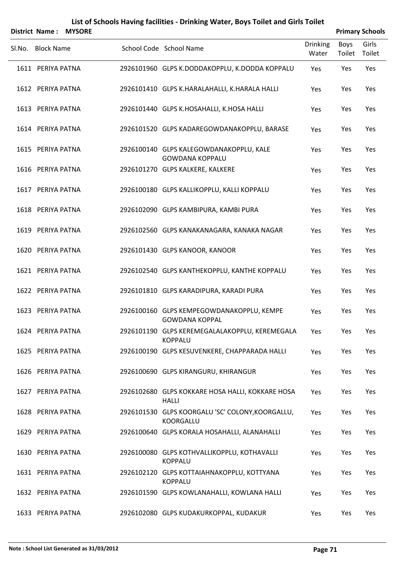|                   | District Name: MYSORE |                                                                    |                          |                | <b>Primary Schools</b> |
|-------------------|-----------------------|--------------------------------------------------------------------|--------------------------|----------------|------------------------|
| Sl.No. Block Name |                       | School Code School Name                                            | <b>Drinking</b><br>Water | Boys<br>Toilet | Girls<br>Toilet        |
| 1611 PERIYA PATNA |                       | 2926101960 GLPS K.DODDAKOPPLU, K.DODDA KOPPALU                     | Yes                      | Yes            | Yes                    |
| 1612 PERIYA PATNA |                       | 2926101410 GLPS K.HARALAHALLI, K.HARALA HALLI                      | Yes                      | Yes            | Yes                    |
| 1613 PERIYA PATNA |                       | 2926101440 GLPS K.HOSAHALLI, K.HOSA HALLI                          | Yes                      | Yes            | Yes                    |
| 1614 PERIYA PATNA |                       | 2926101520 GLPS KADAREGOWDANAKOPPLU, BARASE                        | Yes                      | Yes            | Yes                    |
| 1615 PERIYA PATNA |                       | 2926100140 GLPS KALEGOWDANAKOPPLU, KALE<br><b>GOWDANA KOPPALU</b>  | Yes                      | Yes            | Yes                    |
| 1616 PERIYA PATNA |                       | 2926101270 GLPS KALKERE, KALKERE                                   | Yes                      | Yes            | Yes                    |
| 1617 PERIYA PATNA |                       | 2926100180 GLPS KALLIKOPPLU, KALLI KOPPALU                         | Yes                      | Yes            | Yes                    |
| 1618 PERIYA PATNA |                       | 2926102090 GLPS KAMBIPURA, KAMBI PURA                              | Yes                      | Yes            | Yes                    |
| 1619 PERIYA PATNA |                       | 2926102560 GLPS KANAKANAGARA, KANAKA NAGAR                         | Yes                      | Yes            | Yes                    |
| 1620 PERIYA PATNA |                       | 2926101430 GLPS KANOOR, KANOOR                                     | Yes                      | Yes            | Yes                    |
| 1621 PERIYA PATNA |                       | 2926102540 GLPS KANTHEKOPPLU, KANTHE KOPPALU                       | Yes                      | Yes            | Yes                    |
| 1622 PERIYA PATNA |                       | 2926101810 GLPS KARADIPURA, KARADI PURA                            | Yes                      | Yes            | Yes                    |
| 1623 PERIYA PATNA |                       | 2926100160 GLPS KEMPEGOWDANAKOPPLU, KEMPE<br><b>GOWDANA KOPPAL</b> | Yes                      | Yes            | Yes                    |
| 1624 PERIYA PATNA |                       | 2926101190 GLPS KEREMEGALALAKOPPLU, KEREMEGALA<br><b>KOPPALU</b>   | Yes                      | Yes            | Yes                    |
| 1625 PERIYA PATNA |                       | 2926100190 GLPS KESUVENKERE, CHAPPARADA HALLI                      | Yes                      | Yes            | Yes                    |
| 1626 PERIYA PATNA |                       | 2926100690 GLPS KIRANGURU, KHIRANGUR                               | Yes                      | Yes            | Yes                    |
| 1627 PERIYA PATNA |                       | 2926102680 GLPS KOKKARE HOSA HALLI, KOKKARE HOSA<br><b>HALLI</b>   | Yes                      | Yes            | Yes                    |
| 1628 PERIYA PATNA |                       | 2926101530 GLPS KOORGALU 'SC' COLONY, KOORGALLU,<br>KOORGALLU      | Yes                      | Yes            | Yes                    |
| 1629 PERIYA PATNA |                       | 2926100640 GLPS KORALA HOSAHALLI, ALANAHALLI                       | Yes                      | Yes            | Yes                    |
| 1630 PERIYA PATNA |                       | 2926100080 GLPS KOTHVALLIKOPPLU, KOTHAVALLI<br><b>KOPPALU</b>      | Yes                      | Yes            | Yes                    |
| 1631 PERIYA PATNA |                       | 2926102120 GLPS KOTTAIAHNAKOPPLU, KOTTYANA<br><b>KOPPALU</b>       | Yes                      | Yes            | Yes                    |

1632 PERIYA PATNA 2926101590 GLPS KOWLANAHALLI, KOWLANA HALLI Yes Yes Yes

1633 PERIYA PATNA 2926102080 GLPS KUDAKURKOPPAL, KUDAKUR Yes Yes Yes Yes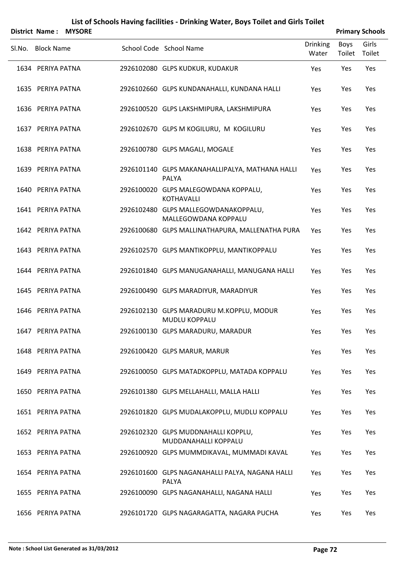|        | District Name: MYSORE |                                                                  |                          |                | <b>Primary Schools</b> |
|--------|-----------------------|------------------------------------------------------------------|--------------------------|----------------|------------------------|
| Sl.No. | <b>Block Name</b>     | School Code School Name                                          | <b>Drinking</b><br>Water | Boys<br>Toilet | Girls<br>Toilet        |
|        | 1634 PERIYA PATNA     | 2926102080 GLPS KUDKUR, KUDAKUR                                  | Yes                      | Yes            | Yes                    |
|        | 1635 PERIYA PATNA     | 2926102660 GLPS KUNDANAHALLI, KUNDANA HALLI                      | Yes                      | Yes            | Yes                    |
|        | 1636 PERIYA PATNA     | 2926100520 GLPS LAKSHMIPURA, LAKSHMIPURA                         | Yes                      | Yes            | Yes                    |
|        | 1637 PERIYA PATNA     | 2926102670 GLPS M KOGILURU, M KOGILURU                           | Yes                      | Yes            | Yes                    |
|        | 1638 PERIYA PATNA     | 2926100780 GLPS MAGALI, MOGALE                                   | Yes                      | Yes            | Yes                    |
|        | 1639 PERIYA PATNA     | 2926101140 GLPS MAKANAHALLIPALYA, MATHANA HALLI<br>PALYA         | Yes                      | Yes            | Yes                    |
|        | 1640 PERIYA PATNA     | 2926100020 GLPS MALEGOWDANA KOPPALU,<br><b>KOTHAVALLI</b>        | Yes                      | Yes            | Yes                    |
|        | 1641 PERIYA PATNA     | 2926102480 GLPS MALLEGOWDANAKOPPALU,<br>MALLEGOWDANA KOPPALU     | Yes                      | Yes            | Yes                    |
|        | 1642 PERIYA PATNA     | 2926100680 GLPS MALLINATHAPURA, MALLENATHA PURA                  | Yes                      | Yes            | Yes                    |
|        | 1643 PERIYA PATNA     | 2926102570 GLPS MANTIKOPPLU, MANTIKOPPALU                        | Yes                      | Yes            | Yes                    |
|        | 1644 PERIYA PATNA     | 2926101840 GLPS MANUGANAHALLI, MANUGANA HALLI                    | Yes                      | Yes            | Yes                    |
|        | 1645 PERIYA PATNA     | 2926100490 GLPS MARADIYUR, MARADIYUR                             | Yes                      | Yes            | Yes                    |
|        | 1646 PERIYA PATNA     | 2926102130 GLPS MARADURU M.KOPPLU, MODUR<br><b>MUDLU KOPPALU</b> | Yes                      | Yes            | Yes                    |
|        | 1647 PERIYA PATNA     | 2926100130 GLPS MARADURU, MARADUR                                | Yes                      | Yes            | Yes                    |
|        | 1648 PERIYA PATNA     | 2926100420 GLPS MARUR, MARUR                                     | Yes                      | Yes            | Yes                    |
|        | 1649 PERIYA PATNA     | 2926100050 GLPS MATADKOPPLU, MATADA KOPPALU                      | Yes                      | Yes            | Yes                    |
|        | 1650 PERIYA PATNA     | 2926101380 GLPS MELLAHALLI, MALLA HALLI                          | Yes                      | Yes            | Yes                    |
|        | 1651 PERIYA PATNA     | 2926101820 GLPS MUDALAKOPPLU, MUDLU KOPPALU                      | Yes                      | Yes            | Yes                    |
|        | 1652 PERIYA PATNA     | 2926102320 GLPS MUDDNAHALLI KOPPLU,<br>MUDDANAHALLI KOPPALU      | Yes                      | Yes            | Yes                    |
|        | 1653 PERIYA PATNA     | 2926100920 GLPS MUMMDIKAVAL, MUMMADI KAVAL                       | Yes                      | Yes            | Yes                    |
|        | 1654 PERIYA PATNA     | 2926101600 GLPS NAGANAHALLI PALYA, NAGANA HALLI<br>PALYA         | Yes                      | Yes            | Yes                    |
|        | 1655 PERIYA PATNA     | 2926100090 GLPS NAGANAHALLI, NAGANA HALLI                        | Yes                      | Yes            | Yes                    |
|        | 1656 PERIYA PATNA     | 2926101720 GLPS NAGARAGATTA, NAGARA PUCHA                        | Yes                      | Yes            | Yes                    |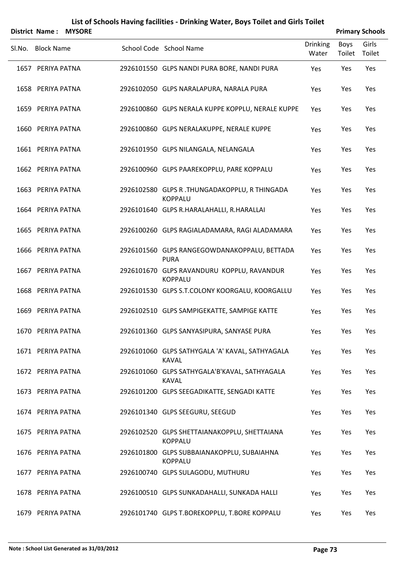|                   | District Name: MYSORE |                                                                 |                          |                       | <b>Primary Schools</b> |
|-------------------|-----------------------|-----------------------------------------------------------------|--------------------------|-----------------------|------------------------|
| Sl.No. Block Name |                       | School Code School Name                                         | <b>Drinking</b><br>Water | <b>Boys</b><br>Toilet | Girls<br>Toilet        |
| 1657 PERIYA PATNA |                       | 2926101550 GLPS NANDI PURA BORE, NANDI PURA                     | Yes                      | Yes                   | Yes                    |
| 1658 PERIYA PATNA |                       | 2926102050 GLPS NARALAPURA, NARALA PURA                         | Yes                      | Yes                   | Yes                    |
| 1659 PERIYA PATNA |                       | 2926100860 GLPS NERALA KUPPE KOPPLU, NERALE KUPPE               | Yes                      | Yes                   | Yes                    |
| 1660 PERIYA PATNA |                       | 2926100860 GLPS NERALAKUPPE, NERALE KUPPE                       | Yes                      | Yes                   | Yes                    |
| 1661 PERIYA PATNA |                       | 2926101950 GLPS NILANGALA, NELANGALA                            | Yes                      | Yes                   | Yes                    |
| 1662 PERIYA PATNA |                       | 2926100960 GLPS PAAREKOPPLU, PARE KOPPALU                       | Yes                      | Yes                   | Yes                    |
| 1663 PERIYA PATNA |                       | 2926102580 GLPS R. THUNGADAKOPPLU, R THINGADA<br><b>KOPPALU</b> | Yes                      | Yes                   | Yes                    |
| 1664 PERIYA PATNA |                       | 2926101640 GLPS R.HARALAHALLI, R.HARALLAI                       | Yes                      | Yes                   | Yes                    |
| 1665 PERIYA PATNA |                       | 2926100260 GLPS RAGIALADAMARA, RAGI ALADAMARA                   | Yes                      | Yes                   | Yes                    |
| 1666 PERIYA PATNA |                       | 2926101560 GLPS RANGEGOWDANAKOPPALU, BETTADA<br><b>PURA</b>     | Yes                      | Yes                   | Yes                    |
| 1667 PERIYA PATNA |                       | 2926101670 GLPS RAVANDURU KOPPLU, RAVANDUR<br><b>KOPPALU</b>    | Yes                      | Yes                   | Yes                    |
| 1668 PERIYA PATNA |                       | 2926101530 GLPS S.T.COLONY KOORGALU, KOORGALLU                  | Yes                      | Yes                   | Yes                    |
| 1669 PERIYA PATNA |                       | 2926102510 GLPS SAMPIGEKATTE, SAMPIGE KATTE                     | Yes                      | Yes                   | Yes                    |
| 1670 PERIYA PATNA |                       | 2926101360 GLPS SANYASIPURA, SANYASE PURA                       | Yes                      | Yes                   | Yes                    |
| 1671 PERIYA PATNA |                       | 2926101060 GLPS SATHYGALA 'A' KAVAL, SATHYAGALA<br><b>KAVAL</b> | Yes                      | Yes                   | Yes                    |
| 1672 PERIYA PATNA |                       | 2926101060 GLPS SATHYGALA'B'KAVAL, SATHYAGALA<br><b>KAVAL</b>   | Yes                      | Yes                   | Yes                    |
| 1673 PERIYA PATNA |                       | 2926101200 GLPS SEEGADIKATTE, SENGADI KATTE                     | Yes                      | Yes                   | Yes                    |
| 1674 PERIYA PATNA |                       | 2926101340 GLPS SEEGURU, SEEGUD                                 | Yes                      | Yes                   | Yes                    |
| 1675 PERIYA PATNA |                       | 2926102520 GLPS SHETTAIANAKOPPLU, SHETTAIANA<br><b>KOPPALU</b>  | Yes                      | Yes                   | Yes                    |
| 1676 PERIYA PATNA |                       | 2926101800 GLPS SUBBAIANAKOPPLU, SUBAIAHNA<br><b>KOPPALU</b>    | Yes                      | Yes                   | Yes                    |
| 1677 PERIYA PATNA |                       | 2926100740 GLPS SULAGODU, MUTHURU                               | Yes                      | Yes                   | Yes                    |
| 1678 PERIYA PATNA |                       | 2926100510 GLPS SUNKADAHALLI, SUNKADA HALLI                     | Yes                      | Yes                   | Yes                    |
| 1679 PERIYA PATNA |                       | 2926101740 GLPS T.BOREKOPPLU, T.BORE KOPPALU                    | Yes                      | Yes                   | Yes                    |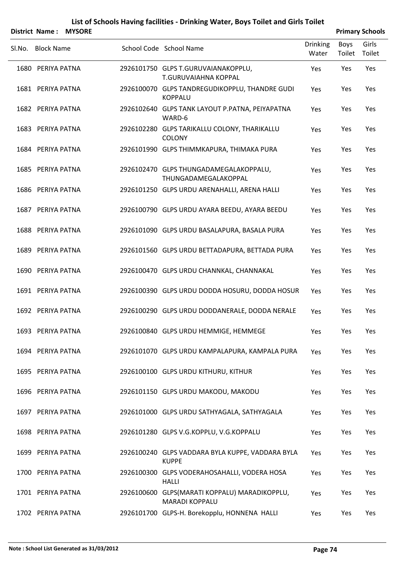|        |                   | District Name: MYSORE |                                                                        |                          |                | <b>Primary Schools</b> |
|--------|-------------------|-----------------------|------------------------------------------------------------------------|--------------------------|----------------|------------------------|
| Sl.No. | <b>Block Name</b> |                       | School Code School Name                                                | <b>Drinking</b><br>Water | Boys<br>Toilet | Girls<br>Toilet        |
|        | 1680 PERIYA PATNA |                       | 2926101750 GLPS T.GURUVAIANAKOPPLU,<br>T.GURUVAIAHNA KOPPAL            | Yes                      | Yes            | Yes                    |
|        | 1681 PERIYA PATNA |                       | 2926100070 GLPS TANDREGUDIKOPPLU, THANDRE GUDI<br><b>KOPPALU</b>       | Yes                      | Yes            | Yes                    |
|        | 1682 PERIYA PATNA |                       | 2926102640 GLPS TANK LAYOUT P.PATNA, PEIYAPATNA<br>WARD-6              | Yes                      | Yes            | Yes                    |
|        | 1683 PERIYA PATNA |                       | 2926102280 GLPS TARIKALLU COLONY, THARIKALLU<br><b>COLONY</b>          | Yes                      | Yes            | Yes                    |
|        | 1684 PERIYA PATNA |                       | 2926101990 GLPS THIMMKAPURA, THIMAKA PURA                              | Yes                      | Yes            | Yes                    |
|        | 1685 PERIYA PATNA |                       | 2926102470 GLPS THUNGADAMEGALAKOPPALU,<br>THUNGADAMEGALAKOPPAL         | Yes                      | Yes            | Yes                    |
|        | 1686 PERIYA PATNA |                       | 2926101250 GLPS URDU ARENAHALLI, ARENA HALLI                           | Yes                      | Yes            | Yes                    |
|        | 1687 PERIYA PATNA |                       | 2926100790 GLPS URDU AYARA BEEDU, AYARA BEEDU                          | Yes                      | Yes            | Yes                    |
|        | 1688 PERIYA PATNA |                       | 2926101090 GLPS URDU BASALAPURA, BASALA PURA                           | Yes                      | Yes            | Yes                    |
|        | 1689 PERIYA PATNA |                       | 2926101560 GLPS URDU BETTADAPURA, BETTADA PURA                         | Yes                      | Yes            | Yes                    |
|        | 1690 PERIYA PATNA |                       | 2926100470 GLPS URDU CHANNKAL, CHANNAKAL                               | Yes                      | Yes            | Yes                    |
|        | 1691 PERIYA PATNA |                       | 2926100390 GLPS URDU DODDA HOSURU, DODDA HOSUR                         | Yes                      | Yes            | Yes                    |
|        | 1692 PERIYA PATNA |                       | 2926100290 GLPS URDU DODDANERALE, DODDA NERALE                         | Yes                      | Yes            | Yes                    |
|        | 1693 PERIYA PATNA |                       | 2926100840 GLPS URDU HEMMIGE, HEMMEGE                                  | Yes                      | Yes            | Yes                    |
|        | 1694 PERIYA PATNA |                       | 2926101070 GLPS URDU KAMPALAPURA, KAMPALA PURA                         | Yes                      | Yes            | Yes                    |
|        | 1695 PERIYA PATNA |                       | 2926100100 GLPS URDU KITHURU, KITHUR                                   | Yes                      | Yes            | Yes                    |
|        | 1696 PERIYA PATNA |                       | 2926101150 GLPS URDU MAKODU, MAKODU                                    | Yes                      | Yes            | Yes                    |
|        | 1697 PERIYA PATNA |                       | 2926101000 GLPS URDU SATHYAGALA, SATHYAGALA                            | Yes                      | Yes            | Yes                    |
|        | 1698 PERIYA PATNA |                       | 2926101280 GLPS V.G.KOPPLU, V.G.KOPPALU                                | Yes                      | Yes            | Yes                    |
|        | 1699 PERIYA PATNA |                       | 2926100240 GLPS VADDARA BYLA KUPPE, VADDARA BYLA<br><b>KUPPE</b>       | Yes                      | Yes            | Yes                    |
|        | 1700 PERIYA PATNA |                       | 2926100300 GLPS VODERAHOSAHALLI, VODERA HOSA<br><b>HALLI</b>           | Yes                      | Yes            | Yes                    |
|        | 1701 PERIYA PATNA |                       | 2926100600 GLPS(MARATI KOPPALU) MARADIKOPPLU,<br><b>MARADI KOPPALU</b> | Yes                      | Yes            | Yes                    |
|        | 1702 PERIYA PATNA |                       | 2926101700 GLPS-H. Borekopplu, HONNENA HALLI                           | Yes                      | Yes            | Yes                    |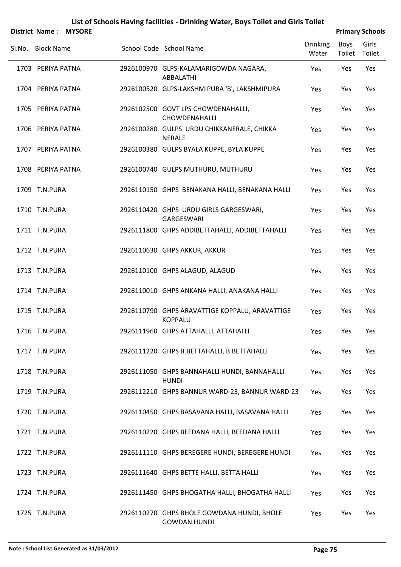# SLNo. Block Name School Code School Name Drinking Water Boys Toilet Girls Toilet **District Name : MYSORE Primary Primary Primary Primary Primary Primary Primary Primary Primary Primary Primary Primary Primary Primary Primary Primary Primary Primary Primary Primar** PERIYA PATNA 2926100970 GLPS‐KALAMARIGOWDA NAGARA, 1703 Yes Yes Yes ABBALATHI 1704 PERIYA PATNA 2926100520 GLPS‐LAKSHMIPURA 'B', LAKSHMIPURA Yes Yes Yes PERIYA PATNA 2926102500 GOVT LPS CHOWDENAHALLI, 1705 Yes Yes Yes CHOWDENAHALLI PERIYA PATNA 2926100280 GULPS URDU CHIKKANERALE, CHIKKA 1706 Yes Yes Yes NERALE 1707 PERIYA PATNA 2926100380 GULPS BYALA KUPPE, BYLA KUPPE Yes Yes Yes 1708 PERIYA PATNA 2926100740 GULPS MUTHURU, MUTHURU Yes Yes Yes 1709 T.N.PURA 2926110150 GHPS BENAKANA HALLI, BENAKANA HALLI Yes Yes Yes T.N.PURA 2926110420 GHPS URDU GIRLS GARGESWARI, 1710 Yes Yes Yes GARGESWARI 1711 T.N.PURA 2926111800 GHPS ADDIBETTAHALLI, ADDIBETTAHALLI Yes Yes Yes 1712 T.N.PURA 2926110630 GHPS AKKUR, AKKUR Yes Yes Yes 1713 T.N.PURA 2926110100 GHPS ALAGUD, ALAGUD Yes Yes Yes 1714 T.N.PURA 2926110010 GHPS ANKANA HALLI, ANAKANA HALLI Yes Yes Yes T.N.PURA 2926110790 GHPS ARAVATTIGE KOPPALU, ARAVATTIGE 1715 Yes Yes Yes KOPPALU 1716 T.N.PURA 2926111960 GHPS ATTAHALLI, ATTAHALLI Yes Yes Yes 1717 T.N.PURA 2926111220 GHPS B.BETTAHALLI, B.BETTAHALLI Yes Yes Yes T.N.PURA 2926111050 GHPS BANNAHALLI HUNDI, BANNAHALLI 1718 Yes Yes Yes HUNDI 1719 T.N.PURA 2926112210 GHPS BANNUR WARD‐23, BANNUR WARD‐23 Yes Yes Yes 1720 T.N.PURA 2926110450 GHPS BASAVANA HALLI, BASAVANA HALLI Yes Yes Yes 1721 T.N.PURA 2926110220 GHPS BEEDANA HALLI, BEEDANA HALLI Yes Yes Yes 1722 T.N.PURA 2926111110 GHPS BEREGERE HUNDI, BEREGERE HUNDI Yes Yes Yes 1723 T.N.PURA 2926111640 GHPS BETTE HALLI, BETTA HALLI Yes Yes Yes 1724 T.N.PURA 2926111450 GHPS BHOGATHA HALLI, BHOGATHA HALLI Yes Yes Yes

#### **List of Schools Having facilities ‐ Drinking Water, Boys Toilet and Girls Toilet**

T.N.PURA 2926110270 GHPS BHOLE GOWDANA HUNDI, BHOLE 1725 Yes Yes Yes GOWDAN HUNDI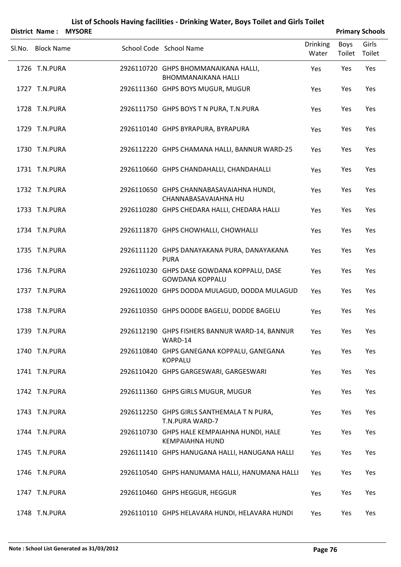|                   | District Name: MYSORE |                                                                       |                          |                | <b>Primary Schools</b> |
|-------------------|-----------------------|-----------------------------------------------------------------------|--------------------------|----------------|------------------------|
| Sl.No. Block Name |                       | School Code School Name                                               | <b>Drinking</b><br>Water | Boys<br>Toilet | Girls<br>Toilet        |
| 1726 T.N.PURA     |                       | 2926110720 GHPS BHOMMANAIKANA HALLI,<br><b>BHOMMANAIKANA HALLI</b>    | Yes                      | Yes            | Yes                    |
| 1727 T.N.PURA     |                       | 2926111360 GHPS BOYS MUGUR, MUGUR                                     | Yes                      | Yes            | Yes                    |
| 1728 T.N.PURA     |                       | 2926111750 GHPS BOYS T N PURA, T.N.PURA                               | Yes                      | Yes            | Yes                    |
| 1729 T.N.PURA     |                       | 2926110140 GHPS BYRAPURA, BYRAPURA                                    | Yes                      | Yes            | Yes                    |
| 1730 T.N.PURA     |                       | 2926112220 GHPS CHAMANA HALLI, BANNUR WARD-25                         | Yes                      | Yes            | Yes                    |
| 1731 T.N.PURA     |                       | 2926110660 GHPS CHANDAHALLI, CHANDAHALLI                              | Yes                      | Yes            | Yes                    |
| 1732 T.N.PURA     |                       | 2926110650 GHPS CHANNABASAVAIAHNA HUNDI,<br>CHANNABASAVAIAHNA HU      | Yes                      | Yes            | Yes                    |
| 1733 T.N.PURA     |                       | 2926110280 GHPS CHEDARA HALLI, CHEDARA HALLI                          | Yes                      | Yes            | Yes                    |
| 1734 T.N.PURA     |                       | 2926111870 GHPS CHOWHALLI, CHOWHALLI                                  | Yes                      | Yes            | Yes                    |
| 1735 T.N.PURA     |                       | 2926111120 GHPS DANAYAKANA PURA, DANAYAKANA<br><b>PURA</b>            | Yes                      | Yes            | Yes                    |
| 1736 T.N.PURA     |                       | 2926110230 GHPS DASE GOWDANA KOPPALU, DASE<br><b>GOWDANA KOPPALU</b>  | Yes                      | Yes            | Yes                    |
| 1737 T.N.PURA     |                       | 2926110020 GHPS DODDA MULAGUD, DODDA MULAGUD                          | Yes                      | Yes            | Yes                    |
| 1738 T.N.PURA     |                       | 2926110350 GHPS DODDE BAGELU, DODDE BAGELU                            | Yes                      | Yes            | Yes                    |
| 1739 T.N.PURA     |                       | 2926112190 GHPS FISHERS BANNUR WARD-14, BANNUR<br>WARD-14             | Yes                      | Yes            | Yes                    |
| 1740 T.N.PURA     |                       | 2926110840 GHPS GANEGANA KOPPALU, GANEGANA<br><b>KOPPALU</b>          | Yes                      | Yes            | Yes                    |
| 1741 T.N.PURA     |                       | 2926110420 GHPS GARGESWARI, GARGESWARI                                | Yes                      | Yes            | Yes                    |
| 1742 T.N.PURA     |                       | 2926111360 GHPS GIRLS MUGUR, MUGUR                                    | Yes                      | Yes            | Yes                    |
| 1743 T.N.PURA     |                       | 2926112250 GHPS GIRLS SANTHEMALA T N PURA,<br>T.N.PURA WARD-7         | Yes                      | Yes            | Yes                    |
| 1744 T.N.PURA     |                       | 2926110730 GHPS HALE KEMPAIAHNA HUNDI, HALE<br><b>KEMPAIAHNA HUND</b> | Yes                      | Yes            | Yes                    |
| 1745 T.N.PURA     |                       | 2926111410 GHPS HANUGANA HALLI, HANUGANA HALLI                        | Yes                      | Yes            | Yes                    |
| 1746 T.N.PURA     |                       | 2926110540 GHPS HANUMAMA HALLI, HANUMANA HALLI                        | Yes                      | Yes            | Yes                    |
| 1747 T.N.PURA     |                       | 2926110460 GHPS HEGGUR, HEGGUR                                        | Yes                      | Yes            | Yes                    |
| 1748 T.N.PURA     |                       | 2926110110 GHPS HELAVARA HUNDI, HELAVARA HUNDI                        | Yes                      | Yes            | Yes                    |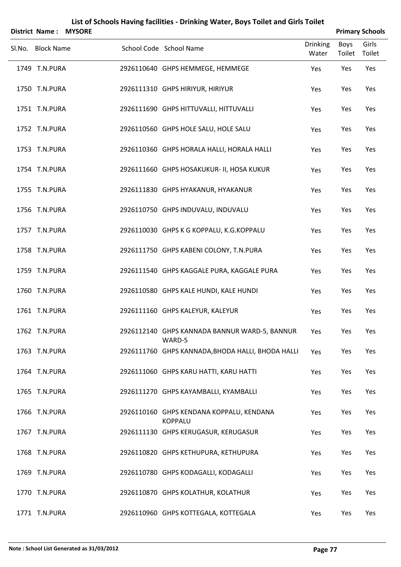| <b>District Name:</b> | <b>MYSORE</b> |                                                            |                          |                | <b>Primary Schools</b> |
|-----------------------|---------------|------------------------------------------------------------|--------------------------|----------------|------------------------|
| Sl.No. Block Name     |               | School Code School Name                                    | <b>Drinking</b><br>Water | Boys<br>Toilet | Girls<br>Toilet        |
| 1749 T.N.PURA         |               | 2926110640 GHPS HEMMEGE, HEMMEGE                           | Yes                      | Yes            | Yes                    |
| 1750 T.N.PURA         |               | 2926111310 GHPS HIRIYUR, HIRIYUR                           | Yes                      | Yes            | Yes                    |
| 1751 T.N.PURA         |               | 2926111690 GHPS HITTUVALLI, HITTUVALLI                     | Yes                      | Yes            | Yes                    |
| 1752 T.N.PURA         |               | 2926110560 GHPS HOLE SALU, HOLE SALU                       | Yes                      | Yes            | Yes                    |
| 1753 T.N.PURA         |               | 2926110360 GHPS HORALA HALLI, HORALA HALLI                 | Yes                      | Yes            | Yes                    |
| 1754 T.N.PURA         |               | 2926111660 GHPS HOSAKUKUR- II, HOSA KUKUR                  | Yes                      | Yes            | Yes                    |
| 1755 T.N.PURA         |               | 2926111830 GHPS HYAKANUR, HYAKANUR                         | Yes                      | Yes            | Yes                    |
| 1756 T.N.PURA         |               | 2926110750 GHPS INDUVALU, INDUVALU                         | Yes                      | Yes            | Yes                    |
| 1757 T.N.PURA         |               | 2926110030 GHPS K G KOPPALU, K.G.KOPPALU                   | Yes                      | Yes            | Yes                    |
| 1758 T.N.PURA         |               | 2926111750 GHPS KABENI COLONY, T.N.PURA                    | Yes                      | Yes            | Yes                    |
| 1759 T.N.PURA         |               | 2926111540 GHPS KAGGALE PURA, KAGGALE PURA                 | Yes                      | Yes            | Yes                    |
| 1760 T.N.PURA         |               | 2926110580 GHPS KALE HUNDI, KALE HUNDI                     | Yes                      | Yes            | Yes                    |
| 1761 T.N.PURA         |               | 2926111160 GHPS KALEYUR, KALEYUR                           | Yes                      | Yes            | Yes                    |
| 1762 T.N.PURA         |               | 2926112140 GHPS KANNADA BANNUR WARD-5, BANNUR<br>WARD-5    | Yes                      | Yes            | Yes                    |
| 1763 T.N.PURA         |               | 2926111760 GHPS KANNADA, BHODA HALLI, BHODA HALLI          | Yes                      | Yes            | Yes                    |
| 1764 T.N.PURA         |               | 2926111060 GHPS KARU HATTI, KARU HATTI                     | Yes                      | Yes            | Yes                    |
| 1765 T.N.PURA         |               | 2926111270 GHPS KAYAMBALLI, KYAMBALLI                      | Yes                      | Yes            | Yes                    |
| 1766 T.N.PURA         |               | 2926110160 GHPS KENDANA KOPPALU, KENDANA<br><b>KOPPALU</b> | Yes                      | Yes            | Yes                    |
| 1767 T.N.PURA         |               | 2926111130 GHPS KERUGASUR, KERUGASUR                       | Yes                      | Yes            | Yes                    |
| 1768 T.N.PURA         |               | 2926110820 GHPS KETHUPURA, KETHUPURA                       | Yes                      | Yes            | Yes                    |
| 1769 T.N.PURA         |               | 2926110780 GHPS KODAGALLI, KODAGALLI                       | Yes                      | Yes            | Yes                    |
| 1770 T.N.PURA         |               | 2926110870 GHPS KOLATHUR, KOLATHUR                         | Yes                      | Yes            | Yes                    |
| 1771 T.N.PURA         |               | 2926110960 GHPS KOTTEGALA, KOTTEGALA                       | Yes                      | Yes            | Yes                    |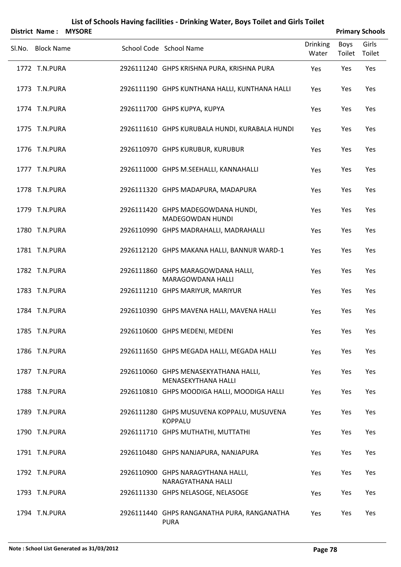|        | <b>District Name:</b> | <b>MYSORE</b> |                                                               |                          |                       | <b>Primary Schools</b> |
|--------|-----------------------|---------------|---------------------------------------------------------------|--------------------------|-----------------------|------------------------|
| Sl.No. | <b>Block Name</b>     |               | School Code School Name                                       | <b>Drinking</b><br>Water | <b>Boys</b><br>Toilet | Girls<br>Toilet        |
|        | 1772 T.N.PURA         |               | 2926111240 GHPS KRISHNA PURA, KRISHNA PURA                    | Yes                      | Yes                   | Yes                    |
|        | 1773 T.N.PURA         |               | 2926111190 GHPS KUNTHANA HALLI, KUNTHANA HALLI                | Yes                      | Yes                   | Yes                    |
|        | 1774 T.N.PURA         |               | 2926111700 GHPS KUPYA, KUPYA                                  | Yes                      | Yes                   | Yes                    |
|        | 1775 T.N.PURA         |               | 2926111610 GHPS KURUBALA HUNDI, KURABALA HUNDI                | Yes                      | Yes                   | Yes                    |
|        | 1776 T.N.PURA         |               | 2926110970 GHPS KURUBUR, KURUBUR                              | Yes                      | Yes                   | Yes                    |
|        | 1777 T.N.PURA         |               | 2926111000 GHPS M.SEEHALLI, KANNAHALLI                        | Yes                      | Yes                   | Yes                    |
|        | 1778 T.N.PURA         |               | 2926111320 GHPS MADAPURA, MADAPURA                            | Yes                      | Yes                   | Yes                    |
|        | 1779 T.N.PURA         |               | 2926111420 GHPS MADEGOWDANA HUNDI,<br><b>MADEGOWDAN HUNDI</b> | Yes                      | Yes                   | Yes                    |
|        | 1780 T.N.PURA         |               | 2926110990 GHPS MADRAHALLI, MADRAHALLI                        | Yes                      | Yes                   | Yes                    |
|        | 1781 T.N.PURA         |               | 2926112120 GHPS MAKANA HALLI, BANNUR WARD-1                   | Yes                      | Yes                   | Yes                    |
|        | 1782 T.N.PURA         |               | 2926111860 GHPS MARAGOWDANA HALLI,<br>MARAGOWDANA HALLI       | Yes                      | Yes                   | Yes                    |
|        | 1783 T.N.PURA         |               | 2926111210 GHPS MARIYUR, MARIYUR                              | Yes                      | Yes                   | Yes                    |
|        | 1784 T.N.PURA         |               | 2926110390 GHPS MAVENA HALLI, MAVENA HALLI                    | Yes                      | Yes                   | Yes                    |
|        | 1785 T.N.PURA         |               | 2926110600 GHPS MEDENI, MEDENI                                | Yes                      | Yes                   | Yes                    |
|        | 1786 T.N.PURA         |               | 2926111650 GHPS MEGADA HALLI, MEGADA HALLI                    | Yes                      | Yes                   | Yes                    |
|        | 1787 T.N.PURA         |               | 2926110060 GHPS MENASEKYATHANA HALLI,<br>MENASEKYTHANA HALLI  | Yes                      | Yes                   | Yes                    |
|        | 1788 T.N.PURA         |               | 2926110810 GHPS MOODIGA HALLI, MOODIGA HALLI                  | Yes                      | Yes                   | Yes                    |
|        | 1789 T.N.PURA         |               | 2926111280 GHPS MUSUVENA KOPPALU, MUSUVENA<br><b>KOPPALU</b>  | Yes                      | Yes                   | Yes                    |
|        | 1790 T.N.PURA         |               | 2926111710 GHPS MUTHATHI, MUTTATHI                            | Yes                      | Yes                   | Yes                    |
|        | 1791 T.N.PURA         |               | 2926110480 GHPS NANJAPURA, NANJAPURA                          | Yes                      | Yes                   | Yes                    |
|        | 1792 T.N.PURA         |               | 2926110900 GHPS NARAGYTHANA HALLI,<br>NARAGYATHANA HALLI      | Yes                      | Yes                   | Yes                    |
|        | 1793 T.N.PURA         |               | 2926111330 GHPS NELASOGE, NELASOGE                            | Yes                      | Yes                   | Yes                    |
|        | 1794 T.N.PURA         |               | 2926111440 GHPS RANGANATHA PURA, RANGANATHA<br><b>PURA</b>    | Yes                      | Yes                   | Yes                    |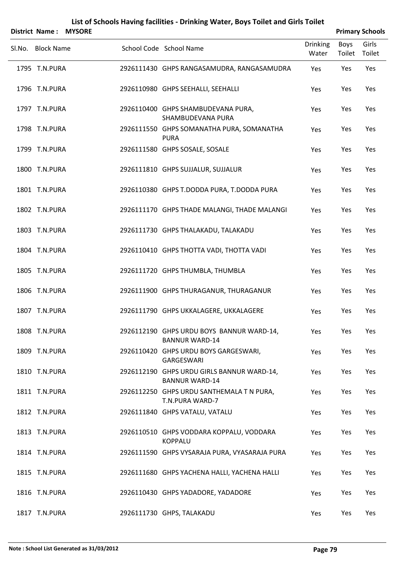|        | <b>District Name:</b> | <b>MYSORE</b> |                                                                     |                          | <b>Primary Schools</b> |                 |
|--------|-----------------------|---------------|---------------------------------------------------------------------|--------------------------|------------------------|-----------------|
| SI.No. | <b>Block Name</b>     |               | School Code School Name                                             | <b>Drinking</b><br>Water | Boys<br>Toilet         | Girls<br>Toilet |
|        | 1795 T.N.PURA         |               | 2926111430 GHPS RANGASAMUDRA, RANGASAMUDRA                          | Yes                      | Yes                    | Yes             |
|        | 1796 T.N.PURA         |               | 2926110980 GHPS SEEHALLI, SEEHALLI                                  | Yes                      | Yes                    | Yes             |
|        | 1797 T.N.PURA         |               | 2926110400 GHPS SHAMBUDEVANA PURA,<br>SHAMBUDEVANA PURA             | Yes                      | Yes                    | Yes             |
|        | 1798 T.N.PURA         |               | 2926111550 GHPS SOMANATHA PURA, SOMANATHA<br><b>PURA</b>            | Yes                      | Yes                    | Yes             |
|        | 1799 T.N.PURA         |               | 2926111580 GHPS SOSALE, SOSALE                                      | Yes                      | Yes                    | Yes             |
|        | 1800 T.N.PURA         |               | 2926111810 GHPS SUJJALUR, SUJJALUR                                  | Yes                      | Yes                    | Yes             |
|        | 1801 T.N.PURA         |               | 2926110380 GHPS T.DODDA PURA, T.DODDA PURA                          | Yes                      | Yes                    | Yes             |
|        | 1802 T.N.PURA         |               | 2926111170 GHPS THADE MALANGI, THADE MALANGI                        | Yes                      | Yes                    | Yes             |
|        | 1803 T.N.PURA         |               | 2926111730 GHPS THALAKADU, TALAKADU                                 | Yes                      | Yes                    | Yes             |
|        | 1804 T.N.PURA         |               | 2926110410 GHPS THOTTA VADI, THOTTA VADI                            | Yes                      | Yes                    | Yes             |
|        | 1805 T.N.PURA         |               | 2926111720 GHPS THUMBLA, THUMBLA                                    | Yes                      | Yes                    | Yes             |
|        | 1806 T.N.PURA         |               | 2926111900 GHPS THURAGANUR, THURAGANUR                              | Yes                      | Yes                    | Yes             |
|        | 1807 T.N.PURA         |               | 2926111790 GHPS UKKALAGERE, UKKALAGERE                              | Yes                      | Yes                    | Yes             |
|        | 1808 T.N.PURA         |               | 2926112190 GHPS URDU BOYS BANNUR WARD-14,<br><b>BANNUR WARD-14</b>  | Yes                      | Yes                    | Yes             |
|        | 1809 T.N.PURA         |               | 2926110420 GHPS URDU BOYS GARGESWARI,<br>GARGESWARI                 | Yes                      | Yes                    | Yes             |
|        | 1810 T.N.PURA         |               | 2926112190 GHPS URDU GIRLS BANNUR WARD-14,<br><b>BANNUR WARD-14</b> | Yes                      | Yes                    | Yes             |
|        | 1811 T.N.PURA         |               | 2926112250 GHPS URDU SANTHEMALA T N PURA,<br>T.N.PURA WARD-7        | Yes                      | Yes                    | Yes             |
|        | 1812 T.N.PURA         |               | 2926111840 GHPS VATALU, VATALU                                      | Yes                      | Yes                    | Yes             |
|        | 1813 T.N.PURA         |               | 2926110510 GHPS VODDARA KOPPALU, VODDARA<br><b>KOPPALU</b>          | Yes                      | Yes                    | Yes             |
|        | 1814 T.N.PURA         |               | 2926111590 GHPS VYSARAJA PURA, VYASARAJA PURA                       | Yes                      | Yes                    | Yes             |
|        | 1815 T.N.PURA         |               | 2926111680 GHPS YACHENA HALLI, YACHENA HALLI                        | Yes                      | Yes                    | Yes             |
|        | 1816 T.N.PURA         |               | 2926110430 GHPS YADADORE, YADADORE                                  | Yes                      | Yes                    | Yes             |
|        | 1817 T.N.PURA         |               | 2926111730 GHPS, TALAKADU                                           | Yes                      | Yes                    | Yes             |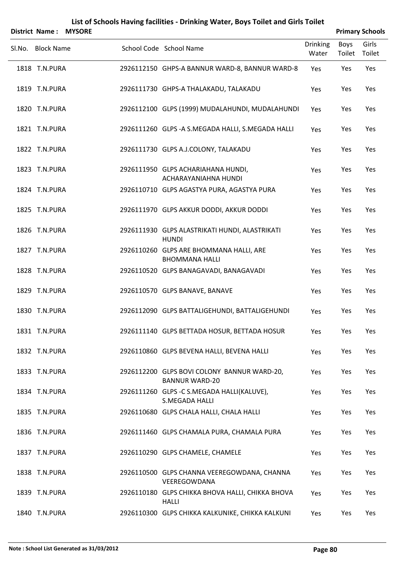|        | District Name:    | <b>MYSORE</b> |                                                                      |                          |                | <b>Primary Schools</b> |
|--------|-------------------|---------------|----------------------------------------------------------------------|--------------------------|----------------|------------------------|
| Sl.No. | <b>Block Name</b> |               | School Code School Name                                              | <b>Drinking</b><br>Water | Boys<br>Toilet | Girls<br>Toilet        |
|        | 1818 T.N.PURA     |               | 2926112150 GHPS-A BANNUR WARD-8, BANNUR WARD-8                       | Yes                      | Yes            | Yes                    |
|        | 1819 T.N.PURA     |               | 2926111730 GHPS-A THALAKADU, TALAKADU                                | Yes                      | Yes            | Yes                    |
|        | 1820 T.N.PURA     |               | 2926112100 GLPS (1999) MUDALAHUNDI, MUDALAHUNDI                      | Yes                      | Yes            | Yes                    |
|        | 1821 T.N.PURA     |               | 2926111260 GLPS - A S.MEGADA HALLI, S.MEGADA HALLI                   | Yes                      | Yes            | Yes                    |
|        | 1822 T.N.PURA     |               | 2926111730 GLPS A.J.COLONY, TALAKADU                                 | Yes                      | Yes            | Yes                    |
|        | 1823 T.N.PURA     |               | 2926111950 GLPS ACHARIAHANA HUNDI,<br>ACHARAYANIAHNA HUNDI           | Yes                      | Yes            | Yes                    |
|        | 1824 T.N.PURA     |               | 2926110710 GLPS AGASTYA PURA, AGASTYA PURA                           | Yes                      | Yes            | Yes                    |
|        | 1825 T.N.PURA     |               | 2926111970 GLPS AKKUR DODDI, AKKUR DODDI                             | Yes                      | Yes            | Yes                    |
|        | 1826 T.N.PURA     |               | 2926111930 GLPS ALASTRIKATI HUNDI, ALASTRIKATI<br><b>HUNDI</b>       | Yes                      | Yes            | Yes                    |
|        | 1827 T.N.PURA     |               | 2926110260 GLPS ARE BHOMMANA HALLI, ARE<br><b>BHOMMANA HALLI</b>     | Yes                      | Yes            | Yes                    |
|        | 1828 T.N.PURA     |               | 2926110520 GLPS BANAGAVADI, BANAGAVADI                               | Yes                      | Yes            | Yes                    |
|        | 1829 T.N.PURA     |               | 2926110570 GLPS BANAVE, BANAVE                                       | Yes                      | Yes            | Yes                    |
|        | 1830 T.N.PURA     |               | 2926112090 GLPS BATTALIGEHUNDI, BATTALIGEHUNDI                       | Yes                      | Yes            | Yes                    |
|        | 1831 T.N.PURA     |               | 2926111140 GLPS BETTADA HOSUR, BETTADA HOSUR                         | Yes                      | Yes            | Yes                    |
|        | 1832 T.N.PURA     |               | 2926110860 GLPS BEVENA HALLI, BEVENA HALLI                           | Yes                      | Yes            | Yes                    |
|        | 1833 T.N.PURA     |               | 2926112200 GLPS BOVI COLONY BANNUR WARD-20,<br><b>BANNUR WARD-20</b> | Yes                      | Yes            | Yes                    |
|        | 1834 T.N.PURA     |               | 2926111260 GLPS - C S.MEGADA HALLI(KALUVE),<br>S.MEGADA HALLI        | Yes                      | Yes            | Yes                    |
|        | 1835 T.N.PURA     |               | 2926110680 GLPS CHALA HALLI, CHALA HALLI                             | Yes                      | Yes            | Yes                    |
|        | 1836 T.N.PURA     |               | 2926111460 GLPS CHAMALA PURA, CHAMALA PURA                           | Yes                      | Yes            | Yes                    |
|        | 1837 T.N.PURA     |               | 2926110290 GLPS CHAMELE, CHAMELE                                     | Yes                      | Yes            | Yes                    |
|        | 1838 T.N.PURA     |               | 2926110500 GLPS CHANNA VEEREGOWDANA, CHANNA<br>VEEREGOWDANA          | Yes                      | Yes            | Yes                    |
|        | 1839 T.N.PURA     |               | 2926110180 GLPS CHIKKA BHOVA HALLI, CHIKKA BHOVA<br><b>HALLI</b>     | Yes                      | Yes            | Yes                    |
|        | 1840 T.N.PURA     |               | 2926110300 GLPS CHIKKA KALKUNIKE, CHIKKA KALKUNI                     | Yes                      | Yes            | Yes                    |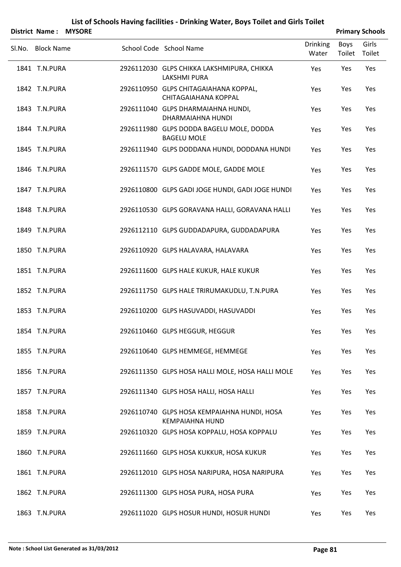|                   | District Name: MYSORE |                                                                       |                          |                | <b>Primary Schools</b> |
|-------------------|-----------------------|-----------------------------------------------------------------------|--------------------------|----------------|------------------------|
| Sl.No. Block Name |                       | School Code School Name                                               | <b>Drinking</b><br>Water | Boys<br>Toilet | Girls<br>Toilet        |
| 1841 T.N.PURA     |                       | 2926112030 GLPS CHIKKA LAKSHMIPURA, CHIKKA<br><b>LAKSHMI PURA</b>     | Yes                      | Yes            | Yes                    |
| 1842 T.N.PURA     |                       | 2926110950 GLPS CHITAGAIAHANA KOPPAL,<br>CHITAGAIAHANA KOPPAL         | Yes                      | Yes            | Yes                    |
| 1843 T.N.PURA     |                       | 2926111040 GLPS DHARMAIAHNA HUNDI,<br>DHARMAIAHNA HUNDI               | Yes                      | Yes            | Yes                    |
| 1844 T.N.PURA     |                       | 2926111980 GLPS DODDA BAGELU MOLE, DODDA<br><b>BAGELU MOLE</b>        | Yes                      | Yes            | Yes                    |
| 1845 T.N.PURA     |                       | 2926111940 GLPS DODDANA HUNDI, DODDANA HUNDI                          | Yes                      | Yes            | Yes                    |
| 1846 T.N.PURA     |                       | 2926111570 GLPS GADDE MOLE, GADDE MOLE                                | Yes                      | Yes            | Yes                    |
| 1847 T.N.PURA     |                       | 2926110800 GLPS GADI JOGE HUNDI, GADI JOGE HUNDI                      | Yes                      | Yes            | Yes                    |
| 1848 T.N.PURA     |                       | 2926110530 GLPS GORAVANA HALLI, GORAVANA HALLI                        | Yes                      | Yes            | Yes                    |
| 1849 T.N.PURA     |                       | 2926112110 GLPS GUDDADAPURA, GUDDADAPURA                              | Yes                      | Yes            | Yes                    |
| 1850 T.N.PURA     |                       | 2926110920 GLPS HALAVARA, HALAVARA                                    | Yes                      | Yes            | Yes                    |
| 1851 T.N.PURA     |                       | 2926111600 GLPS HALE KUKUR, HALE KUKUR                                | Yes                      | Yes            | Yes                    |
| 1852 T.N.PURA     |                       | 2926111750 GLPS HALE TRIRUMAKUDLU, T.N.PURA                           | Yes                      | Yes            | Yes                    |
| 1853 T.N.PURA     |                       | 2926110200 GLPS HASUVADDI, HASUVADDI                                  | Yes                      | Yes            | Yes                    |
| 1854 T.N.PURA     |                       | 2926110460 GLPS HEGGUR, HEGGUR                                        | Yes                      | Yes            | Yes                    |
| 1855 T.N.PURA     |                       | 2926110640 GLPS HEMMEGE, HEMMEGE                                      | Yes                      | Yes            | Yes                    |
| 1856 T.N.PURA     |                       | 2926111350 GLPS HOSA HALLI MOLE, HOSA HALLI MOLE                      | Yes                      | Yes            | Yes                    |
| 1857 T.N.PURA     |                       | 2926111340 GLPS HOSA HALLI, HOSA HALLI                                | Yes                      | Yes            | Yes                    |
| 1858 T.N.PURA     |                       | 2926110740 GLPS HOSA KEMPAIAHNA HUNDI, HOSA<br><b>KEMPAIAHNA HUND</b> | Yes                      | Yes            | Yes                    |
| 1859 T.N.PURA     |                       | 2926110320 GLPS HOSA KOPPALU, HOSA KOPPALU                            | Yes                      | Yes            | Yes                    |
| 1860 T.N.PURA     |                       | 2926111660 GLPS HOSA KUKKUR, HOSA KUKUR                               | Yes                      | Yes            | Yes                    |
| 1861 T.N.PURA     |                       | 2926112010 GLPS HOSA NARIPURA, HOSA NARIPURA                          | Yes                      | Yes            | Yes                    |
| 1862 T.N.PURA     |                       | 2926111300 GLPS HOSA PURA, HOSA PURA                                  | Yes                      | Yes            | Yes                    |
| 1863 T.N.PURA     |                       | 2926111020 GLPS HOSUR HUNDI, HOSUR HUNDI                              | Yes                      | Yes            | Yes                    |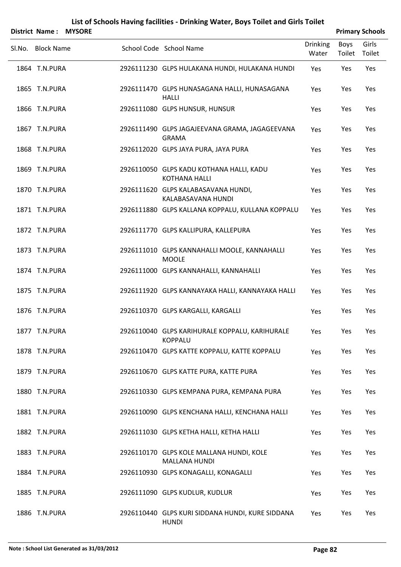|        |                   | District Name: MYSORE |                                                                  |                          |                       | <b>Primary Schools</b> |
|--------|-------------------|-----------------------|------------------------------------------------------------------|--------------------------|-----------------------|------------------------|
| Sl.No. | <b>Block Name</b> |                       | School Code School Name                                          | <b>Drinking</b><br>Water | <b>Boys</b><br>Toilet | Girls<br>Toilet        |
|        | 1864 T.N.PURA     |                       | 2926111230 GLPS HULAKANA HUNDI, HULAKANA HUNDI                   | Yes                      | Yes                   | Yes                    |
|        | 1865 T.N.PURA     |                       | 2926111470 GLPS HUNASAGANA HALLI, HUNASAGANA<br><b>HALLI</b>     | Yes                      | Yes                   | Yes                    |
|        | 1866 T.N.PURA     |                       | 2926111080 GLPS HUNSUR, HUNSUR                                   | Yes                      | Yes                   | Yes                    |
|        | 1867 T.N.PURA     |                       | 2926111490 GLPS JAGAJEEVANA GRAMA, JAGAGEEVANA<br><b>GRAMA</b>   | Yes                      | Yes                   | Yes                    |
|        | 1868 T.N.PURA     |                       | 2926112020 GLPS JAYA PURA, JAYA PURA                             | Yes                      | Yes                   | Yes                    |
|        | 1869 T.N.PURA     |                       | 2926110050 GLPS KADU KOTHANA HALLI, KADU<br><b>KOTHANA HALLI</b> | Yes                      | Yes                   | Yes                    |
|        | 1870 T.N.PURA     |                       | 2926111620 GLPS KALABASAVANA HUNDI,<br>KALABASAVANA HUNDI        | Yes                      | Yes                   | Yes                    |
|        | 1871 T.N.PURA     |                       | 2926111880 GLPS KALLANA KOPPALU, KULLANA KOPPALU                 | Yes                      | Yes                   | Yes                    |
|        | 1872 T.N.PURA     |                       | 2926111770 GLPS KALLIPURA, KALLEPURA                             | Yes                      | Yes                   | Yes                    |
|        | 1873 T.N.PURA     |                       | 2926111010 GLPS KANNAHALLI MOOLE, KANNAHALLI<br><b>MOOLE</b>     | Yes                      | Yes                   | Yes                    |
|        | 1874 T.N.PURA     |                       | 2926111000 GLPS KANNAHALLI, KANNAHALLI                           | Yes                      | Yes                   | Yes                    |
|        | 1875 T.N.PURA     |                       | 2926111920 GLPS KANNAYAKA HALLI, KANNAYAKA HALLI                 | Yes                      | Yes                   | Yes                    |
|        | 1876 T.N.PURA     |                       | 2926110370 GLPS KARGALLI, KARGALLI                               | Yes                      | Yes                   | Yes                    |
|        | 1877 T.N.PURA     |                       | 2926110040 GLPS KARIHURALE KOPPALU, KARIHURALE<br><b>KOPPALU</b> | Yes                      | Yes                   | Yes                    |
|        | 1878 T.N.PURA     |                       | 2926110470 GLPS KATTE KOPPALU, KATTE KOPPALU                     | Yes                      | Yes                   | Yes                    |
|        | 1879 T.N.PURA     |                       | 2926110670 GLPS KATTE PURA, KATTE PURA                           | Yes                      | Yes                   | Yes                    |
|        | 1880 T.N.PURA     |                       | 2926110330 GLPS KEMPANA PURA, KEMPANA PURA                       | Yes                      | Yes                   | Yes                    |
|        | 1881 T.N.PURA     |                       | 2926110090 GLPS KENCHANA HALLI, KENCHANA HALLI                   | Yes                      | Yes                   | Yes                    |
|        | 1882 T.N.PURA     |                       | 2926111030 GLPS KETHA HALLI, KETHA HALLI                         | Yes                      | Yes                   | Yes                    |
|        | 1883 T.N.PURA     |                       | 2926110170 GLPS KOLE MALLANA HUNDI, KOLE<br><b>MALLANA HUNDI</b> | Yes                      | Yes                   | Yes                    |
|        | 1884 T.N.PURA     |                       | 2926110930 GLPS KONAGALLI, KONAGALLI                             | Yes                      | Yes                   | Yes                    |
|        | 1885 T.N.PURA     |                       | 2926111090 GLPS KUDLUR, KUDLUR                                   | Yes                      | Yes                   | Yes                    |
|        | 1886 T.N.PURA     |                       | 2926110440 GLPS KURI SIDDANA HUNDI, KURE SIDDANA                 | Yes                      | Yes                   | Yes                    |

HUNDI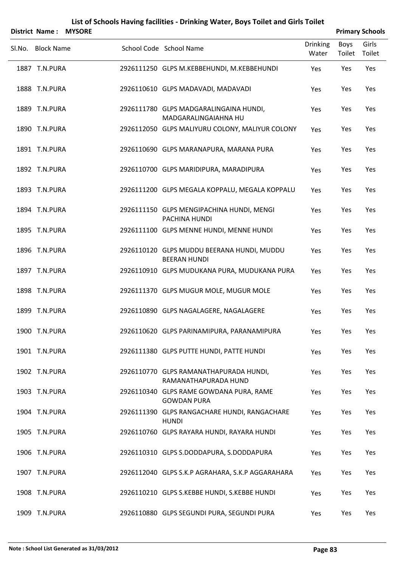|        | District Name: MYSORE |  |                                                                   |                          |                | <b>Primary Schools</b> |
|--------|-----------------------|--|-------------------------------------------------------------------|--------------------------|----------------|------------------------|
| Sl.No. | <b>Block Name</b>     |  | School Code School Name                                           | <b>Drinking</b><br>Water | Boys<br>Toilet | Girls<br>Toilet        |
|        | 1887 T.N.PURA         |  | 2926111250 GLPS M.KEBBEHUNDI, M.KEBBEHUNDI                        | Yes                      | Yes            | Yes                    |
|        | 1888 T.N.PURA         |  | 2926110610 GLPS MADAVADI, MADAVADI                                | Yes                      | Yes            | Yes                    |
|        | 1889 T.N.PURA         |  | 2926111780 GLPS MADGARALINGAINA HUNDI,<br>MADGARALINGAIAHNA HU    | Yes                      | Yes            | Yes                    |
|        | 1890 T.N.PURA         |  | 2926112050 GLPS MALIYURU COLONY, MALIYUR COLONY                   | Yes                      | Yes            | Yes                    |
|        | 1891 T.N.PURA         |  | 2926110690 GLPS MARANAPURA, MARANA PURA                           | Yes                      | Yes            | Yes                    |
|        | 1892 T.N.PURA         |  | 2926110700 GLPS MARIDIPURA, MARADIPURA                            | Yes                      | Yes            | Yes                    |
|        | 1893 T.N.PURA         |  | 2926111200 GLPS MEGALA KOPPALU, MEGALA KOPPALU                    | Yes                      | Yes            | Yes                    |
|        | 1894 T.N.PURA         |  | 2926111150 GLPS MENGIPACHINA HUNDI, MENGI<br>PACHINA HUNDI        | Yes                      | Yes            | Yes                    |
|        | 1895 T.N.PURA         |  | 2926111100 GLPS MENNE HUNDI, MENNE HUNDI                          | Yes                      | Yes            | Yes                    |
|        | 1896 T.N.PURA         |  | 2926110120 GLPS MUDDU BEERANA HUNDI, MUDDU<br><b>BEERAN HUNDI</b> | Yes                      | Yes            | Yes                    |
|        | 1897 T.N.PURA         |  | 2926110910 GLPS MUDUKANA PURA, MUDUKANA PURA                      | Yes                      | Yes            | Yes                    |
|        | 1898 T.N.PURA         |  | 2926111370 GLPS MUGUR MOLE, MUGUR MOLE                            | Yes                      | Yes            | Yes                    |
|        | 1899 T.N.PURA         |  | 2926110890 GLPS NAGALAGERE, NAGALAGERE                            | Yes                      | Yes            | Yes                    |
|        | 1900 T.N.PURA         |  | 2926110620 GLPS PARINAMIPURA, PARANAMIPURA                        | Yes                      | Yes            | Yes                    |
|        | 1901 T.N.PURA         |  | 2926111380 GLPS PUTTE HUNDI, PATTE HUNDI                          | Yes                      | Yes            | Yes                    |
|        | 1902 T.N.PURA         |  | 2926110770 GLPS RAMANATHAPURADA HUNDI,<br>RAMANATHAPURADA HUND    | Yes                      | Yes            | Yes                    |
|        | 1903 T.N.PURA         |  | 2926110340 GLPS RAME GOWDANA PURA, RAME<br><b>GOWDAN PURA</b>     | Yes                      | Yes            | Yes                    |
|        | 1904 T.N.PURA         |  | 2926111390 GLPS RANGACHARE HUNDI, RANGACHARE<br><b>HUNDI</b>      | Yes                      | Yes            | Yes                    |
|        | 1905 T.N.PURA         |  | 2926110760 GLPS RAYARA HUNDI, RAYARA HUNDI                        | Yes                      | Yes            | Yes                    |
|        | 1906 T.N.PURA         |  | 2926110310 GLPS S.DODDAPURA, S.DODDAPURA                          | Yes                      | Yes            | Yes                    |
|        | 1907 T.N.PURA         |  | 2926112040 GLPS S.K.P AGRAHARA, S.K.P AGGARAHARA                  | Yes                      | Yes            | Yes                    |
|        | 1908 T.N.PURA         |  | 2926110210 GLPS S.KEBBE HUNDI, S.KEBBE HUNDI                      | Yes                      | Yes            | Yes                    |
|        | 1909 T.N.PURA         |  | 2926110880 GLPS SEGUNDI PURA, SEGUNDI PURA                        | Yes                      | Yes            | Yes                    |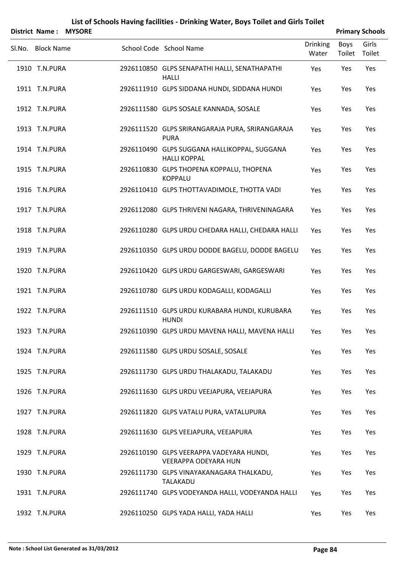|        | District Name:<br><b>MYSORE</b> |                                                                         |                          |                | <b>Primary Schools</b> |
|--------|---------------------------------|-------------------------------------------------------------------------|--------------------------|----------------|------------------------|
| Sl.No. | <b>Block Name</b>               | School Code School Name                                                 | <b>Drinking</b><br>Water | Boys<br>Toilet | Girls<br>Toilet        |
|        | 1910 T.N.PURA                   | 2926110850 GLPS SENAPATHI HALLI, SENATHAPATHI<br><b>HALLI</b>           | Yes                      | Yes            | Yes                    |
|        | 1911 T.N.PURA                   | 2926111910 GLPS SIDDANA HUNDI, SIDDANA HUNDI                            | Yes                      | Yes            | Yes                    |
|        | 1912 T.N.PURA                   | 2926111580 GLPS SOSALE KANNADA, SOSALE                                  | Yes                      | Yes            | Yes                    |
|        | 1913 T.N.PURA                   | 2926111520 GLPS SRIRANGARAJA PURA, SRIRANGARAJA<br><b>PURA</b>          | Yes                      | Yes            | Yes                    |
|        | 1914 T.N.PURA                   | 2926110490 GLPS SUGGANA HALLIKOPPAL, SUGGANA<br><b>HALLI KOPPAL</b>     | Yes                      | Yes            | Yes                    |
|        | 1915 T.N.PURA                   | 2926110830 GLPS THOPENA KOPPALU, THOPENA<br><b>KOPPALU</b>              | Yes                      | Yes            | Yes                    |
|        | 1916 T.N.PURA                   | 2926110410 GLPS THOTTAVADIMOLE, THOTTA VADI                             | Yes                      | Yes            | Yes                    |
|        | 1917 T.N.PURA                   | 2926112080 GLPS THRIVENI NAGARA, THRIVENINAGARA                         | Yes                      | Yes            | Yes                    |
|        | 1918 T.N.PURA                   | 2926110280 GLPS URDU CHEDARA HALLI, CHEDARA HALLI                       | Yes                      | Yes            | Yes                    |
|        | 1919 T.N.PURA                   | 2926110350 GLPS URDU DODDE BAGELU, DODDE BAGELU                         | Yes                      | Yes            | Yes                    |
|        | 1920 T.N.PURA                   | 2926110420 GLPS URDU GARGESWARI, GARGESWARI                             | Yes                      | Yes            | Yes                    |
|        | 1921 T.N.PURA                   | 2926110780 GLPS URDU KODAGALLI, KODAGALLI                               | Yes                      | Yes            | Yes                    |
|        | 1922 T.N.PURA                   | 2926111510 GLPS URDU KURABARA HUNDI, KURUBARA<br><b>HUNDI</b>           | Yes                      | Yes            | Yes                    |
|        | 1923 T.N.PURA                   | 2926110390 GLPS URDU MAVENA HALLI, MAVENA HALLI                         | Yes                      | Yes            | Yes                    |
|        | 1924 T.N.PURA                   | 2926111580 GLPS URDU SOSALE, SOSALE                                     | Yes                      | Yes            | Yes                    |
|        | 1925 T.N.PURA                   | 2926111730 GLPS URDU THALAKADU, TALAKADU                                | Yes                      | Yes            | Yes                    |
|        | 1926 T.N.PURA                   | 2926111630 GLPS URDU VEEJAPURA, VEEJAPURA                               | Yes                      | Yes            | Yes                    |
|        | 1927 T.N.PURA                   | 2926111820 GLPS VATALU PURA, VATALUPURA                                 | Yes                      | Yes            | Yes                    |
|        | 1928 T.N.PURA                   | 2926111630 GLPS VEEJAPURA, VEEJAPURA                                    | Yes                      | Yes            | Yes                    |
|        | 1929 T.N.PURA                   | 2926110190 GLPS VEERAPPA VADEYARA HUNDI,<br><b>VEERAPPA ODEYARA HUN</b> | Yes                      | Yes            | Yes                    |
|        | 1930 T.N.PURA                   | 2926111730 GLPS VINAYAKANAGARA THALKADU,<br>TALAKADU                    | Yes                      | Yes            | Yes                    |
|        | 1931 T.N.PURA                   | 2926111740 GLPS VODEYANDA HALLI, VODEYANDA HALLI                        | Yes                      | Yes            | Yes                    |
|        | 1932 T.N.PURA                   | 2926110250 GLPS YADA HALLI, YADA HALLI                                  | Yes                      | Yes            | Yes                    |